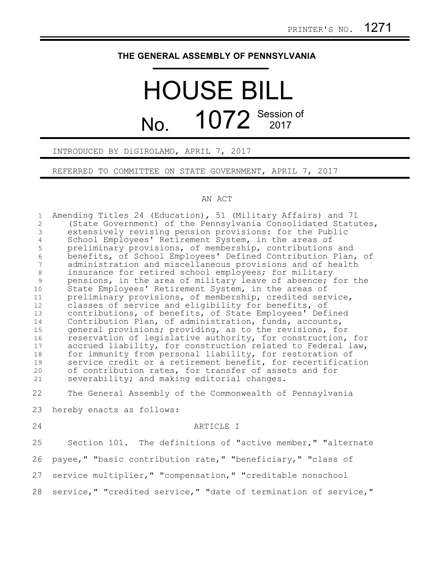## **THE GENERAL ASSEMBLY OF PENNSYLVANIA**

## HOUSE BILL No. 1072 Session of

INTRODUCED BY DiGIROLAMO, APRIL 7, 2017

REFERRED TO COMMITTEE ON STATE GOVERNMENT, APRIL 7, 2017

## AN ACT

Amending Titles 24 (Education), 51 (Military Affairs) and 71 (State Government) of the Pennsylvania Consolidated Statutes, extensively revising pension provisions: for the Public School Employees' Retirement System, in the areas of preliminary provisions, of membership, contributions and benefits, of School Employees' Defined Contribution Plan, of administration and miscellaneous provisions and of health insurance for retired school employees; for military pensions, in the area of military leave of absence; for the State Employees' Retirement System, in the areas of preliminary provisions, of membership, credited service, classes of service and eligibility for benefits, of contributions, of benefits, of State Employees' Defined Contribution Plan, of administration, funds, accounts, general provisions; providing, as to the revisions, for reservation of legislative authority, for construction, for accrued liability, for construction related to Federal law, for immunity from personal liability, for restoration of service credit or a retirement benefit, for recertification of contribution rates, for transfer of assets and for severability; and making editorial changes. The General Assembly of the Commonwealth of Pennsylvania hereby enacts as follows: ARTICLE I Section 101. The definitions of "active member," "alternate payee," "basic contribution rate," "beneficiary," "class of service multiplier," "compensation," "creditable nonschool service," "credited service," "date of termination of service," 1 2 3 4 5 6 7 8 9 10 11 12 13 14 15 16 17 18 19 20 21 22 23 24 25 26 27 28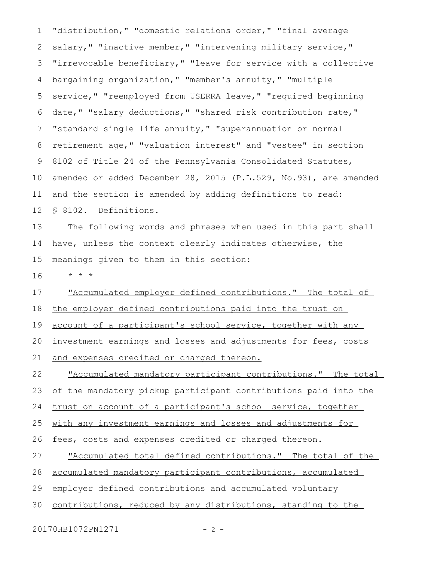"distribution," "domestic relations order," "final average salary," "inactive member," "intervening military service," "irrevocable beneficiary," "leave for service with a collective bargaining organization," "member's annuity," "multiple service," "reemployed from USERRA leave," "required beginning date," "salary deductions," "shared risk contribution rate," "standard single life annuity," "superannuation or normal retirement age," "valuation interest" and "vestee" in section 8102 of Title 24 of the Pennsylvania Consolidated Statutes, amended or added December 28, 2015 (P.L.529, No.93), are amended and the section is amended by adding definitions to read: § 8102. Definitions. 1 2 3 4 5 6 7 8 9 10 11 12

The following words and phrases when used in this part shall have, unless the context clearly indicates otherwise, the meanings given to them in this section: 13 14 15

\* \* \* 16

"Accumulated employer defined contributions." The total of 17

the employer defined contributions paid into the trust on 18

account of a participant's school service, together with any 19

investment earnings and losses and adjustments for fees, costs 20

and expenses credited or charged thereon. 21

"Accumulated mandatory participant contributions." The total 22

of the mandatory pickup participant contributions paid into the 23

trust on account of a participant's school service, together 24

with any investment earnings and losses and adjustments for 25

fees, costs and expenses credited or charged thereon. 26

"Accumulated total defined contributions." The total of the 27

accumulated mandatory participant contributions, accumulated 28

employer defined contributions and accumulated voluntary 29

contributions, reduced by any distributions, standing to the 30

20170HB1072PN1271 - 2 -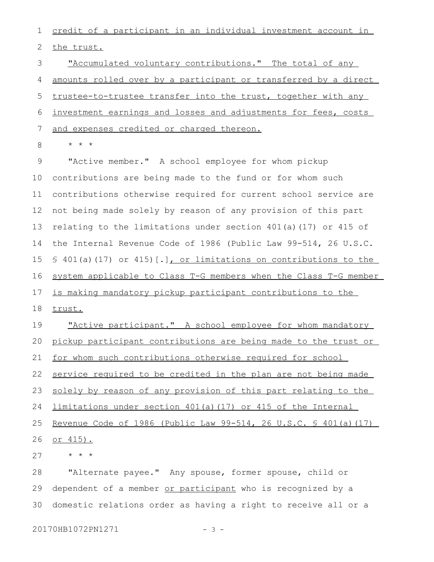credit of a participant in an individual investment account in the trust. 1 2

"Accumulated voluntary contributions." The total of any amounts rolled over by a participant or transferred by a direct trustee-to-trustee transfer into the trust, together with any investment earnings and losses and adjustments for fees, costs and expenses credited or charged thereon. 3 4 5 6 7

\* \* \* 8

"Active member." A school employee for whom pickup contributions are being made to the fund or for whom such contributions otherwise required for current school service are not being made solely by reason of any provision of this part relating to the limitations under section 401(a)(17) or 415 of the Internal Revenue Code of 1986 (Public Law 99-514, 26 U.S.C. § 401(a)(17) or 415)[.], or limitations on contributions to the system applicable to Class T-G members when the Class T-G member is making mandatory pickup participant contributions to the trust. "Active participant." A school employee for whom mandatory pickup participant contributions are being made to the trust or for whom such contributions otherwise required for school service required to be credited in the plan are not being made solely by reason of any provision of this part relating to the limitations under section 401(a)(17) or 415 of the Internal Revenue Code of 1986 (Public Law 99-514, 26 U.S.C. § 401(a)(17) or 415). 9 10 11 12 13 14 15 16 17 18 19 20 21 22 23 24 25 26

\* \* \* 27

"Alternate payee." Any spouse, former spouse, child or dependent of a member or participant who is recognized by a domestic relations order as having a right to receive all or a 28 29 30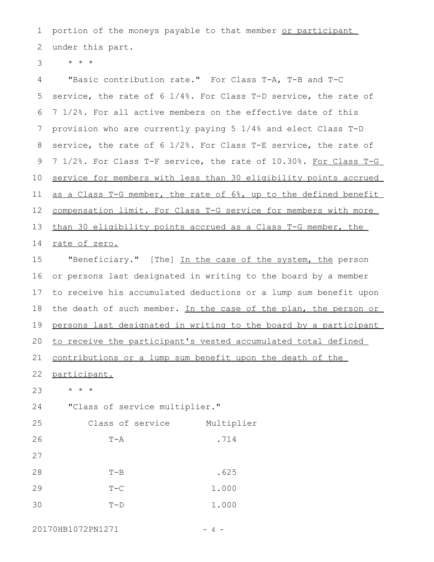portion of the moneys payable to that member or participant under this part. 1 2

\* \* \* 3

"Basic contribution rate." For Class T-A, T-B and T-C service, the rate of 6 1/4%. For Class T-D service, the rate of 7 1/2%. For all active members on the effective date of this provision who are currently paying 5 1/4% and elect Class T-D service, the rate of 6 1/2%. For Class T-E service, the rate of 7 1/2%. For Class T-F service, the rate of 10.30%. For Class T-G service for members with less than 30 eligibility points accrued as a Class T-G member, the rate of 6%, up to the defined benefit compensation limit. For Class T-G service for members with more than 30 eligibility points accrued as a Class T-G member, the rate of zero. "Beneficiary." [The] In the case of the system, the person or persons last designated in writing to the board by a member to receive his accumulated deductions or a lump sum benefit upon the death of such member. In the case of the plan, the person or persons last designated in writing to the board by a participant to receive the participant's vested accumulated total defined 4 5 6 7 8 9 10 11 12 13 14 15 16 17 18 19 20

contributions or a lump sum benefit upon the death of the 21

participant. 22

\* \* \* 23

"Class of service multiplier." 24

| 25 | Class of service | Multiplier |
|----|------------------|------------|
| 26 | $T - A$          | .714       |
| 27 |                  |            |
| 28 | $T - B$          | .625       |
| 29 | $T - C$          | 1.000      |
| 30 | $T-D$            | 1.000      |

20170HB1072PN1271 - 4 -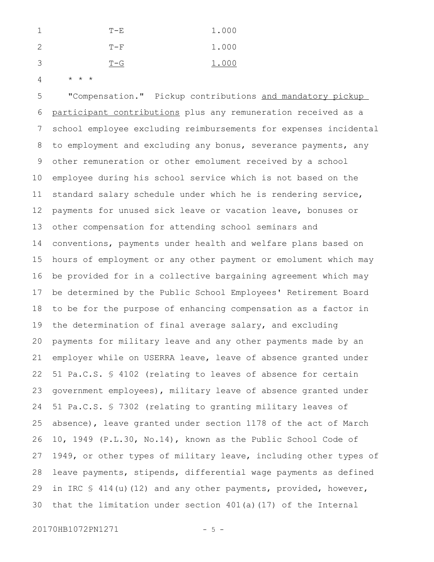|               | T-E.  | 1.000 |
|---------------|-------|-------|
| $\mathcal{P}$ | $T-F$ | 1.000 |
| -3            | $T-G$ | 1.000 |

\* \* \* 4

"Compensation." Pickup contributions and mandatory pickup participant contributions plus any remuneration received as a school employee excluding reimbursements for expenses incidental to employment and excluding any bonus, severance payments, any other remuneration or other emolument received by a school employee during his school service which is not based on the standard salary schedule under which he is rendering service, payments for unused sick leave or vacation leave, bonuses or other compensation for attending school seminars and conventions, payments under health and welfare plans based on hours of employment or any other payment or emolument which may be provided for in a collective bargaining agreement which may be determined by the Public School Employees' Retirement Board to be for the purpose of enhancing compensation as a factor in the determination of final average salary, and excluding payments for military leave and any other payments made by an employer while on USERRA leave, leave of absence granted under 51 Pa.C.S. § 4102 (relating to leaves of absence for certain government employees), military leave of absence granted under 51 Pa.C.S. § 7302 (relating to granting military leaves of absence), leave granted under section 1178 of the act of March 10, 1949 (P.L.30, No.14), known as the Public School Code of 1949, or other types of military leave, including other types of leave payments, stipends, differential wage payments as defined in IRC  $$ 414(u)(12)$  and any other payments, provided, however, that the limitation under section  $401(a)(17)$  of the Internal 5 6 7 8 9 10 11 12 13 14 15 16 17 18 19 20 21 22 23 24 25 26 27 28 29 30

20170HB1072PN1271 - 5 -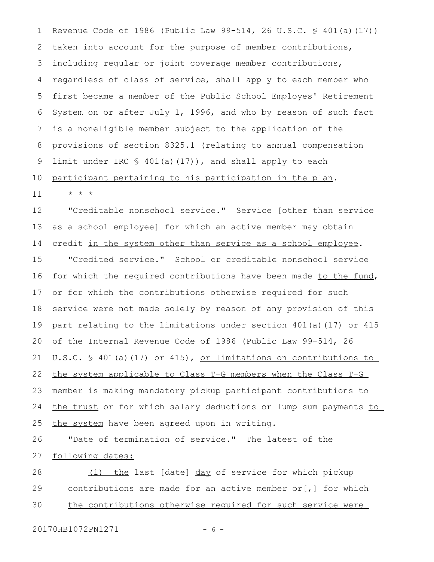Revenue Code of 1986 (Public Law 99-514, 26 U.S.C. § 401(a)(17)) taken into account for the purpose of member contributions, including regular or joint coverage member contributions, regardless of class of service, shall apply to each member who first became a member of the Public School Employes' Retirement System on or after July 1, 1996, and who by reason of such fact is a noneligible member subject to the application of the provisions of section 8325.1 (relating to annual compensation limit under IRC § 401(a)(17)), and shall apply to each participant pertaining to his participation in the plan. 1 2 3 4 5 6 7 8 9 10

"Creditable nonschool service." Service [other than service as a school employee] for which an active member may obtain credit in the system other than service as a school emplovee. "Credited service." School or creditable nonschool service for which the required contributions have been made to the fund, or for which the contributions otherwise required for such service were not made solely by reason of any provision of this part relating to the limitations under section 401(a)(17) or 415 of the Internal Revenue Code of 1986 (Public Law 99-514, 26 U.S.C. § 401(a)(17) or 415), or limitations on contributions to the system applicable to Class T-G members when the Class T-G member is making mandatory pickup participant contributions to the trust or for which salary deductions or lump sum payments to the system have been agreed upon in writing. 12 13 14 15 16 17 18 19 20 21 22 23 24 25

"Date of termination of service." The latest of the following dates: 26 27

(1) the last [date] day of service for which pickup contributions are made for an active member or[,] for which the contributions otherwise required for such service were 28 29 30

20170HB1072PN1271 - 6 -

\* \* \*

11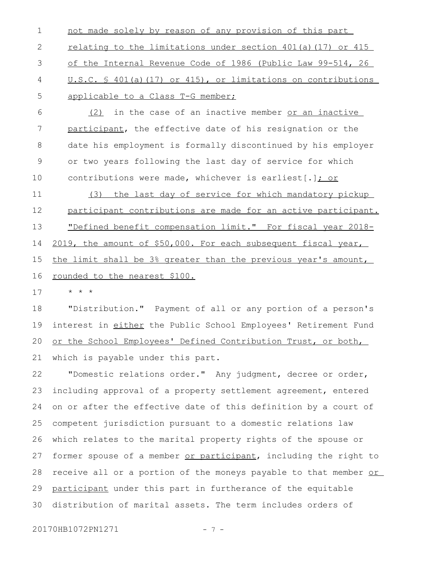not made solely by reason of any provision of this part relating to the limitations under section 401(a)(17) or 415 of the Internal Revenue Code of 1986 (Public Law 99-514, 26 U.S.C. § 401(a)(17) or 415), or limitations on contributions applicable to a Class T-G member; 1 2 3 4 5

(2) in the case of an inactive member or an inactive participant, the effective date of his resignation or the date his employment is formally discontinued by his employer or two years following the last day of service for which contributions were made, whichever is earliest[.]; or 6 7 8 9 10

(3) the last day of service for which mandatory pickup participant contributions are made for an active participant. "Defined benefit compensation limit." For fiscal year 2018- 2019, the amount of \$50,000. For each subsequent fiscal year, the limit shall be 3% greater than the previous year's amount, rounded to the nearest \$100. 11 12 13 14 15 16

\* \* \* 17

"Distribution." Payment of all or any portion of a person's interest in either the Public School Employees' Retirement Fund or the School Employees' Defined Contribution Trust, or both, which is payable under this part. 18 19 20 21

"Domestic relations order." Any judgment, decree or order, including approval of a property settlement agreement, entered on or after the effective date of this definition by a court of competent jurisdiction pursuant to a domestic relations law which relates to the marital property rights of the spouse or former spouse of a member or participant, including the right to receive all or a portion of the moneys payable to that member or participant under this part in furtherance of the equitable distribution of marital assets. The term includes orders of 22 23 24 25 26 27 28 29 30

20170HB1072PN1271 - 7 -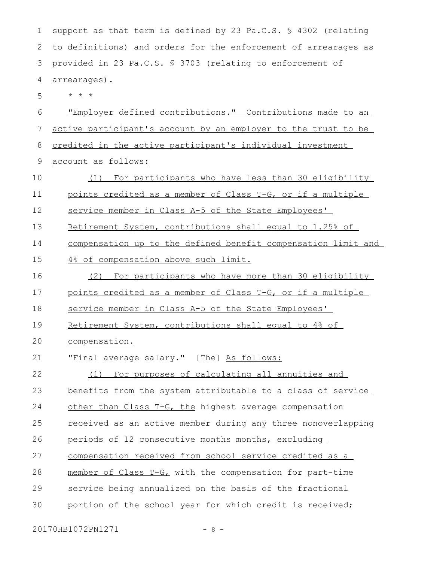support as that term is defined by 23 Pa.C.S. § 4302 (relating to definitions) and orders for the enforcement of arrearages as provided in 23 Pa.C.S. § 3703 (relating to enforcement of arrearages). \* \* \* "Employer defined contributions." Contributions made to an active participant's account by an employer to the trust to be credited in the active participant's individual investment account as follows: (1) For participants who have less than 30 eligibility points credited as a member of Class T-G, or if a multiple service member in Class A-5 of the State Employees' Retirement System, contributions shall equal to 1.25% of compensation up to the defined benefit compensation limit and 4% of compensation above such limit. (2) For participants who have more than 30 eligibility points credited as a member of Class T-G, or if a multiple service member in Class A-5 of the State Employees' Retirement System, contributions shall equal to 4% of compensation. "Final average salary." [The] As follows: (1) For purposes of calculating all annuities and benefits from the system attributable to a class of service other than Class T-G, the highest average compensation received as an active member during any three nonoverlapping periods of 12 consecutive months months, excluding compensation received from school service credited as a member of Class T-G, with the compensation for part-time service being annualized on the basis of the fractional portion of the school year for which credit is received; 2 3 4 5 6 7 8 9 10 11 12 13 14 15 16 17 18 19  $20$ 21 22 23 24 25 26 27 28 29 30

20170HB1072PN1271 - 8 -

1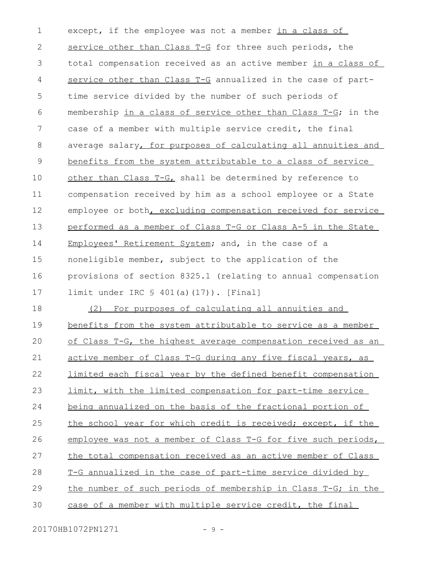except, if the employee was not a member in a class of service other than Class T-G for three such periods, the total compensation received as an active member in a class of service other than Class T-G annualized in the case of parttime service divided by the number of such periods of membership in a class of service other than Class T-G; in the case of a member with multiple service credit, the final average salary, for purposes of calculating all annuities and benefits from the system attributable to a class of service other than Class T-G, shall be determined by reference to compensation received by him as a school employee or a State employee or both, excluding compensation received for service performed as a member of Class T-G or Class A-5 in the State Employees' Retirement System; and, in the case of a noneligible member, subject to the application of the provisions of section 8325.1 (relating to annual compensation limit under IRC § 401(a)(17)). [Final] (2) For purposes of calculating all annuities and benefits from the system attributable to service as a member of Class T-G, the highest average compensation received as an active member of Class T-G during any five fiscal years, as limited each fiscal year by the defined benefit compensation limit, with the limited compensation for part-time service being annualized on the basis of the fractional portion of the school year for which credit is received; except, if the employee was not a member of Class T-G for five such periods, the total compensation received as an active member of Class T-G annualized in the case of part-time service divided by the number of such periods of membership in Class T-G; in the case of a member with multiple service credit, the final 1 2 3 4 5 6 7 8 9 10 11 12 13 14 15 16 17 18 19  $20$ 21 22 23 24 25 26 27 28 29 30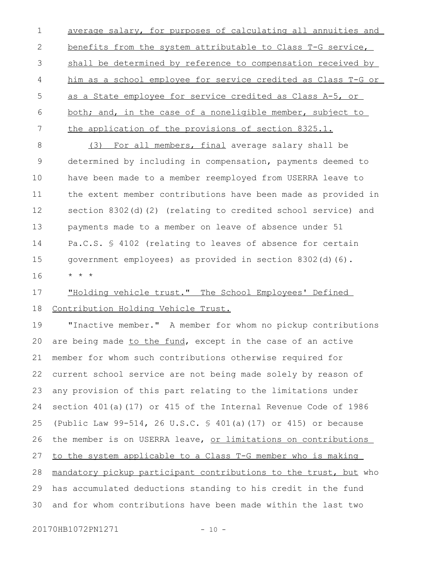average salary, for purposes of calculating all annuities and benefits from the system attributable to Class T-G service, shall be determined by reference to compensation received by him as a school employee for service credited as Class T-G or as a State employee for service credited as Class A-5, or both; and, in the case of a noneligible member, subject to the application of the provisions of section 8325.1. 1 2 3 4 5 6 7

(3) For all members, final average salary shall be determined by including in compensation, payments deemed to have been made to a member reemployed from USERRA leave to the extent member contributions have been made as provided in section 8302(d)(2) (relating to credited school service) and payments made to a member on leave of absence under 51 Pa.C.S. § 4102 (relating to leaves of absence for certain government employees) as provided in section 8302(d)(6). \* \* \* 8 9 10 11 12 13 14 15 16

## "Holding vehicle trust." The School Employees' Defined Contribution Holding Vehicle Trust. 17 18

"Inactive member." A member for whom no pickup contributions are being made to the fund, except in the case of an active member for whom such contributions otherwise required for current school service are not being made solely by reason of any provision of this part relating to the limitations under section 401(a)(17) or 415 of the Internal Revenue Code of 1986 (Public Law 99-514, 26 U.S.C. § 401(a)(17) or 415) or because the member is on USERRA leave, or limitations on contributions to the system applicable to a Class T-G member who is making mandatory pickup participant contributions to the trust, but who has accumulated deductions standing to his credit in the fund and for whom contributions have been made within the last two 19 20 21 22 23 24 25 26 27 28 29 30

20170HB1072PN1271 - 10 -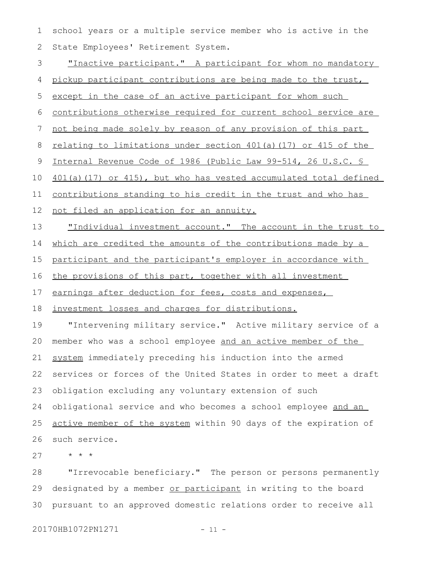school years or a multiple service member who is active in the State Employees' Retirement System. 1 2

"Inactive participant." A participant for whom no mandatory pickup participant contributions are being made to the trust, except in the case of an active participant for whom such contributions otherwise required for current school service are not being made solely by reason of any provision of this part relating to limitations under section 401(a)(17) or 415 of the Internal Revenue Code of 1986 (Public Law 99-514, 26 U.S.C. § 401(a)(17) or 415), but who has vested accumulated total defined contributions standing to his credit in the trust and who has not filed an application for an annuity. "Individual investment account." The account in the trust to which are credited the amounts of the contributions made by a participant and the participant's employer in accordance with the provisions of this part, together with all investment earnings after deduction for fees, costs and expenses, investment losses and charges for distributions. "Intervening military service." Active military service of a member who was a school employee and an active member of the system immediately preceding his induction into the armed services or forces of the United States in order to meet a draft obligation excluding any voluntary extension of such obligational service and who becomes a school employee and an active member of the system within 90 days of the expiration of such service. 3 4 5 6 7 8 9 10 11 12 13 14 15 16 17 18 19 20 21 22 23 24 25 26

\* \* \* 27

"Irrevocable beneficiary." The person or persons permanently designated by a member or participant in writing to the board pursuant to an approved domestic relations order to receive all 28 29 30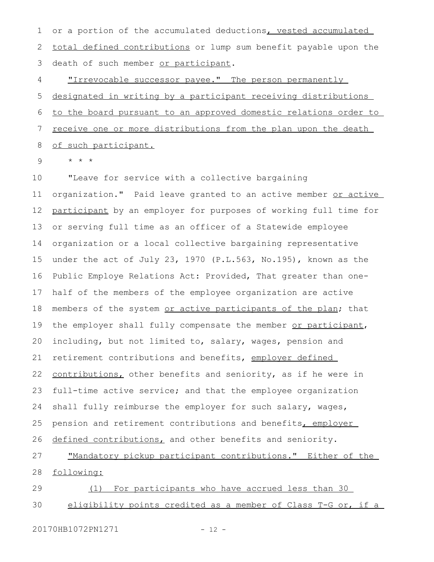or a portion of the accumulated deductions, vested accumulated total defined contributions or lump sum benefit payable upon the death of such member or participant. 1 2 3

"Irrevocable successor payee." The person permanently designated in writing by a participant receiving distributions to the board pursuant to an approved domestic relations order to receive one or more distributions from the plan upon the death of such participant. 4 5 6 7 8

\* \* \* 9

"Leave for service with a collective bargaining organization." Paid leave granted to an active member or active participant by an employer for purposes of working full time for or serving full time as an officer of a Statewide employee organization or a local collective bargaining representative under the act of July 23, 1970 (P.L.563, No.195), known as the Public Employe Relations Act: Provided, That greater than onehalf of the members of the employee organization are active members of the system or active participants of the plan; that the employer shall fully compensate the member or participant, including, but not limited to, salary, wages, pension and retirement contributions and benefits, employer defined contributions, other benefits and seniority, as if he were in full-time active service; and that the employee organization shall fully reimburse the employer for such salary, wages, pension and retirement contributions and benefits, employer defined contributions, and other benefits and seniority. "Mandatory pickup participant contributions." Either of the following: (1) For participants who have accrued less than 30 eligibility points credited as a member of Class T-G or, if a 10 11 12 13 14 15 16 17 18 19 20 21 22 23 24 25 26 27 28 29 30

20170HB1072PN1271 - 12 -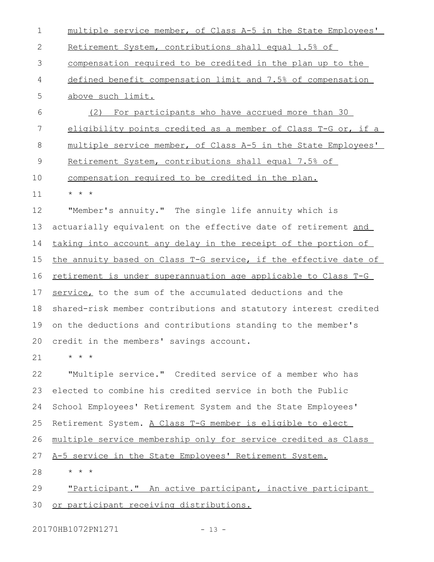multiple service member, of Class A-5 in the State Employees' Retirement System, contributions shall equal 1.5% of compensation required to be credited in the plan up to the defined benefit compensation limit and 7.5% of compensation above such limit. (2) For participants who have accrued more than 30 eligibility points credited as a member of Class T-G or, if a multiple service member, of Class A-5 in the State Employees' Retirement System, contributions shall equal 7.5% of compensation required to be credited in the plan. \* \* \* "Member's annuity." The single life annuity which is actuarially equivalent on the effective date of retirement and taking into account any delay in the receipt of the portion of the annuity based on Class T-G service, if the effective date of retirement is under superannuation age applicable to Class T-G service, to the sum of the accumulated deductions and the shared-risk member contributions and statutory interest credited on the deductions and contributions standing to the member's credit in the members' savings account. \* \* \* "Multiple service." Credited service of a member who has elected to combine his credited service in both the Public 1 2 3 4 5 6 7 8 9 10 11 12 13 14 15 16 17 18 19  $20$ 21 22 23

School Employees' Retirement System and the State Employees' 24

Retirement System. A Class T-G member is eligible to elect 25

multiple service membership only for service credited as Class 26

A-5 service in the State Employees' Retirement System. 27

\* \* \* 28

"Participant." An active participant, inactive participant or participant receiving distributions. 29 30

20170HB1072PN1271 - 13 -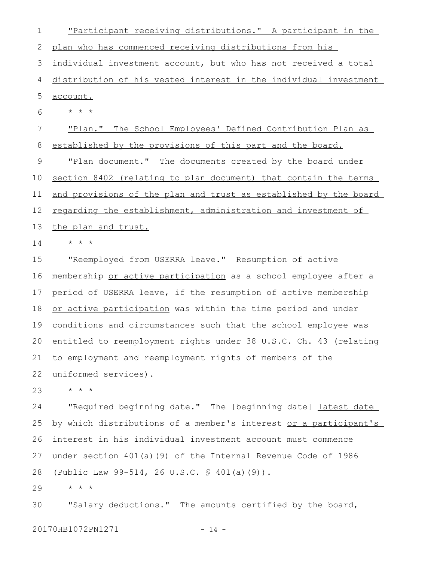"Participant receiving distributions." A participant in the plan who has commenced receiving distributions from his individual investment account, but who has not received a total distribution of his vested interest in the individual investment account. \* \* \* "Plan." The School Employees' Defined Contribution Plan as established by the provisions of this part and the board. "Plan document." The documents created by the board under section 8402 (relating to plan document) that contain the terms and provisions of the plan and trust as established by the board regarding the establishment, administration and investment of the plan and trust. \* \* \* "Reemployed from USERRA leave." Resumption of active membership or active participation as a school employee after a period of USERRA leave, if the resumption of active membership or active participation was within the time period and under conditions and circumstances such that the school employee was entitled to reemployment rights under 38 U.S.C. Ch. 43 (relating to employment and reemployment rights of members of the uniformed services). \* \* \* "Required beginning date." The [beginning date] latest date by which distributions of a member's interest or a participant's interest in his individual investment account must commence under section 401(a)(9) of the Internal Revenue Code of 1986 (Public Law 99-514, 26 U.S.C. § 401(a)(9)). \* \* \* "Salary deductions." The amounts certified by the board, 20170HB1072PN1271 - 14 -1 2 3 4 5 6 7 8 9 10 11 12 13 14 15 16 17 18 19 20 21 22 23 24 25 26 27 28 29 30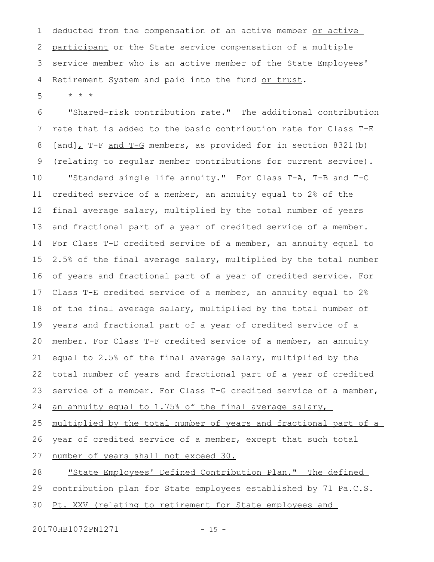deducted from the compensation of an active member or active participant or the State service compensation of a multiple service member who is an active member of the State Employees' Retirement System and paid into the fund or trust. 1 2 3 4

\* \* \* 5

"Shared-risk contribution rate." The additional contribution rate that is added to the basic contribution rate for Class T-E [and], T-F and T-G members, as provided for in section 8321(b) (relating to regular member contributions for current service). "Standard single life annuity." For Class T-A, T-B and T-C credited service of a member, an annuity equal to 2% of the final average salary, multiplied by the total number of years and fractional part of a year of credited service of a member. For Class T-D credited service of a member, an annuity equal to 2.5% of the final average salary, multiplied by the total number of years and fractional part of a year of credited service. For Class T-E credited service of a member, an annuity equal to 2% of the final average salary, multiplied by the total number of years and fractional part of a year of credited service of a member. For Class T-F credited service of a member, an annuity equal to 2.5% of the final average salary, multiplied by the total number of years and fractional part of a year of credited service of a member. For Class T-G credited service of a member, an annuity equal to 1.75% of the final average salary, multiplied by the total number of years and fractional part of a year of credited service of a member, except that such total 6 7 8 9 10 11 12 13 14 15 16 17 18 19 20 21 22 23 24 25 26

number of years shall not exceed 30. 27

"State Employees' Defined Contribution Plan." The defined 28

contribution plan for State employees established by 71 Pa.C.S. 29

Pt. XXV (relating to retirement for State employees and 30

20170HB1072PN1271 - 15 -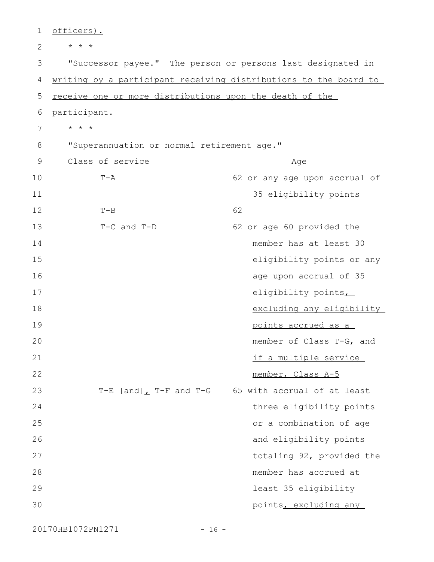| 1              | officers).                                 |                                                                  |
|----------------|--------------------------------------------|------------------------------------------------------------------|
| $\overline{2}$ | $\star$ $\star$ $\star$                    |                                                                  |
| 3              |                                            | "Successor payee." The person or persons last designated in      |
| 4              |                                            | writing by a participant receiving distributions to the board to |
| 5              |                                            | receive one or more distributions upon the death of the          |
| 6              | participant.                               |                                                                  |
| 7              | $\star$ $\star$ $\star$                    |                                                                  |
| 8              | "Superannuation or normal retirement age." |                                                                  |
| 9              | Class of service                           | Age                                                              |
| 10             | $T - A$                                    | 62 or any age upon accrual of                                    |
| 11             |                                            | 35 eligibility points                                            |
| 12             | $T - B$                                    | 62                                                               |
| 13             | $T-C$ and $T-D$                            | 62 or age 60 provided the                                        |
| 14             |                                            | member has at least 30                                           |
| 15             |                                            | eligibility points or any                                        |
| 16             |                                            | age upon accrual of 35                                           |
| 17             |                                            | eligibility points                                               |
| 18             |                                            | excluding any eligibility                                        |
| 19             |                                            | points accrued as a                                              |
| 20             |                                            | member of Class T-G, and                                         |
| 21             |                                            | if a multiple service                                            |
| 22             |                                            | member, Class A-5                                                |
| 23             | T-E $[and]$ T-F and T-G                    | 65 with accrual of at least                                      |
| 24             |                                            | three eligibility points                                         |
| 25             |                                            | or a combination of age                                          |
| 26             |                                            | and eligibility points                                           |
| 27             |                                            | totaling 92, provided the                                        |
| 28             |                                            | member has accrued at                                            |
| 29             |                                            | least 35 eligibility                                             |
| 30             |                                            | points, excluding any                                            |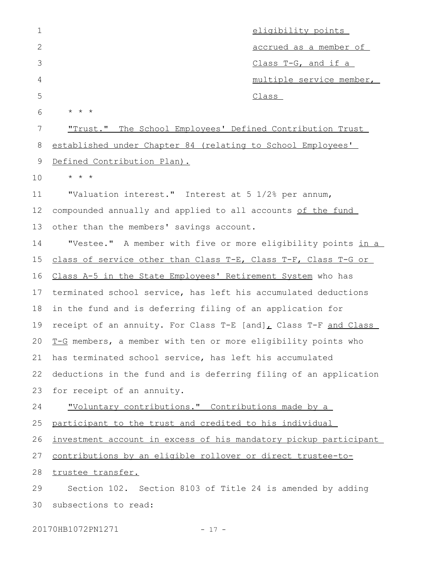| $\mathbf 1$  |                                                                  | eligibility points         |
|--------------|------------------------------------------------------------------|----------------------------|
| $\mathbf{2}$ |                                                                  | accrued as a member of     |
| 3            |                                                                  | <u>Class T-G, and if a</u> |
| 4            |                                                                  | multiple service member,   |
| 5            |                                                                  | Class                      |
| 6            | * * *                                                            |                            |
| 7            | <u>"Trust." The School Employees' Defined Contribution Trust</u> |                            |
| 8            | established under Chapter 84 (relating to School Employees'      |                            |
| 9            | Defined Contribution Plan).                                      |                            |
| 10           | $\star$ $\star$ $\star$                                          |                            |
| 11           | "Valuation interest." Interest at 5 1/2% per annum,              |                            |
| 12           | compounded annually and applied to all accounts of the fund      |                            |
| 13           | other than the members' savings account.                         |                            |
| 14           | "Vestee." A member with five or more eligibility points in a     |                            |
| 15           | class of service other than Class T-E, Class T-F, Class T-G or   |                            |
| 16           | Class A-5 in the State Employees' Retirement System who has      |                            |
| 17           | terminated school service, has left his accumulated deductions   |                            |
| 18           | in the fund and is deferring filing of an application for        |                            |
| 19           | receipt of an annuity. For Class T-E [and], Class T-F and Class  |                            |
| 20           | T-G members, a member with ten or more eligibility points who    |                            |
| 21           | has terminated school service, has left his accumulated          |                            |
| 22           | deductions in the fund and is deferring filing of an application |                            |
| 23           | for receipt of an annuity.                                       |                            |
| 24           | "Voluntary contributions." Contributions made by a               |                            |
| 25           | participant to the trust and credited to his individual          |                            |
| 26           | investment account in excess of his mandatory pickup participant |                            |
| 27           | contributions by an eligible rollover or direct trustee-to-      |                            |
| 28           | trustee transfer.                                                |                            |
| 29           | Section 102. Section 8103 of Title 24 is amended by adding       |                            |
| 30           | subsections to read:                                             |                            |
|              |                                                                  |                            |

20170HB1072PN1271 - 17 -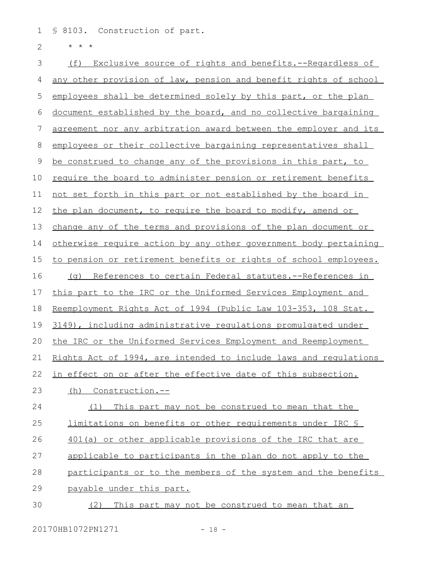§ 8103. Construction of part. 1

\* \* \* 2

(f) Exclusive source of rights and benefits. --Regardless of any other provision of law, pension and benefit rights of school employees shall be determined solely by this part, or the plan document established by the board, and no collective bargaining agreement nor any arbitration award between the employer and its employees or their collective bargaining representatives shall be construed to change any of the provisions in this part, to require the board to administer pension or retirement benefits not set forth in this part or not established by the board in the plan document, to require the board to modify, amend or change any of the terms and provisions of the plan document or otherwise require action by any other government body pertaining to pension or retirement benefits or rights of school employees. (g) References to certain Federal statutes.--References in this part to the IRC or the Uniformed Services Employment and Reemployment Rights Act of 1994 (Public Law 103-353, 108 Stat. 3149), including administrative regulations promulgated under the IRC or the Uniformed Services Employment and Reemployment Rights Act of 1994, are intended to include laws and regulations in effect on or after the effective date of this subsection. (h) Construction.-- (1) This part may not be construed to mean that the limitations on benefits or other requirements under IRC § 401(a) or other applicable provisions of the IRC that are applicable to participants in the plan do not apply to the participants or to the members of the system and the benefits payable under this part. (2) This part may not be construed to mean that an 3 4 5 6 7 8 9 10 11 12 13 14 15 16 17 18 19 20 21 22 23 24 25 26 27 28 29 30

20170HB1072PN1271 - 18 -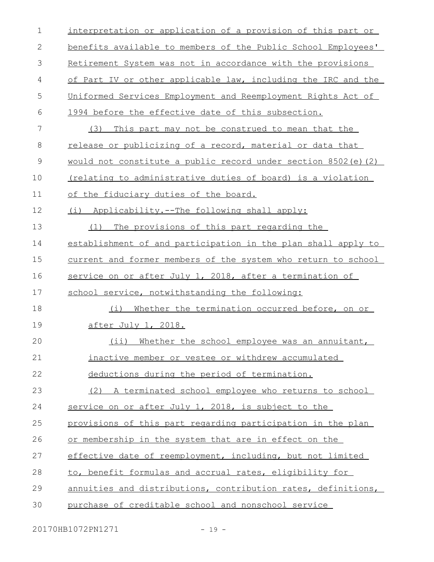| $\mathbf 1$ | interpretation or application of a provision of this part or  |
|-------------|---------------------------------------------------------------|
| 2           | benefits available to members of the Public School Employees' |
| 3           | Retirement System was not in accordance with the provisions   |
| 4           | of Part IV or other applicable law, including the IRC and the |
| 5           | Uniformed Services Employment and Reemployment Rights Act of  |
| 6           | 1994 before the effective date of this subsection.            |
| 7           | This part may not be construed to mean that the<br>(3)        |
| 8           | release or publicizing of a record, material or data that     |
| 9           | would not constitute a public record under section 8502(e)(2) |
| 10          | (relating to administrative duties of board) is a violation   |
| 11          | of the fiduciary duties of the board.                         |
| 12          | (i) Applicability.--The following shall apply:                |
| 13          | The provisions of this part regarding the<br>(1)              |
| 14          | establishment of and participation in the plan shall apply to |
| 15          | current and former members of the system who return to school |
| 16          | service on or after July 1, 2018, after a termination of      |
| 17          | school service, notwithstanding the following:                |
| 18          | Whether the termination occurred before, on or<br>(i)         |
| 19          | <u>after July 1, 2018.</u>                                    |
| 20          | (ii) Whether the school employee was an annuitant,            |
| 21          | inactive member or vestee or withdrew accumulated             |
| 22          | deductions during the period of termination.                  |
| 23          | (2) A terminated school employee who returns to school        |
| 24          | service on or after July 1, 2018, is subject to the           |
| 25          | provisions of this part regarding participation in the plan   |
| 26          | or membership in the system that are in effect on the         |
| 27          | effective date of reemployment, including, but not limited    |
| 28          | to, benefit formulas and accrual rates, eligibility for       |
| 29          | annuities and distributions, contribution rates, definitions, |
| 30          | purchase of creditable school and nonschool service           |

20170HB1072PN1271 - 19 -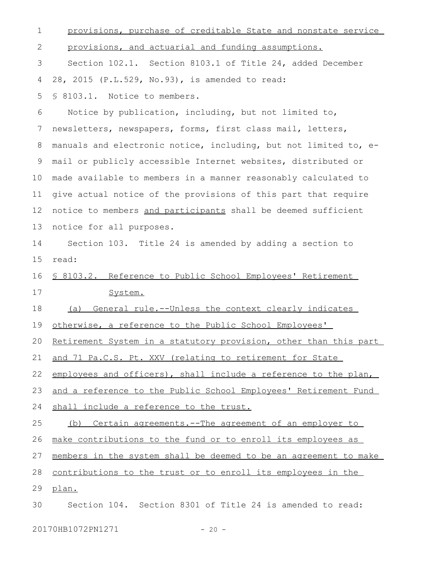provisions, purchase of creditable State and nonstate service provisions, and actuarial and funding assumptions. Section 102.1. Section 8103.1 of Title 24, added December 28, 2015 (P.L.529, No.93), is amended to read: § 8103.1. Notice to members. Notice by publication, including, but not limited to, newsletters, newspapers, forms, first class mail, letters, manuals and electronic notice, including, but not limited to, email or publicly accessible Internet websites, distributed or made available to members in a manner reasonably calculated to give actual notice of the provisions of this part that require notice to members and participants shall be deemed sufficient notice for all purposes. Section 103. Title 24 is amended by adding a section to read: § 8103.2. Reference to Public School Employees' Retirement System. (a) General rule.--Unless the context clearly indicates otherwise, a reference to the Public School Employees' Retirement System in a statutory provision, other than this part and 71 Pa.C.S. Pt. XXV (relating to retirement for State employees and officers), shall include a reference to the plan, and a reference to the Public School Employees' Retirement Fund shall include a reference to the trust. (b) Certain agreements.--The agreement of an employer to make contributions to the fund or to enroll its employees as members in the system shall be deemed to be an agreement to make contributions to the trust or to enroll its employees in the plan. Section 104. Section 8301 of Title 24 is amended to read: 1 2 3 4 5 6 7 8 9 10 11 12 13 14 15 16 17 18 19 20 21 22 23 24 25 26 27 28 29 30

20170HB1072PN1271 - 20 -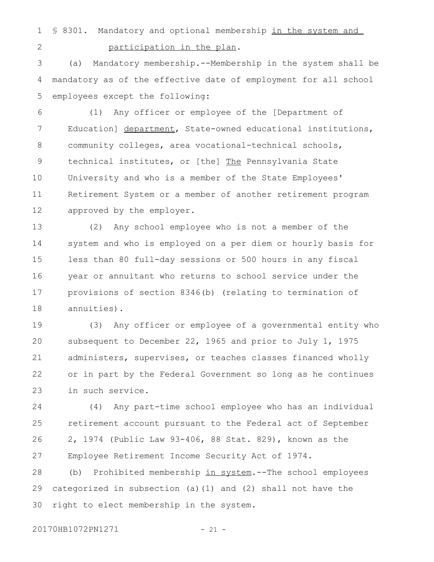§ 8301. Mandatory and optional membership in the system and participation in the plan. 1 2

(a) Mandatory membership.--Membership in the system shall be mandatory as of the effective date of employment for all school employees except the following: 3 4 5

(1) Any officer or employee of the [Department of Education] department, State-owned educational institutions, community colleges, area vocational-technical schools, technical institutes, or [the] The Pennsylvania State University and who is a member of the State Employees' Retirement System or a member of another retirement program approved by the employer. 6 7 8 9 10 11 12

(2) Any school employee who is not a member of the system and who is employed on a per diem or hourly basis for less than 80 full-day sessions or 500 hours in any fiscal year or annuitant who returns to school service under the provisions of section 8346(b) (relating to termination of annuities). 13 14 15 16 17 18

(3) Any officer or employee of a governmental entity who subsequent to December 22, 1965 and prior to July 1, 1975 administers, supervises, or teaches classes financed wholly or in part by the Federal Government so long as he continues in such service. 19 20 21 22 23

(4) Any part-time school employee who has an individual retirement account pursuant to the Federal act of September 2, 1974 (Public Law 93-406, 88 Stat. 829), known as the Employee Retirement Income Security Act of 1974. 24 25 26 27

(b) Prohibited membership in system.--The school employees categorized in subsection (a)(1) and (2) shall not have the right to elect membership in the system. 28 29 30

20170HB1072PN1271 - 21 -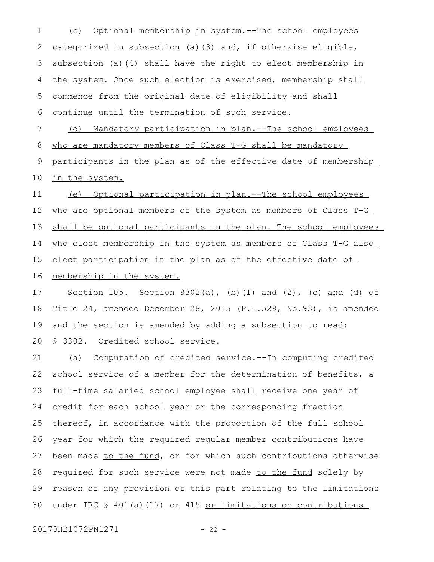(c) Optional membership in system.--The school employees categorized in subsection (a)(3) and, if otherwise eligible, subsection (a)(4) shall have the right to elect membership in the system. Once such election is exercised, membership shall commence from the original date of eligibility and shall continue until the termination of such service. 1 2 3 4 5 6

(d) Mandatory participation in plan.--The school employees who are mandatory members of Class T-G shall be mandatory 7 8

participants in the plan as of the effective date of membership in the system. 9 10

(e) Optional participation in plan.--The school employees who are optional members of the system as members of Class T-G shall be optional participants in the plan. The school employees who elect membership in the system as members of Class T-G also elect participation in the plan as of the effective date of membership in the system. 11 12 13 14 15 16

Section 105. Section 8302(a), (b)(1) and (2), (c) and (d) of Title 24, amended December 28, 2015 (P.L.529, No.93), is amended and the section is amended by adding a subsection to read: § 8302. Credited school service. 17 18 19 20

(a) Computation of credited service.--In computing credited school service of a member for the determination of benefits, a full-time salaried school employee shall receive one year of credit for each school year or the corresponding fraction thereof, in accordance with the proportion of the full school year for which the required regular member contributions have been made to the fund, or for which such contributions otherwise required for such service were not made to the fund solely by reason of any provision of this part relating to the limitations under IRC § 401(a)(17) or 415 or limitations on contributions 21 22 23 24 25 26 27 28 29 30

20170HB1072PN1271 - 22 -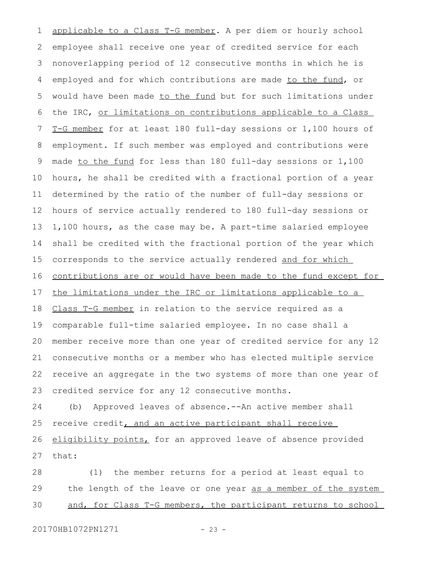applicable to a Class T-G member. A per diem or hourly school employee shall receive one year of credited service for each nonoverlapping period of 12 consecutive months in which he is employed and for which contributions are made to the fund, or would have been made to the fund but for such limitations under the IRC, or limitations on contributions applicable to a Class T-G member for at least 180 full-day sessions or 1,100 hours of employment. If such member was employed and contributions were made to the fund for less than 180 full-day sessions or 1,100 hours, he shall be credited with a fractional portion of a year determined by the ratio of the number of full-day sessions or hours of service actually rendered to 180 full-day sessions or 1,100 hours, as the case may be. A part-time salaried employee shall be credited with the fractional portion of the year which corresponds to the service actually rendered and for which contributions are or would have been made to the fund except for the limitations under the IRC or limitations applicable to a Class T-G member in relation to the service required as a comparable full-time salaried employee. In no case shall a member receive more than one year of credited service for any 12 consecutive months or a member who has elected multiple service receive an aggregate in the two systems of more than one year of credited service for any 12 consecutive months. (b) Approved leaves of absence.--An active member shall receive credit, and an active participant shall receive eligibility points, for an approved leave of absence provided that: 1 2 3 4 5 6 7 8 9 10 11 12 13 14 15 16 17 18 19 20 21 22 23 24 25 26 27

(1) the member returns for a period at least equal to the length of the leave or one year as a member of the system and, for Class T-G members, the participant returns to school 28 29 30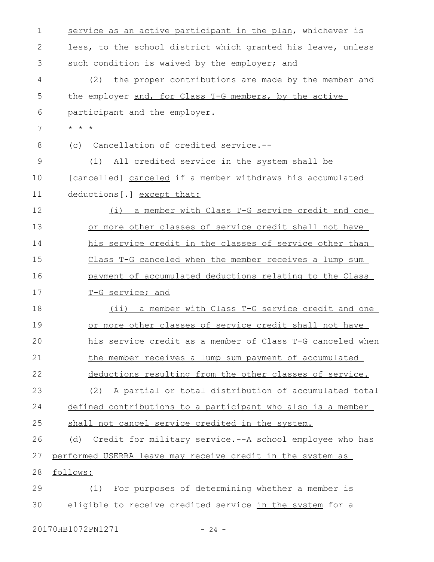| 1  | service as an active participant in the plan, whichever is     |
|----|----------------------------------------------------------------|
| 2  | less, to the school district which granted his leave, unless   |
| 3  | such condition is waived by the employer; and                  |
| 4  | the proper contributions are made by the member and<br>(2)     |
| 5  | the employer and, for Class T-G members, by the active         |
| 6  | participant and the employer.                                  |
| 7  | $\star$ $\star$ $\star$                                        |
| 8  | Cancellation of credited service.--<br>(C)                     |
| 9  | (1) All credited service in the system shall be                |
| 10 | [cancelled] canceled if a member withdraws his accumulated     |
| 11 | deductions[.] except that:                                     |
| 12 | (i) a member with Class T-G service credit and one             |
| 13 | or more other classes of service credit shall not have         |
| 14 | his service credit in the classes of service other than        |
| 15 | Class T-G canceled when the member receives a lump sum         |
| 16 | payment of accumulated deductions relating to the Class        |
| 17 | T-G service; and                                               |
| 18 | (ii) a member with Class T-G service credit and one            |
| 19 | or more other classes of service credit shall not have         |
| 20 | his service credit as a member of Class T-G canceled when      |
| 21 | the member receives a lump sum payment of accumulated          |
| 22 | deductions resulting from the other classes of service.        |
| 23 | (2) A partial or total distribution of accumulated total       |
| 24 | defined contributions to a participant who also is a member    |
| 25 | shall not cancel service credited in the system.               |
| 26 | Credit for military service.--A school employee who has<br>(d) |
| 27 | performed USERRA leave may receive credit in the system as     |
| 28 | follows:                                                       |
| 29 | (1) For purposes of determining whether a member is            |
| 30 | eligible to receive credited service in the system for a       |
|    |                                                                |

20170HB1072PN1271 - 24 -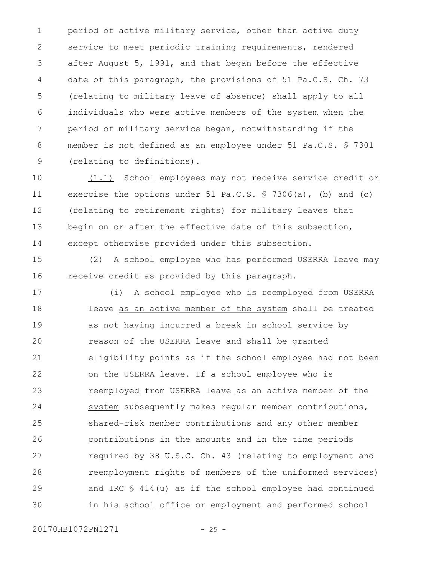period of active military service, other than active duty service to meet periodic training requirements, rendered after August 5, 1991, and that began before the effective date of this paragraph, the provisions of 51 Pa.C.S. Ch. 73 (relating to military leave of absence) shall apply to all individuals who were active members of the system when the period of military service began, notwithstanding if the member is not defined as an employee under 51 Pa.C.S. § 7301 (relating to definitions). 1 2 3 4 5 6 7 8 9

(1.1) School employees may not receive service credit or exercise the options under 51 Pa.C.S. § 7306(a), (b) and (c) (relating to retirement rights) for military leaves that begin on or after the effective date of this subsection, except otherwise provided under this subsection. 10 11 12 13 14

(2) A school employee who has performed USERRA leave may receive credit as provided by this paragraph. 15 16

(i) A school employee who is reemployed from USERRA leave as an active member of the system shall be treated as not having incurred a break in school service by reason of the USERRA leave and shall be granted eligibility points as if the school employee had not been on the USERRA leave. If a school employee who is reemployed from USERRA leave as an active member of the system subsequently makes regular member contributions, shared-risk member contributions and any other member contributions in the amounts and in the time periods required by 38 U.S.C. Ch. 43 (relating to employment and reemployment rights of members of the uniformed services) and IRC § 414(u) as if the school employee had continued in his school office or employment and performed school 17 18 19 20 21 22 23 24 25 26 27 28 29 30

20170HB1072PN1271 - 25 -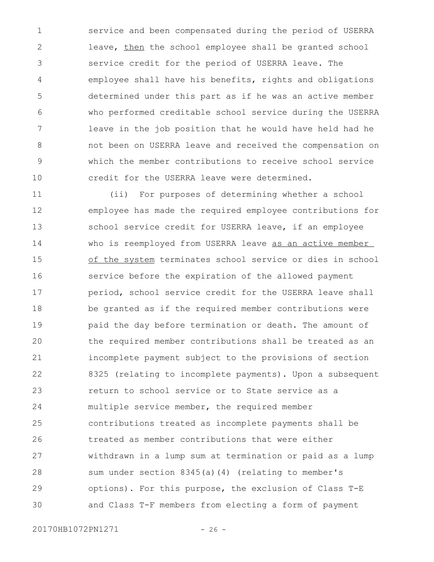service and been compensated during the period of USERRA leave, then the school employee shall be granted school service credit for the period of USERRA leave. The employee shall have his benefits, rights and obligations determined under this part as if he was an active member who performed creditable school service during the USERRA leave in the job position that he would have held had he not been on USERRA leave and received the compensation on which the member contributions to receive school service credit for the USERRA leave were determined. 1 2 3 4 5 6 7 8 9 10

(ii) For purposes of determining whether a school employee has made the required employee contributions for school service credit for USERRA leave, if an employee who is reemployed from USERRA leave as an active member of the system terminates school service or dies in school service before the expiration of the allowed payment period, school service credit for the USERRA leave shall be granted as if the required member contributions were paid the day before termination or death. The amount of the required member contributions shall be treated as an incomplete payment subject to the provisions of section 8325 (relating to incomplete payments). Upon a subsequent return to school service or to State service as a multiple service member, the required member contributions treated as incomplete payments shall be treated as member contributions that were either withdrawn in a lump sum at termination or paid as a lump sum under section 8345(a)(4) (relating to member's options). For this purpose, the exclusion of Class T-E and Class T-F members from electing a form of payment 11 12 13 14 15 16 17 18 19 20 21 22 23 24 25 26 27 28 29 30

20170HB1072PN1271 - 26 -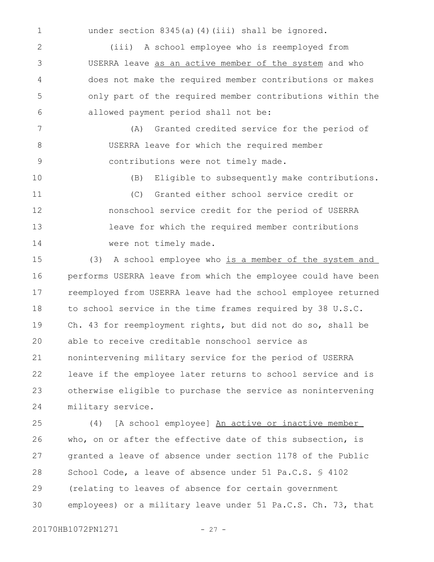under section 8345(a)(4)(iii) shall be ignored.

(iii) A school employee who is reemployed from USERRA leave as an active member of the system and who does not make the required member contributions or makes only part of the required member contributions within the allowed payment period shall not be: 2 3 4 5 6

(A) Granted credited service for the period of USERRA leave for which the required member contributions were not timely made. 7 8 9

(B) Eligible to subsequently make contributions. (C) Granted either school service credit or nonschool service credit for the period of USERRA leave for which the required member contributions were not timely made. 10 11 12 13 14

(3) A school employee who is a member of the system and performs USERRA leave from which the employee could have been reemployed from USERRA leave had the school employee returned to school service in the time frames required by 38 U.S.C. Ch. 43 for reemployment rights, but did not do so, shall be able to receive creditable nonschool service as nonintervening military service for the period of USERRA leave if the employee later returns to school service and is otherwise eligible to purchase the service as nonintervening military service. 15 16 17 18 19  $20$ 21 22 23 24

(4) [A school employee] An active or inactive member who, on or after the effective date of this subsection, is granted a leave of absence under section 1178 of the Public School Code, a leave of absence under 51 Pa.C.S. § 4102 (relating to leaves of absence for certain government employees) or a military leave under 51 Pa.C.S. Ch. 73, that 25 26 27 28 29 30

20170HB1072PN1271 - 27 -

1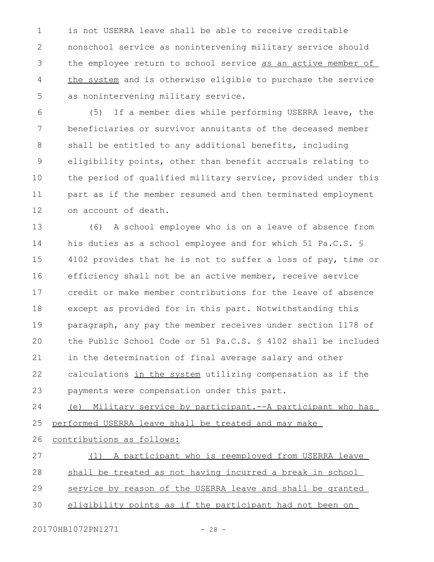is not USERRA leave shall be able to receive creditable nonschool service as nonintervening military service should the employee return to school service as an active member of the system and is otherwise eligible to purchase the service as nonintervening military service. 1 2 3 4 5

(5) If a member dies while performing USERRA leave, the beneficiaries or survivor annuitants of the deceased member shall be entitled to any additional benefits, including eligibility points, other than benefit accruals relating to the period of qualified military service, provided under this part as if the member resumed and then terminated employment on account of death. 6 7 8 9 10 11 12

(6) A school employee who is on a leave of absence from his duties as a school employee and for which 51 Pa.C.S. § 4102 provides that he is not to suffer a loss of pay, time or efficiency shall not be an active member, receive service credit or make member contributions for the leave of absence except as provided for in this part. Notwithstanding this paragraph, any pay the member receives under section 1178 of the Public School Code or 51 Pa.C.S. § 4102 shall be included in the determination of final average salary and other calculations in the system utilizing compensation as if the payments were compensation under this part. 13 14 15 16 17 18 19  $20$ 21 22 23

(e) Military service by participant.--A participant who has performed USERRA leave shall be treated and may make 24 25

contributions as follows: 26

(1) A participant who is reemployed from USERRA leave shall be treated as not having incurred a break in school service by reason of the USERRA leave and shall be granted eligibility points as if the participant had not been on 27 28 29 30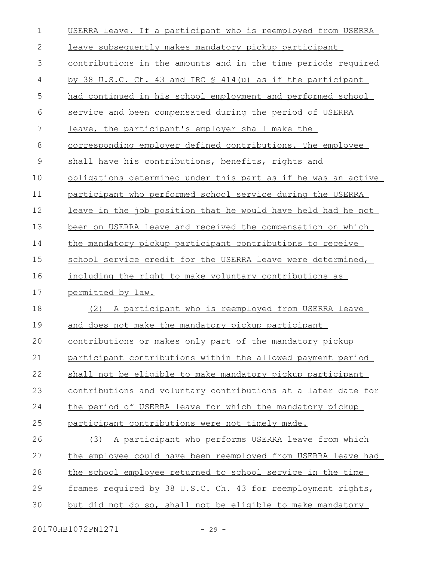| $\mathbf 1$   | USERRA leave. If a participant who is reemployed from USERRA         |
|---------------|----------------------------------------------------------------------|
| $\mathbf{2}$  | leave subsequently makes mandatory pickup participant                |
| 3             | <u>contributions in the amounts and in the time periods required</u> |
| 4             | by 38 U.S.C. Ch. 43 and IRC § 414(u) as if the participant           |
| 5             | had continued in his school employment and performed school          |
| 6             | service and been compensated during the period of USERRA             |
| 7             | leave, the participant's employer shall make the                     |
| $8\,$         | corresponding employer defined contributions. The employee           |
| $\mathcal{G}$ | shall have his contributions, benefits, rights and                   |
| 10            | obligations determined under this part as if he was an active        |
| 11            | participant who performed school service during the USERRA           |
| 12            | leave in the job position that he would have held had he not         |
| 13            | been on USERRA leave and received the compensation on which          |
| 14            | the mandatory pickup participant contributions to receive            |
| 15            | school service credit for the USERRA leave were determined,          |
| 16            | including the right to make voluntary contributions as               |
| 17            | permitted by law.                                                    |
| 18            | (2) A participant who is reemployed from USERRA leave                |
| 19            | and does not make the mandatory pickup participant                   |
| 20            | contributions or makes only part of the mandatory pickup             |
| 21            | participant contributions within the allowed payment period          |
| 22            | shall not be eligible to make mandatory pickup participant           |
| 23            | contributions and voluntary contributions at a later date for        |
| 24            | the period of USERRA leave for which the mandatory pickup            |
| 25            | participant contributions were not timely made.                      |
| 26            | A participant who performs USERRA leave from which<br>(3)            |
| 27            | the employee could have been reemployed from USERRA leave had        |
| 28            | the school employee returned to school service in the time           |
| 29            | frames required by 38 U.S.C. Ch. 43 for reemployment rights,         |
| 30            | but did not do so, shall not be eligible to make mandatory           |
|               |                                                                      |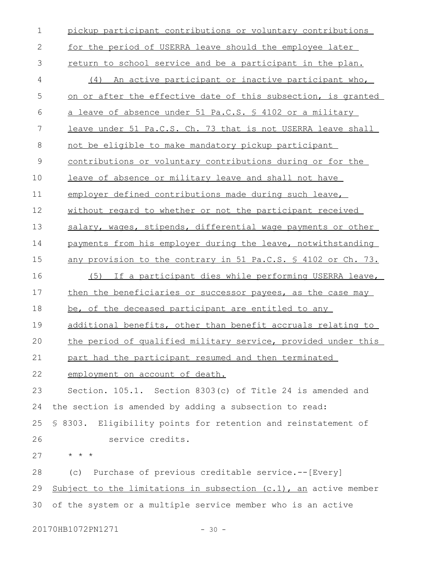| $\mathbf 1$  | pickup participant contributions or voluntary contributions         |
|--------------|---------------------------------------------------------------------|
| $\mathbf{2}$ | for the period of USERRA leave should the employee later            |
| 3            | return to school service and be a participant in the plan.          |
| 4            | An active participant or inactive participant who,<br>(4)           |
| 5            | on or after the effective date of this subsection, is granted       |
| 6            | a leave of absence under 51 Pa.C.S. § 4102 or a military            |
| 7            | leave under 51 Pa.C.S. Ch. 73 that is not USERRA leave shall        |
| 8            | not be eligible to make mandatory pickup participant                |
| $\mathsf 9$  | <u>contributions or voluntary contributions during or for the</u>   |
| 10           | leave of absence or military leave and shall not have               |
| 11           | employer defined contributions made during such leave,              |
| 12           | without regard to whether or not the participant received           |
| 13           | salary, wages, stipends, differential wage payments or other        |
| 14           | payments from his employer during the leave, notwithstanding        |
| 15           | any provision to the contrary in 51 Pa.C.S. \$ 4102 or Ch. 73.      |
| 16           | (5) If a participant dies while performing USERRA leave,            |
| 17           | then the beneficiaries or successor payees, as the case may         |
| 18           | be, of the deceased participant are entitled to any                 |
| 19           | additional benefits, other than benefit accruals relating to        |
| 20           | the period of qualified military service, provided under this       |
| 21           | part had the participant resumed and then terminated                |
| 22           | employment on account of death.                                     |
| 23           | Section. 105.1. Section 8303(c) of Title 24 is amended and          |
| 24           | the section is amended by adding a subsection to read:              |
| 25           | § 8303. Eligibility points for retention and reinstatement of       |
| 26           | service credits.                                                    |
| 27           | * * *                                                               |
| 28           | Purchase of previous creditable service.--[Every]<br>(C)            |
| 29           | Subject to the limitations in subsection $(c.1)$ , an active member |
| 30           | of the system or a multiple service member who is an active         |
|              |                                                                     |

20170HB1072PN1271 - 30 -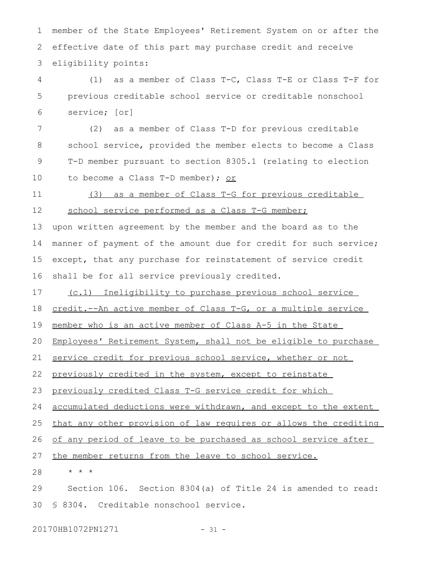member of the State Employees' Retirement System on or after the effective date of this part may purchase credit and receive eligibility points: 1 2 3

(1) as a member of Class T-C, Class T-E or Class T-F for previous creditable school service or creditable nonschool service; [or] 4 5 6

(2) as a member of Class T-D for previous creditable school service, provided the member elects to become a Class T-D member pursuant to section 8305.1 (relating to election to become a Class T-D member); or 7 8 9 10

(3) as a member of Class T-G for previous creditable school service performed as a Class T-G member; 11 12

upon written agreement by the member and the board as to the manner of payment of the amount due for credit for such service; except, that any purchase for reinstatement of service credit shall be for all service previously credited. 13 14 15 16

(c.1) Ineligibility to purchase previous school service 17

credit.--An active member of Class T-G, or a multiple service 18

member who is an active member of Class A-5 in the State 19

Employees' Retirement System, shall not be eligible to purchase 20

service credit for previous school service, whether or not 21

previously credited in the system, except to reinstate 22

previously credited Class T-G service credit for which 23

accumulated deductions were withdrawn, and except to the extent 24

that any other provision of law requires or allows the crediting 25

of any period of leave to be purchased as school service after 26

the member returns from the leave to school service. 27

\* \* \* 28

Section 106. Section 8304(a) of Title 24 is amended to read: § 8304. Creditable nonschool service. 29 30

20170HB1072PN1271 - 31 -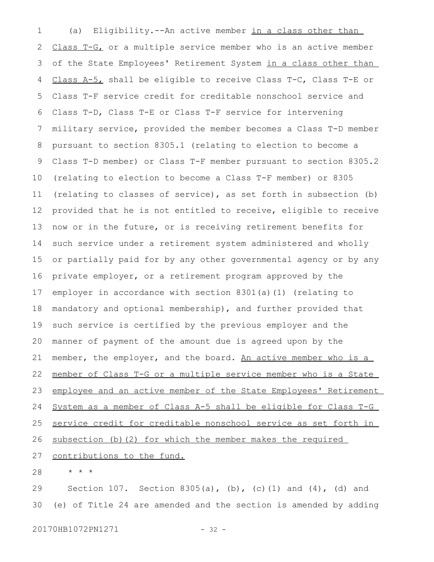(a) Eligibility.--An active member in a class other than Class T-G, or a multiple service member who is an active member of the State Employees' Retirement System in a class other than Class A-5, shall be eligible to receive Class T-C, Class T-E or Class T-F service credit for creditable nonschool service and Class T-D, Class T-E or Class T-F service for intervening military service, provided the member becomes a Class T-D member pursuant to section 8305.1 (relating to election to become a Class T-D member) or Class T-F member pursuant to section 8305.2 (relating to election to become a Class T-F member) or 8305 (relating to classes of service), as set forth in subsection (b) provided that he is not entitled to receive, eligible to receive now or in the future, or is receiving retirement benefits for such service under a retirement system administered and wholly or partially paid for by any other governmental agency or by any private employer, or a retirement program approved by the employer in accordance with section 8301(a)(1) (relating to mandatory and optional membership), and further provided that such service is certified by the previous employer and the manner of payment of the amount due is agreed upon by the member, the employer, and the board. An active member who is a member of Class T-G or a multiple service member who is a State employee and an active member of the State Employees' Retirement System as a member of Class A-5 shall be eligible for Class T-G service credit for creditable nonschool service as set forth in subsection (b)(2) for which the member makes the required contributions to the fund. 1 2 3 4 5 6 7 8 9 10 11 12 13 14 15 16 17 18 19 20 21 22 23 24 25 26 27

\* \* \* 28

Section 107. Section 8305(a), (b), (c)(1) and (4), (d) and (e) of Title 24 are amended and the section is amended by adding 29 30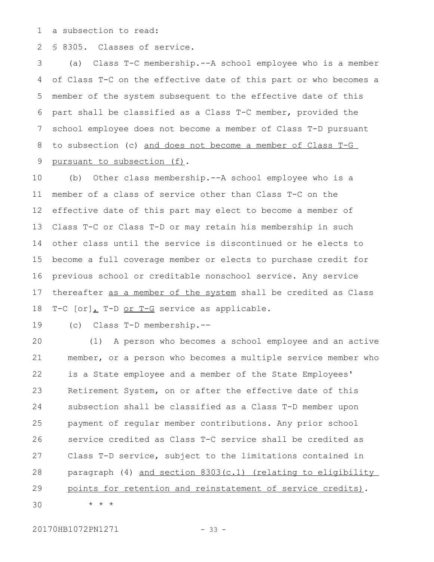a subsection to read: 1

§ 8305. Classes of service. 2

(a) Class T-C membership.--A school employee who is a member of Class T-C on the effective date of this part or who becomes a member of the system subsequent to the effective date of this part shall be classified as a Class T-C member, provided the school employee does not become a member of Class T-D pursuant to subsection (c) and does not become a member of Class T-G pursuant to subsection (f). 3 4 5 6 7 8 9

(b) Other class membership.--A school employee who is a member of a class of service other than Class T-C on the effective date of this part may elect to become a member of Class T-C or Class T-D or may retain his membership in such other class until the service is discontinued or he elects to become a full coverage member or elects to purchase credit for previous school or creditable nonschool service. Any service thereafter as a member of the system shall be credited as Class T-C [or], T-D or T-G service as applicable. 10 11 12 13 14 15 16 17 18

(c) Class T-D membership.-- 19

(1) A person who becomes a school employee and an active member, or a person who becomes a multiple service member who is a State employee and a member of the State Employees' Retirement System, on or after the effective date of this subsection shall be classified as a Class T-D member upon payment of regular member contributions. Any prior school service credited as Class T-C service shall be credited as Class T-D service, subject to the limitations contained in paragraph (4) and section 8303(c.1) (relating to eligibility points for retention and reinstatement of service credits). \* \* \* 20 21 22 23 24 25 26 27 28 29 30

20170HB1072PN1271 - 33 -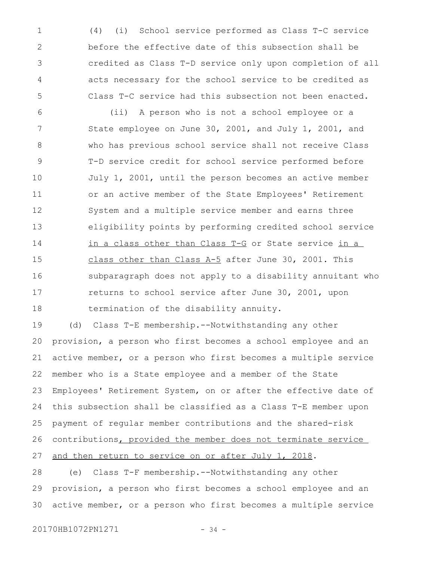(4) (i) School service performed as Class T-C service before the effective date of this subsection shall be credited as Class T-D service only upon completion of all acts necessary for the school service to be credited as Class T-C service had this subsection not been enacted. 1 2 3 4 5

(ii) A person who is not a school employee or a State employee on June 30, 2001, and July 1, 2001, and who has previous school service shall not receive Class T-D service credit for school service performed before July 1, 2001, until the person becomes an active member or an active member of the State Employees' Retirement System and a multiple service member and earns three eligibility points by performing credited school service in a class other than Class T-G or State service in a class other than Class A-5 after June 30, 2001. This subparagraph does not apply to a disability annuitant who returns to school service after June 30, 2001, upon termination of the disability annuity. 6 7 8 9 10 11 12 13 14 15 16 17 18

(d) Class T-E membership.--Notwithstanding any other provision, a person who first becomes a school employee and an active member, or a person who first becomes a multiple service member who is a State employee and a member of the State Employees' Retirement System, on or after the effective date of this subsection shall be classified as a Class T-E member upon payment of regular member contributions and the shared-risk contributions, provided the member does not terminate service and then return to service on or after July 1, 2018. 19 20 21 22 23 24 25 26 27

(e) Class T-F membership.--Notwithstanding any other provision, a person who first becomes a school employee and an active member, or a person who first becomes a multiple service 28 29 30

20170HB1072PN1271 - 34 -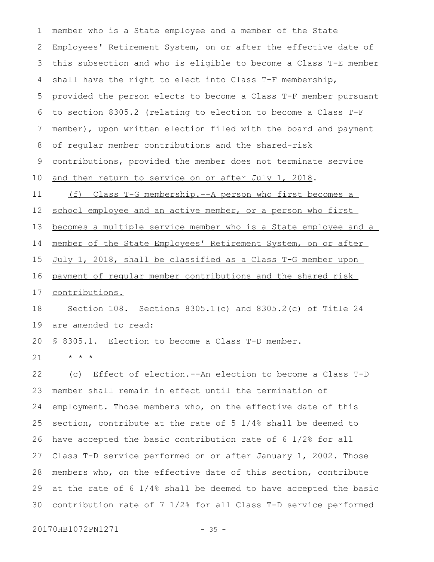member who is a State employee and a member of the State Employees' Retirement System, on or after the effective date of this subsection and who is eligible to become a Class T-E member shall have the right to elect into Class T-F membership, provided the person elects to become a Class T-F member pursuant to section 8305.2 (relating to election to become a Class T-F member), upon written election filed with the board and payment of regular member contributions and the shared-risk contributions, provided the member does not terminate service and then return to service on or after July 1, 2018. (f) Class T-G membership.--A person who first becomes a school employee and an active member, or a person who first becomes a multiple service member who is a State employee and a member of the State Employees' Retirement System, on or after July 1, 2018, shall be classified as a Class T-G member upon payment of regular member contributions and the shared risk contributions. Section 108. Sections 8305.1(c) and 8305.2(c) of Title 24 are amended to read: § 8305.1. Election to become a Class T-D member. \* \* \* (c) Effect of election.--An election to become a Class T-D member shall remain in effect until the termination of employment. Those members who, on the effective date of this section, contribute at the rate of 5 1/4% shall be deemed to have accepted the basic contribution rate of 6 1/2% for all Class T-D service performed on or after January 1, 2002. Those members who, on the effective date of this section, contribute at the rate of 6 1/4% shall be deemed to have accepted the basic contribution rate of 7 1/2% for all Class T-D service performed 1 2 3 4 5 6 7 8 9 10 11 12 13 14 15 16 17 18 19 20 21 22 23 24 25 26 27 28 29 30

20170HB1072PN1271 - 35 -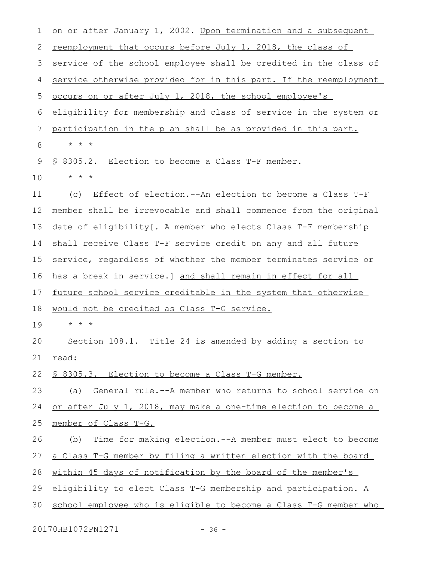on or after January 1, 2002. Upon termination and a subsequent reemployment that occurs before July 1, 2018, the class of service of the school employee shall be credited in the class of service otherwise provided for in this part. If the reemployment occurs on or after July 1, 2018, the school employee's eligibility for membership and class of service in the system or participation in the plan shall be as provided in this part. \* \* \* § 8305.2. Election to become a Class T-F member. \* \* \* (c) Effect of election.--An election to become a Class T-F member shall be irrevocable and shall commence from the original date of eligibility[. A member who elects Class T-F membership shall receive Class T-F service credit on any and all future service, regardless of whether the member terminates service or has a break in service.] and shall remain in effect for all future school service creditable in the system that otherwise would not be credited as Class T-G service. \* \* \* Section 108.1. Title 24 is amended by adding a section to read: § 8305.3. Election to become a Class T-G member. (a) General rule.--A member who returns to school service on or after July 1, 2018, may make a one-time election to become a member of Class T-G. (b) Time for making election.--A member must elect to become a Class T-G member by filing a written election with the board within 45 days of notification by the board of the member's eligibility to elect Class T-G membership and participation. A school employee who is eligible to become a Class T-G member who 1 2 3 4 5 6 7 8 9 10 11 12 13 14 15 16 17 18 19  $20$ 21 22 23 24 25 26 27 28 29 30

20170HB1072PN1271 - 36 -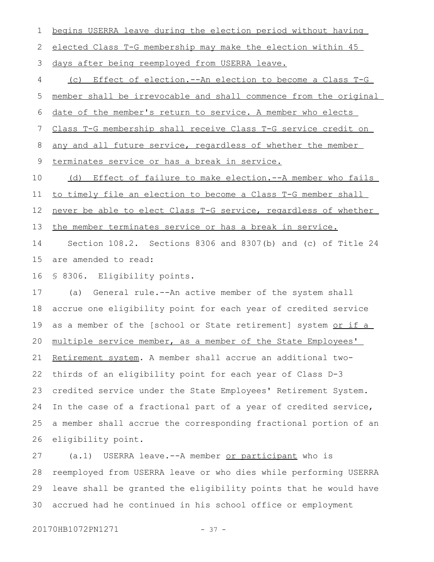begins USERRA leave during the election period without having elected Class T-G membership may make the election within 45 days after being reemployed from USERRA leave. (c) Effect of election.--An election to become a Class T-G member shall be irrevocable and shall commence from the original date of the member's return to service. A member who elects Class T-G membership shall receive Class T-G service credit on any and all future service, regardless of whether the member terminates service or has a break in service. (d) Effect of failure to make election.--A member who fails to timely file an election to become a Class T-G member shall never be able to elect Class T-G service, regardless of whether the member terminates service or has a break in service. Section 108.2. Sections 8306 and 8307(b) and (c) of Title 24 are amended to read: § 8306. Eligibility points. (a) General rule.--An active member of the system shall accrue one eligibility point for each year of credited service as a member of the [school or State retirement] system or if a multiple service member, as a member of the State Employees' Retirement system. A member shall accrue an additional twothirds of an eligibility point for each year of Class D-3 credited service under the State Employees' Retirement System. In the case of a fractional part of a year of credited service, a member shall accrue the corresponding fractional portion of an eligibility point. (a.1) USERRA leave.--A member or participant who is 1 2 3 4 5 6 7 8 9 10 11 12 13 14 15 16 17 18 19 20 21 22 23 24 25 26 27

reemployed from USERRA leave or who dies while performing USERRA leave shall be granted the eligibility points that he would have accrued had he continued in his school office or employment 28 29 30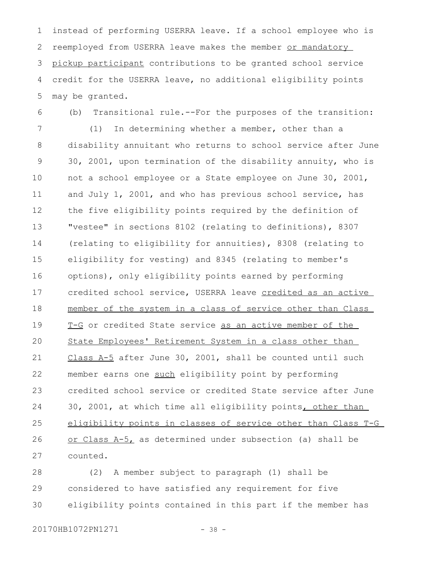instead of performing USERRA leave. If a school employee who is reemployed from USERRA leave makes the member or mandatory pickup participant contributions to be granted school service credit for the USERRA leave, no additional eligibility points may be granted. 1 2 3 4 5

(b) Transitional rule.--For the purposes of the transition: 6

(1) In determining whether a member, other than a disability annuitant who returns to school service after June 30, 2001, upon termination of the disability annuity, who is not a school employee or a State employee on June 30, 2001, and July 1, 2001, and who has previous school service, has the five eligibility points required by the definition of "vestee" in sections 8102 (relating to definitions), 8307 (relating to eligibility for annuities), 8308 (relating to eligibility for vesting) and 8345 (relating to member's options), only eligibility points earned by performing credited school service, USERRA leave credited as an active member of the system in a class of service other than Class T-G or credited State service as an active member of the State Employees' Retirement System in a class other than Class A-5 after June 30, 2001, shall be counted until such member earns one such eligibility point by performing credited school service or credited State service after June 30, 2001, at which time all eligibility points, other than eligibility points in classes of service other than Class T-G or Class A-5, as determined under subsection (a) shall be counted. 7 8 9 10 11 12 13 14 15 16 17 18 19 20 21 22 23 24 25 26 27

(2) A member subject to paragraph (1) shall be considered to have satisfied any requirement for five eligibility points contained in this part if the member has 28 29 30

20170HB1072PN1271 - 38 -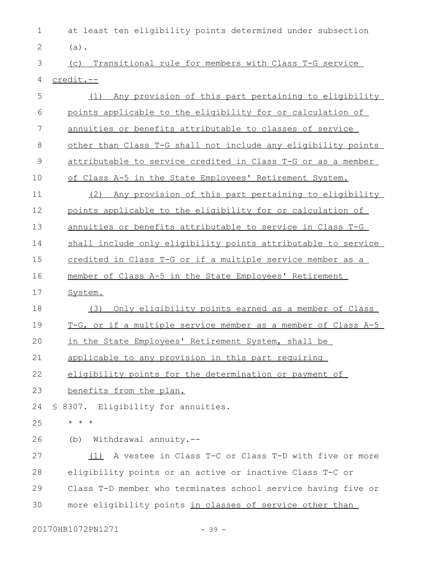at least ten eligibility points determined under subsection 1 (a). 2

(c) Transitional rule for members with Class T-G service 4 credit.--3

| 5             | (1) Any provision of this part pertaining to eligibility      |
|---------------|---------------------------------------------------------------|
| 6             | points applicable to the eligibility for or calculation of    |
| 7             | annuities or benefits attributable to classes of service      |
| $8\,$         | other than Class T-G shall not include any eligibility points |
| $\mathcal{G}$ | attributable to service credited in Class T-G or as a member  |
| 10            | of Class A-5 in the State Employees' Retirement System.       |
| 11            | (2) Any provision of this part pertaining to eligibility      |
| 12            | points applicable to the eligibility for or calculation of    |
| 13            | annuities or benefits attributable to service in Class T-G    |
| 14            | shall include only eligibility points attributable to service |
| 15            | credited in Class T-G or if a multiple service member as a    |
| 16            | member of Class A-5 in the State Employees' Retirement        |
| 17            | System.                                                       |
| 18            | Only eligibility points earned as a member of Class<br>(3)    |
| 19            | T-G, or if a multiple service member as a member of Class A-5 |
| 20            | in the State Employees' Retirement System, shall be           |
| 21            | applicable to any provision in this part requiring            |
| 22            | eligibility points for the determination or payment of        |
| 23            | benefits from the plan.                                       |
| 24            | § 8307. Eligibility for annuities.                            |
| 25            | $\star$ $\star$ $\star$                                       |
| 26            | Withdrawal annuity.--<br>(b)                                  |
| 27            | A vestee in Class T-C or Class T-D with five or more<br>(1)   |
| 28            | eligibility points or an active or inactive Class T-C or      |
| 29            | Class T-D member who terminates school service having five or |
| 30            | more eligibility points in classes of service other than      |

20170HB1072PN1271 - 39 -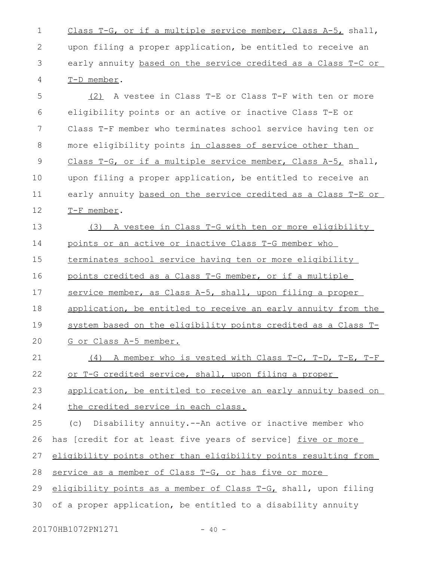Class T-G, or if a multiple service member, Class A-5, shall, upon filing a proper application, be entitled to receive an early annuity based on the service credited as a Class T-C or T-D member. 1 2 3 4

(2) A vestee in Class T-E or Class T-F with ten or more eligibility points or an active or inactive Class T-E or Class T-F member who terminates school service having ten or more eligibility points in classes of service other than Class T-G, or if a multiple service member, Class A-5, shall, upon filing a proper application, be entitled to receive an early annuity based on the service credited as a Class T-E or T-F member. 5 6 7 8 9 10 11 12

(3) A vestee in Class T-G with ten or more eligibility points or an active or inactive Class T-G member who terminates school service having ten or more eligibility points credited as a Class T-G member, or if a multiple service member, as Class A-5, shall, upon filing a proper application, be entitled to receive an early annuity from the system based on the eligibility points credited as a Class T-13 14 15 16 17 18 19

G or Class A-5 member.  $20$ 

(4) A member who is vested with Class T-C, T-D, T-E, T-F or T-G credited service, shall, upon filing a proper 21 22

application, be entitled to receive an early annuity based on 23

the credited service in each class. 24

(c) Disability annuity.--An active or inactive member who has [credit for at least five years of service] five or more eligibility points other than eligibility points resulting from service as a member of Class T-G, or has five or more eligibility points as a member of Class T-G, shall, upon filing of a proper application, be entitled to a disability annuity 25 26 27 28 29 30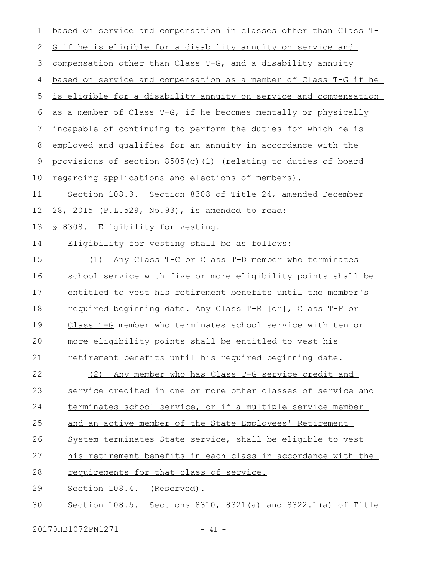based on service and compensation in classes other than Class T-G if he is eligible for a disability annuity on service and compensation other than Class T-G, and a disability annuity based on service and compensation as a member of Class T-G if he is eligible for a disability annuity on service and compensation as a member of Class T-G, if he becomes mentally or physically incapable of continuing to perform the duties for which he is employed and qualifies for an annuity in accordance with the provisions of section 8505(c)(1) (relating to duties of board regarding applications and elections of members). Section 108.3. Section 8308 of Title 24, amended December 28, 2015 (P.L.529, No.93), is amended to read: § 8308. Eligibility for vesting. Eligibility for vesting shall be as follows: (1) Any Class T-C or Class T-D member who terminates school service with five or more eligibility points shall be entitled to vest his retirement benefits until the member's required beginning date. Any Class T-E [or], Class T-F or Class T-G member who terminates school service with ten or more eligibility points shall be entitled to vest his retirement benefits until his required beginning date. (2) Any member who has Class T-G service credit and service credited in one or more other classes of service and terminates school service, or if a multiple service member and an active member of the State Employees' Retirement System terminates State service, shall be eligible to vest his retirement benefits in each class in accordance with the requirements for that class of service. 1 2 3 4 5 6 7 8 9 10 11 12 13 14 15 16 17 18 19  $20$ 21 22 23 24 25 26 27 28

Section 108.4. (Reserved). 29

Section 108.5. Sections 8310, 8321(a) and 8322.1(a) of Title 30

20170HB1072PN1271 - 41 -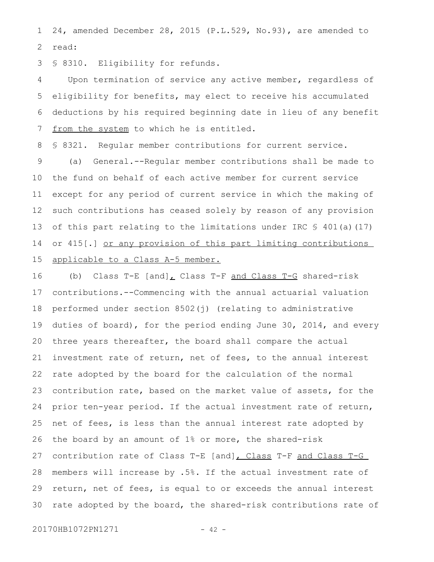24, amended December 28, 2015 (P.L.529, No.93), are amended to read: 1 2

§ 8310. Eligibility for refunds. 3

Upon termination of service any active member, regardless of eligibility for benefits, may elect to receive his accumulated deductions by his required beginning date in lieu of any benefit from the system to which he is entitled. 4 5 6 7

§ 8321. Regular member contributions for current service. 8

(a) General.--Regular member contributions shall be made to the fund on behalf of each active member for current service except for any period of current service in which the making of such contributions has ceased solely by reason of any provision of this part relating to the limitations under IRC § 401(a)(17) or 415[.] or any provision of this part limiting contributions applicable to a Class A-5 member. 9 10 11 12 13 14 15

(b) Class T-E  $[and]_L$  Class T-F and Class T-G shared-risk contributions.--Commencing with the annual actuarial valuation performed under section 8502(j) (relating to administrative duties of board), for the period ending June 30, 2014, and every three years thereafter, the board shall compare the actual investment rate of return, net of fees, to the annual interest rate adopted by the board for the calculation of the normal contribution rate, based on the market value of assets, for the prior ten-year period. If the actual investment rate of return, net of fees, is less than the annual interest rate adopted by the board by an amount of 1% or more, the shared-risk contribution rate of Class T-E [and], Class T-F and Class T-G members will increase by .5%. If the actual investment rate of return, net of fees, is equal to or exceeds the annual interest rate adopted by the board, the shared-risk contributions rate of 16 17 18 19 20 21 22 23 24 25 26 27 28 29 30

20170HB1072PN1271 - 42 -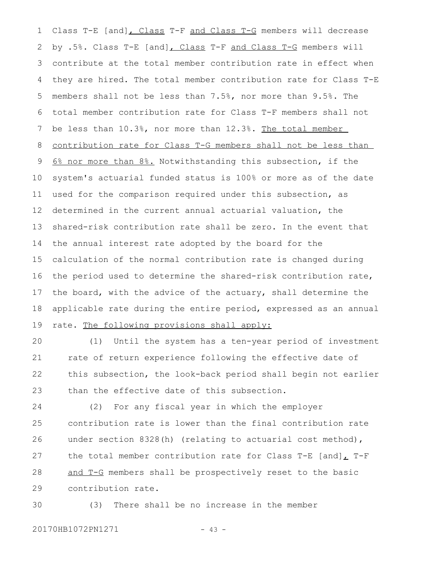Class T-E [and], Class T-F and Class T-G members will decrease by .5%. Class T-E [and], Class T-F and Class T-G members will contribute at the total member contribution rate in effect when they are hired. The total member contribution rate for Class T-E members shall not be less than 7.5%, nor more than 9.5%. The total member contribution rate for Class T-F members shall not be less than 10.3%, nor more than 12.3%. The total member contribution rate for Class T-G members shall not be less than 6% nor more than 8%. Notwithstanding this subsection, if the system's actuarial funded status is 100% or more as of the date used for the comparison required under this subsection, as determined in the current annual actuarial valuation, the shared-risk contribution rate shall be zero. In the event that the annual interest rate adopted by the board for the calculation of the normal contribution rate is changed during the period used to determine the shared-risk contribution rate, the board, with the advice of the actuary, shall determine the applicable rate during the entire period, expressed as an annual rate. The following provisions shall apply: 1 2 3 4 5 6 7 8 9 10 11 12 13 14 15 16 17 18 19

(1) Until the system has a ten-year period of investment rate of return experience following the effective date of this subsection, the look-back period shall begin not earlier than the effective date of this subsection.  $20$ 21 22 23

(2) For any fiscal year in which the employer contribution rate is lower than the final contribution rate under section 8328(h) (relating to actuarial cost method), the total member contribution rate for Class T-E [and] $<sub>L</sub>$  T-F</sub> and T-G members shall be prospectively reset to the basic contribution rate. 24 25 26 27 28 29

(3) There shall be no increase in the member 30

20170HB1072PN1271 - 43 -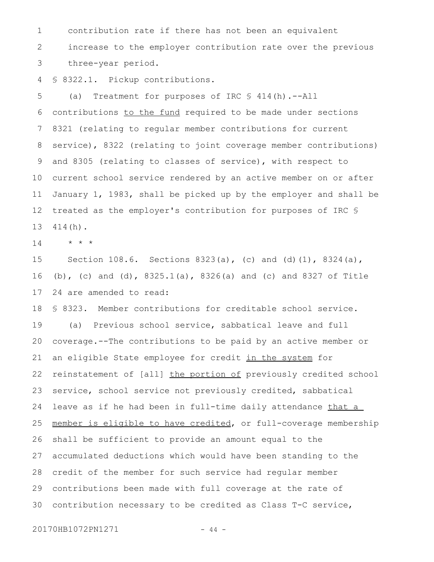contribution rate if there has not been an equivalent increase to the employer contribution rate over the previous three-year period. 1 2 3

§ 8322.1. Pickup contributions. 4

(a) Treatment for purposes of IRC § 414(h).--All contributions to the fund required to be made under sections 8321 (relating to regular member contributions for current service), 8322 (relating to joint coverage member contributions) and 8305 (relating to classes of service), with respect to current school service rendered by an active member on or after January 1, 1983, shall be picked up by the employer and shall be treated as the employer's contribution for purposes of IRC § 414(h). 5 6 7 8 9 10 11 12 13

\* \* \* 14

Section 108.6. Sections 8323(a), (c) and (d)(1), 8324(a), (b), (c) and (d), 8325.1(a), 8326(a) and (c) and 8327 of Title 24 are amended to read: 15 16 17

§ 8323. Member contributions for creditable school service. (a) Previous school service, sabbatical leave and full coverage.--The contributions to be paid by an active member or an eligible State employee for credit in the system for reinstatement of [all] the portion of previously credited school service, school service not previously credited, sabbatical leave as if he had been in full-time daily attendance that a member is eligible to have credited, or full-coverage membership shall be sufficient to provide an amount equal to the accumulated deductions which would have been standing to the credit of the member for such service had regular member contributions been made with full coverage at the rate of contribution necessary to be credited as Class T-C service, 18 19 20 21 22 23 24 25 26 27 28 29 30

20170HB1072PN1271 - 44 -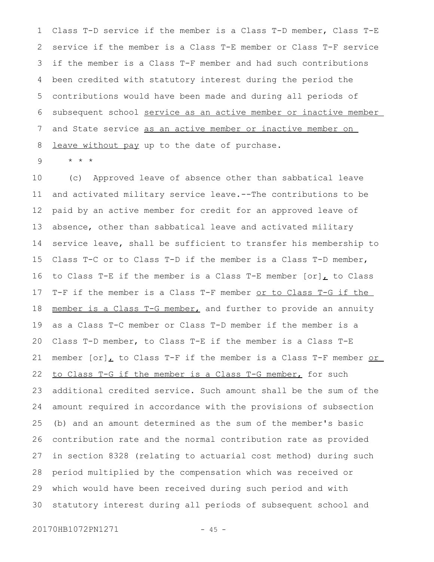Class T-D service if the member is a Class T-D member, Class T-E service if the member is a Class T-E member or Class T-F service if the member is a Class T-F member and had such contributions been credited with statutory interest during the period the contributions would have been made and during all periods of subsequent school service as an active member or inactive member and State service as an active member or inactive member on leave without pay up to the date of purchase. 1 2 3 4 5 6 7 8

\* \* \* 9

(c) Approved leave of absence other than sabbatical leave and activated military service leave.--The contributions to be paid by an active member for credit for an approved leave of absence, other than sabbatical leave and activated military service leave, shall be sufficient to transfer his membership to Class T-C or to Class T-D if the member is a Class T-D member, to Class T-E if the member is a Class T-E member  $[or]_L$  to Class T-F if the member is a Class T-F member or to Class T-G if the member is a Class T-G member, and further to provide an annuity as a Class T-C member or Class T-D member if the member is a Class T-D member, to Class T-E if the member is a Class T-E member  $[or]_L$  to Class T-F if the member is a Class T-F member  $or$ </u> to Class T-G if the member is a Class T-G member, for such additional credited service. Such amount shall be the sum of the amount required in accordance with the provisions of subsection (b) and an amount determined as the sum of the member's basic contribution rate and the normal contribution rate as provided in section 8328 (relating to actuarial cost method) during such period multiplied by the compensation which was received or which would have been received during such period and with statutory interest during all periods of subsequent school and 10 11 12 13 14 15 16 17 18 19 20 21 22 23 24 25 26 27 28 29 30

20170HB1072PN1271 - 45 -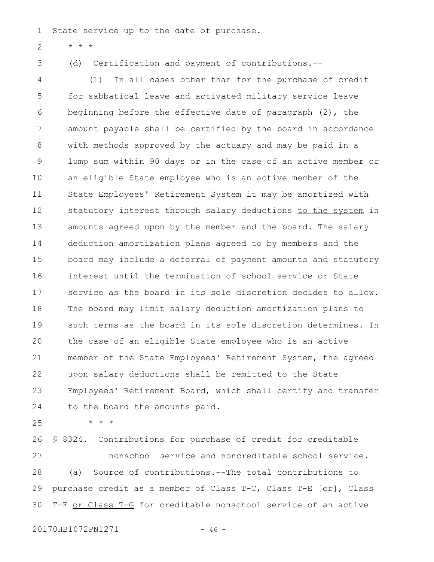State service up to the date of purchase. 1

\* \* \* 2

3

(d) Certification and payment of contributions.--

(1) In all cases other than for the purchase of credit for sabbatical leave and activated military service leave beginning before the effective date of paragraph (2), the amount payable shall be certified by the board in accordance with methods approved by the actuary and may be paid in a lump sum within 90 days or in the case of an active member or an eligible State employee who is an active member of the State Employees' Retirement System it may be amortized with statutory interest through salary deductions to the system in amounts agreed upon by the member and the board. The salary deduction amortization plans agreed to by members and the board may include a deferral of payment amounts and statutory interest until the termination of school service or State service as the board in its sole discretion decides to allow. The board may limit salary deduction amortization plans to such terms as the board in its sole discretion determines. In the case of an eligible State employee who is an active member of the State Employees' Retirement System, the agreed upon salary deductions shall be remitted to the State Employees' Retirement Board, which shall certify and transfer to the board the amounts paid. 4 5 6 7 8 9 10 11 12 13 14 15 16 17 18 19  $20$ 21 22 23 24

25

\* \* \*

§ 8324. Contributions for purchase of credit for creditable nonschool service and noncreditable school service. (a) Source of contributions.--The total contributions to purchase credit as a member of Class T-C, Class T-E [or], Class T-F or Class T-G for creditable nonschool service of an active 26 27 28 29 30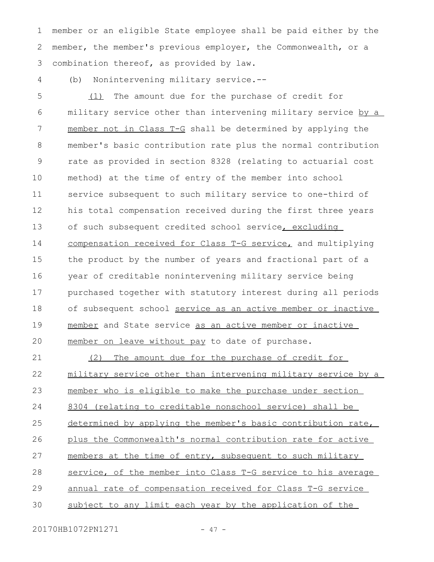member or an eligible State employee shall be paid either by the member, the member's previous employer, the Commonwealth, or a combination thereof, as provided by law. 1 2 3

(b) Nonintervening military service.-- 4

(1) The amount due for the purchase of credit for military service other than intervening military service by a member not in Class T-G shall be determined by applying the member's basic contribution rate plus the normal contribution rate as provided in section 8328 (relating to actuarial cost method) at the time of entry of the member into school service subsequent to such military service to one-third of his total compensation received during the first three years of such subsequent credited school service, excluding compensation received for Class T-G service, and multiplying the product by the number of years and fractional part of a year of creditable nonintervening military service being purchased together with statutory interest during all periods of subsequent school service as an active member or inactive member and State service as an active member or inactive member on leave without pay to date of purchase. 5 6 7 8 9 10 11 12 13 14 15 16 17 18 19  $20$ 

(2) The amount due for the purchase of credit for military service other than intervening military service by a member who is eligible to make the purchase under section 8304 (relating to creditable nonschool service) shall be determined by applying the member's basic contribution rate, plus the Commonwealth's normal contribution rate for active members at the time of entry, subsequent to such military service, of the member into Class T-G service to his average annual rate of compensation received for Class T-G service subject to any limit each year by the application of the 21 22 23 24 25 26 27 28 29 30

20170HB1072PN1271 - 47 -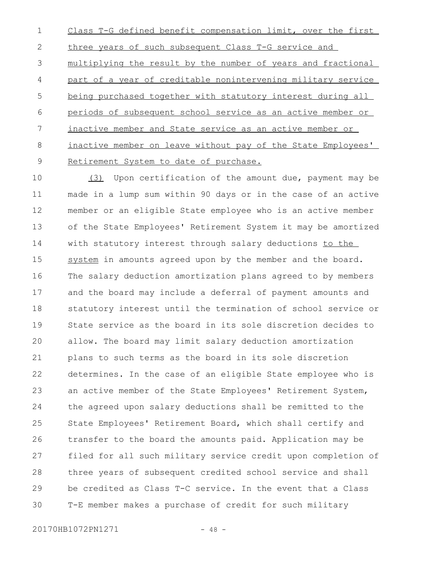Class T-G defined benefit compensation limit, over the first three years of such subsequent Class T-G service and multiplying the result by the number of years and fractional part of a year of creditable nonintervening military service being purchased together with statutory interest during all periods of subsequent school service as an active member or inactive member and State service as an active member or inactive member on leave without pay of the State Employees' Retirement System to date of purchase. 1 2 3 4 5 6 7 8 9

(3) Upon certification of the amount due, payment may be made in a lump sum within 90 days or in the case of an active member or an eligible State employee who is an active member of the State Employees' Retirement System it may be amortized with statutory interest through salary deductions to the system in amounts agreed upon by the member and the board. The salary deduction amortization plans agreed to by members and the board may include a deferral of payment amounts and statutory interest until the termination of school service or State service as the board in its sole discretion decides to allow. The board may limit salary deduction amortization plans to such terms as the board in its sole discretion determines. In the case of an eligible State employee who is an active member of the State Employees' Retirement System, the agreed upon salary deductions shall be remitted to the State Employees' Retirement Board, which shall certify and transfer to the board the amounts paid. Application may be filed for all such military service credit upon completion of three years of subsequent credited school service and shall be credited as Class T-C service. In the event that a Class T-E member makes a purchase of credit for such military 10 11 12 13 14 15 16 17 18 19  $20$ 21 22 23 24 25 26 27 28 29 30

20170HB1072PN1271 - 48 -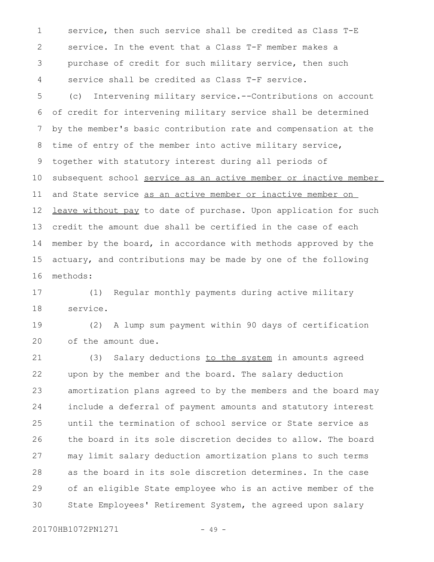service, then such service shall be credited as Class T-E service. In the event that a Class T-F member makes a purchase of credit for such military service, then such service shall be credited as Class T-F service. 1 2 3 4

(c) Intervening military service.--Contributions on account of credit for intervening military service shall be determined by the member's basic contribution rate and compensation at the time of entry of the member into active military service, together with statutory interest during all periods of subsequent school service as an active member or inactive member and State service as an active member or inactive member on leave without pay to date of purchase. Upon application for such credit the amount due shall be certified in the case of each member by the board, in accordance with methods approved by the actuary, and contributions may be made by one of the following methods: 5 6 7 8 9 10 11 12 13 14 15 16

(1) Regular monthly payments during active military service. 17 18

(2) A lump sum payment within 90 days of certification of the amount due. 19  $20$ 

(3) Salary deductions to the system in amounts agreed upon by the member and the board. The salary deduction amortization plans agreed to by the members and the board may include a deferral of payment amounts and statutory interest until the termination of school service or State service as the board in its sole discretion decides to allow. The board may limit salary deduction amortization plans to such terms as the board in its sole discretion determines. In the case of an eligible State employee who is an active member of the State Employees' Retirement System, the agreed upon salary 21 22 23 24 25 26 27 28 29 30

20170HB1072PN1271 - 49 -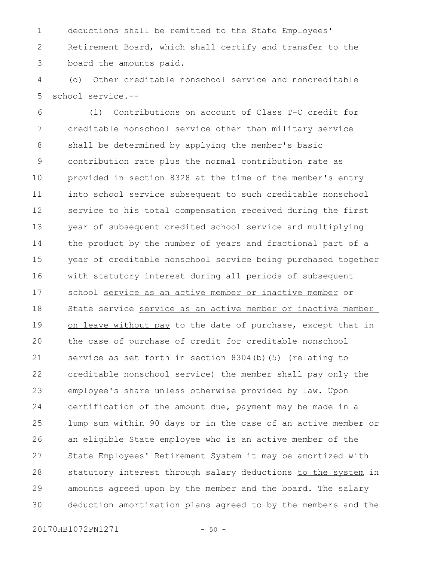deductions shall be remitted to the State Employees' Retirement Board, which shall certify and transfer to the board the amounts paid. 1 2 3

(d) Other creditable nonschool service and noncreditable school service.-- 4 5

(1) Contributions on account of Class T-C credit for creditable nonschool service other than military service shall be determined by applying the member's basic contribution rate plus the normal contribution rate as provided in section 8328 at the time of the member's entry into school service subsequent to such creditable nonschool service to his total compensation received during the first year of subsequent credited school service and multiplying the product by the number of years and fractional part of a year of creditable nonschool service being purchased together with statutory interest during all periods of subsequent school service as an active member or inactive member or State service service as an active member or inactive member on leave without pay to the date of purchase, except that in the case of purchase of credit for creditable nonschool service as set forth in section 8304(b)(5) (relating to creditable nonschool service) the member shall pay only the employee's share unless otherwise provided by law. Upon certification of the amount due, payment may be made in a lump sum within 90 days or in the case of an active member or an eligible State employee who is an active member of the State Employees' Retirement System it may be amortized with statutory interest through salary deductions to the system in amounts agreed upon by the member and the board. The salary deduction amortization plans agreed to by the members and the 6 7 8 9 10 11 12 13 14 15 16 17 18 19  $20$ 21 22 23 24 25 26 27 28 29 30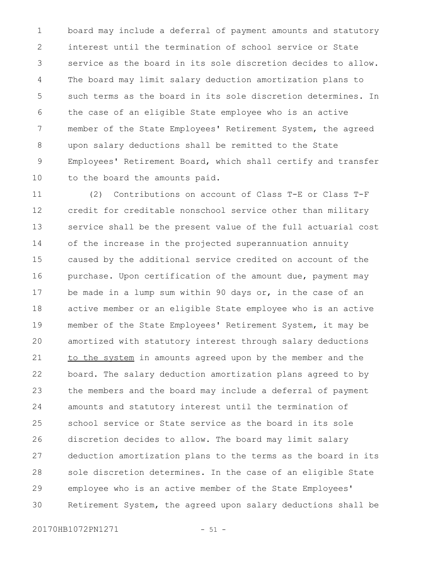board may include a deferral of payment amounts and statutory interest until the termination of school service or State service as the board in its sole discretion decides to allow. The board may limit salary deduction amortization plans to such terms as the board in its sole discretion determines. In the case of an eligible State employee who is an active member of the State Employees' Retirement System, the agreed upon salary deductions shall be remitted to the State Employees' Retirement Board, which shall certify and transfer to the board the amounts paid. 1 2 3 4 5 6 7 8 9 10

(2) Contributions on account of Class T-E or Class T-F credit for creditable nonschool service other than military service shall be the present value of the full actuarial cost of the increase in the projected superannuation annuity caused by the additional service credited on account of the purchase. Upon certification of the amount due, payment may be made in a lump sum within 90 days or, in the case of an active member or an eligible State employee who is an active member of the State Employees' Retirement System, it may be amortized with statutory interest through salary deductions to the system in amounts agreed upon by the member and the board. The salary deduction amortization plans agreed to by the members and the board may include a deferral of payment amounts and statutory interest until the termination of school service or State service as the board in its sole discretion decides to allow. The board may limit salary deduction amortization plans to the terms as the board in its sole discretion determines. In the case of an eligible State employee who is an active member of the State Employees' Retirement System, the agreed upon salary deductions shall be 11 12 13 14 15 16 17 18 19 20 21 22 23 24 25 26 27 28 29 30

20170HB1072PN1271 - 51 -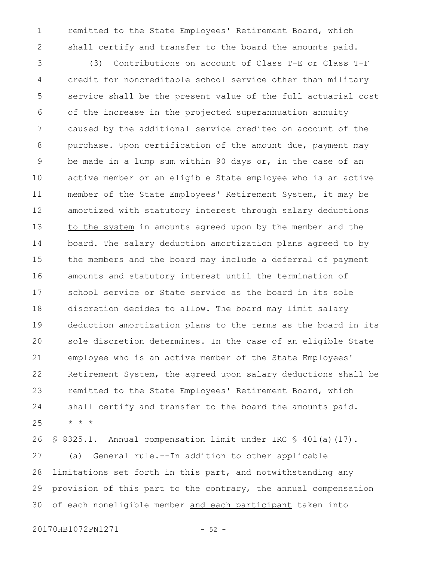remitted to the State Employees' Retirement Board, which shall certify and transfer to the board the amounts paid. 1 2

(3) Contributions on account of Class T-E or Class T-F credit for noncreditable school service other than military service shall be the present value of the full actuarial cost of the increase in the projected superannuation annuity caused by the additional service credited on account of the purchase. Upon certification of the amount due, payment may be made in a lump sum within 90 days or, in the case of an active member or an eligible State employee who is an active member of the State Employees' Retirement System, it may be amortized with statutory interest through salary deductions to the system in amounts agreed upon by the member and the board. The salary deduction amortization plans agreed to by the members and the board may include a deferral of payment amounts and statutory interest until the termination of school service or State service as the board in its sole discretion decides to allow. The board may limit salary deduction amortization plans to the terms as the board in its sole discretion determines. In the case of an eligible State employee who is an active member of the State Employees' Retirement System, the agreed upon salary deductions shall be remitted to the State Employees' Retirement Board, which shall certify and transfer to the board the amounts paid. \* \* \* 3 4 5 6 7 8 9 10 11 12 13 14 15 16 17 18 19 20 21 22 23 24 25

§ 8325.1. Annual compensation limit under IRC § 401(a)(17). (a) General rule.--In addition to other applicable limitations set forth in this part, and notwithstanding any provision of this part to the contrary, the annual compensation of each noneligible member and each participant taken into 26 27 28 29 30

20170HB1072PN1271 - 52 -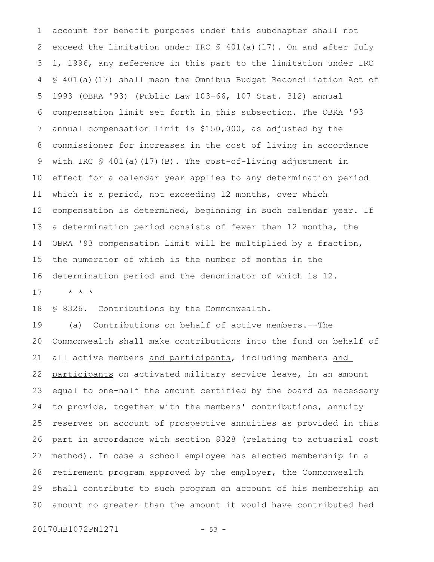account for benefit purposes under this subchapter shall not exceed the limitation under IRC § 401(a)(17). On and after July 1, 1996, any reference in this part to the limitation under IRC § 401(a)(17) shall mean the Omnibus Budget Reconciliation Act of 1993 (OBRA '93) (Public Law 103-66, 107 Stat. 312) annual compensation limit set forth in this subsection. The OBRA '93 annual compensation limit is \$150,000, as adjusted by the commissioner for increases in the cost of living in accordance with IRC  $\frac{1}{2}$  401(a)(17)(B). The cost-of-living adjustment in effect for a calendar year applies to any determination period which is a period, not exceeding 12 months, over which compensation is determined, beginning in such calendar year. If a determination period consists of fewer than 12 months, the OBRA '93 compensation limit will be multiplied by a fraction, the numerator of which is the number of months in the determination period and the denominator of which is 12. 1 2 3 4 5 6 7 8 9 10 11 12 13 14 15 16

\* \* \* 17

§ 8326. Contributions by the Commonwealth. 18

(a) Contributions on behalf of active members.--The Commonwealth shall make contributions into the fund on behalf of all active members and participants, including members and participants on activated military service leave, in an amount equal to one-half the amount certified by the board as necessary to provide, together with the members' contributions, annuity reserves on account of prospective annuities as provided in this part in accordance with section 8328 (relating to actuarial cost method). In case a school employee has elected membership in a retirement program approved by the employer, the Commonwealth shall contribute to such program on account of his membership an amount no greater than the amount it would have contributed had 19 20 21 22 23 24 25 26 27 28 29 30

20170HB1072PN1271 - 53 -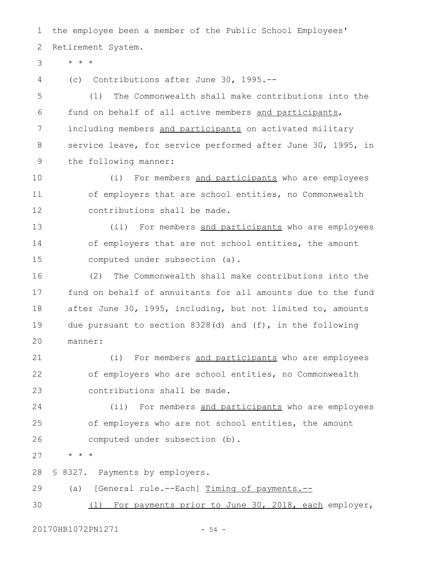the employee been a member of the Public School Employees' Retirement System. 1 2

\* \* \* 3

(c) Contributions after June 30, 1995.-- 4

(1) The Commonwealth shall make contributions into the fund on behalf of all active members and participants, including members and participants on activated military service leave, for service performed after June 30, 1995, in the following manner: 5 6 7 8 9

(i) For members and participants who are employees of employers that are school entities, no Commonwealth contributions shall be made. 10 11 12

(ii) For members and participants who are employees of employers that are not school entities, the amount computed under subsection (a). 13 14 15

(2) The Commonwealth shall make contributions into the fund on behalf of annuitants for all amounts due to the fund after June 30, 1995, including, but not limited to, amounts due pursuant to section  $8328(d)$  and  $(f)$ , in the following manner: 16 17 18 19  $20$ 

(i) For members and participants who are employees of employers who are school entities, no Commonwealth contributions shall be made. 21 22 23

(ii) For members and participants who are employees of employers who are not school entities, the amount computed under subsection (b). 24 25 26

\* \* \* 27

§ 8327. Payments by employers. 28

(a) [General rule.--Each] Timing of payments.-- 29

(1) For payments prior to June 30, 2018, each employer, 30

20170HB1072PN1271 - 54 -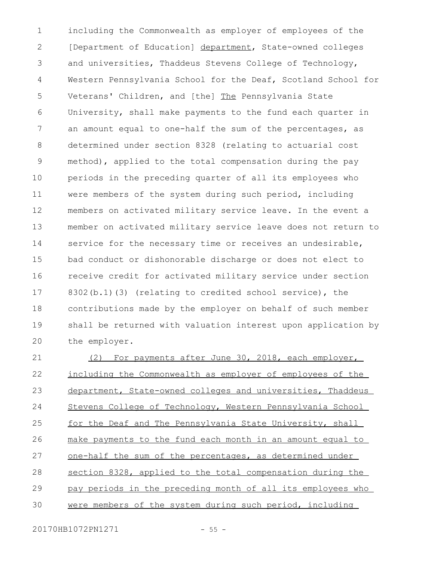including the Commonwealth as employer of employees of the [Department of Education] department, State-owned colleges and universities, Thaddeus Stevens College of Technology, Western Pennsylvania School for the Deaf, Scotland School for Veterans' Children, and [the] The Pennsylvania State University, shall make payments to the fund each quarter in an amount equal to one-half the sum of the percentages, as determined under section 8328 (relating to actuarial cost method), applied to the total compensation during the pay periods in the preceding quarter of all its employees who were members of the system during such period, including members on activated military service leave. In the event a member on activated military service leave does not return to service for the necessary time or receives an undesirable, bad conduct or dishonorable discharge or does not elect to receive credit for activated military service under section 8302(b.1)(3) (relating to credited school service), the contributions made by the employer on behalf of such member shall be returned with valuation interest upon application by the employer. 1 2 3 4 5 6 7 8 9 10 11 12 13 14 15 16 17 18 19 20

(2) For payments after June 30, 2018, each employer, including the Commonwealth as employer of employees of the department, State-owned colleges and universities, Thaddeus Stevens College of Technology, Western Pennsylvania School for the Deaf and The Pennsylvania State University, shall make payments to the fund each month in an amount equal to one-half the sum of the percentages, as determined under section 8328, applied to the total compensation during the pay periods in the preceding month of all its employees who were members of the system during such period, including 21 22 23 24 25 26 27 28 29 30

20170HB1072PN1271 - 55 -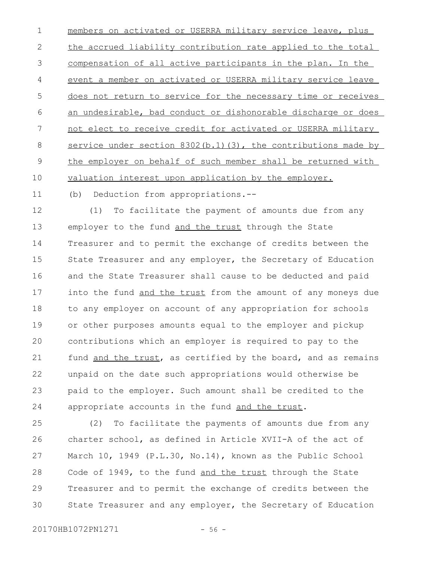members on activated or USERRA military service leave, plus the accrued liability contribution rate applied to the total compensation of all active participants in the plan. In the event a member on activated or USERRA military service leave does not return to service for the necessary time or receives an undesirable, bad conduct or dishonorable discharge or does not elect to receive credit for activated or USERRA military service under section 8302(b.1)(3), the contributions made by the employer on behalf of such member shall be returned with valuation interest upon application by the employer. 1 2 3 4 5 6 7 8 9 10

(b) Deduction from appropriations.-- 11

(1) To facilitate the payment of amounts due from any employer to the fund and the trust through the State Treasurer and to permit the exchange of credits between the State Treasurer and any employer, the Secretary of Education and the State Treasurer shall cause to be deducted and paid into the fund and the trust from the amount of any moneys due to any employer on account of any appropriation for schools or other purposes amounts equal to the employer and pickup contributions which an employer is required to pay to the fund and the trust, as certified by the board, and as remains unpaid on the date such appropriations would otherwise be paid to the employer. Such amount shall be credited to the appropriate accounts in the fund and the trust. 12 13 14 15 16 17 18 19  $20$ 21 22 23 24

(2) To facilitate the payments of amounts due from any charter school, as defined in Article XVII-A of the act of March 10, 1949 (P.L.30, No.14), known as the Public School Code of 1949, to the fund and the trust through the State Treasurer and to permit the exchange of credits between the State Treasurer and any employer, the Secretary of Education 25 26 27 28 29 30

20170HB1072PN1271 - 56 -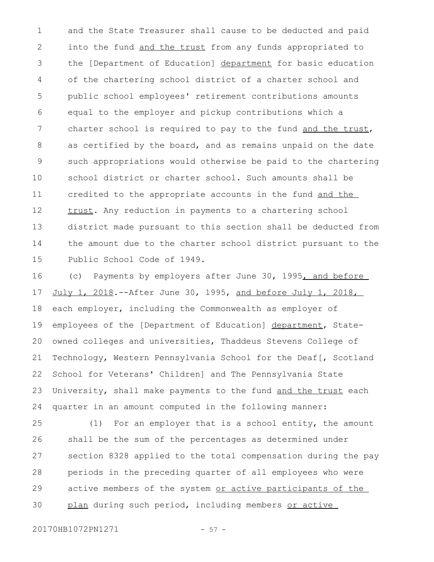and the State Treasurer shall cause to be deducted and paid into the fund and the trust from any funds appropriated to the [Department of Education] department for basic education of the chartering school district of a charter school and public school employees' retirement contributions amounts equal to the employer and pickup contributions which a charter school is required to pay to the fund and the trust, as certified by the board, and as remains unpaid on the date such appropriations would otherwise be paid to the chartering school district or charter school. Such amounts shall be credited to the appropriate accounts in the fund and the trust. Any reduction in payments to a chartering school district made pursuant to this section shall be deducted from the amount due to the charter school district pursuant to the Public School Code of 1949. 1 2 3 4 5 6 7 8 9 10 11 12 13 14 15

(c) Payments by employers after June 30, 1995, and before July 1, 2018. -- After June 30, 1995, and before July 1, 2018, each employer, including the Commonwealth as employer of employees of the [Department of Education] department, Stateowned colleges and universities, Thaddeus Stevens College of Technology, Western Pennsylvania School for the Deaf[, Scotland School for Veterans' Children] and The Pennsylvania State University, shall make payments to the fund and the trust each quarter in an amount computed in the following manner: 16 17 18 19 20 21 22 23 24

(1) For an employer that is a school entity, the amount shall be the sum of the percentages as determined under section 8328 applied to the total compensation during the pay periods in the preceding quarter of all employees who were active members of the system or active participants of the plan during such period, including members or active 25 26 27 28 29 30

20170HB1072PN1271 - 57 -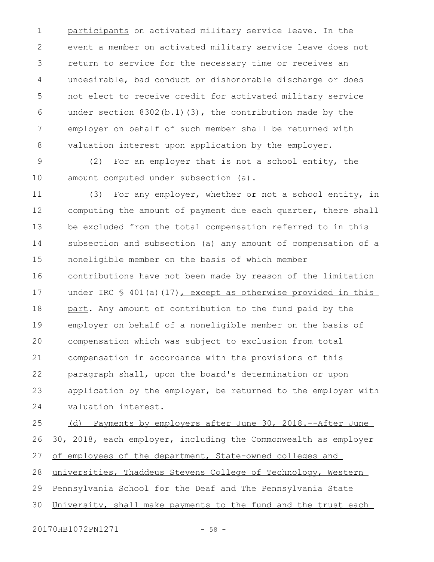participants on activated military service leave. In the event a member on activated military service leave does not return to service for the necessary time or receives an undesirable, bad conduct or dishonorable discharge or does not elect to receive credit for activated military service under section  $8302(b.1)(3)$ , the contribution made by the employer on behalf of such member shall be returned with valuation interest upon application by the employer. 1 2 3 4 5 6 7 8

(2) For an employer that is not a school entity, the amount computed under subsection (a). 9 10

(3) For any employer, whether or not a school entity, in computing the amount of payment due each quarter, there shall be excluded from the total compensation referred to in this subsection and subsection (a) any amount of compensation of a noneligible member on the basis of which member contributions have not been made by reason of the limitation under IRC § 401(a)(17), except as otherwise provided in this part. Any amount of contribution to the fund paid by the employer on behalf of a noneligible member on the basis of compensation which was subject to exclusion from total compensation in accordance with the provisions of this paragraph shall, upon the board's determination or upon application by the employer, be returned to the employer with valuation interest. 11 12 13 14 15 16 17 18 19  $20$ 21 22 23 24

(d) Payments by employers after June 30, 2018.--After June 30, 2018, each employer, including the Commonwealth as employer of employees of the department, State-owned colleges and universities, Thaddeus Stevens College of Technology, Western Pennsylvania School for the Deaf and The Pennsylvania State University, shall make payments to the fund and the trust each 25 26 27 28 29 30

20170HB1072PN1271 - 58 -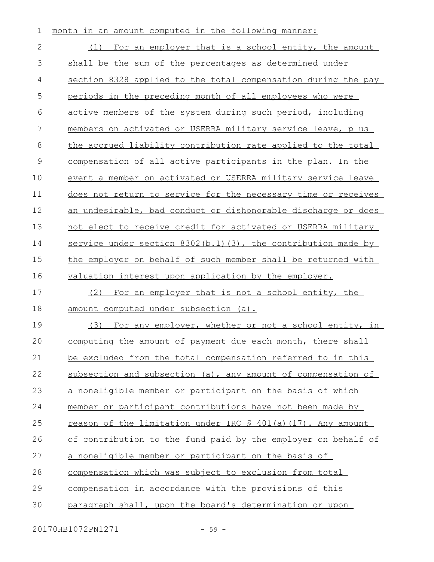| 1              | month in an amount computed in the following manner:           |
|----------------|----------------------------------------------------------------|
| $\mathbf{2}$   | (1) For an employer that is a school entity, the amount        |
| 3              | shall be the sum of the percentages as determined under        |
| 4              | section 8328 applied to the total compensation during the pay  |
| 5              | periods in the preceding month of all employees who were       |
| 6              | active members of the system during such period, including     |
| $\overline{7}$ | members on activated or USERRA military service leave, plus    |
| 8              | the accrued liability contribution rate applied to the total   |
| $\mathsf 9$    | compensation of all active participants in the plan. In the    |
| 10             | event a member on activated or USERRA military service leave   |
| 11             | does not return to service for the necessary time or receives  |
| 12             | an undesirable, bad conduct or dishonorable discharge or does  |
| 13             | not elect to receive credit for activated or USERRA military   |
| 14             | service under section 8302 (b.1) (3), the contribution made by |
| 15             | the employer on behalf of such member shall be returned with   |
| 16             | valuation interest upon application by the employer.           |
| 17             | (2) For an employer that is not a school entity, the           |
| 18             | amount computed under subsection (a).                          |
| 19             | (3) For any employer, whether or not a school entity, in       |
| 20             | computing the amount of payment due each month, there shall    |
| 21             | be excluded from the total compensation referred to in this    |
| 22             | subsection and subsection (a), any amount of compensation of   |
| 23             | a noneligible member or participant on the basis of which      |
| 24             | member or participant contributions have not been made by      |
| 25             | reason of the limitation under IRC \$ 401(a)(17). Any amount   |
| 26             | of contribution to the fund paid by the employer on behalf of  |
| 27             | a noneligible member or participant on the basis of            |
| 28             | compensation which was subject to exclusion from total         |
| 29             | compensation in accordance with the provisions of this         |
| 30             | paragraph shall, upon the board's determination or upon        |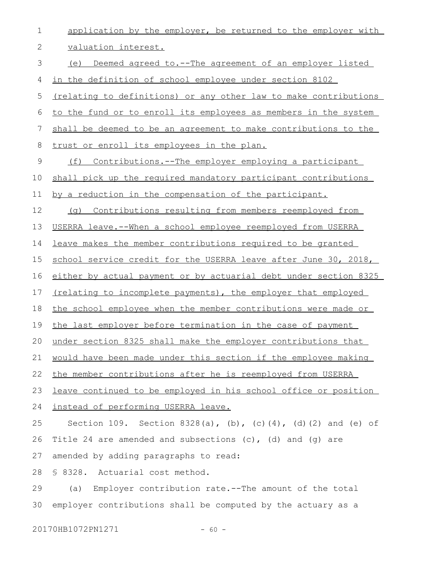| $\mathbf 1$    | application by the employer, be returned to the employer with    |
|----------------|------------------------------------------------------------------|
| 2              | valuation interest.                                              |
| 3              | (e) Deemed agreed to.--The agreement of an employer listed       |
| $\overline{4}$ | in the definition of school employee under section 8102          |
| 5              | (relating to definitions) or any other law to make contributions |
| 6              | to the fund or to enroll its employees as members in the system  |
| 7              | shall be deemed to be an agreement to make contributions to the  |
| 8              | trust or enroll its employees in the plan.                       |
| 9              | (f) Contributions.--The employer employing a participant         |
| 10             | shall pick up the required mandatory participant contributions   |
| 11             | by a reduction in the compensation of the participant.           |
| 12             | Contributions resulting from members reemployed from<br>( ) ( )  |
| 13             | USERRA leave.--When a school employee reemployed from USERRA     |
| 14             | leave makes the member contributions required to be granted      |
| 15             | school service credit for the USERRA leave after June 30, 2018,  |
| 16             | either by actual payment or by actuarial debt under section 8325 |
| 17             | (relating to incomplete payments), the employer that employed    |
| 18             | the school employee when the member contributions were made or   |
| 19             | the last employer before termination in the case of payment      |
|                | 20 under section 8325 shall make the employer contributions that |
| 21             | would have been made under this section if the employee making   |
| 22             | the member contributions after he is reemployed from USERRA      |
| 23             | leave continued to be employed in his school office or position  |
| 24             | instead of performing USERRA leave.                              |
| 25             | Section 109. Section 8328(a), (b), (c)(4), (d)(2) and (e) of     |
| 26             | Title 24 are amended and subsections $(c)$ , $(d)$ and $(q)$ are |
| 27             | amended by adding paragraphs to read:                            |
| 28             | \$8328.<br>Actuarial cost method.                                |
| 29             | Employer contribution rate.--The amount of the total<br>(a)      |
| 30             | employer contributions shall be computed by the actuary as a     |
|                |                                                                  |

20170HB1072PN1271 - 60 -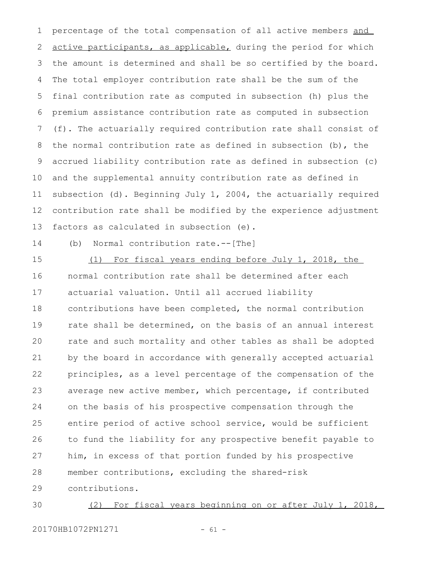percentage of the total compensation of all active members and active participants, as applicable, during the period for which the amount is determined and shall be so certified by the board. The total employer contribution rate shall be the sum of the final contribution rate as computed in subsection (h) plus the premium assistance contribution rate as computed in subsection (f). The actuarially required contribution rate shall consist of the normal contribution rate as defined in subsection (b), the accrued liability contribution rate as defined in subsection (c) and the supplemental annuity contribution rate as defined in subsection (d). Beginning July 1, 2004, the actuarially required contribution rate shall be modified by the experience adjustment factors as calculated in subsection (e). 1 2 3 4 5 6 7 8 9 10 11 12 13

14

(b) Normal contribution rate.--[The]

(1) For fiscal years ending before July 1, 2018, the normal contribution rate shall be determined after each actuarial valuation. Until all accrued liability contributions have been completed, the normal contribution rate shall be determined, on the basis of an annual interest rate and such mortality and other tables as shall be adopted by the board in accordance with generally accepted actuarial principles, as a level percentage of the compensation of the average new active member, which percentage, if contributed on the basis of his prospective compensation through the entire period of active school service, would be sufficient to fund the liability for any prospective benefit payable to him, in excess of that portion funded by his prospective member contributions, excluding the shared-risk contributions. 15 16 17 18 19 20 21 22 23 24 25 26 27 28 29

(2) For fiscal years beginning on or after July 1, 2018, 30

20170HB1072PN1271 - 61 -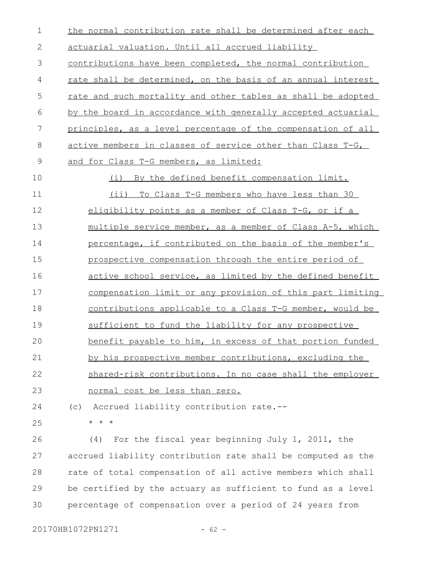| $\mathbf 1$   | the normal contribution rate shall be determined after each         |
|---------------|---------------------------------------------------------------------|
| $\mathbf{2}$  | actuarial valuation. Until all accrued liability                    |
| 3             | contributions have been completed, the normal contribution          |
| 4             | <u>rate shall be determined, on the basis of an annual interest</u> |
| 5             | rate and such mortality and other tables as shall be adopted        |
| 6             | <u>by the board in accordance with generally accepted actuarial</u> |
| 7             | principles, as a level percentage of the compensation of all        |
| 8             | active members in classes of service other than Class T-G,          |
| $\mathcal{G}$ | and for Class T-G members, as limited:                              |
| 10            | By the defined benefit compensation limit.<br>(i)                   |
| 11            | (ii) To Class T-G members who have less than 30                     |
| 12            | eligibility points as a member of Class T-G, or if a                |
| 13            | multiple service member, as a member of Class A-5, which            |
| 14            | percentage, if contributed on the basis of the member's             |
| 15            | prospective compensation through the entire period of               |
| 16            | active school service, as limited by the defined benefit            |
| 17            | compensation limit or any provision of this part limiting           |
| 18            | contributions applicable to a Class T-G member, would be            |
| 19            | sufficient to fund the liability for any prospective                |
| 20            | benefit payable to him, in excess of that portion funded            |
| 21            | by his prospective member contributions, excluding the              |
| 22            | shared-risk contributions. In no case shall the employer            |
| 23            | normal cost be less than zero.                                      |
| 24            | Accrued liability contribution rate.--<br>(C)                       |
| 25            | $\star$ $\star$ $\star$                                             |
| 26            | For the fiscal year beginning July 1, 2011, the<br>(4)              |
| 27            | accrued liability contribution rate shall be computed as the        |
| 28            | rate of total compensation of all active members which shall        |
| 29            | be certified by the actuary as sufficient to fund as a level        |

percentage of compensation over a period of 24 years from 30

20170HB1072PN1271 - 62 -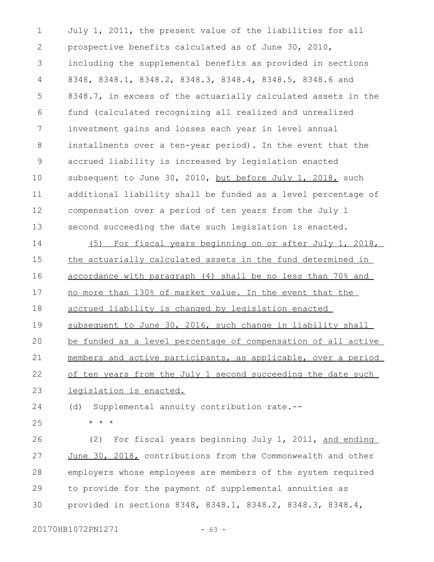July 1, 2011, the present value of the liabilities for all prospective benefits calculated as of June 30, 2010, including the supplemental benefits as provided in sections 8348, 8348.1, 8348.2, 8348.3, 8348.4, 8348.5, 8348.6 and 8348.7, in excess of the actuarially calculated assets in the fund (calculated recognizing all realized and unrealized investment gains and losses each year in level annual installments over a ten-year period). In the event that the accrued liability is increased by legislation enacted subsequent to June 30, 2010, but before July 1, 2018, such additional liability shall be funded as a level percentage of compensation over a period of ten years from the July 1 second succeeding the date such legislation is enacted. 1 2 3 4 5 6 7 8 9 10 11 12 13

(5) For fiscal years beginning on or after July 1, 2018, the actuarially calculated assets in the fund determined in accordance with paragraph (4) shall be no less than 70% and no more than 130% of market value. In the event that the accrued liability is changed by legislation enacted subsequent to June 30, 2016, such change in liability shall be funded as a level percentage of compensation of all active members and active participants, as applicable, over a period of ten years from the July 1 second succeeding the date such legislation is enacted. 14 15 16 17 18 19  $20$ 21 22 23

(d) Supplemental annuity contribution rate.-- 24

\* \* \* 25

(2) For fiscal years beginning July 1, 2011, and ending June 30, 2018, contributions from the Commonwealth and other employers whose employees are members of the system required to provide for the payment of supplemental annuities as provided in sections 8348, 8348.1, 8348.2, 8348.3, 8348.4, 26 27 28 29 30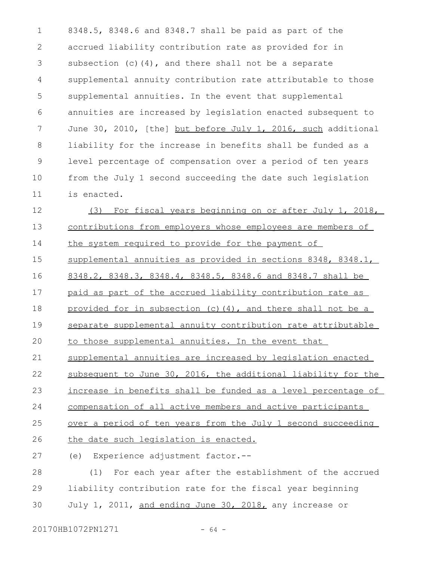8348.5, 8348.6 and 8348.7 shall be paid as part of the accrued liability contribution rate as provided for in subsection (c)(4), and there shall not be a separate supplemental annuity contribution rate attributable to those supplemental annuities. In the event that supplemental annuities are increased by legislation enacted subsequent to June 30, 2010, [the] but before July 1, 2016, such additional liability for the increase in benefits shall be funded as a level percentage of compensation over a period of ten years from the July 1 second succeeding the date such legislation is enacted. 1 2 3 4 5 6 7 8 9 10 11

(3) For fiscal years beginning on or after July 1, 2018, contributions from employers whose employees are members of the system required to provide for the payment of supplemental annuities as provided in sections 8348, 8348.1, 8348.2, 8348.3, 8348.4, 8348.5, 8348.6 and 8348.7 shall be paid as part of the accrued liability contribution rate as provided for in subsection (c)(4), and there shall not be a separate supplemental annuity contribution rate attributable to those supplemental annuities. In the event that supplemental annuities are increased by legislation enacted subsequent to June 30, 2016, the additional liability for the increase in benefits shall be funded as a level percentage of compensation of all active members and active participants over a period of ten years from the July 1 second succeeding the date such legislation is enacted. (e) Experience adjustment factor.-- (1) For each year after the establishment of the accrued 12 13 14 15 16 17 18 19  $20$ 21 22 23 24 25 26 27 28

liability contribution rate for the fiscal year beginning July 1, 2011, and ending June 30, 2018, any increase or 29 30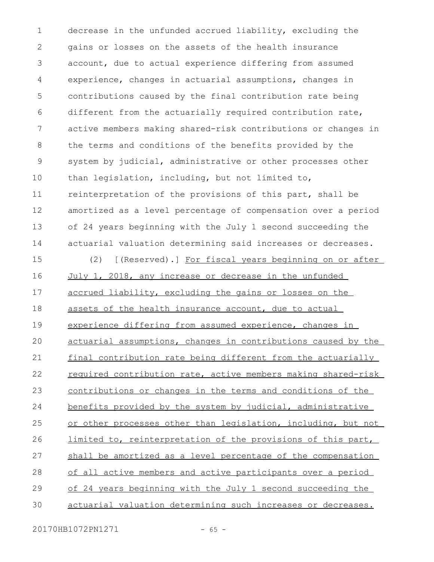decrease in the unfunded accrued liability, excluding the gains or losses on the assets of the health insurance account, due to actual experience differing from assumed experience, changes in actuarial assumptions, changes in contributions caused by the final contribution rate being different from the actuarially required contribution rate, active members making shared-risk contributions or changes in the terms and conditions of the benefits provided by the system by judicial, administrative or other processes other than legislation, including, but not limited to, reinterpretation of the provisions of this part, shall be amortized as a level percentage of compensation over a period of 24 years beginning with the July 1 second succeeding the actuarial valuation determining said increases or decreases. 1 2 3 4 5 6 7 8 9 10 11 12 13 14

(2) [(Reserved).] For fiscal years beginning on or after July 1, 2018, any increase or decrease in the unfunded accrued liability, excluding the gains or losses on the assets of the health insurance account, due to actual experience differing from assumed experience, changes in actuarial assumptions, changes in contributions caused by the final contribution rate being different from the actuarially required contribution rate, active members making shared-risk contributions or changes in the terms and conditions of the benefits provided by the system by judicial, administrative or other processes other than legislation, including, but not limited to, reinterpretation of the provisions of this part, shall be amortized as a level percentage of the compensation of all active members and active participants over a period of 24 years beginning with the July 1 second succeeding the actuarial valuation determining such increases or decreases. 15 16 17 18 19  $20$ 21 22 23 24 25 26 27 28 29 30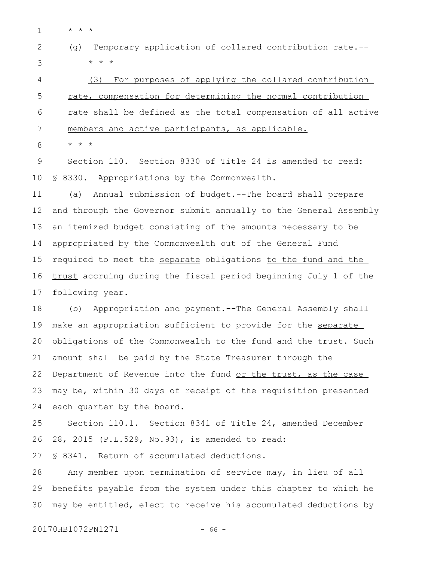- \* \* \* 1
- (g) Temporary application of collared contribution rate.-- \* \* \* 2 3

(3) For purposes of applying the collared contribution rate, compensation for determining the normal contribution rate shall be defined as the total compensation of all active members and active participants, as applicable. 4 5 6 7

\* \* \* 8

Section 110. Section 8330 of Title 24 is amended to read: § 8330. Appropriations by the Commonwealth. 9 10

(a) Annual submission of budget.--The board shall prepare and through the Governor submit annually to the General Assembly an itemized budget consisting of the amounts necessary to be appropriated by the Commonwealth out of the General Fund required to meet the separate obligations to the fund and the trust accruing during the fiscal period beginning July 1 of the following year. 11 12 13 14 15 16 17

(b) Appropriation and payment.--The General Assembly shall make an appropriation sufficient to provide for the separate obligations of the Commonwealth to the fund and the trust. Such amount shall be paid by the State Treasurer through the Department of Revenue into the fund or the trust, as the case may be, within 30 days of receipt of the requisition presented each quarter by the board. 18 19 20 21 22 23 24

Section 110.1. Section 8341 of Title 24, amended December 28, 2015 (P.L.529, No.93), is amended to read: 25 26

§ 8341. Return of accumulated deductions. 27

Any member upon termination of service may, in lieu of all benefits payable from the system under this chapter to which he may be entitled, elect to receive his accumulated deductions by 28 29 30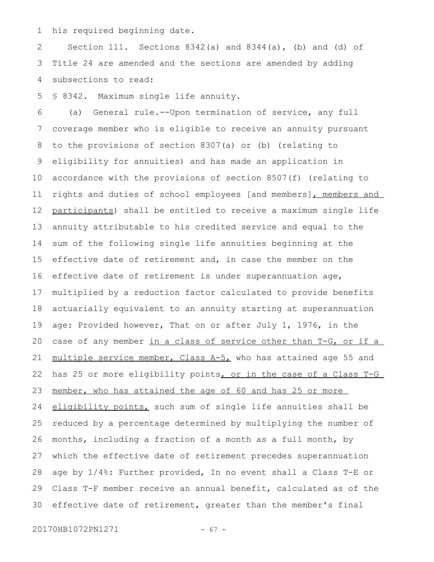his required beginning date. 1

Section 111. Sections  $8342(a)$  and  $8344(a)$ , (b) and (d) of Title 24 are amended and the sections are amended by adding subsections to read: 2 3 4

§ 8342. Maximum single life annuity. 5

(a) General rule.--Upon termination of service, any full coverage member who is eligible to receive an annuity pursuant to the provisions of section 8307(a) or (b) (relating to eligibility for annuities) and has made an application in accordance with the provisions of section 8507(f) (relating to rights and duties of school employees [and members], members and participants) shall be entitled to receive a maximum single life annuity attributable to his credited service and equal to the sum of the following single life annuities beginning at the effective date of retirement and, in case the member on the effective date of retirement is under superannuation age, multiplied by a reduction factor calculated to provide benefits actuarially equivalent to an annuity starting at superannuation age: Provided however, That on or after July 1, 1976, in the case of any member in a class of service other than T-G, or if a multiple service member, Class A-5, who has attained age 55 and has 25 or more eligibility points, or in the case of a Class T-G member, who has attained the age of 60 and has 25 or more eligibility points, such sum of single life annuities shall be reduced by a percentage determined by multiplying the number of months, including a fraction of a month as a full month, by which the effective date of retirement precedes superannuation age by 1/4%: Further provided, In no event shall a Class T-E or Class T-F member receive an annual benefit, calculated as of the effective date of retirement, greater than the member's final 6 7 8 9 10 11 12 13 14 15 16 17 18 19 20 21 22 23 24 25 26 27 28 29 30

20170HB1072PN1271 - 67 -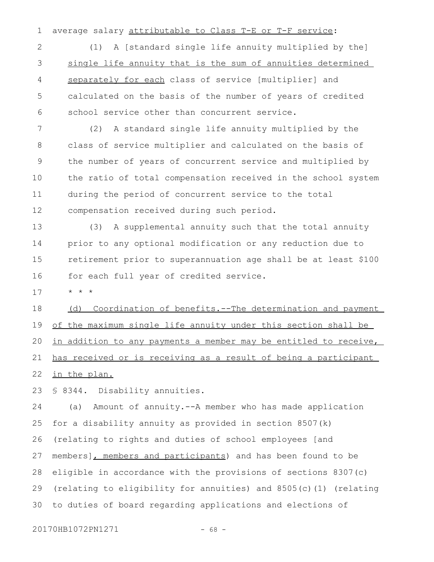average salary attributable to Class T-E or T-F service: 1

(1) A [standard single life annuity multiplied by the] single life annuity that is the sum of annuities determined separately for each class of service [multiplier] and calculated on the basis of the number of years of credited school service other than concurrent service. 2 3 4 5 6

(2) A standard single life annuity multiplied by the class of service multiplier and calculated on the basis of the number of years of concurrent service and multiplied by the ratio of total compensation received in the school system during the period of concurrent service to the total compensation received during such period. 7 8 9 10 11 12

(3) A supplemental annuity such that the total annuity prior to any optional modification or any reduction due to retirement prior to superannuation age shall be at least \$100 for each full year of credited service. 13 14 15 16

\* \* \* 17

(d) Coordination of benefits.--The determination and payment of the maximum single life annuity under this section shall be in addition to any payments a member may be entitled to receive, has received or is receiving as a result of being a participant in the plan. 18 19 20 21 22

§ 8344. Disability annuities. 23

(a) Amount of annuity.--A member who has made application for a disability annuity as provided in section 8507(k) (relating to rights and duties of school employees [and members], members and participants) and has been found to be eligible in accordance with the provisions of sections 8307(c) (relating to eligibility for annuities) and 8505(c)(1) (relating to duties of board regarding applications and elections of 24 25 26 27 28 29 30

20170HB1072PN1271 - 68 -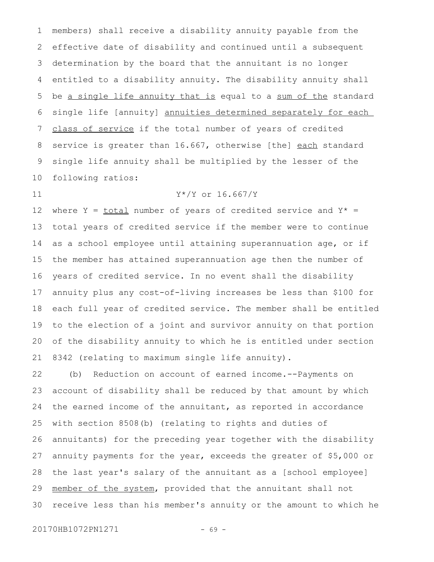members) shall receive a disability annuity payable from the effective date of disability and continued until a subsequent determination by the board that the annuitant is no longer entitled to a disability annuity. The disability annuity shall be a single life annuity that is equal to a sum of the standard single life [annuity] annuities determined separately for each class of service if the total number of years of credited service is greater than 16.667, otherwise [the] each standard single life annuity shall be multiplied by the lesser of the following ratios: 1 2 3 4 5 6 7 8 9 10

where Y =  $\text{total}$  number of years of credited service and Y\* = total years of credited service if the member were to continue as a school employee until attaining superannuation age, or if the member has attained superannuation age then the number of years of credited service. In no event shall the disability annuity plus any cost-of-living increases be less than \$100 for each full year of credited service. The member shall be entitled to the election of a joint and survivor annuity on that portion of the disability annuity to which he is entitled under section 8342 (relating to maximum single life annuity). 12 13 14 15 16 17 18 19 20 21

Y\*/Y or 16.667/Y

(b) Reduction on account of earned income.--Payments on account of disability shall be reduced by that amount by which the earned income of the annuitant, as reported in accordance with section 8508(b) (relating to rights and duties of annuitants) for the preceding year together with the disability annuity payments for the year, exceeds the greater of \$5,000 or the last year's salary of the annuitant as a [school employee] member of the system, provided that the annuitant shall not receive less than his member's annuity or the amount to which he 22 23 24 25 26 27 28 29 30

20170HB1072PN1271 - 69 -

11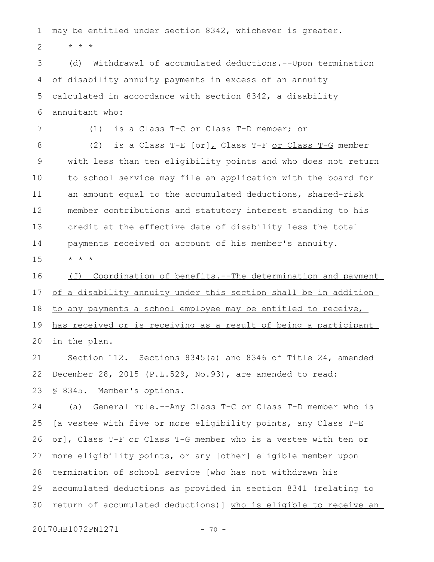may be entitled under section 8342, whichever is greater. 1

\* \* \* 2

7

(d) Withdrawal of accumulated deductions.--Upon termination of disability annuity payments in excess of an annuity calculated in accordance with section 8342, a disability annuitant who: 3 4 5 6

(1) is a Class T-C or Class T-D member; or

(2) is a Class  $T-E$   $[or]$ , Class  $T-F$  or Class  $T-G$  member with less than ten eligibility points and who does not return to school service may file an application with the board for an amount equal to the accumulated deductions, shared-risk member contributions and statutory interest standing to his credit at the effective date of disability less the total payments received on account of his member's annuity. 8 9 10 11 12 13 14

\* \* \* 15

(f) Coordination of benefits.--The determination and payment of a disability annuity under this section shall be in addition to any payments a school employee may be entitled to receive, has received or is receiving as a result of being a participant in the plan. 16 17 18 19 20

Section 112. Sections 8345(a) and 8346 of Title 24, amended December 28, 2015 (P.L.529, No.93), are amended to read: § 8345. Member's options. 21 22 23

(a) General rule.--Any Class T-C or Class T-D member who is [a vestee with five or more eligibility points, any Class T-E or], Class T-F or Class T-G member who is a vestee with ten or more eligibility points, or any [other] eligible member upon termination of school service [who has not withdrawn his accumulated deductions as provided in section 8341 (relating to return of accumulated deductions)] who is eligible to receive an 24 25 26 27 28 29 30

20170HB1072PN1271 - 70 -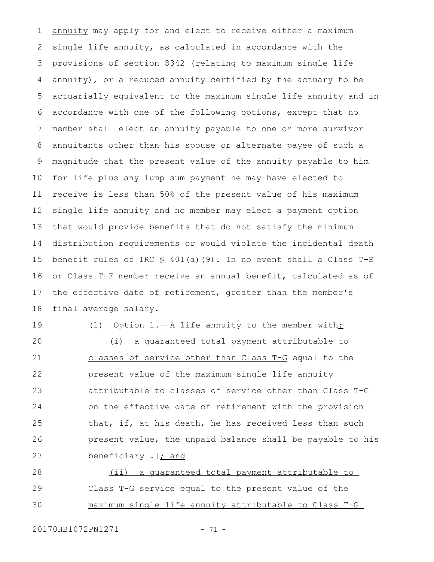annuity may apply for and elect to receive either a maximum single life annuity, as calculated in accordance with the provisions of section 8342 (relating to maximum single life annuity), or a reduced annuity certified by the actuary to be actuarially equivalent to the maximum single life annuity and in accordance with one of the following options, except that no member shall elect an annuity payable to one or more survivor annuitants other than his spouse or alternate payee of such a magnitude that the present value of the annuity payable to him for life plus any lump sum payment he may have elected to receive is less than 50% of the present value of his maximum single life annuity and no member may elect a payment option that would provide benefits that do not satisfy the minimum distribution requirements or would violate the incidental death benefit rules of IRC  $\frac{1}{5}$  401(a)(9). In no event shall a Class T-E or Class T-F member receive an annual benefit, calculated as of the effective date of retirement, greater than the member's final average salary. 1 2 3 4 5 6 7 8 9 10 11 12 13 14 15 16 17 18

19

(1) Option 1.--A life annuity to the member with:

(i) a guaranteed total payment attributable to classes of service other than Class T-G equal to the present value of the maximum single life annuity attributable to classes of service other than Class T-G on the effective date of retirement with the provision that, if, at his death, he has received less than such present value, the unpaid balance shall be payable to his beneficiary[.]; and 20 21 22 23 24 25 26 27

(ii) a guaranteed total payment attributable to Class T-G service equal to the present value of the maximum single life annuity attributable to Class T-G 28 29 30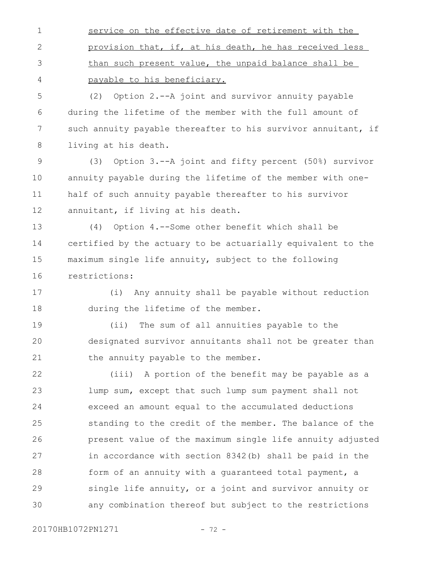service on the effective date of retirement with the provision that, if, at his death, he has received less than such present value, the unpaid balance shall be payable to his beneficiary. 1 2 3 4

(2) Option 2.--A joint and survivor annuity payable during the lifetime of the member with the full amount of such annuity payable thereafter to his survivor annuitant, if living at his death. 5 6 7 8

(3) Option 3.--A joint and fifty percent (50%) survivor annuity payable during the lifetime of the member with onehalf of such annuity payable thereafter to his survivor annuitant, if living at his death. 9 10 11 12

(4) Option 4.--Some other benefit which shall be certified by the actuary to be actuarially equivalent to the maximum single life annuity, subject to the following restrictions: 13 14 15 16

(i) Any annuity shall be payable without reduction during the lifetime of the member. 17 18

(ii) The sum of all annuities payable to the designated survivor annuitants shall not be greater than the annuity payable to the member. 19 20 21

(iii) A portion of the benefit may be payable as a lump sum, except that such lump sum payment shall not exceed an amount equal to the accumulated deductions standing to the credit of the member. The balance of the present value of the maximum single life annuity adjusted in accordance with section 8342(b) shall be paid in the form of an annuity with a guaranteed total payment, a single life annuity, or a joint and survivor annuity or any combination thereof but subject to the restrictions 22 23 24 25 26 27 28 29 30

20170HB1072PN1271 - 72 -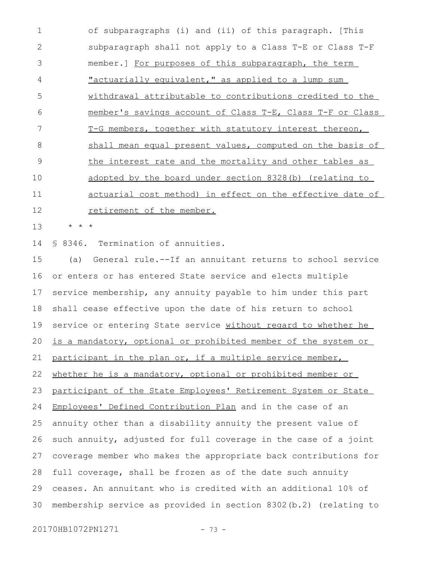of subparagraphs (i) and (ii) of this paragraph. [This subparagraph shall not apply to a Class T-E or Class T-F member.] For purposes of this subparagraph, the term "actuarially equivalent," as applied to a lump sum withdrawal attributable to contributions credited to the member's savings account of Class T-E, Class T-F or Class T-G members, together with statutory interest thereon, shall mean equal present values, computed on the basis of the interest rate and the mortality and other tables as adopted by the board under section 8328(b) (relating to actuarial cost method) in effect on the effective date of retirement of the member. 1 2 3 4 5 6 7 8 9 10 11 12

\* \* \* 13

§ 8346. Termination of annuities. 14

(a) General rule.--If an annuitant returns to school service or enters or has entered State service and elects multiple service membership, any annuity payable to him under this part shall cease effective upon the date of his return to school service or entering State service without regard to whether he is a mandatory, optional or prohibited member of the system or participant in the plan or, if a multiple service member, whether he is a mandatory, optional or prohibited member or participant of the State Employees' Retirement System or State Employees' Defined Contribution Plan and in the case of an annuity other than a disability annuity the present value of such annuity, adjusted for full coverage in the case of a joint coverage member who makes the appropriate back contributions for full coverage, shall be frozen as of the date such annuity ceases. An annuitant who is credited with an additional 10% of membership service as provided in section 8302(b.2) (relating to 15 16 17 18 19 20 21 22 23 24 25 26 27 28 29 30

20170HB1072PN1271 - 73 -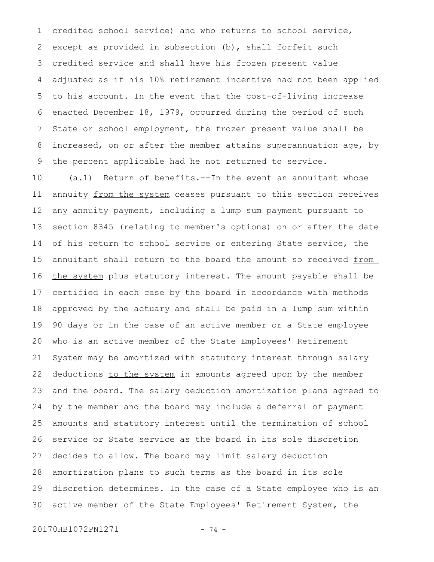credited school service) and who returns to school service, except as provided in subsection (b), shall forfeit such credited service and shall have his frozen present value adjusted as if his 10% retirement incentive had not been applied to his account. In the event that the cost-of-living increase enacted December 18, 1979, occurred during the period of such State or school employment, the frozen present value shall be increased, on or after the member attains superannuation age, by the percent applicable had he not returned to service. 1 2 3 4 5 6 7 8 9

(a.1) Return of benefits.--In the event an annuitant whose annuity from the system ceases pursuant to this section receives any annuity payment, including a lump sum payment pursuant to section 8345 (relating to member's options) on or after the date of his return to school service or entering State service, the annuitant shall return to the board the amount so received from the system plus statutory interest. The amount payable shall be certified in each case by the board in accordance with methods approved by the actuary and shall be paid in a lump sum within 90 days or in the case of an active member or a State employee who is an active member of the State Employees' Retirement System may be amortized with statutory interest through salary deductions to the system in amounts agreed upon by the member and the board. The salary deduction amortization plans agreed to by the member and the board may include a deferral of payment amounts and statutory interest until the termination of school service or State service as the board in its sole discretion decides to allow. The board may limit salary deduction amortization plans to such terms as the board in its sole discretion determines. In the case of a State employee who is an active member of the State Employees' Retirement System, the 10 11 12 13 14 15 16 17 18 19 20 21 22 23 24 25 26 27 28 29 30

20170HB1072PN1271 - 74 -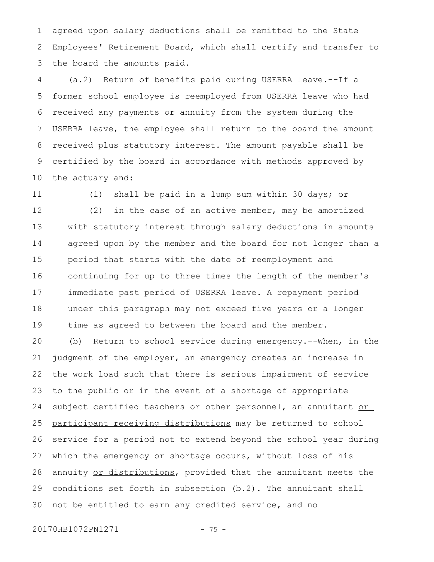agreed upon salary deductions shall be remitted to the State Employees' Retirement Board, which shall certify and transfer to the board the amounts paid. 1 2 3

(a.2) Return of benefits paid during USERRA leave.--If a former school employee is reemployed from USERRA leave who had received any payments or annuity from the system during the USERRA leave, the employee shall return to the board the amount received plus statutory interest. The amount payable shall be certified by the board in accordance with methods approved by the actuary and: 4 5 6 7 8 9 10

11

(1) shall be paid in a lump sum within 30 days; or

(2) in the case of an active member, may be amortized with statutory interest through salary deductions in amounts agreed upon by the member and the board for not longer than a period that starts with the date of reemployment and continuing for up to three times the length of the member's immediate past period of USERRA leave. A repayment period under this paragraph may not exceed five years or a longer time as agreed to between the board and the member. 12 13 14 15 16 17 18 19

(b) Return to school service during emergency.--When, in the judgment of the employer, an emergency creates an increase in the work load such that there is serious impairment of service to the public or in the event of a shortage of appropriate subject certified teachers or other personnel, an annuitant or participant receiving distributions may be returned to school service for a period not to extend beyond the school year during which the emergency or shortage occurs, without loss of his annuity or distributions, provided that the annuitant meets the conditions set forth in subsection (b.2). The annuitant shall not be entitled to earn any credited service, and no 20 21 22 23 24 25 26 27 28 29 30

20170HB1072PN1271 - 75 -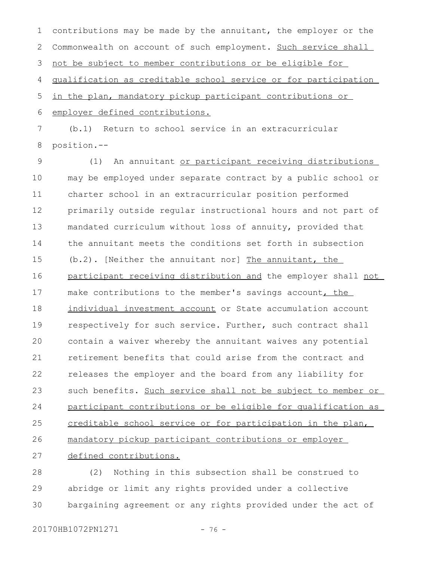contributions may be made by the annuitant, the employer or the Commonwealth on account of such employment. Such service shall not be subject to member contributions or be eligible for qualification as creditable school service or for participation 1 2 3 4

in the plan, mandatory pickup participant contributions or employer defined contributions. 5 6

(b.1) Return to school service in an extracurricular position.-- 7 8

(1) An annuitant or participant receiving distributions may be employed under separate contract by a public school or charter school in an extracurricular position performed primarily outside regular instructional hours and not part of mandated curriculum without loss of annuity, provided that the annuitant meets the conditions set forth in subsection (b.2). [Neither the annuitant nor] The annuitant, the participant receiving distribution and the employer shall not make contributions to the member's savings account, the individual investment account or State accumulation account respectively for such service. Further, such contract shall contain a waiver whereby the annuitant waives any potential retirement benefits that could arise from the contract and releases the employer and the board from any liability for such benefits. Such service shall not be subject to member or participant contributions or be eligible for qualification as creditable school service or for participation in the plan, mandatory pickup participant contributions or employer defined contributions. 9 10 11 12 13 14 15 16 17 18 19  $20$ 21 22 23 24 25 26 27

(2) Nothing in this subsection shall be construed to abridge or limit any rights provided under a collective bargaining agreement or any rights provided under the act of 28 29 30

20170HB1072PN1271 - 76 -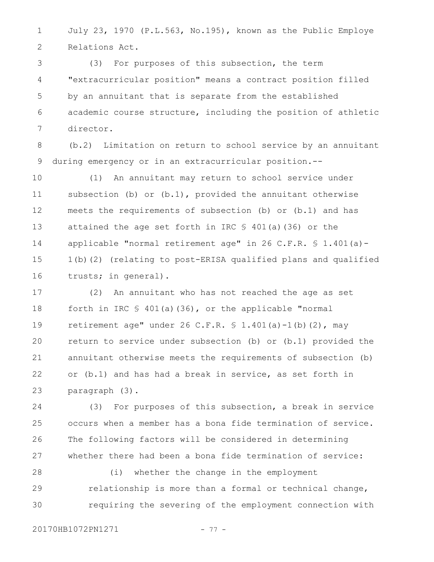July 23, 1970 (P.L.563, No.195), known as the Public Employe Relations Act. 1 2

(3) For purposes of this subsection, the term "extracurricular position" means a contract position filled by an annuitant that is separate from the established academic course structure, including the position of athletic director. 3 4 5 6 7

(b.2) Limitation on return to school service by an annuitant during emergency or in an extracurricular position.-- 8 9

(1) An annuitant may return to school service under subsection (b) or (b.1), provided the annuitant otherwise meets the requirements of subsection (b) or (b.1) and has attained the age set forth in IRC  $$ 401(a)$  (36) or the applicable "normal retirement age" in 26 C.F.R.  $\text{\$}$  1.401(a) -1(b)(2) (relating to post-ERISA qualified plans and qualified trusts; in general). 10 11 12 13 14 15 16

(2) An annuitant who has not reached the age as set forth in IRC  $$ 401(a)(36)$ , or the applicable "normal retirement age" under 26 C.F.R.  $$ 1.401(a) -1(b) (2)$ , may return to service under subsection (b) or (b.1) provided the annuitant otherwise meets the requirements of subsection (b) or (b.1) and has had a break in service, as set forth in paragraph (3). 17 18 19  $20$ 21 22 23

(3) For purposes of this subsection, a break in service occurs when a member has a bona fide termination of service. The following factors will be considered in determining whether there had been a bona fide termination of service: 24 25 26 27

(i) whether the change in the employment relationship is more than a formal or technical change, requiring the severing of the employment connection with 28 29 30

20170HB1072PN1271 - 77 -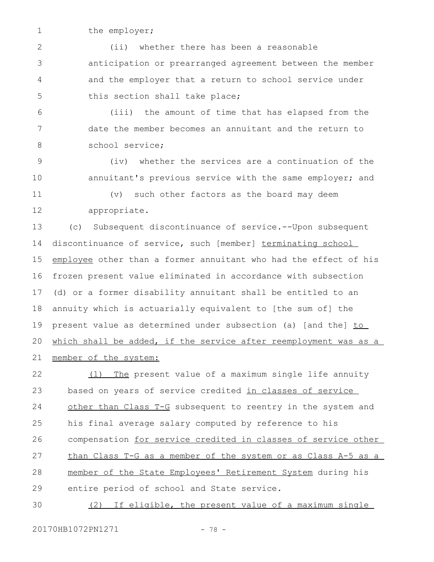1

the employer;

(ii) whether there has been a reasonable anticipation or prearranged agreement between the member and the employer that a return to school service under this section shall take place; 2 3 4 5

(iii) the amount of time that has elapsed from the date the member becomes an annuitant and the return to school service; 6 7 8

(iv) whether the services are a continuation of the annuitant's previous service with the same employer; and 9 10

11

12

(v) such other factors as the board may deem appropriate.

(c) Subsequent discontinuance of service.--Upon subsequent discontinuance of service, such [member] terminating school employee other than a former annuitant who had the effect of his frozen present value eliminated in accordance with subsection (d) or a former disability annuitant shall be entitled to an annuity which is actuarially equivalent to [the sum of] the present value as determined under subsection (a) [and the] to which shall be added, if the service after reemployment was as a member of the system: 13 14 15 16 17 18 19 20 21

(1) The present value of a maximum single life annuity based on years of service credited in classes of service other than Class T-G subsequent to reentry in the system and his final average salary computed by reference to his compensation for service credited in classes of service other than Class T-G as a member of the system or as Class A-5 as a member of the State Employees' Retirement System during his entire period of school and State service. 22 23 24 25 26 27 28 29

(2) If eligible, the present value of a maximum single 30

20170HB1072PN1271 - 78 -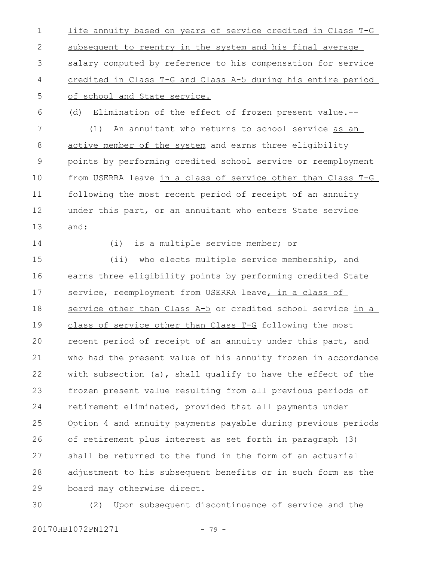life annuity based on years of service credited in Class T-G subsequent to reentry in the system and his final average salary computed by reference to his compensation for service credited in Class T-G and Class A-5 during his entire period of school and State service. 1 2 3 4 5

(d) Elimination of the effect of frozen present value.-- (1) An annuitant who returns to school service as an active member of the system and earns three eligibility points by performing credited school service or reemployment from USERRA leave in a class of service other than Class T-G following the most recent period of receipt of an annuity under this part, or an annuitant who enters State service 6 7 8 9 10 11 12

and: 13

14

(i) is a multiple service member; or

(ii) who elects multiple service membership, and earns three eligibility points by performing credited State service, reemployment from USERRA leave, in a class of service other than Class A-5 or credited school service in a class of service other than Class T-G following the most recent period of receipt of an annuity under this part, and who had the present value of his annuity frozen in accordance with subsection (a), shall qualify to have the effect of the frozen present value resulting from all previous periods of retirement eliminated, provided that all payments under Option 4 and annuity payments payable during previous periods of retirement plus interest as set forth in paragraph (3) shall be returned to the fund in the form of an actuarial adjustment to his subsequent benefits or in such form as the board may otherwise direct. 15 16 17 18 19  $20$ 21 22 23 24 25 26 27 28 29

(2) Upon subsequent discontinuance of service and the 30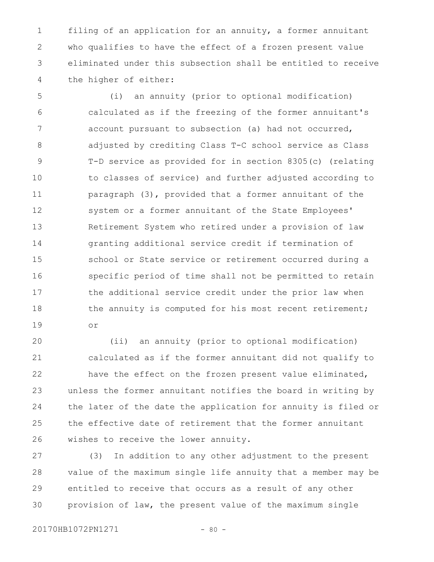filing of an application for an annuity, a former annuitant who qualifies to have the effect of a frozen present value eliminated under this subsection shall be entitled to receive the higher of either: 1 2 3 4

(i) an annuity (prior to optional modification) calculated as if the freezing of the former annuitant's account pursuant to subsection (a) had not occurred, adjusted by crediting Class T-C school service as Class T-D service as provided for in section 8305(c) (relating to classes of service) and further adjusted according to paragraph (3), provided that a former annuitant of the system or a former annuitant of the State Employees' Retirement System who retired under a provision of law granting additional service credit if termination of school or State service or retirement occurred during a specific period of time shall not be permitted to retain the additional service credit under the prior law when the annuity is computed for his most recent retirement; or 5 6 7 8 9 10 11 12 13 14 15 16 17 18 19

(ii) an annuity (prior to optional modification) calculated as if the former annuitant did not qualify to have the effect on the frozen present value eliminated, unless the former annuitant notifies the board in writing by the later of the date the application for annuity is filed or the effective date of retirement that the former annuitant wishes to receive the lower annuity. 20 21 22 23 24 25 26

(3) In addition to any other adjustment to the present value of the maximum single life annuity that a member may be entitled to receive that occurs as a result of any other provision of law, the present value of the maximum single 27 28 29 30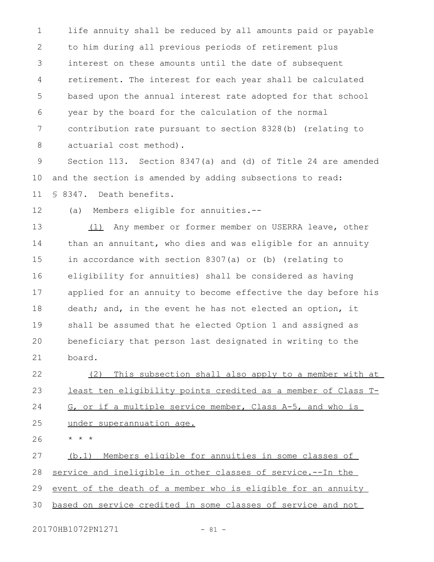life annuity shall be reduced by all amounts paid or payable to him during all previous periods of retirement plus interest on these amounts until the date of subsequent retirement. The interest for each year shall be calculated based upon the annual interest rate adopted for that school year by the board for the calculation of the normal contribution rate pursuant to section 8328(b) (relating to actuarial cost method). 1 2 3 4 5 6 7 8

Section 113. Section 8347(a) and (d) of Title 24 are amended and the section is amended by adding subsections to read: § 8347. Death benefits. 9 10 11

(a) Members eligible for annuities.-- 12

(1) Any member or former member on USERRA leave, other than an annuitant, who dies and was eligible for an annuity in accordance with section 8307(a) or (b) (relating to eligibility for annuities) shall be considered as having applied for an annuity to become effective the day before his death; and, in the event he has not elected an option, it shall be assumed that he elected Option 1 and assigned as beneficiary that person last designated in writing to the board. 13 14 15 16 17 18 19 20 21

(2) This subsection shall also apply to a member with at least ten eligibility points credited as a member of Class T-G, or if a multiple service member, Class A-5, and who is 22 23 24

under superannuation age. 25

\* \* \* 26

(b.1) Members eligible for annuities in some classes of 27

service and ineligible in other classes of service.--In the 28

event of the death of a member who is eligible for an annuity 29

based on service credited in some classes of service and not 30

20170HB1072PN1271 - 81 -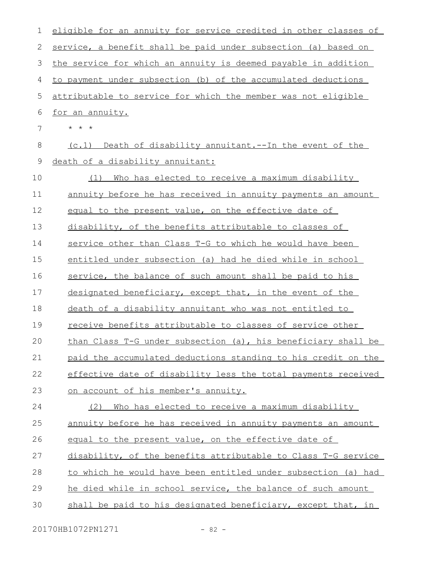| 1           | eligible for an annuity for service credited in other classes of |
|-------------|------------------------------------------------------------------|
| 2           | service, a benefit shall be paid under subsection (a) based on   |
| 3           | the service for which an annuity is deemed payable in addition   |
| 4           | to payment under subsection (b) of the accumulated deductions    |
| 5           | attributable to service for which the member was not eligible    |
| 6           | for an annuity.                                                  |
| 7           | $\star$ $\star$ $\star$                                          |
| 8           | (c.1) Death of disability annuitant.--In the event of the        |
| $\mathsf 9$ | death of a disability annuitant:                                 |
| 10          | Who has elected to receive a maximum disability<br>(1)           |
| 11          | annuity before he has received in annuity payments an amount     |
| 12          | equal to the present value, on the effective date of             |
| 13          | disability, of the benefits attributable to classes of           |
| 14          | service other than Class T-G to which he would have been         |
| 15          | entitled under subsection (a) had he died while in school        |
| 16          | service, the balance of such amount shall be paid to his         |
| 17          | designated beneficiary, except that, in the event of the         |
| 18          | death of a disability annuitant who was not entitled to          |
| 19          | <u>receive benefits attributable to classes of service other</u> |
| 20          | than Class T-G under subsection (a), his beneficiary shall be    |
| 21          | paid the accumulated deductions standing to his credit on the    |
| 22          | effective date of disability less the total payments received    |
| 23          | on account of his member's annuity.                              |
| 24          | Who has elected to receive a maximum disability<br>(2)           |
| 25          | annuity before he has received in annuity payments an amount     |
| 26          | equal to the present value, on the effective date of             |
| 27          | disability, of the benefits attributable to Class T-G service    |
| 28          | to which he would have been entitled under subsection (a) had    |
| 29          | he died while in school service, the balance of such amount      |
| 30          | shall be paid to his designated beneficiary, except that, in     |
|             |                                                                  |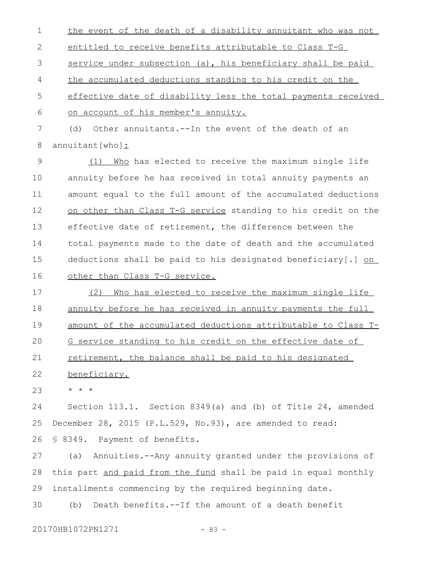the event of the death of a disability annuitant who was not entitled to receive benefits attributable to Class T-G service under subsection (a), his beneficiary shall be paid the accumulated deductions standing to his credit on the effective date of disability less the total payments received on account of his member's annuity. (d) Other annuitants.--In the event of the death of an 1 2 3 4 5 6 7

annuitant[who]: 8

(1) Who has elected to receive the maximum single life annuity before he has received in total annuity payments an amount equal to the full amount of the accumulated deductions on other than Class T-G service standing to his credit on the effective date of retirement, the difference between the total payments made to the date of death and the accumulated deductions shall be paid to his designated beneficiary[.] on other than Class T-G service. 9 10 11 12 13 14 15 16

(2) Who has elected to receive the maximum single life annuity before he has received in annuity payments the full amount of the accumulated deductions attributable to Class T-G service standing to his credit on the effective date of retirement, the balance shall be paid to his designated 17 18 19  $20$ 21

beneficiary. 22

\* \* \* 23

Section 113.1. Section 8349(a) and (b) of Title 24, amended December 28, 2015 (P.L.529, No.93), are amended to read: § 8349. Payment of benefits. 24 25 26

(a) Annuities.--Any annuity granted under the provisions of this part and paid from the fund shall be paid in equal monthly installments commencing by the required beginning date. 27 28 29

(b) Death benefits.--If the amount of a death benefit 30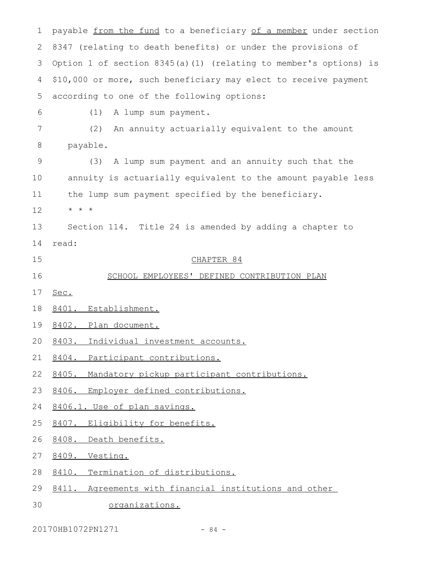payable from the fund to a beneficiary of a member under section 8347 (relating to death benefits) or under the provisions of Option 1 of section 8345(a)(1) (relating to member's options) is \$10,000 or more, such beneficiary may elect to receive payment according to one of the following options: (1) A lump sum payment. (2) An annuity actuarially equivalent to the amount payable. (3) A lump sum payment and an annuity such that the annuity is actuarially equivalent to the amount payable less the lump sum payment specified by the beneficiary. \* \* \* Section 114. Title 24 is amended by adding a chapter to read: CHAPTER 84 SCHOOL EMPLOYEES' DEFINED CONTRIBUTION PLAN Sec. 8401. Establishment. 8402. Plan document. 8403. Individual investment accounts. 8404. Participant contributions. 8405. Mandatory pickup participant contributions. 8406. Employer defined contributions. 8406.1. Use of plan savings. 8407. Eligibility for benefits. 8408. Death benefits. 8409. Vesting. 8410. Termination of distributions. 8411. Agreements with financial institutions and other organizations. 1 2 3 4 5 6 7 8 9 10 11 12 13 14 15 16 17 18 19 20 21 22 23 24 25 26 27 28 29 30

20170HB1072PN1271 - 84 -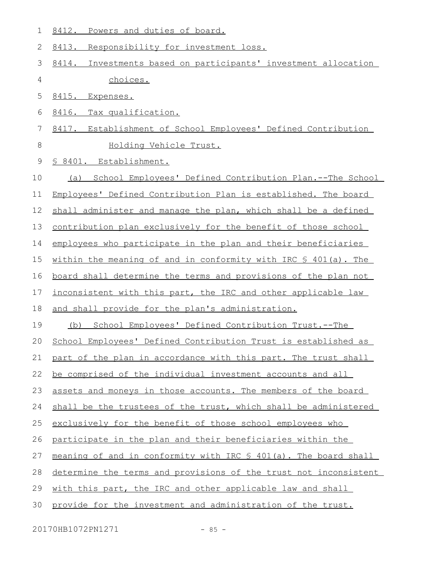8412. Powers and duties of board. 1

8413. Responsibility for investment loss. 2

- 8414. Investments based on participants' investment allocation choices. 3 4
- 8415. Expenses. 5
- 8416. Tax qualification. 6
- 8417. Establishment of School Employees' Defined Contribution Holding Vehicle Trust. 7 8

§ 8401. Establishment. 9

- (a) School Employees' Defined Contribution Plan.--The School 10
- Employees' Defined Contribution Plan is established. The board 11
- shall administer and manage the plan, which shall be a defined 12

contribution plan exclusively for the benefit of those school 13

employees who participate in the plan and their beneficiaries 14

within the meaning of and in conformity with IRC  $$ 401(a)$ . The 15

board shall determine the terms and provisions of the plan not 16

inconsistent with this part, the IRC and other applicable law 17

- and shall provide for the plan's administration. 18
- (b) School Employees' Defined Contribution Trust.--The 19

School Employees' Defined Contribution Trust is established as  $20$ 

part of the plan in accordance with this part. The trust shall 21

be comprised of the individual investment accounts and all 22

assets and moneys in those accounts. The members of the board 23

shall be the trustees of the trust, which shall be administered 24

exclusively for the benefit of those school employees who 25

participate in the plan and their beneficiaries within the 26

meaning of and in conformity with IRC § 401(a). The board shall 27

determine the terms and provisions of the trust not inconsistent 28

with this part, the IRC and other applicable law and shall 29

provide for the investment and administration of the trust. 30

20170HB1072PN1271 - 85 -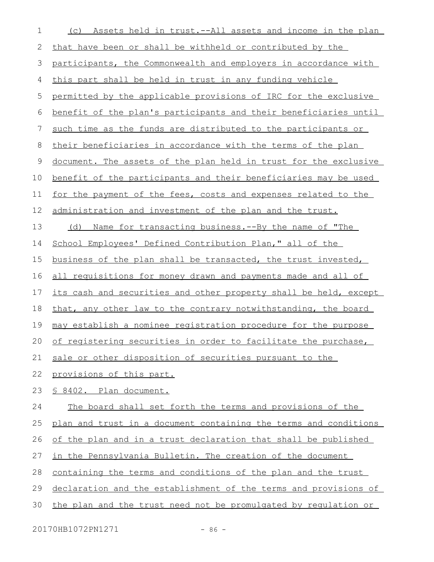| $\mathbf 1$ | (c) Assets held in trust.--All assets and income in the plan     |
|-------------|------------------------------------------------------------------|
| 2           | that have been or shall be withheld or contributed by the        |
| 3           | participants, the Commonwealth and employers in accordance with  |
| 4           | this part shall be held in trust in any funding vehicle          |
| 5           | permitted by the applicable provisions of IRC for the exclusive  |
| 6           | benefit of the plan's participants and their beneficiaries until |
| 7           | such time as the funds are distributed to the participants or    |
| 8           | their beneficiaries in accordance with the terms of the plan     |
| 9           | document. The assets of the plan held in trust for the exclusive |
| 10          | benefit of the participants and their beneficiaries may be used  |
| 11          | for the payment of the fees, costs and expenses related to the   |
| 12          | administration and investment of the plan and the trust.         |
| 13          | (d) Name for transacting business.--By the name of "The          |
| 14          | School Employees' Defined Contribution Plan," all of the         |
| 15          | business of the plan shall be transacted, the trust invested,    |
| 16          | all requisitions for money drawn and payments made and all of    |
| 17          | its cash and securities and other property shall be held, except |
| 18          | that, any other law to the contrary notwithstanding, the board   |
| 19          | may establish a nominee registration procedure for the purpose   |
| 20          | of registering securities in order to facilitate the purchase,   |
| 21          | sale or other disposition of securities pursuant to the          |
| 22          | provisions of this part.                                         |
| 23          | § 8402. Plan document.                                           |
| 24          | The board shall set forth the terms and provisions of the        |
| 25          | plan and trust in a document containing the terms and conditions |
| 26          | of the plan and in a trust declaration that shall be published   |
| 27          | in the Pennsylvania Bulletin. The creation of the document       |
| 28          | containing the terms and conditions of the plan and the trust    |
| 29          | declaration and the establishment of the terms and provisions of |
| 30          | the plan and the trust need not be promulgated by regulation or  |

20170HB1072PN1271 - 86 -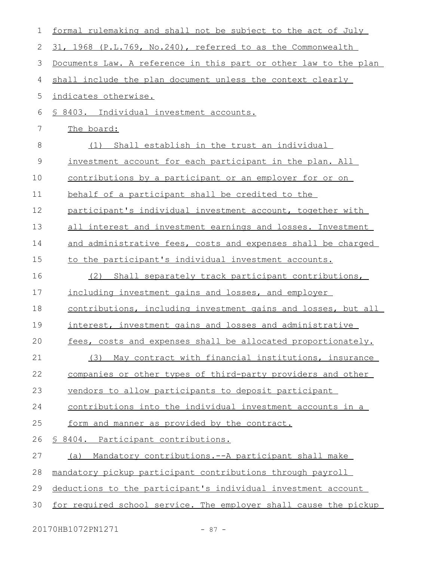| $\mathbf 1$ | formal rulemaking and shall not be subject to the act of July    |
|-------------|------------------------------------------------------------------|
| 2           | 31, 1968 (P.L.769, No.240), referred to as the Commonwealth      |
| 3           | Documents Law. A reference in this part or other law to the plan |
| 4           | shall include the plan document unless the context clearly       |
| 5           | indicates otherwise.                                             |
| 6           | § 8403. Individual investment accounts.                          |
| 7           | The board:                                                       |
| 8           | Shall establish in the trust an individual<br>(1)                |
| $\mathsf 9$ | investment account for each participant in the plan. All         |
| 10          | <u>contributions by a participant or an employer for or on</u>   |
| 11          | behalf of a participant shall be credited to the                 |
| 12          | participant's individual investment account, together with       |
| 13          | all interest and investment earnings and losses. Investment      |
| 14          | and administrative fees, costs and expenses shall be charged     |
| 15          | to the participant's individual investment accounts.             |
| 16          | (2) Shall separately track participant contributions,            |
| 17          | including investment gains and losses, and employer              |
| 18          | contributions, including investment gains and losses, but all    |
| 19          | interest, investment gains and losses and administrative         |
| 20          | fees, costs and expenses shall be allocated proportionately.     |
| 21          | May contract with financial institutions, insurance<br>(3)       |
| 22          | companies or other types of third-party providers and other      |
| 23          | vendors to allow participants to deposit participant             |
| 24          | contributions into the individual investment accounts in a       |
| 25          | form and manner as provided by the contract.                     |
| 26          | § 8404. Participant contributions.                               |
| 27          | Mandatory contributions.--A participant shall make<br><u>(a)</u> |
| 28          | mandatory pickup participant contributions through payroll       |
| 29          | deductions to the participant's individual investment account    |
| 30          | for required school service. The employer shall cause the pickup |
|             |                                                                  |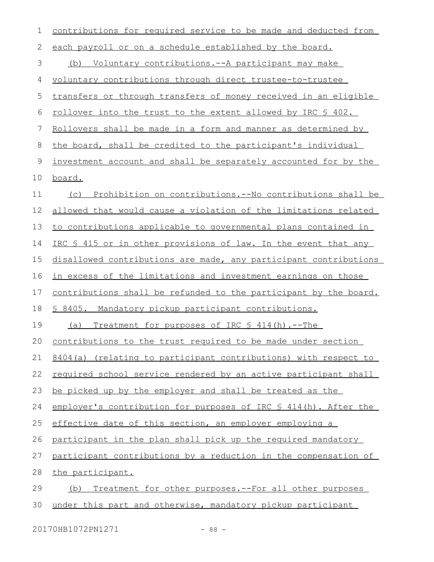| 1  | contributions for required service to be made and deducted from     |
|----|---------------------------------------------------------------------|
| 2  | each payroll or on a schedule established by the board.             |
| 3  | (b) Voluntary contributions.--A participant may make                |
| 4  | voluntary contributions through direct trustee-to-trustee           |
| 5  | transfers or through transfers of money received in an eligible     |
| 6  | <u>rollover into the trust to the extent allowed by IRC \$ 402.</u> |
| 7  | Rollovers shall be made in a form and manner as determined by       |
| 8  | the board, shall be credited to the participant's individual        |
| 9  | investment account and shall be separately accounted for by the     |
| 10 | board.                                                              |
| 11 | Prohibition on contributions.--No contributions shall be<br>(C)     |
| 12 | allowed that would cause a violation of the limitations related     |
| 13 | to contributions applicable to governmental plans contained in      |
| 14 | IRC \$ 415 or in other provisions of law. In the event that any     |
| 15 | disallowed contributions are made, any participant contributions    |
| 16 | in excess of the limitations and investment earnings on those       |
| 17 | contributions shall be refunded to the participant by the board.    |
| 18 | <u>§ 8405. Mandatory pickup participant contributions.</u>          |
| 19 | (a)<br><u>Treatment for purposes of IRC § 414(h).--The</u>          |
| 20 | contributions to the trust required to be made under section        |
| 21 | 8404(a) (relating to participant contributions) with respect to     |
| 22 | required school service rendered by an active participant shall     |
| 23 | be picked up by the employer and shall be treated as the            |
| 24 | employer's contribution for purposes of IRC § 414(h). After the     |
| 25 | effective date of this section, an employer employing a             |
| 26 | participant in the plan shall pick up the required mandatory        |
| 27 | participant contributions by a reduction in the compensation of     |
| 28 | the participant.                                                    |
| 29 | Treatment for other purposes.--For all other purposes<br>(b)        |
| 30 | under this part and otherwise, mandatory pickup participant         |
|    |                                                                     |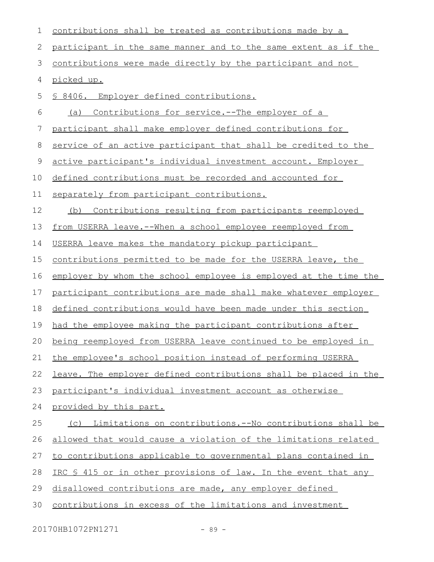| 1  | contributions shall be treated as contributions made by a        |
|----|------------------------------------------------------------------|
| 2  | participant in the same manner and to the same extent as if the  |
| 3  | contributions were made directly by the participant and not      |
| 4  | picked up.                                                       |
| 5  | § 8406. Employer defined contributions.                          |
| 6  | Contributions for service.--The employer of a<br>(a)             |
| 7  | participant shall make employer defined contributions for        |
| 8  | service of an active participant that shall be credited to the   |
| 9  | active participant's individual investment account. Employer     |
| 10 | defined contributions must be recorded and accounted for         |
| 11 | separately from participant contributions.                       |
| 12 | Contributions resulting from participants reemployed<br>(b)      |
| 13 | from USERRA leave.--When a school employee reemployed from       |
| 14 | USERRA leave makes the mandatory pickup participant              |
| 15 | contributions permitted to be made for the USERRA leave, the     |
| 16 | employer by whom the school employee is employed at the time the |
| 17 | participant contributions are made shall make whatever employer  |
| 18 | defined contributions would have been made under this section    |
| 19 | had the employee making the participant contributions after      |
| 20 | being reemployed from USERRA leave continued to be employed in   |
| 21 | the employee's school position instead of performing USERRA      |
| 22 | leave. The employer defined contributions shall be placed in the |
| 23 | participant's individual investment account as otherwise         |
| 24 | provided by this part.                                           |
| 25 | Limitations on contributions.--No contributions shall be<br>(C)  |
| 26 | allowed that would cause a violation of the limitations related  |
| 27 | to contributions applicable to governmental plans contained in   |
| 28 | IRC \$ 415 or in other provisions of law. In the event that any  |
| 29 | disallowed contributions are made, any employer defined          |
| 30 | contributions in excess of the limitations and investment        |

20170HB1072PN1271 - 89 -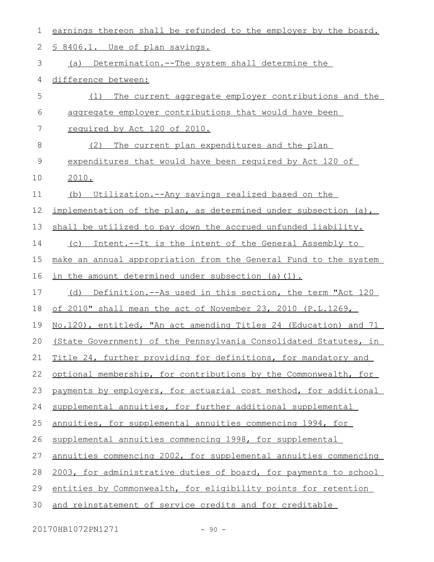| 1           | earnings thereon shall be refunded to the employer by the board. |
|-------------|------------------------------------------------------------------|
| 2           | § 8406.1. Use of plan savings.                                   |
| 3           | (a) Determination.--The system shall determine the               |
| 4           | difference between:                                              |
| 5           | The current aggregate employer contributions and the<br>(1)      |
| 6           | aggregate employer contributions that would have been            |
| 7           | required by Act 120 of 2010.                                     |
| 8           | The current plan expenditures and the plan<br>(2)                |
| $\mathsf 9$ | expenditures that would have been required by Act 120 of         |
| 10          | 2010.                                                            |
| 11          | (b) Utilization.--Any savings realized based on the              |
| 12          | implementation of the plan, as determined under subsection (a),  |
| 13          | shall be utilized to pay down the accrued unfunded liability.    |
| 14          | (c) Intent.--It is the intent of the General Assembly to         |
| 15          | make an annual appropriation from the General Fund to the system |
| 16          | in the amount determined under subsection (a)(1).                |
| 17          | Definition.--As used in this section, the term "Act 120<br>(d)   |
| 18          | of 2010" shall mean the act of November 23, 2010 (P.L.1269,      |
| 19          | No.120), entitled, "An act amending Titles 24 (Education) and 71 |
| 20          | (State Government) of the Pennsylvania Consolidated Statutes, in |
| 21          | Title 24, further providing for definitions, for mandatory and   |
| 22          | optional membership, for contributions by the Commonwealth, for  |
| 23          | payments by employers, for actuarial cost method, for additional |
| 24          | supplemental annuities, for further additional supplemental      |
| 25          | annuities, for supplemental annuities commencing 1994, for       |
| 26          | supplemental annuities commencing 1998, for supplemental         |
| 27          | annuities commencing 2002, for supplemental annuities commencing |
| 28          | 2003, for administrative duties of board, for payments to school |
| 29          | entities by Commonwealth, for eligibility points for retention   |
| 30          | and reinstatement of service credits and for creditable          |

20170HB1072PN1271 - 90 -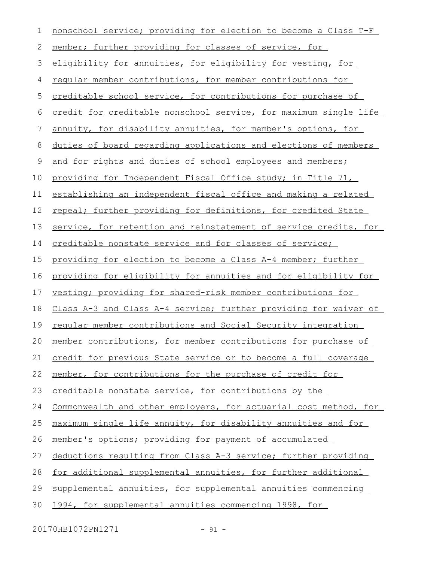| 1           | nonschool service; providing for election to become a Class T-F  |
|-------------|------------------------------------------------------------------|
| 2           | member; further providing for classes of service, for            |
| 3           | eligibility for annuities, for eligibility for vesting, for      |
| 4           | regular member contributions, for member contributions for       |
| 5           | creditable school service, for contributions for purchase of     |
| 6           | credit for creditable nonschool service, for maximum single life |
| 7           | annuity, for disability annuities, for member's options, for     |
| 8           | duties of board regarding applications and elections of members  |
| $\mathsf 9$ | and for rights and duties of school employees and members;       |
| 10          | providing for Independent Fiscal Office study; in Title 71,      |
| 11          | establishing an independent fiscal office and making a related   |
| 12          | repeal; further providing for definitions, for credited State    |
| 13          | service, for retention and reinstatement of service credits, for |
| 14          | creditable nonstate service and for classes of service;          |
| 15          | providing for election to become a Class A-4 member; further     |
| 16          | providing for eligibility for annuities and for eligibility for  |
| 17          | vesting; providing for shared-risk member contributions for      |
| 18          | Class A-3 and Class A-4 service; further providing for waiver of |
| 19          | regular member contributions and Social Security integration     |
| 20          | member contributions, for member contributions for purchase of   |
| 21          | credit for previous State service or to become a full coverage   |
| 22          | member, for contributions for the purchase of credit for         |
| 23          | creditable nonstate service, for contributions by the            |
| 24          | Commonwealth and other employers, for actuarial cost method, for |
| 25          | maximum single life annuity, for disability annuities and for    |
| 26          | member's options; providing for payment of accumulated           |
| 27          | deductions resulting from Class A-3 service; further providing   |
| 28          | for additional supplemental annuities, for further additional    |
| 29          | supplemental annuities, for supplemental annuities commencing    |
| 30          | 1994, for supplemental annuities commencing 1998, for            |

20170HB1072PN1271 - 91 -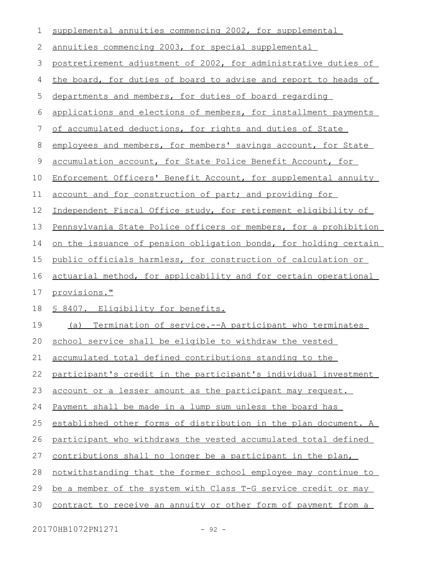| 1           | supplemental annuities commencing 2002, for supplemental         |
|-------------|------------------------------------------------------------------|
| 2           | annuities commencing 2003, for special supplemental              |
| 3           | postretirement adjustment of 2002, for administrative duties of  |
| 4           | the board, for duties of board to advise and report to heads of  |
| 5           | departments and members, for duties of board regarding           |
| 6           | applications and elections of members, for installment payments  |
| 7           | of accumulated deductions, for rights and duties of State        |
| $8\,$       | employees and members, for members' savings account, for State   |
| $\mathsf 9$ | accumulation account, for State Police Benefit Account, for      |
| 10          | Enforcement Officers' Benefit Account, for supplemental annuity  |
| 11          | account and for construction of part; and providing for          |
| 12          | Independent Fiscal Office study, for retirement eligibility of   |
| 13          | Pennsylvania State Police officers or members, for a prohibition |
| 14          | on the issuance of pension obligation bonds, for holding certain |
| 15          | public officials harmless, for construction of calculation or    |
| 16          | actuarial method, for applicability and for certain operational  |
| 17          | provisions."                                                     |
| 18          | § 8407. Eligibility for benefits.                                |
| 19          | (a) Termination of service.--A participant who terminates        |
| 20          | school service shall be eligible to withdraw the vested          |
| 21          | accumulated total defined contributions standing to the          |
| 22          | participant's credit in the participant's individual investment  |
| 23          | account or a lesser amount as the participant may request.       |
| 24          | Payment shall be made in a lump sum unless the board has         |
| 25          | established other forms of distribution in the plan document. A  |
| 26          | participant who withdraws the vested accumulated total defined   |
| 27          | contributions shall no longer be a participant in the plan,      |
| 28          | notwithstanding that the former school employee may continue to  |
| 29          | be a member of the system with Class T-G service credit or may   |
| 30          | contract to receive an annuity or other form of payment from a   |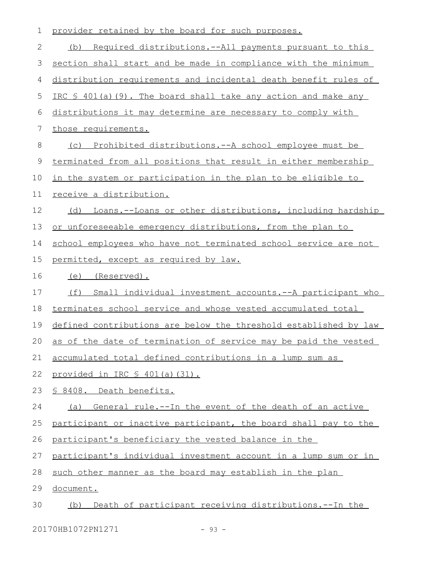| 1  | provider retained by the board for such purposes.                    |
|----|----------------------------------------------------------------------|
| 2  | <u>Required distributions.--All payments pursuant to this</u><br>(b) |
| 3  | section shall start and be made in compliance with the minimum       |
| 4  | distribution requirements and incidental death benefit rules of      |
| 5  | IRC § 401(a)(9). The board shall take any action and make any        |
| 6  | distributions it may determine are necessary to comply with          |
| 7  | those requirements.                                                  |
| 8  | (c) Prohibited distributions.--A school employee must be             |
| 9  | terminated from all positions that result in either membership       |
| 10 | in the system or participation in the plan to be eligible to         |
| 11 | receive a distribution.                                              |
| 12 | (d) Loans.--Loans or other distributions, including hardship         |
| 13 | or unforeseeable emergency distributions, from the plan to           |
| 14 | school employees who have not terminated school service are not      |
| 15 | permitted, except as required by law.                                |
| 16 | (e) (Reserved).                                                      |
| 17 | (f)<br>Small individual investment accounts.--A participant who      |
| 18 | terminates school service and whose vested accumulated total         |
| 19 | defined contributions are below the threshold established by law     |
| 20 | as of the date of termination of service may be paid the vested      |
| 21 | accumulated total defined contributions in a lump sum as             |
| 22 | provided in IRC § 401(a)(31).                                        |
| 23 | § 8408. Death benefits.                                              |
| 24 | General rule.--In the event of the death of an active<br>(a)         |
| 25 | participant or inactive participant, the board shall pay to the      |
| 26 | participant's beneficiary the vested balance in the                  |
| 27 | participant's individual investment account in a lump sum or in      |
|    |                                                                      |
| 28 | such other manner as the board may establish in the plan             |
| 29 | document.                                                            |

20170HB1072PN1271 - 93 -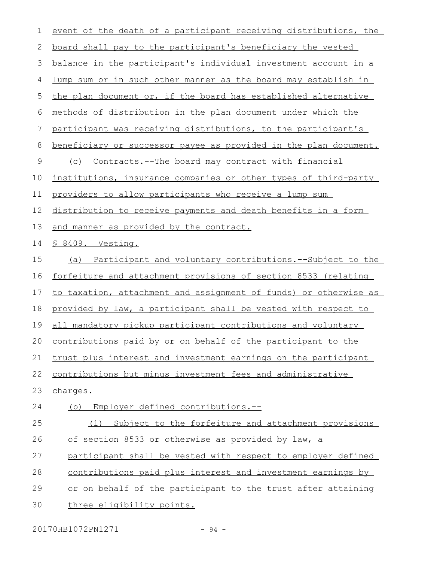| 1             | event of the death of a participant receiving distributions, the       |
|---------------|------------------------------------------------------------------------|
| 2             | <u>board shall pay to the participant's beneficiary the vested</u>     |
| 3             | balance in the participant's individual investment account in a        |
| 4             | <u>lump sum or in such other manner as the board may establish in </u> |
| 5             | the plan document or, if the board has established alternative         |
| 6             | methods of distribution in the plan document under which the           |
| 7             | participant was receiving distributions, to the participant's          |
| 8             | beneficiary or successor payee as provided in the plan document.       |
| $\mathcal{G}$ | <u>Contracts.--The board may contract with financial</u><br>(C)        |
| 10            | institutions, insurance companies or other types of third-party        |
| 11            | providers to allow participants who receive a lump sum                 |
| 12            | distribution to receive payments and death benefits in a form          |
| 13            | and manner as provided by the contract.                                |
| 14            | § 8409. Vesting.                                                       |
| 15            | (a) Participant and voluntary contributions.--Subject to the           |
| 16            | forfeiture and attachment provisions of section 8533 (relating         |
| 17            | to taxation, attachment and assignment of funds) or otherwise as       |
| 18            | provided by law, a participant shall be vested with respect to         |
| 19            | all mandatory pickup participant contributions and voluntary           |
| 20            | contributions paid by or on behalf of the participant to the           |
| 21            | trust plus interest and investment earnings on the participant         |
| 22            | contributions but minus investment fees and administrative             |
| 23            | charges.                                                               |
| 24            | Employer defined contributions.--<br>(b)                               |
| 25            | Subject to the forfeiture and attachment provisions<br>(1)             |
| 26            | <u>of section 8533 or otherwise as provided by law, a</u>              |
| 27            | participant shall be vested with respect to employer defined           |
| 28            | contributions paid plus interest and investment earnings by            |
| 29            | or on behalf of the participant to the trust after attaining           |
| 30            | three eligibility points.                                              |
|               |                                                                        |

20170HB1072PN1271 - 94 -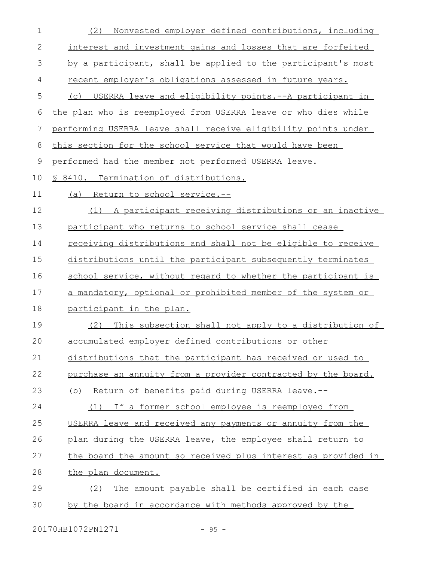| $\mathbf 1$ | Nonvested employer defined contributions, including<br>(2)     |
|-------------|----------------------------------------------------------------|
| 2           | interest and investment gains and losses that are forfeited    |
| 3           | by a participant, shall be applied to the participant's most   |
| 4           | recent employer's obligations assessed in future years.        |
| 5           | USERRA leave and eligibility points.--A participant in<br>(C)  |
| 6           | the plan who is reemployed from USERRA leave or who dies while |
| 7           | performing USERRA leave shall receive eligibility points under |
| 8           | this section for the school service that would have been       |
| 9           | performed had the member not performed USERRA leave.           |
| 10          | § 8410. Termination of distributions.                          |
| 11          | Return to school service.--<br>(a)                             |
| 12          | (1) A participant receiving distributions or an inactive       |
| 13          | participant who returns to school service shall cease          |
| 14          | receiving distributions and shall not be eligible to receive   |
| 15          | distributions until the participant subsequently terminates    |
| 16          | school service, without regard to whether the participant is   |
| 17          | a mandatory, optional or prohibited member of the system or    |
| 18          | participant in the plan.                                       |
| 19          | This subsection shall not apply to a distribution of<br>(2)    |
| 20          | accumulated employer defined contributions or other            |
| 21          | distributions that the participant has received or used to     |
| 22          | purchase an annuity from a provider contracted by the board.   |
| 23          | (b) Return of benefits paid during USERRA leave.--             |
| 24          | (1) If a former school employee is reemployed from             |
| 25          | USERRA leave and received any payments or annuity from the     |
| 26          | plan during the USERRA leave, the employee shall return to     |
| 27          | the board the amount so received plus interest as provided in  |
| 28          | the plan document.                                             |
| 29          | The amount payable shall be certified in each case<br>(2)      |
| 30          | by the board in accordance with methods approved by the        |
|             |                                                                |

20170HB1072PN1271 - 95 -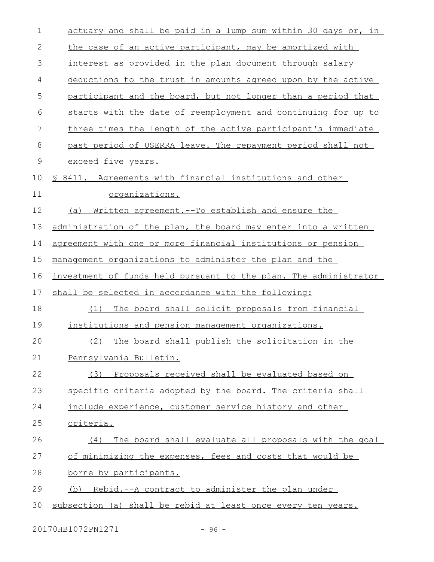| $\mathbf 1$   | actuary and shall be paid in a lump sum within 30 days or, in    |
|---------------|------------------------------------------------------------------|
| 2             | the case of an active participant, may be amortized with         |
| 3             | interest as provided in the plan document through salary         |
| 4             | deductions to the trust in amounts agreed upon by the active     |
| 5             | participant and the board, but not longer than a period that     |
| 6             | starts with the date of reemployment and continuing for up to    |
| 7             | three times the length of the active participant's immediate     |
| 8             | past period of USERRA leave. The repayment period shall not      |
| $\mathcal{G}$ | exceed five years.                                               |
| 10            | \$ 8411. Agreements with financial institutions and other        |
| 11            | organizations.                                                   |
| 12            | Written agreement. -- To establish and ensure the<br>(a)         |
| 13            | administration of the plan, the board may enter into a written   |
| 14            | agreement with one or more financial institutions or pension     |
| 15            | management organizations to administer the plan and the          |
| 16            | investment of funds held pursuant to the plan. The administrator |
| 17            | shall be selected in accordance with the following:              |
| 18            | (1)<br>The board shall solicit proposals from financial          |
| 19            | institutions and pension management organizations.               |
| 20            | The board shall publish the solicitation in the<br>(2)           |
| 21            | Pennsylvania Bulletin.                                           |
| 22            | (3) Proposals received shall be evaluated based on               |
| 23            | specific criteria adopted by the board. The criteria shall       |
| 24            | include experience, customer service history and other           |
| 25            | criteria.                                                        |
| 26            | The board shall evaluate all proposals with the goal<br>(4)      |
| 27            | of minimizing the expenses, fees and costs that would be         |
| 28            | <u>borne by participants.</u>                                    |
| 29            | (b) Rebid.--A contract to administer the plan under              |
| 30            | subsection (a) shall be rebid at least once every ten years.     |
|               |                                                                  |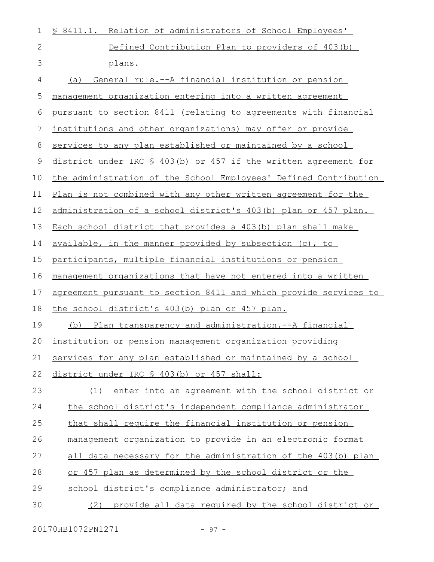| $\mathbf 1$  | \$ 8411.1. Relation of administrators of School Employees'       |
|--------------|------------------------------------------------------------------|
| $\mathbf{2}$ | Defined Contribution Plan to providers of 403(b)                 |
| 3            | plans.                                                           |
| 4            | General rule.--A financial institution or pension<br>(a)         |
| 5            | management organization entering into a written agreement        |
| 6            | pursuant to section 8411 (relating to agreements with financial  |
| 7            | institutions and other organizations) may offer or provide       |
| 8            | services to any plan established or maintained by a school       |
| 9            | district under IRC § 403(b) or 457 if the written agreement for  |
| 10           | the administration of the School Employees' Defined Contribution |
| 11           | Plan is not combined with any other written agreement for the    |
| 12           | administration of a school district's 403(b) plan or 457 plan.   |
| 13           | Each school district that provides a 403(b) plan shall make      |
| 14           | available, in the manner provided by subsection (c), to          |
| 15           | participants, multiple financial institutions or pension         |
| 16           | management organizations that have not entered into a written    |
| 17           | agreement pursuant to section 8411 and which provide services to |
| 18           | the school district's 403(b) plan or 457 plan.                   |
| 19           | (b) Plan transparency and administration.--A financial           |
| $20^{\circ}$ | institution or pension management organization providing         |
| 21           | services for any plan established or maintained by a school      |
| 22           | district under IRC § 403(b) or 457 shall:                        |
| 23           | enter into an agreement with the school district or<br>(1)       |
| 24           | the school district's independent compliance administrator       |
| 25           | that shall require the financial institution or pension          |
| 26           | management organization to provide in an electronic format       |
| 27           | all data necessary for the administration of the 403(b) plan     |
| 28           | or 457 plan as determined by the school district or the          |
| 29           | school district's compliance administrator; and                  |
| 30           | provide all data required by the school district or<br>(2)       |

20170HB1072PN1271 - 97 -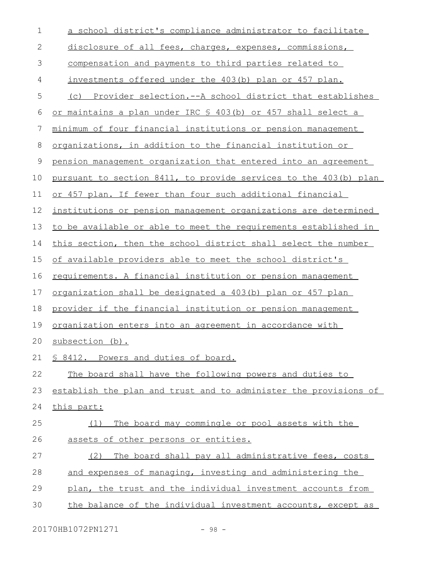| $\mathbf 1$  | a school district's compliance administrator to facilitate        |
|--------------|-------------------------------------------------------------------|
| $\mathbf{2}$ | disclosure of all fees, charges, expenses, commissions,           |
| 3            | compensation and payments to third parties related to             |
| 4            | investments offered under the 403(b) plan or 457 plan.            |
| 5            | (c) Provider selection.--A school district that establishes       |
| 6            | or maintains a plan under IRC § 403(b) or 457 shall select a      |
| 7            | minimum of four financial institutions or pension management      |
| $8\,$        | organizations, in addition to the financial institution or        |
| 9            | pension management organization that entered into an agreement    |
| 10           | pursuant to section 8411, to provide services to the 403(b) plan  |
| 11           | or 457 plan. If fewer than four such additional financial         |
| 12           | institutions or pension management organizations are determined   |
| 13           | to be available or able to meet the requirements established in   |
| 14           | this section, then the school district shall select the number    |
| 15           | of available providers able to meet the school district's         |
| 16           | requirements. A financial institution or pension management       |
| 17           | <u>organization shall be designated a 403(b) plan or 457 plan</u> |
| 18           | provider if the financial institution or pension management       |
| 19           | <u>organization enters into an agreement in accordance with</u>   |
| 20           | subsection (b).                                                   |
| 21           | § 8412. Powers and duties of board.                               |
| 22           | The board shall have the following powers and duties to           |
| 23           | establish the plan and trust and to administer the provisions of  |
| 24           | this part:                                                        |
| 25           | The board may commingle or pool assets with the<br>(1)            |
| 26           | assets of other persons or entities.                              |
| 27           | The board shall pay all administrative fees, costs<br>(2)         |
| 28           | and expenses of managing, investing and administering the         |
| 29           | plan, the trust and the individual investment accounts from       |
| 30           | the balance of the individual investment accounts, except as      |

20170HB1072PN1271 - 98 -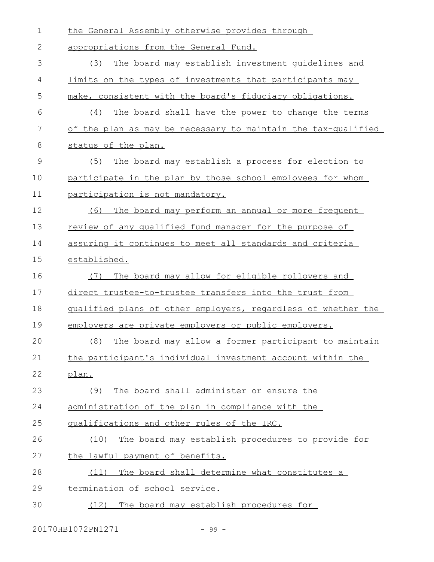| $\mathbf 1$ | the General Assembly otherwise provides through               |
|-------------|---------------------------------------------------------------|
| 2           | appropriations from the General Fund.                         |
| 3           | The board may establish investment quidelines and<br>(3)      |
| 4           | limits on the types of investments that participants may      |
| 5           | make, consistent with the board's fiduciary obligations.      |
| 6           | The board shall have the power to change the terms<br>(4)     |
| 7           | of the plan as may be necessary to maintain the tax-qualified |
| 8           | status of the plan.                                           |
| 9           | (5)<br>The board may establish a process for election to      |
| 10          | participate in the plan by those school employees for whom    |
| 11          | participation is not mandatory.                               |
| 12          | The board may perform an annual or more frequent<br>(6)       |
| 13          | review of any qualified fund manager for the purpose of       |
| 14          | assuring it continues to meet all standards and criteria      |
| 15          | established.                                                  |
| 16          | The board may allow for eligible rollovers and<br>(7)         |
| 17          | direct trustee-to-trustee transfers into the trust from       |
| 18          | qualified plans of other employers, regardless of whether the |
| 19          | employers are private employers or public employers.          |
| 20          | The board may allow a former participant to maintain<br>(8)   |
| 21          | the participant's individual investment account within the    |
| 22          | plan.                                                         |
| 23          | The board shall administer or ensure the<br>(9)               |
| 24          | administration of the plan in compliance with the             |
| 25          | qualifications and other rules of the IRC.                    |
| 26          | The board may establish procedures to provide for<br>(10)     |
| 27          | the lawful payment of benefits.                               |
| 28          | The board shall determine what constitutes a<br>(11)          |
| 29          | termination of school service.                                |
| 30          | The board may establish procedures for<br>(12)                |

20170HB1072PN1271 - 99 -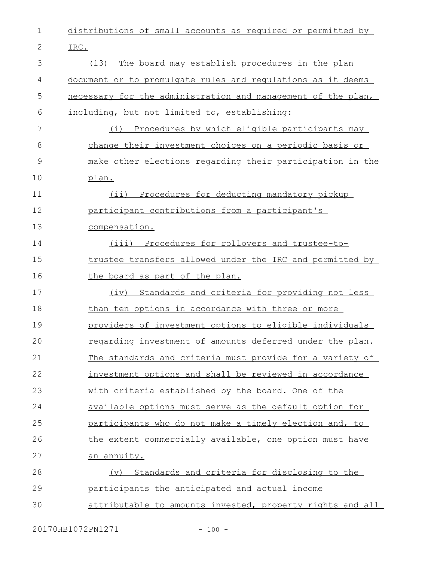| $\mathbf 1$ | distributions of small accounts as required or permitted by  |
|-------------|--------------------------------------------------------------|
| 2           | IRC.                                                         |
| 3           | The board may establish procedures in the plan<br>(13)       |
| 4           | document or to promulgate rules and regulations as it deems  |
| 5           | necessary for the administration and management of the plan, |
| 6           | including, but not limited to, establishing:                 |
| 7           | (i) Procedures by which eligible participants may            |
| 8           | change their investment choices on a periodic basis or       |
| 9           | make other elections regarding their participation in the    |
| 10          | plan.                                                        |
| 11          | (ii) Procedures for deducting mandatory pickup               |
| 12          | participant contributions from a participant's               |
| 13          | compensation.                                                |
| 14          | (iii) Procedures for rollovers and trustee-to-               |
| 15          | trustee transfers allowed under the IRC and permitted by     |
| 16          | the board as part of the plan.                               |
| 17          | (iv) Standards and criteria for providing not less           |
| 18          | than ten options in accordance with three or more            |
| 19          | providers of investment options to eligible individuals      |
| 20          | regarding investment of amounts deferred under the plan.     |
| 21          | The standards and criteria must provide for a variety of     |
| 22          | investment options and shall be reviewed in accordance       |
| 23          | with criteria established by the board. One of the           |
| 24          | available options must serve as the default option for       |
| 25          | participants who do not make a timely election and, to       |
| 26          | the extent commercially available, one option must have      |
| 27          | an annuity.                                                  |
| 28          | Standards and criteria for disclosing to the<br>(v)          |
| 29          | participants the anticipated and actual income               |
| 30          | attributable to amounts invested, property rights and all    |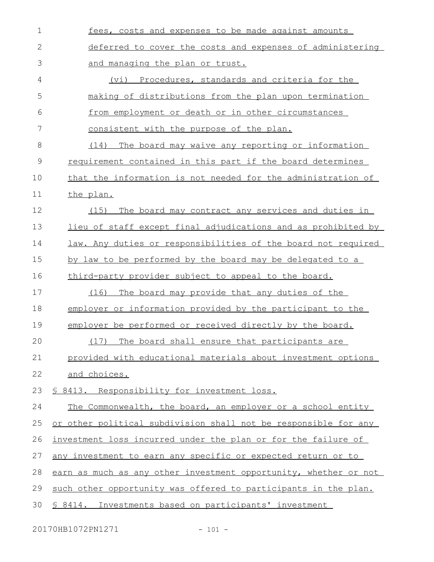| $\mathbf 1$  | fees, costs and expenses to be made against amounts                  |
|--------------|----------------------------------------------------------------------|
| $\mathbf{2}$ | deferred to cover the costs and expenses of administering            |
| 3            | and managing the plan or trust.                                      |
| 4            | (vi) Procedures, standards and criteria for the                      |
| 5            | making of distributions from the plan upon termination               |
| 6            | from employment or death or in other circumstances                   |
| 7            | consistent with the purpose of the plan.                             |
| 8            | (14) The board may waive any reporting or information                |
| $\mathsf 9$  | requirement contained in this part if the board determines           |
| 10           | <u>that the information is not needed for the administration of</u>  |
| 11           | the plan.                                                            |
| 12           | (15)<br>The board may contract any services and duties in            |
| 13           | <u>lieu of staff except final adjudications and as prohibited by</u> |
| 14           | law. Any duties or responsibilities of the board not required        |
| 15           | by law to be performed by the board may be delegated to a            |
| 16           | third-party provider subject to appeal to the board.                 |
| 17           | (16) The board may provide that any duties of the                    |
| 18           | employer or information provided by the participant to the           |
| 19           | employer be performed or received directly by the board.             |
| 20           | (17) The board shall ensure that participants are                    |
| 21           | provided with educational materials about investment options         |
| 22           | and choices.                                                         |
| 23           | § 8413. Responsibility for investment loss.                          |
| 24           | The Commonwealth, the board, an employer or a school entity          |
| 25           | or other political subdivision shall not be responsible for any      |
| 26           | investment loss incurred under the plan or for the failure of        |
| 27           | any investment to earn any specific or expected return or to         |
| 28           | earn as much as any other investment opportunity, whether or not     |
| 29           | such other opportunity was offered to participants in the plan.      |
| 30           | \$ 8414. Investments based on participants' investment               |

20170HB1072PN1271 - 101 -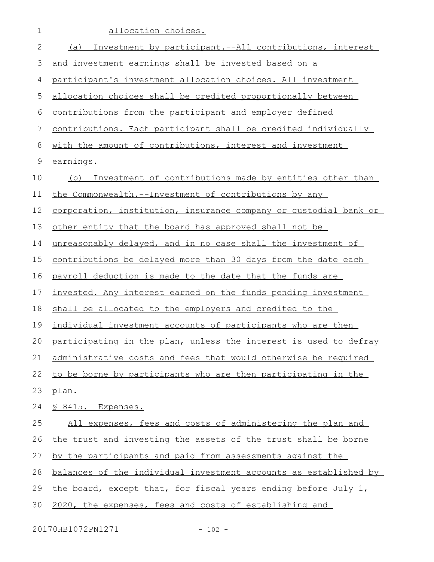| 1            | allocation choices.                                              |
|--------------|------------------------------------------------------------------|
| $\mathbf{2}$ | Investment by participant.--All contributions, interest<br>(a)   |
| 3            | and investment earnings shall be invested based on a             |
| 4            | participant's investment allocation choices. All investment      |
| 5            | allocation choices shall be credited proportionally between      |
| 6            | contributions from the participant and employer defined          |
| 7            | contributions. Each participant shall be credited individually   |
| 8            | with the amount of contributions, interest and investment        |
| $\mathsf 9$  | earnings.                                                        |
| 10           | (b) Investment of contributions made by entities other than      |
| 11           | the Commonwealth.--Investment of contributions by any            |
| 12           | corporation, institution, insurance company or custodial bank or |
| 13           | other entity that the board has approved shall not be            |
| 14           | unreasonably delayed, and in no case shall the investment of     |
| 15           | contributions be delayed more than 30 days from the date each    |
| 16           | payroll deduction is made to the date that the funds are         |
| 17           | invested. Any interest earned on the funds pending investment    |
| 18           | shall be allocated to the employers and credited to the          |
| 19           | individual investment accounts of participants who are then      |
| 20           | participating in the plan, unless the interest is used to defray |
| 21           | administrative costs and fees that would otherwise be required   |
| 22           | to be borne by participants who are then participating in the    |
| 23           | plan.                                                            |
| 24           | <u>S 8415. Expenses.</u>                                         |
| 25           | All expenses, fees and costs of administering the plan and       |
| 26           | the trust and investing the assets of the trust shall be borne   |
| 27           | by the participants and paid from assessments against the        |
| 28           | balances of the individual investment accounts as established by |
| 29           | the board, except that, for fiscal years ending before July 1,   |
| 30           | 2020, the expenses, fees and costs of establishing and           |
|              |                                                                  |

20170HB1072PN1271 - 102 -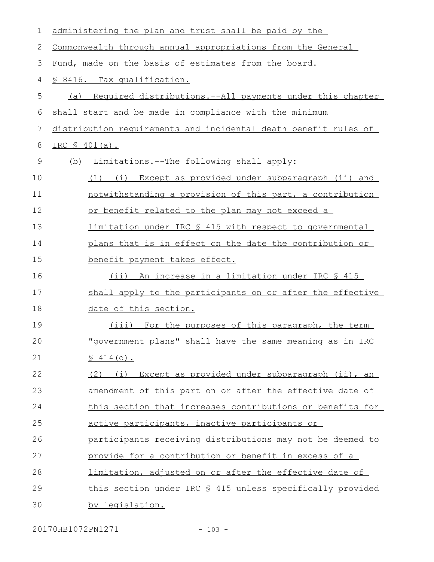| 1             | administering the plan and trust shall be paid by the           |
|---------------|-----------------------------------------------------------------|
| 2             | Commonwealth through annual appropriations from the General     |
| 3             | Fund, made on the basis of estimates from the board.            |
| 4             | <u>S 8416. Tax qualification.</u>                               |
| 5             | (a) Required distributions.--All payments under this chapter    |
| 6             | shall start and be made in compliance with the minimum          |
| 7             | distribution requirements and incidental death benefit rules of |
| 8             | <u>IRC \$ 401(a).</u>                                           |
| $\mathcal{G}$ | (b) Limitations.--The following shall apply:                    |
| 10            | (1) (i) Except as provided under subparagraph (ii) and          |
| 11            | notwithstanding a provision of this part, a contribution        |
| 12            | or benefit related to the plan may not exceed a                 |
| 13            | limitation under IRC § 415 with respect to governmental         |
| 14            | plans that is in effect on the date the contribution or         |
| 15            | benefit payment takes effect.                                   |
| 16            | <u>(ii) An increase in a limitation under IRC § 415</u>         |
| 17            | shall apply to the participants on or after the effective       |
| 18            | date of this section.                                           |
| 19            | (iii) For the purposes of this paragraph, the term              |
| 20            | "government plans" shall have the same meaning as in IRC        |
| 21            | \$414(d).                                                       |
| 22            | (2) (i) Except as provided under subparagraph (ii), an          |
| 23            | amendment of this part on or after the effective date of        |
| 24            | this section that increases contributions or benefits for       |
| 25            | active participants, inactive participants or                   |
| 26            | participants receiving distributions may not be deemed to       |
| 27            | provide for a contribution or benefit in excess of a            |
| 28            | limitation, adjusted on or after the effective date of          |
| 29            | this section under IRC § 415 unless specifically provided       |
| 30            | by legislation.                                                 |

20170HB1072PN1271 - 103 -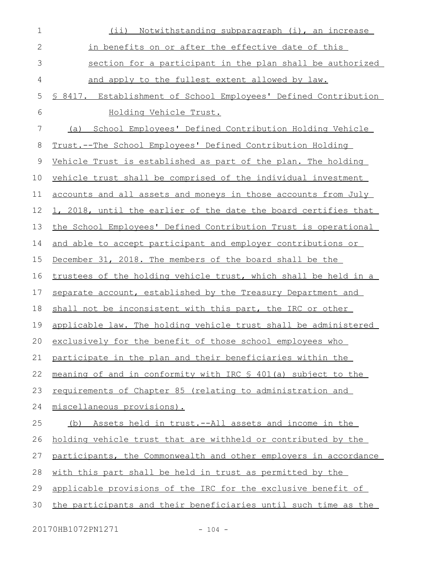| $\mathbf 1$  | (ii) Notwithstanding subparagraph (i), an increase               |
|--------------|------------------------------------------------------------------|
| $\mathbf{2}$ | in benefits on or after the effective date of this               |
| 3            | section for a participant in the plan shall be authorized        |
| 4            | and apply to the fullest extent allowed by law.                  |
| 5            | \$ 8417. Establishment of School Employees' Defined Contribution |
| 6            | Holding Vehicle Trust.                                           |
| 7            | School Employees' Defined Contribution Holding Vehicle<br>(a)    |
| 8            | Trust.--The School Employees' Defined Contribution Holding       |
| 9            | Vehicle Trust is established as part of the plan. The holding    |
| 10           | vehicle trust shall be comprised of the individual investment    |
| 11           | accounts and all assets and moneys in those accounts from July   |
| 12           | 1, 2018, until the earlier of the date the board certifies that  |
| 13           | the School Employees' Defined Contribution Trust is operational  |
| 14           | and able to accept participant and employer contributions or     |
| 15           | December 31, 2018. The members of the board shall be the         |
| 16           | trustees of the holding vehicle trust, which shall be held in a  |
| 17           | separate account, established by the Treasury Department and     |
| 18           | shall not be inconsistent with this part, the IRC or other       |
| 19           | applicable law. The holding vehicle trust shall be administered  |
| 20           | exclusively for the benefit of those school employees who        |
| 21           | participate in the plan and their beneficiaries within the       |
| 22           | meaning of and in conformity with IRC \$ 401(a) subject to the   |
| 23           | requirements of Chapter 85 (relating to administration and       |
| 24           | miscellaneous provisions).                                       |
| 25           | (b) Assets held in trust.--All assets and income in the          |
| 26           | holding vehicle trust that are withheld or contributed by the    |
| 27           | participants, the Commonwealth and other employers in accordance |
| 28           | with this part shall be held in trust as permitted by the        |
| 29           | applicable provisions of the IRC for the exclusive benefit of    |
| 30           | the participants and their beneficiaries until such time as the  |
|              |                                                                  |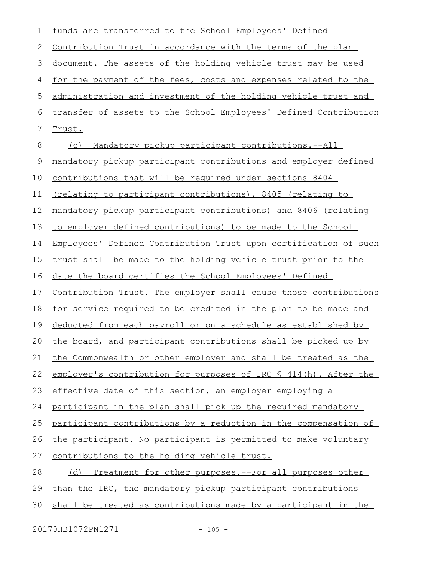| 1           | funds are transferred to the School Employees' Defined                |
|-------------|-----------------------------------------------------------------------|
| 2           | <u>Contribution Trust in accordance with the terms of the plan</u>    |
| 3           | document. The assets of the holding vehicle trust may be used         |
| 4           | for the payment of the fees, costs and expenses related to the        |
| 5           | administration and investment of the holding vehicle trust and        |
| 6           | transfer of assets to the School Employees' Defined Contribution      |
| 7           | Trust.                                                                |
| 8           | Mandatory pickup participant contributions.--All<br>(C)               |
| $\mathsf 9$ | mandatory pickup participant contributions and employer defined       |
| 10          | <u>contributions that will be required under sections 8404</u>        |
| 11          | (relating to participant contributions), 8405 (relating to            |
| 12          | mandatory pickup participant contributions) and 8406 (relating        |
| 13          | to employer defined contributions) to be made to the School           |
| 14          | Employees' Defined Contribution Trust upon certification of such      |
| 15          | trust shall be made to the holding vehicle trust prior to the         |
| 16          | date the board certifies the School Employees' Defined                |
| 17          | Contribution Trust. The employer shall cause those contributions      |
| 18          | <u>for service required to be credited in the plan to be made and</u> |
| 19          | deducted from each payroll or on a schedule as established by         |
| 20          | the board, and participant contributions shall be picked up by        |
| 21          | the Commonwealth or other employer and shall be treated as the        |
| 22          | employer's contribution for purposes of IRC \$ 414(h). After the      |
| 23          | effective date of this section, an employer employing a               |
| 24          | participant in the plan shall pick up the required mandatory          |
| 25          | participant contributions by a reduction in the compensation of       |
| 26          | the participant. No participant is permitted to make voluntary        |
| 27          | contributions to the holding vehicle trust.                           |
| 28          | Treatment for other purposes.--For all purposes other<br>(d)          |
| 29          | than the IRC, the mandatory pickup participant contributions          |
| 30          | shall be treated as contributions made by a participant in the        |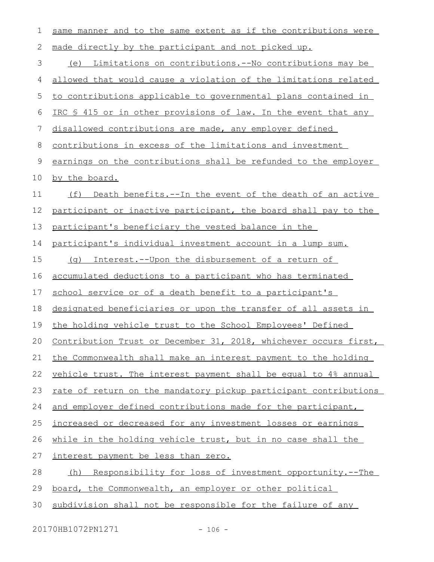| 1  | same manner and to the same extent as if the contributions were       |
|----|-----------------------------------------------------------------------|
| 2  | made directly by the participant and not picked up.                   |
| 3  | Limitations on contributions.--No contributions may be<br>(e)         |
| 4  | allowed that would cause a violation of the limitations related       |
| 5  | to contributions applicable to governmental plans contained in        |
| 6  | IRC \$ 415 or in other provisions of law. In the event that any       |
| 7  | disallowed contributions are made, any employer defined               |
| 8  | contributions in excess of the limitations and investment             |
| 9  | earnings on the contributions shall be refunded to the employer       |
| 10 | by the board.                                                         |
| 11 | (f) Death benefits.--In the event of the death of an active           |
| 12 | participant or inactive participant, the board shall pay to the       |
| 13 | participant's beneficiary the vested balance in the                   |
| 14 | participant's individual investment account in a lump sum.            |
| 15 | (g) Interest.--Upon the disbursement of a return of                   |
| 16 | accumulated deductions to a participant who has terminated            |
| 17 | school service or of a death benefit to a participant's               |
| 18 | designated beneficiaries or upon the transfer of all assets in        |
| 19 | the holding vehicle trust to the School Employees' Defined            |
| 20 | Contribution Trust or December 31, 2018, whichever occurs first,      |
| 21 | the Commonwealth shall make an interest payment to the holding        |
| 22 | vehicle trust. The interest payment shall be equal to 4% annual       |
| 23 | rate of return on the mandatory pickup participant contributions      |
| 24 | and employer defined contributions made for the participant,          |
| 25 | increased or decreased for any investment losses or earnings          |
| 26 | while in the holding vehicle trust, but in no case shall the          |
| 27 | interest payment be less than zero.                                   |
| 28 | <u>Responsibility for loss of investment opportunity.--The</u><br>(h) |
| 29 | board, the Commonwealth, an employer or other political               |
| 30 | subdivision shall not be responsible for the failure of any           |

20170HB1072PN1271 - 106 -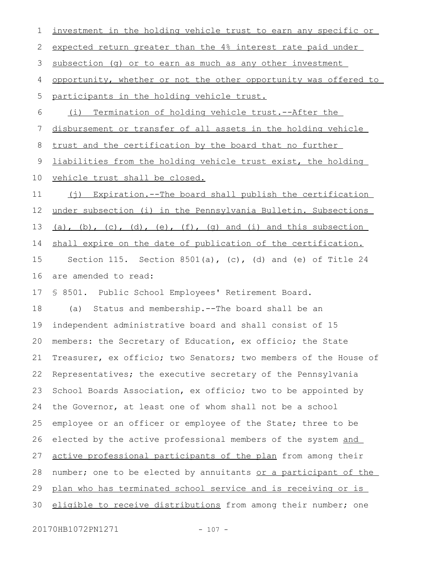| 1  | investment in the holding vehicle trust to earn any specific or  |
|----|------------------------------------------------------------------|
| 2  | expected return greater than the 4% interest rate paid under     |
| 3  | subsection (g) or to earn as much as any other investment        |
| 4  | opportunity, whether or not the other opportunity was offered to |
| 5  | participants in the holding vehicle trust.                       |
| 6  | Termination of holding vehicle trust.--After the<br>(i)          |
| 7  | disbursement or transfer of all assets in the holding vehicle    |
| 8  | trust and the certification by the board that no further         |
| 9  | liabilities from the holding vehicle trust exist, the holding    |
| 10 | vehicle trust shall be closed.                                   |
| 11 | (j) Expiration.--The board shall publish the certification       |
| 12 | under subsection (i) in the Pennsylvania Bulletin. Subsections   |
| 13 | (a), (b), (c), (d), (e), (f), (q) and (i) and this subsection    |
| 14 | shall expire on the date of publication of the certification.    |
| 15 | Section 115. Section 8501(a), $(c)$ , (d) and (e) of Title 24    |
| 16 | are amended to read:                                             |
| 17 | § 8501. Public School Employees' Retirement Board.               |
| 18 | Status and membership. -- The board shall be an<br>(a)           |
| 19 | independent administrative board and shall consist of 15         |
| 20 | members: the Secretary of Education, ex officio; the State       |
| 21 | Treasurer, ex officio; two Senators; two members of the House of |
| 22 | Representatives; the executive secretary of the Pennsylvania     |
| 23 | School Boards Association, ex officio; two to be appointed by    |
| 24 | the Governor, at least one of whom shall not be a school         |
| 25 | employee or an officer or employee of the State; three to be     |
| 26 | elected by the active professional members of the system and     |
| 27 | active professional participants of the plan from among their    |
| 28 | number; one to be elected by annuitants or a participant of the  |
| 29 | plan who has terminated school service and is receiving or is    |
| 30 | eligible to receive distributions from among their number; one   |
|    |                                                                  |

20170HB1072PN1271 - 107 -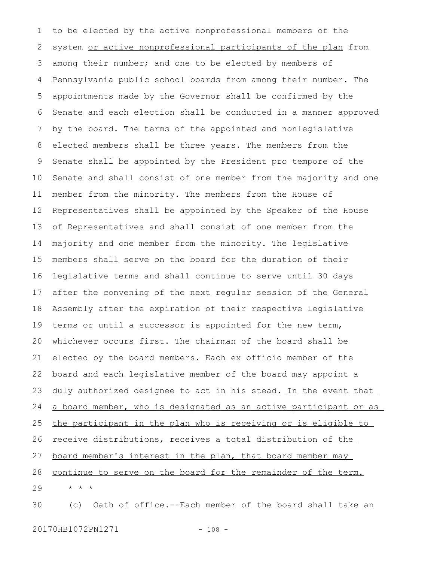to be elected by the active nonprofessional members of the system or active nonprofessional participants of the plan from among their number; and one to be elected by members of Pennsylvania public school boards from among their number. The appointments made by the Governor shall be confirmed by the Senate and each election shall be conducted in a manner approved by the board. The terms of the appointed and nonlegislative elected members shall be three years. The members from the Senate shall be appointed by the President pro tempore of the Senate and shall consist of one member from the majority and one member from the minority. The members from the House of Representatives shall be appointed by the Speaker of the House of Representatives and shall consist of one member from the majority and one member from the minority. The legislative members shall serve on the board for the duration of their legislative terms and shall continue to serve until 30 days after the convening of the next regular session of the General Assembly after the expiration of their respective legislative terms or until a successor is appointed for the new term, whichever occurs first. The chairman of the board shall be elected by the board members. Each ex officio member of the board and each legislative member of the board may appoint a duly authorized designee to act in his stead. In the event that a board member, who is designated as an active participant or as the participant in the plan who is receiving or is eligible to receive distributions, receives a total distribution of the board member's interest in the plan, that board member may continue to serve on the board for the remainder of the term. \* \* \* (c) Oath of office.--Each member of the board shall take an 1 2 3 4 5 6 7 8 9 10 11 12 13 14 15 16 17 18 19 20 21 22 23 24 25 26 27 28 29 30

20170HB1072PN1271 - 108 -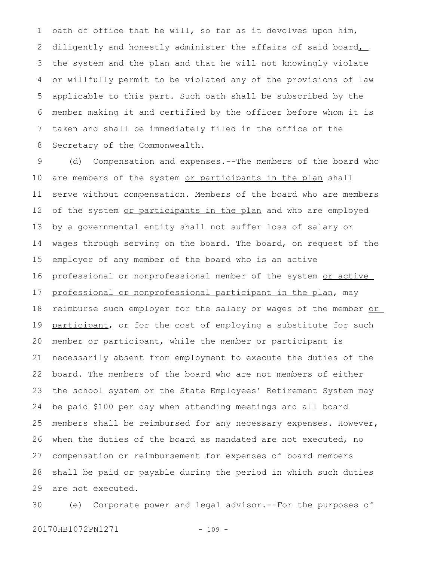oath of office that he will, so far as it devolves upon him, diligently and honestly administer the affairs of said board, the system and the plan and that he will not knowingly violate or willfully permit to be violated any of the provisions of law applicable to this part. Such oath shall be subscribed by the member making it and certified by the officer before whom it is taken and shall be immediately filed in the office of the Secretary of the Commonwealth. 1 2 3 4 5 6 7 8

(d) Compensation and expenses.--The members of the board who are members of the system or participants in the plan shall serve without compensation. Members of the board who are members of the system or participants in the plan and who are employed by a governmental entity shall not suffer loss of salary or wages through serving on the board. The board, on request of the employer of any member of the board who is an active professional or nonprofessional member of the system or active professional or nonprofessional participant in the plan, may reimburse such employer for the salary or wages of the member or participant, or for the cost of employing a substitute for such member or participant, while the member or participant is necessarily absent from employment to execute the duties of the board. The members of the board who are not members of either the school system or the State Employees' Retirement System may be paid \$100 per day when attending meetings and all board members shall be reimbursed for any necessary expenses. However, when the duties of the board as mandated are not executed, no compensation or reimbursement for expenses of board members shall be paid or payable during the period in which such duties are not executed. 9 10 11 12 13 14 15 16 17 18 19 20 21 22 23 24 25 26 27 28 29

(e) Corporate power and legal advisor.--For the purposes of 20170HB1072PN1271 - 109 -30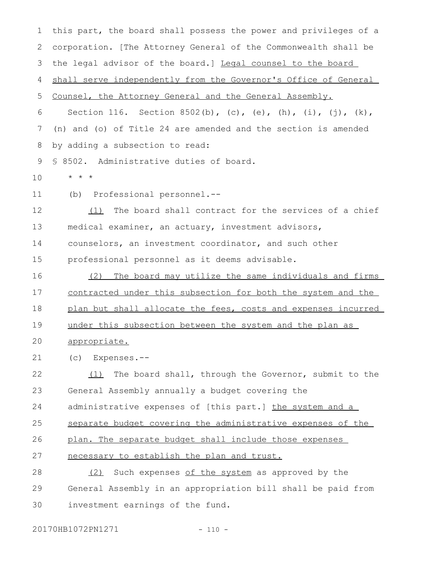this part, the board shall possess the power and privileges of a corporation. [The Attorney General of the Commonwealth shall be the legal advisor of the board.] Legal counsel to the board shall serve independently from the Governor's Office of General Counsel, the Attorney General and the General Assembly. Section 116. Section 8502(b), (c), (e), (h), (i), (j), (k), (n) and (o) of Title 24 are amended and the section is amended by adding a subsection to read: § 8502. Administrative duties of board. \* \* \* (b) Professional personnel.-- (1) The board shall contract for the services of a chief medical examiner, an actuary, investment advisors, counselors, an investment coordinator, and such other professional personnel as it deems advisable. (2) The board may utilize the same individuals and firms contracted under this subsection for both the system and the plan but shall allocate the fees, costs and expenses incurred under this subsection between the system and the plan as appropriate. (c) Expenses.-- (1) The board shall, through the Governor, submit to the General Assembly annually a budget covering the administrative expenses of [this part.] the system and a separate budget covering the administrative expenses of the plan. The separate budget shall include those expenses necessary to establish the plan and trust. (2) Such expenses of the system as approved by the General Assembly in an appropriation bill shall be paid from investment earnings of the fund. 1 2 3 4 5 6 7 8 9 10 11 12 13 14 15 16 17 18 19 20 21 22 23 24 25 26 27 28 29 30

20170HB1072PN1271 - 110 -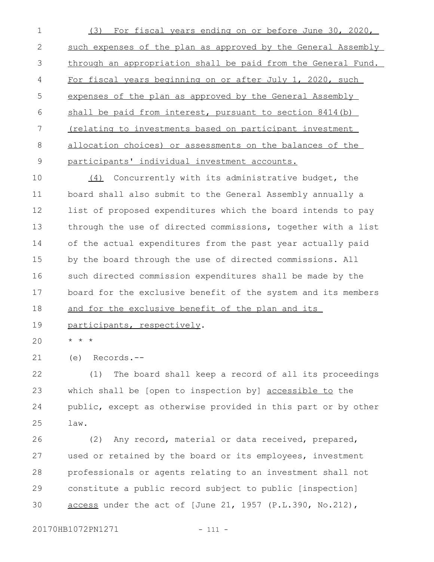(3) For fiscal years ending on or before June 30, 2020, such expenses of the plan as approved by the General Assembly through an appropriation shall be paid from the General Fund. For fiscal years beginning on or after July 1, 2020, such expenses of the plan as approved by the General Assembly shall be paid from interest, pursuant to section 8414(b) (relating to investments based on participant investment allocation choices) or assessments on the balances of the participants' individual investment accounts. 1 2 3 4 5 6 7 8 9

(4) Concurrently with its administrative budget, the board shall also submit to the General Assembly annually a list of proposed expenditures which the board intends to pay through the use of directed commissions, together with a list of the actual expenditures from the past year actually paid by the board through the use of directed commissions. All such directed commission expenditures shall be made by the board for the exclusive benefit of the system and its members and for the exclusive benefit of the plan and its 10 11 12 13 14 15 16 17 18

participants, respectively. 19

\* \* \*  $20$ 

(e) Records.-- 21

(1) The board shall keep a record of all its proceedings which shall be [open to inspection by] accessible to the public, except as otherwise provided in this part or by other law. 22 23 24 25

(2) Any record, material or data received, prepared, used or retained by the board or its employees, investment professionals or agents relating to an investment shall not constitute a public record subject to public [inspection] access under the act of [June 21, 1957 (P.L.390, No.212), 26 27 28 29 30

20170HB1072PN1271 - 111 -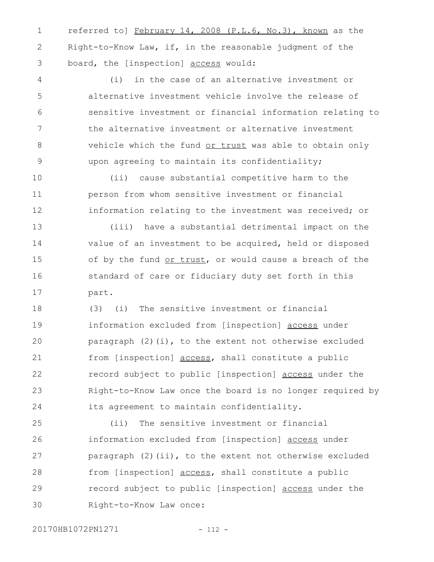referred to] February 14, 2008 (P.L.6, No.3), known as the Right-to-Know Law, if, in the reasonable judgment of the board, the [inspection] access would: 1 2 3

(i) in the case of an alternative investment or alternative investment vehicle involve the release of sensitive investment or financial information relating to the alternative investment or alternative investment vehicle which the fund or trust was able to obtain only upon agreeing to maintain its confidentiality; 4 5 6 7 8 9

(ii) cause substantial competitive harm to the person from whom sensitive investment or financial information relating to the investment was received; or 10 11 12

(iii) have a substantial detrimental impact on the value of an investment to be acquired, held or disposed of by the fund or trust, or would cause a breach of the standard of care or fiduciary duty set forth in this part. 13 14 15 16 17

(3) (i) The sensitive investment or financial information excluded from [inspection] access under paragraph  $(2)(i)$ , to the extent not otherwise excluded from [inspection] access, shall constitute a public record subject to public [inspection] access under the Right-to-Know Law once the board is no longer required by its agreement to maintain confidentiality. 18 19 20 21 22 23 24

(ii) The sensitive investment or financial information excluded from [inspection] access under paragraph (2)(ii), to the extent not otherwise excluded from [inspection] access, shall constitute a public record subject to public [inspection] access under the Right-to-Know Law once: 25 26 27 28 29 30

20170HB1072PN1271 - 112 -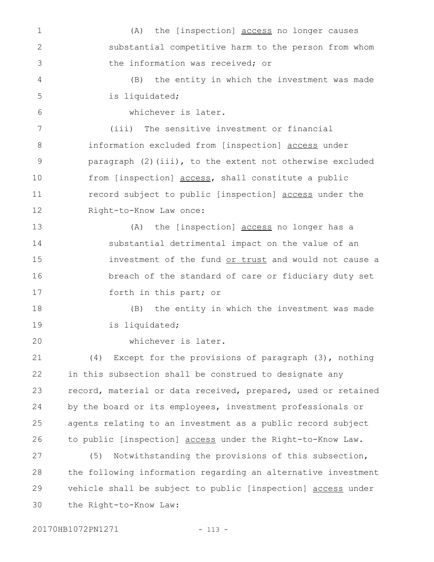(A) the [inspection] access no longer causes substantial competitive harm to the person from whom the information was received; or (B) the entity in which the investment was made is liquidated; whichever is later. (iii) The sensitive investment or financial information excluded from [inspection] access under paragraph (2)(iii), to the extent not otherwise excluded from [inspection] access, shall constitute a public record subject to public [inspection] access under the Right-to-Know Law once: (A) the [inspection] access no longer has a substantial detrimental impact on the value of an investment of the fund or trust and would not cause a breach of the standard of care or fiduciary duty set forth in this part; or (B) the entity in which the investment was made is liquidated; whichever is later. (4) Except for the provisions of paragraph (3), nothing in this subsection shall be construed to designate any record, material or data received, prepared, used or retained by the board or its employees, investment professionals or agents relating to an investment as a public record subject to public [inspection] access under the Right-to-Know Law. (5) Notwithstanding the provisions of this subsection, the following information regarding an alternative investment vehicle shall be subject to public [inspection] access under the Right-to-Know Law: 1 2 3 4 5 6 7 8 9 10 11 12 13 14 15 16 17 18 19 20 21 22 23 24 25 26 27 28 29 30

20170HB1072PN1271 - 113 -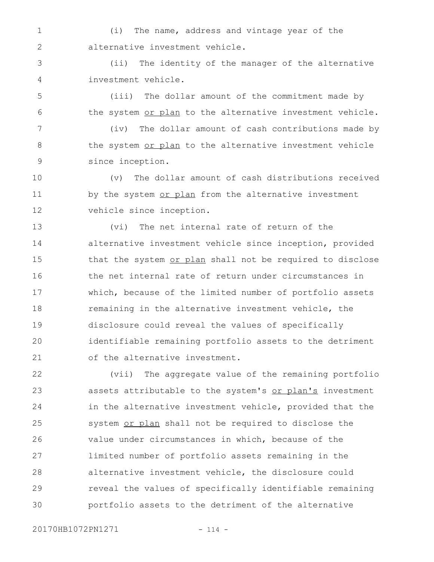(i) The name, address and vintage year of the alternative investment vehicle. 1 2

(ii) The identity of the manager of the alternative investment vehicle. 3 4

(iii) The dollar amount of the commitment made by the system or plan to the alternative investment vehicle. 5 6

(iv) The dollar amount of cash contributions made by the system or plan to the alternative investment vehicle since inception. 7 8 9

(v) The dollar amount of cash distributions received by the system or plan from the alternative investment vehicle since inception. 10 11 12

(vi) The net internal rate of return of the alternative investment vehicle since inception, provided that the system or plan shall not be required to disclose the net internal rate of return under circumstances in which, because of the limited number of portfolio assets remaining in the alternative investment vehicle, the disclosure could reveal the values of specifically identifiable remaining portfolio assets to the detriment of the alternative investment. 13 14 15 16 17 18 19 20 21

(vii) The aggregate value of the remaining portfolio assets attributable to the system's or plan's investment in the alternative investment vehicle, provided that the system or plan shall not be required to disclose the value under circumstances in which, because of the limited number of portfolio assets remaining in the alternative investment vehicle, the disclosure could reveal the values of specifically identifiable remaining portfolio assets to the detriment of the alternative 22 23 24 25 26 27 28 29 30

20170HB1072PN1271 - 114 -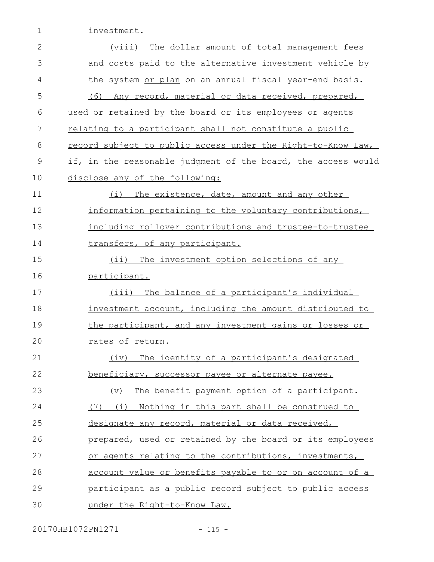investment. 1

| $\mathbf{2}$ | (viii)<br>The dollar amount of total management fees              |
|--------------|-------------------------------------------------------------------|
| 3            | and costs paid to the alternative investment vehicle by           |
| 4            | the system or plan on an annual fiscal year-end basis.            |
| 5            | (6) Any record, material or data received, prepared,              |
| 6            | used or retained by the board or its employees or agents          |
| 7            | relating to a participant shall not constitute a public           |
| 8            | record subject to public access under the Right-to-Know Law,      |
| $\mathsf 9$  | if, in the reasonable judgment of the board, the access would     |
| 10           | disclose any of the following:                                    |
| 11           | (i) The existence, date, amount and any other                     |
| 12           | information pertaining to the voluntary contributions,            |
| 13           | including rollover contributions and trustee-to-trustee           |
| 14           | transfers, of any participant.                                    |
| 15           | (ii) The investment option selections of any                      |
| 16           | participant.                                                      |
| 17           | (iii) The balance of a participant's individual                   |
| 18           | investment account, including the amount distributed to           |
| 19           | the participant, and any investment gains or losses or            |
| 20           | rates of return.                                                  |
| 21           | (iv) The identity of a participant's designated                   |
| 22           | beneficiary, successor payee or alternate payee.                  |
| 23           | The benefit payment option of a participant.<br>$(\triangledown)$ |
| 24           | (7) (i) Nothing in this part shall be construed to                |
| 25           | designate any record, material or data received,                  |
| 26           | prepared, used or retained by the board or its employees          |
| 27           | or agents relating to the contributions, investments,             |
| 28           | account value or benefits payable to or on account of a           |
| 29           | participant as a public record subject to public access           |
| 30           | under the Right-to-Know Law.                                      |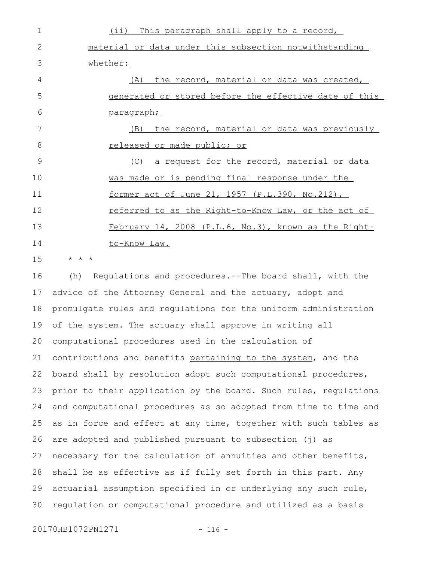| 1             | This paragraph shall apply to a record,<br>$(i$ i)     |
|---------------|--------------------------------------------------------|
| $\mathcal{L}$ | material or data under this subsection notwithstanding |
| 3             | whether:                                               |
| 4             | the record, material or data was created,<br>(A)       |
| 5             | generated or stored before the effective date of this  |
| 6             | paragraph;                                             |
| 7             | the record, material or data was previously<br>(B)     |
| 8             | released or made public; or                            |
| 9             | (C) a request for the record, material or data         |
| 10            | was made or is pending final response under the        |
| 11            | former act of June 21, 1957 (P.L.390, No.212),         |
| 12            | referred to as the Right-to-Know Law, or the act of    |
| 13            | February 14, 2008 (P.L.6, No.3), known as the Right-   |
| 14            | to-Know Law.                                           |
|               |                                                        |

\* \* \* 15

(h) Regulations and procedures.--The board shall, with the advice of the Attorney General and the actuary, adopt and promulgate rules and regulations for the uniform administration of the system. The actuary shall approve in writing all computational procedures used in the calculation of contributions and benefits pertaining to the system, and the board shall by resolution adopt such computational procedures, prior to their application by the board. Such rules, regulations and computational procedures as so adopted from time to time and as in force and effect at any time, together with such tables as are adopted and published pursuant to subsection (j) as necessary for the calculation of annuities and other benefits, shall be as effective as if fully set forth in this part. Any actuarial assumption specified in or underlying any such rule, regulation or computational procedure and utilized as a basis 16 17 18 19 20 21 22 23 24 25 26 27 28 29 30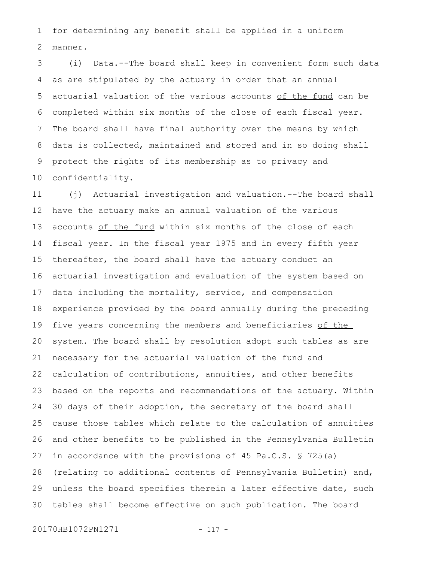for determining any benefit shall be applied in a uniform manner. 1 2

(i) Data.--The board shall keep in convenient form such data as are stipulated by the actuary in order that an annual actuarial valuation of the various accounts of the fund can be completed within six months of the close of each fiscal year. The board shall have final authority over the means by which data is collected, maintained and stored and in so doing shall protect the rights of its membership as to privacy and confidentiality. 3 4 5 6 7 8 9 10

(j) Actuarial investigation and valuation.--The board shall have the actuary make an annual valuation of the various accounts of the fund within six months of the close of each fiscal year. In the fiscal year 1975 and in every fifth year thereafter, the board shall have the actuary conduct an actuarial investigation and evaluation of the system based on data including the mortality, service, and compensation experience provided by the board annually during the preceding five years concerning the members and beneficiaries of the system. The board shall by resolution adopt such tables as are necessary for the actuarial valuation of the fund and calculation of contributions, annuities, and other benefits based on the reports and recommendations of the actuary. Within 30 days of their adoption, the secretary of the board shall cause those tables which relate to the calculation of annuities and other benefits to be published in the Pennsylvania Bulletin in accordance with the provisions of 45 Pa.C.S. § 725(a) (relating to additional contents of Pennsylvania Bulletin) and, unless the board specifies therein a later effective date, such tables shall become effective on such publication. The board 11 12 13 14 15 16 17 18 19 20 21 22 23 24 25 26 27 28 29 30

20170HB1072PN1271 - 117 -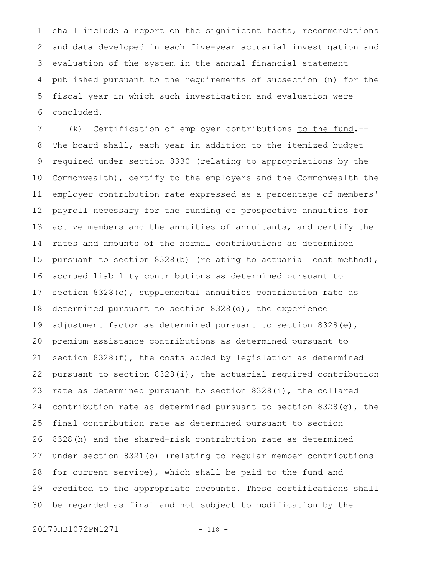shall include a report on the significant facts, recommendations and data developed in each five-year actuarial investigation and evaluation of the system in the annual financial statement published pursuant to the requirements of subsection (n) for the fiscal year in which such investigation and evaluation were concluded. 1 2 3 4 5 6

(k) Certification of employer contributions to the fund.--The board shall, each year in addition to the itemized budget required under section 8330 (relating to appropriations by the Commonwealth), certify to the employers and the Commonwealth the employer contribution rate expressed as a percentage of members' payroll necessary for the funding of prospective annuities for active members and the annuities of annuitants, and certify the rates and amounts of the normal contributions as determined pursuant to section 8328(b) (relating to actuarial cost method), accrued liability contributions as determined pursuant to section 8328(c), supplemental annuities contribution rate as determined pursuant to section 8328(d), the experience adjustment factor as determined pursuant to section 8328(e), premium assistance contributions as determined pursuant to section 8328(f), the costs added by legislation as determined pursuant to section 8328(i), the actuarial required contribution rate as determined pursuant to section 8328(i), the collared contribution rate as determined pursuant to section 8328(g), the final contribution rate as determined pursuant to section 8328(h) and the shared-risk contribution rate as determined under section 8321(b) (relating to regular member contributions for current service), which shall be paid to the fund and credited to the appropriate accounts. These certifications shall be regarded as final and not subject to modification by the 7 8 9 10 11 12 13 14 15 16 17 18 19 20 21 22 23 24 25 26 27 28 29 30

20170HB1072PN1271 - 118 -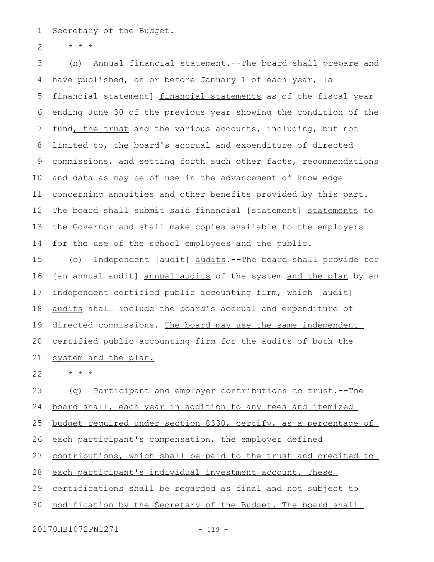Secretary of the Budget. 1

\* \* \* 2

(n) Annual financial statement.--The board shall prepare and have published, on or before January 1 of each year, [a financial statement] financial statements as of the fiscal year ending June 30 of the previous year showing the condition of the fund, the trust and the various accounts, including, but not limited to, the board's accrual and expenditure of directed commissions, and setting forth such other facts, recommendations and data as may be of use in the advancement of knowledge concerning annuities and other benefits provided by this part. The board shall submit said financial [statement] statements to the Governor and shall make copies available to the employers for the use of the school employees and the public. 3 4 5 6 7 8 9 10 11 12 13 14

(o) Independent [audit] audits.--The board shall provide for [an annual audit] annual audits of the system and the plan by an independent certified public accounting firm, which [audit] audits shall include the board's accrual and expenditure of directed commissions. The board may use the same independent certified public accounting firm for the audits of both the system and the plan. 15 16 17 18 19 20 21

\* \* \* 22

(q) Participant and employer contributions to trust.--The board shall, each year in addition to any fees and itemized budget required under section 8330, certify, as a percentage of each participant's compensation, the employer defined 23 24 25 26

contributions, which shall be paid to the trust and credited to 27

each participant's individual investment account. These 28

certifications shall be regarded as final and not subject to 29

modification by the Secretary of the Budget. The board shall 30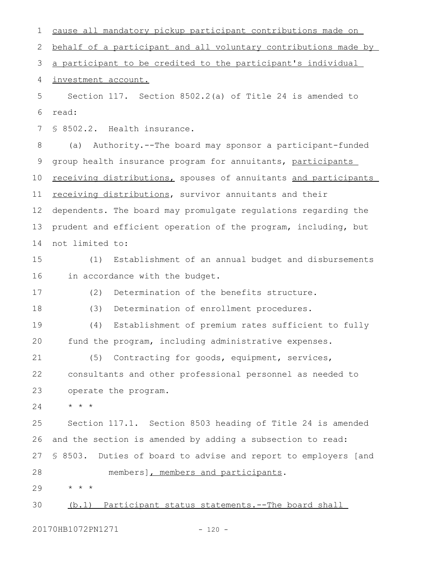cause all mandatory pickup participant contributions made on behalf of a participant and all voluntary contributions made by a participant to be credited to the participant's individual investment account. Section 117. Section 8502.2(a) of Title 24 is amended to read: § 8502.2. Health insurance. (a) Authority.--The board may sponsor a participant-funded group health insurance program for annuitants, participants receiving distributions, spouses of annuitants and participants receiving distributions, survivor annuitants and their dependents. The board may promulgate regulations regarding the prudent and efficient operation of the program, including, but not limited to: (1) Establishment of an annual budget and disbursements in accordance with the budget. (2) Determination of the benefits structure. (3) Determination of enrollment procedures. (4) Establishment of premium rates sufficient to fully fund the program, including administrative expenses. (5) Contracting for goods, equipment, services, consultants and other professional personnel as needed to operate the program. \* \* \* Section 117.1. Section 8503 heading of Title 24 is amended and the section is amended by adding a subsection to read: § 8503. Duties of board to advise and report to employers [and members], members and participants. \* \* \* (b.1) Participant status statements.--The board shall 20170HB1072PN1271 - 120 -1 2 3 4 5 6 7 8 9 10 11 12 13 14 15 16 17 18 19  $20$ 21 22 23 24 25 26 27 28 29 30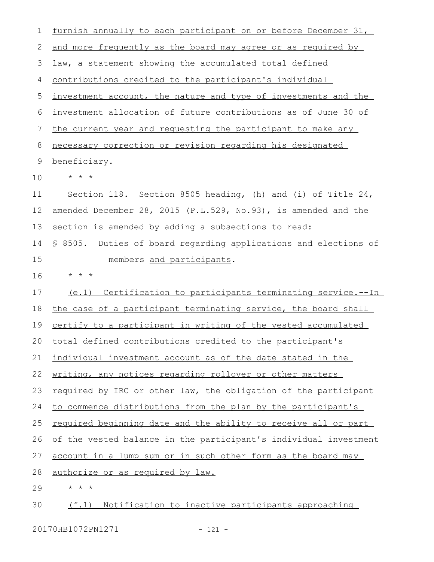| 1  | furnish annually to each participant on or before December 31,       |
|----|----------------------------------------------------------------------|
| 2  | and more frequently as the board may agree or as required by         |
| 3  | law, a statement showing the accumulated total defined               |
| 4  | contributions credited to the participant's individual               |
| 5  | investment account, the nature and type of investments and the       |
| 6  | investment allocation of future contributions as of June 30 of       |
| 7  | the current year and requesting the participant to make any          |
| 8  | necessary correction or revision regarding his designated            |
| 9  | beneficiary.                                                         |
| 10 | $\star$ $\star$ $\star$                                              |
| 11 | Section 118. Section 8505 heading, (h) and (i) of Title 24,          |
| 12 | amended December 28, 2015 (P.L.529, No.93), is amended and the       |
| 13 | section is amended by adding a subsections to read:                  |
| 14 | \$ 8505. Duties of board regarding applications and elections of     |
| 15 | members and participants.                                            |
|    |                                                                      |
| 16 | $\star$ $\star$ $\star$                                              |
| 17 | (e.1) Certification to participants terminating service.--In         |
| 18 | the case of a participant terminating service, the board shall       |
| 19 | <u>certify to a participant in writing of the vested accumulated</u> |
|    | 20 total defined contributions credited to the participant's         |
| 21 | individual investment account as of the date stated in the           |
| 22 | writing, any notices regarding rollover or other matters             |
| 23 | required by IRC or other law, the obligation of the participant      |
| 24 | to commence distributions from the plan by the participant's         |
| 25 | required beginning date and the ability to receive all or part       |
| 26 | of the vested balance in the participant's individual investment     |
| 27 | account in a lump sum or in such other form as the board may         |
| 28 | authorize or as required by law.                                     |
| 29 | $\star$<br>$\star$ $\star$                                           |

20170HB1072PN1271 - 121 -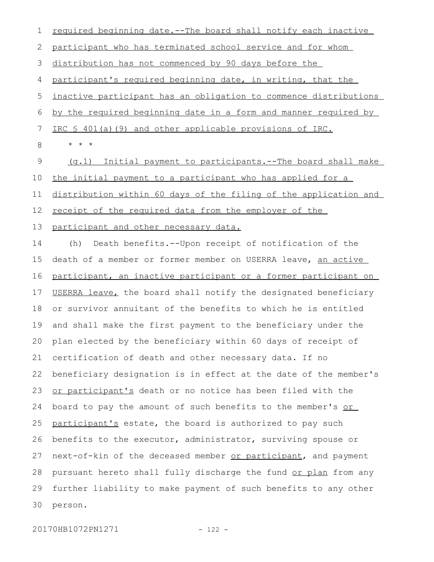| 1           | required beginning date.--The board shall notify each inactive   |
|-------------|------------------------------------------------------------------|
| 2           | participant who has terminated school service and for whom       |
| 3           | distribution has not commenced by 90 days before the             |
| 4           | participant's required beginning date, in writing, that the      |
| 5           | inactive participant has an obligation to commence distributions |
| 6           | by the required beginning date in a form and manner required by  |
| 7           | IRC § 401(a)(9) and other applicable provisions of IRC.          |
| 8           | $\star$ $\star$ $\star$                                          |
| $\mathsf 9$ | (g.1) Initial payment to participants.--The board shall make     |
| 10          | the initial payment to a participant who has applied for a       |
| 11          | distribution within 60 days of the filing of the application and |
| 12          | receipt of the required data from the employer of the            |
| 13          | participant and other necessary data.                            |
| 14          | Death benefits.--Upon receipt of notification of the<br>(h)      |
| 15          | death of a member or former member on USERRA leave, an active    |
| 16          | participant, an inactive participant or a former participant on  |
| 17          | USERRA leave, the board shall notify the designated beneficiary  |
| 18          | or survivor annuitant of the benefits to which he is entitled    |
| 19          | and shall make the first payment to the beneficiary under the    |
| 20          | plan elected by the beneficiary within 60 days of receipt of     |
| 21          | certification of death and other necessary data. If no           |
| 22          | beneficiary designation is in effect at the date of the member's |
| 23          | or participant's death or no notice has been filed with the      |
| 24          | board to pay the amount of such benefits to the member's or      |
| 25          | participant's estate, the board is authorized to pay such        |
| 26          | benefits to the executor, administrator, surviving spouse or     |
| 27          | next-of-kin of the deceased member or participant, and payment   |
| 28          | pursuant hereto shall fully discharge the fund or plan from any  |
| 29          | further liability to make payment of such benefits to any other  |
| 30          | person.                                                          |
|             |                                                                  |

20170HB1072PN1271 - 122 -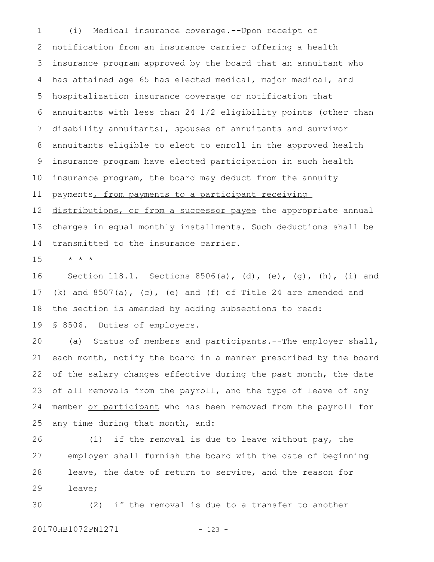(i) Medical insurance coverage.--Upon receipt of notification from an insurance carrier offering a health insurance program approved by the board that an annuitant who has attained age 65 has elected medical, major medical, and hospitalization insurance coverage or notification that annuitants with less than 24 1/2 eligibility points (other than disability annuitants), spouses of annuitants and survivor annuitants eligible to elect to enroll in the approved health insurance program have elected participation in such health insurance program, the board may deduct from the annuity payments, from payments to a participant receiving 1 2 3 4 5 6 7 8 9 10 11

distributions, or from a successor payee the appropriate annual charges in equal monthly installments. Such deductions shall be transmitted to the insurance carrier. 12 13 14

\* \* \* 15

Section 118.1. Sections  $8506(a)$ , (d), (e), (q), (h), (i) and (k) and  $8507(a)$ , (c), (e) and (f) of Title 24 are amended and the section is amended by adding subsections to read: § 8506. Duties of employers. 16 17 18 19

(a) Status of members and participants.--The employer shall, each month, notify the board in a manner prescribed by the board of the salary changes effective during the past month, the date of all removals from the payroll, and the type of leave of any member or participant who has been removed from the payroll for any time during that month, and: 20 21 22 23 24 25

(1) if the removal is due to leave without pay, the employer shall furnish the board with the date of beginning leave, the date of return to service, and the reason for leave; 26 27 28 29

(2) if the removal is due to a transfer to another 30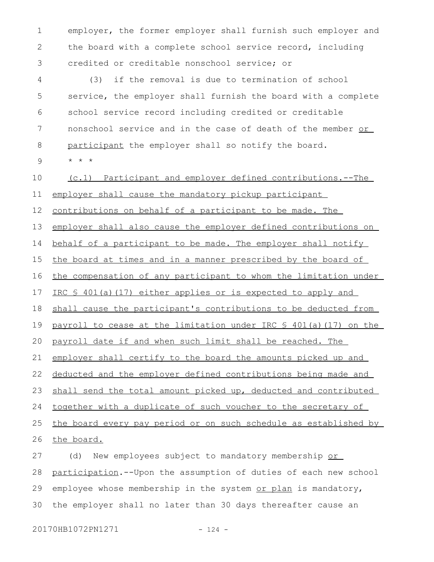employer, the former employer shall furnish such employer and the board with a complete school service record, including credited or creditable nonschool service; or 1 2 3

(3) if the removal is due to termination of school service, the employer shall furnish the board with a complete school service record including credited or creditable nonschool service and in the case of death of the member or participant the employer shall so notify the board. 4 5 6 7 8

\* \* \* 9

(c.1) Participant and employer defined contributions.--The 10

employer shall cause the mandatory pickup participant 11

contributions on behalf of a participant to be made. The 12

employer shall also cause the employer defined contributions on 13

behalf of a participant to be made. The employer shall notify 14

the board at times and in a manner prescribed by the board of 15

the compensation of any participant to whom the limitation under 16

IRC § 401(a)(17) either applies or is expected to apply and 17

shall cause the participant's contributions to be deducted from 18

payroll to cease at the limitation under IRC § 401(a)(17) on the 19

payroll date if and when such limit shall be reached. The 20

employer shall certify to the board the amounts picked up and 21

deducted and the employer defined contributions being made and 22

shall send the total amount picked up, deducted and contributed 23

together with a duplicate of such voucher to the secretary of 24

the board every pay period or on such schedule as established by 25

the board. 26

(d) New employees subject to mandatory membership or participation.--Upon the assumption of duties of each new school employee whose membership in the system or plan is mandatory, the employer shall no later than 30 days thereafter cause an 27 28 29 30

20170HB1072PN1271 - 124 -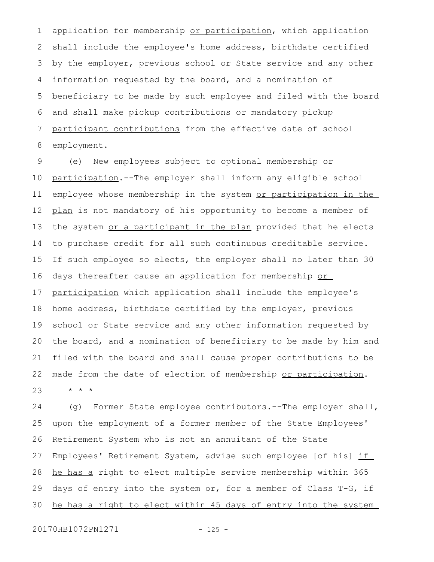application for membership or participation, which application shall include the employee's home address, birthdate certified by the employer, previous school or State service and any other information requested by the board, and a nomination of beneficiary to be made by such employee and filed with the board and shall make pickup contributions or mandatory pickup participant contributions from the effective date of school employment. 1 2 3 4 5 6 7 8

(e) New employees subject to optional membership or participation.--The employer shall inform any eligible school employee whose membership in the system or participation in the plan is not mandatory of his opportunity to become a member of the system or a participant in the plan provided that he elects to purchase credit for all such continuous creditable service. If such employee so elects, the employer shall no later than 30 days thereafter cause an application for membership or participation which application shall include the employee's home address, birthdate certified by the employer, previous school or State service and any other information requested by the board, and a nomination of beneficiary to be made by him and filed with the board and shall cause proper contributions to be made from the date of election of membership or participation. \* \* \* 9 10 11 12 13 14 15 16 17 18 19 20 21 22 23

(g) Former State employee contributors.--The employer shall, upon the employment of a former member of the State Employees' Retirement System who is not an annuitant of the State Employees' Retirement System, advise such employee [of his] if he has a right to elect multiple service membership within 365 days of entry into the system or, for a member of Class T-G, if he has a right to elect within 45 days of entry into the system 24 25 26 27 28 29 30

20170HB1072PN1271 - 125 -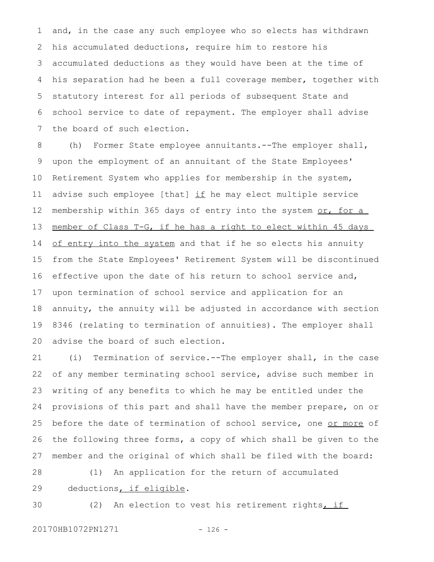and, in the case any such employee who so elects has withdrawn his accumulated deductions, require him to restore his accumulated deductions as they would have been at the time of his separation had he been a full coverage member, together with statutory interest for all periods of subsequent State and school service to date of repayment. The employer shall advise the board of such election. 1 2 3 4 5 6 7

(h) Former State employee annuitants.--The employer shall, upon the employment of an annuitant of the State Employees' Retirement System who applies for membership in the system, advise such employee [that] if he may elect multiple service membership within 365 days of entry into the system or, for a member of Class T-G, if he has a right to elect within 45 days of entry into the system and that if he so elects his annuity from the State Employees' Retirement System will be discontinued effective upon the date of his return to school service and, upon termination of school service and application for an annuity, the annuity will be adjusted in accordance with section 8346 (relating to termination of annuities). The employer shall advise the board of such election. 8 9 10 11 12 13 14 15 16 17 18 19 20

(i) Termination of service.--The employer shall, in the case of any member terminating school service, advise such member in writing of any benefits to which he may be entitled under the provisions of this part and shall have the member prepare, on or before the date of termination of school service, one or more of the following three forms, a copy of which shall be given to the member and the original of which shall be filed with the board: 21 22 23 24 25 26 27

(1) An application for the return of accumulated deductions, if eligible. 28 29

30

(2) An election to vest his retirement rights, if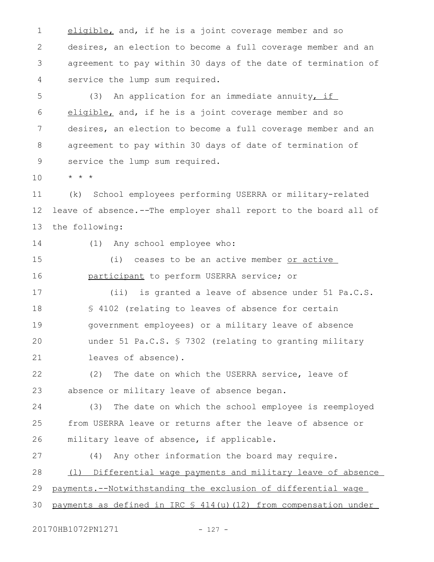eligible, and, if he is a joint coverage member and so desires, an election to become a full coverage member and an agreement to pay within 30 days of the date of termination of service the lump sum required. 1 2 3 4

(3) An application for an immediate annuity, if eligible, and, if he is a joint coverage member and so desires, an election to become a full coverage member and an agreement to pay within 30 days of date of termination of service the lump sum required. 5 6 7 8 9

\* \* \* 10

(k) School employees performing USERRA or military-related leave of absence*.--*The employer shall report to the board all of the following: 11 12 13

14

(1) Any school employee who:

(i) ceases to be an active member or active participant to perform USERRA service; or 15 16

(ii) is granted a leave of absence under 51 Pa.C.S. § 4102 (relating to leaves of absence for certain government employees) or a military leave of absence under 51 Pa.C.S. § 7302 (relating to granting military leaves of absence). 17 18 19  $20$ 21

(2) The date on which the USERRA service, leave of absence or military leave of absence began. 22 23

(3) The date on which the school employee is reemployed from USERRA leave or returns after the leave of absence or military leave of absence, if applicable. 24 25 26

(4) Any other information the board may require. (l) Differential wage payments and military leave of absence payments.--Notwithstanding the exclusion of differential wage payments as defined in IRC  $$ 414(u)(12)$  from compensation under 27 28 29 30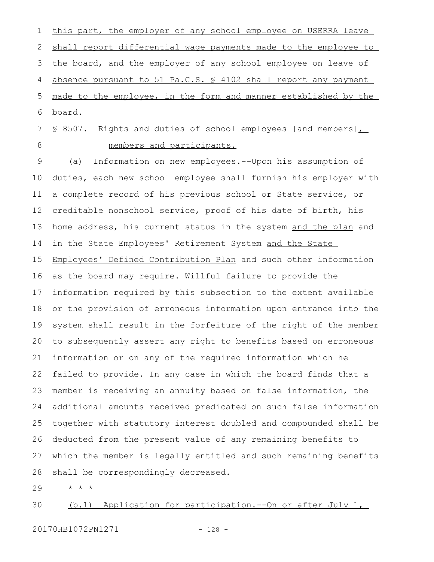this part, the employer of any school employee on USERRA leave shall report differential wage payments made to the employee to the board, and the employer of any school employee on leave of absence pursuant to 51 Pa.C.S. § 4102 shall report any payment made to the employee, in the form and manner established by the board. 1 2 3 4 5 6

§ 8507. Rights and duties of school employees [and members]. members and participants. 7 8

(a) Information on new employees.--Upon his assumption of duties, each new school employee shall furnish his employer with a complete record of his previous school or State service, or creditable nonschool service, proof of his date of birth, his home address, his current status in the system and the plan and in the State Employees' Retirement System and the State Employees' Defined Contribution Plan and such other information as the board may require. Willful failure to provide the information required by this subsection to the extent available or the provision of erroneous information upon entrance into the system shall result in the forfeiture of the right of the member to subsequently assert any right to benefits based on erroneous information or on any of the required information which he failed to provide. In any case in which the board finds that a member is receiving an annuity based on false information, the additional amounts received predicated on such false information together with statutory interest doubled and compounded shall be deducted from the present value of any remaining benefits to which the member is legally entitled and such remaining benefits shall be correspondingly decreased. 9 10 11 12 13 14 15 16 17 18 19 20 21 22 23 24 25 26 27 28

\* \* \* 29

(b.1) Application for participation.--On or after July 1, 30

20170HB1072PN1271 - 128 -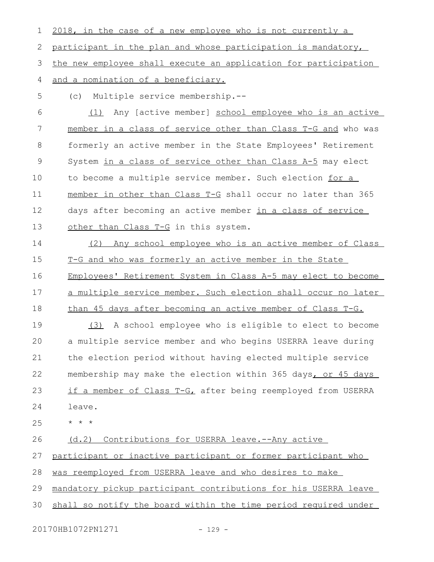2018, in the case of a new employee who is not currently a participant in the plan and whose participation is mandatory, the new employee shall execute an application for participation and a nomination of a beneficiary. 1 2 3 4

(c) Multiple service membership.-- 5

(1) Any [active member] school employee who is an active member in a class of service other than Class T-G and who was formerly an active member in the State Employees' Retirement System in a class of service other than Class A-5 may elect to become a multiple service member. Such election for a member in other than Class T-G shall occur no later than 365 days after becoming an active member in a class of service other than Class T-G in this system. 6 7 8 9 10 11 12 13

(2) Any school employee who is an active member of Class T-G and who was formerly an active member in the State Employees' Retirement System in Class A-5 may elect to become a multiple service member. Such election shall occur no later than 45 days after becoming an active member of Class T-G. 14 15 16 17 18

(3) A school employee who is eligible to elect to become a multiple service member and who begins USERRA leave during the election period without having elected multiple service membership may make the election within 365 days, or 45 days if a member of Class T-G, after being reemployed from USERRA leave. 19  $20$ 21 22 23 24

\* \* \* 25

(d.2) Contributions for USERRA leave.--Any active 26

participant or inactive participant or former participant who 27

was reemployed from USERRA leave and who desires to make 28

mandatory pickup participant contributions for his USERRA leave 29

shall so notify the board within the time period required under 30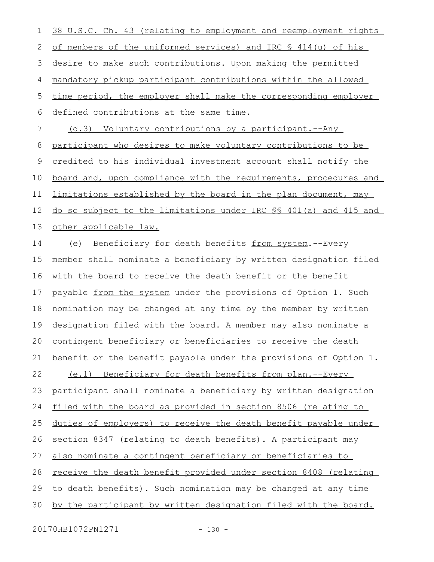38 U.S.C. Ch. 43 (relating to employment and reemployment rights of members of the uniformed services) and IRC § 414(u) of his desire to make such contributions. Upon making the permitted mandatory pickup participant contributions within the allowed time period, the employer shall make the corresponding employer defined contributions at the same time. (d.3) Voluntary contributions by a participant.--Any participant who desires to make voluntary contributions to be credited to his individual investment account shall notify the board and, upon compliance with the requirements, procedures and limitations established by the board in the plan document, may do so subject to the limitations under IRC §§ 401(a) and 415 and other applicable law. (e) Beneficiary for death benefits from system.--Every member shall nominate a beneficiary by written designation filed with the board to receive the death benefit or the benefit payable from the system under the provisions of Option 1. Such nomination may be changed at any time by the member by written designation filed with the board. A member may also nominate a contingent beneficiary or beneficiaries to receive the death benefit or the benefit payable under the provisions of Option 1. (e.1) Beneficiary for death benefits from plan.--Every participant shall nominate a beneficiary by written designation filed with the board as provided in section 8506 (relating to duties of employers) to receive the death benefit payable under section 8347 (relating to death benefits). A participant may also nominate a contingent beneficiary or beneficiaries to receive the death benefit provided under section 8408 (relating to death benefits). Such nomination may be changed at any time by the participant by written designation filed with the board. 1 2 3 4 5 6 7 8 9 10 11 12 13 14 15 16 17 18 19 20 21 22 23 24 25 26 27 28 29 30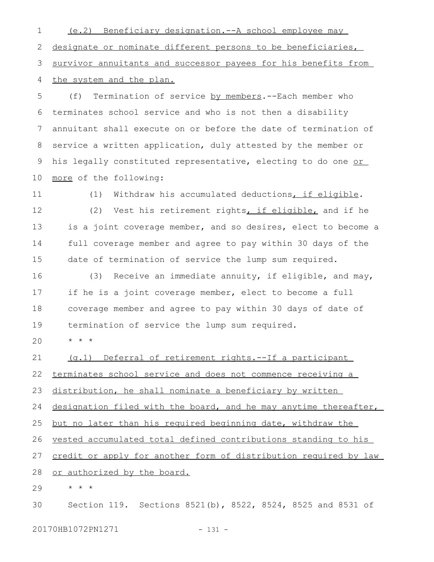(e.2) Beneficiary designation.--A school employee may designate or nominate different persons to be beneficiaries, survivor annuitants and successor payees for his benefits from the system and the plan. 1 2 3 4

(f) Termination of service by members.--Each member who terminates school service and who is not then a disability annuitant shall execute on or before the date of termination of service a written application, duly attested by the member or his legally constituted representative, electing to do one or more of the following: 5 6 7 8 9 10

(1) Withdraw his accumulated deductions, if eligible. (2) Vest his retirement rights, if eligible, and if he is a joint coverage member, and so desires, elect to become a full coverage member and agree to pay within 30 days of the date of termination of service the lump sum required. 11 12 13 14 15

(3) Receive an immediate annuity, if eligible, and may, if he is a joint coverage member, elect to become a full coverage member and agree to pay within 30 days of date of termination of service the lump sum required. 16 17 18 19

\* \* \*  $20$ 

(g.1) Deferral of retirement rights.--If a participant 21

terminates school service and does not commence receiving a 22

distribution, he shall nominate a beneficiary by written 23

designation filed with the board, and he may anytime thereafter, 24

but no later than his required beginning date, withdraw the 25

vested accumulated total defined contributions standing to his 26

credit or apply for another form of distribution required by law 27

or authorized by the board. 28

\* \* \* 29

Section 119. Sections 8521(b), 8522, 8524, 8525 and 8531 of 30

20170HB1072PN1271 - 131 -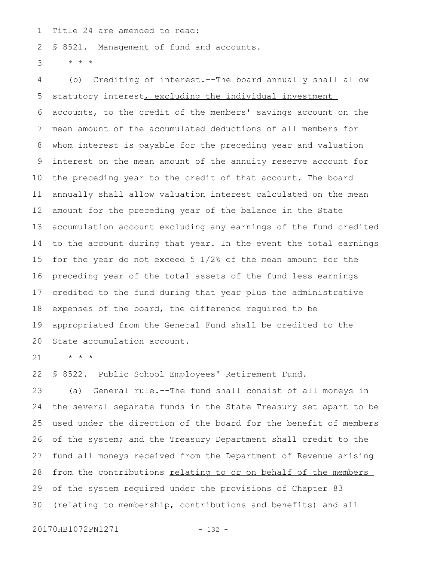Title 24 are amended to read: 1

§ 8521. Management of fund and accounts. 2

\* \* \* 3

(b) Crediting of interest.--The board annually shall allow statutory interest, excluding the individual investment accounts, to the credit of the members' savings account on the mean amount of the accumulated deductions of all members for whom interest is payable for the preceding year and valuation interest on the mean amount of the annuity reserve account for the preceding year to the credit of that account. The board annually shall allow valuation interest calculated on the mean amount for the preceding year of the balance in the State accumulation account excluding any earnings of the fund credited to the account during that year. In the event the total earnings for the year do not exceed 5 1/2% of the mean amount for the preceding year of the total assets of the fund less earnings credited to the fund during that year plus the administrative expenses of the board, the difference required to be appropriated from the General Fund shall be credited to the State accumulation account. 4 5 6 7 8 9 10 11 12 13 14 15 16 17 18 19 20

\* \* \* 21

§ 8522. Public School Employees' Retirement Fund. 22

(a) General rule.--The fund shall consist of all moneys in the several separate funds in the State Treasury set apart to be used under the direction of the board for the benefit of members of the system; and the Treasury Department shall credit to the fund all moneys received from the Department of Revenue arising from the contributions relating to or on behalf of the members of the system required under the provisions of Chapter 83 (relating to membership, contributions and benefits) and all 23 24 25 26 27 28 29 30

20170HB1072PN1271 - 132 -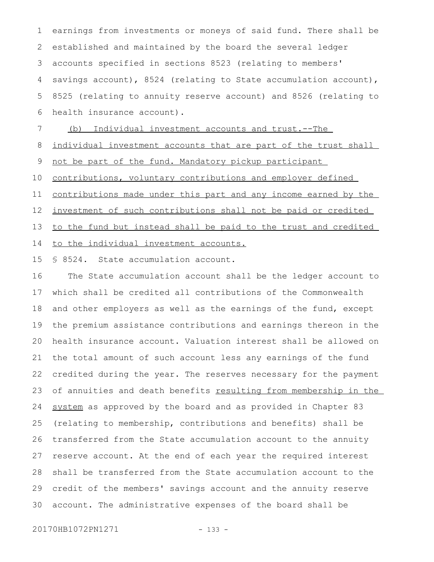earnings from investments or moneys of said fund. There shall be established and maintained by the board the several ledger accounts specified in sections 8523 (relating to members' savings account), 8524 (relating to State accumulation account), 8525 (relating to annuity reserve account) and 8526 (relating to health insurance account). 1 2 3 4 5 6

(b) Individual investment accounts and trust. -- The 7

individual investment accounts that are part of the trust shall 8

not be part of the fund. Mandatory pickup participant 9

contributions, voluntary contributions and employer defined 10

contributions made under this part and any income earned by the 11

investment of such contributions shall not be paid or credited 12

to the fund but instead shall be paid to the trust and credited 13

to the individual investment accounts. 14

§ 8524. State accumulation account. 15

The State accumulation account shall be the ledger account to which shall be credited all contributions of the Commonwealth and other employers as well as the earnings of the fund, except the premium assistance contributions and earnings thereon in the health insurance account. Valuation interest shall be allowed on the total amount of such account less any earnings of the fund credited during the year. The reserves necessary for the payment of annuities and death benefits resulting from membership in the system as approved by the board and as provided in Chapter 83 (relating to membership, contributions and benefits) shall be transferred from the State accumulation account to the annuity reserve account. At the end of each year the required interest shall be transferred from the State accumulation account to the credit of the members' savings account and the annuity reserve account. The administrative expenses of the board shall be 16 17 18 19 20 21 22 23 24 25 26 27 28 29 30

20170HB1072PN1271 - 133 -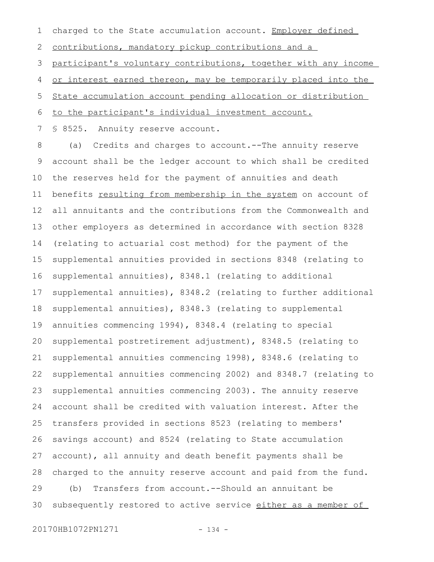charged to the State accumulation account. Employer defined 1

contributions, mandatory pickup contributions and a 2

participant's voluntary contributions, together with any income 3

or interest earned thereon, may be temporarily placed into the 4

State accumulation account pending allocation or distribution 5

to the participant's individual investment account. 6

§ 8525. Annuity reserve account. 7

(a) Credits and charges to account.--The annuity reserve account shall be the ledger account to which shall be credited the reserves held for the payment of annuities and death benefits resulting from membership in the system on account of all annuitants and the contributions from the Commonwealth and other employers as determined in accordance with section 8328 (relating to actuarial cost method) for the payment of the supplemental annuities provided in sections 8348 (relating to supplemental annuities), 8348.1 (relating to additional supplemental annuities), 8348.2 (relating to further additional supplemental annuities), 8348.3 (relating to supplemental annuities commencing 1994), 8348.4 (relating to special supplemental postretirement adjustment), 8348.5 (relating to supplemental annuities commencing 1998), 8348.6 (relating to supplemental annuities commencing 2002) and 8348.7 (relating to supplemental annuities commencing 2003). The annuity reserve account shall be credited with valuation interest. After the transfers provided in sections 8523 (relating to members' savings account) and 8524 (relating to State accumulation account), all annuity and death benefit payments shall be charged to the annuity reserve account and paid from the fund. (b) Transfers from account.--Should an annuitant be subsequently restored to active service either as a member of 8 9 10 11 12 13 14 15 16 17 18 19 20 21 22 23 24 25 26 27 28 29 30

20170HB1072PN1271 - 134 -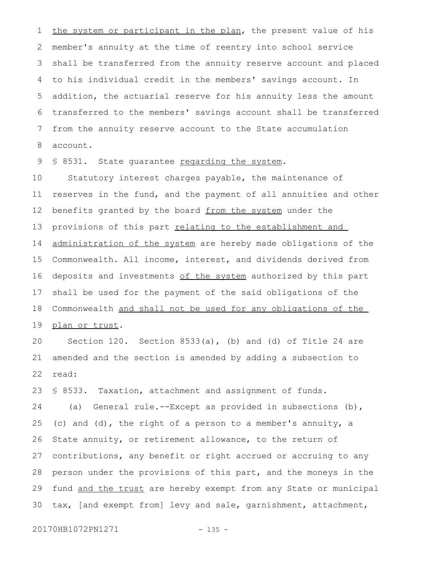the system or participant in the plan, the present value of his member's annuity at the time of reentry into school service shall be transferred from the annuity reserve account and placed to his individual credit in the members' savings account. In addition, the actuarial reserve for his annuity less the amount transferred to the members' savings account shall be transferred from the annuity reserve account to the State accumulation account. 1 2 3 4 5 6 7 8

§ 8531. State quarantee regarding the system. 9

Statutory interest charges payable, the maintenance of reserves in the fund, and the payment of all annuities and other benefits granted by the board from the system under the provisions of this part relating to the establishment and administration of the system are hereby made obligations of the Commonwealth. All income, interest, and dividends derived from deposits and investments of the system authorized by this part shall be used for the payment of the said obligations of the Commonwealth and shall not be used for any obligations of the plan or trust. 10 11 12 13 14 15 16 17 18 19

Section 120. Section 8533(a), (b) and (d) of Title 24 are amended and the section is amended by adding a subsection to read: 20 21 22

§ 8533. Taxation, attachment and assignment of funds. (a) General rule.--Except as provided in subsections (b), (c) and (d), the right of a person to a member's annuity, a State annuity, or retirement allowance, to the return of contributions, any benefit or right accrued or accruing to any person under the provisions of this part, and the moneys in the fund and the trust are hereby exempt from any State or municipal tax, [and exempt from] levy and sale, garnishment, attachment, 23 24 25 26 27 28 29 30

20170HB1072PN1271 - 135 -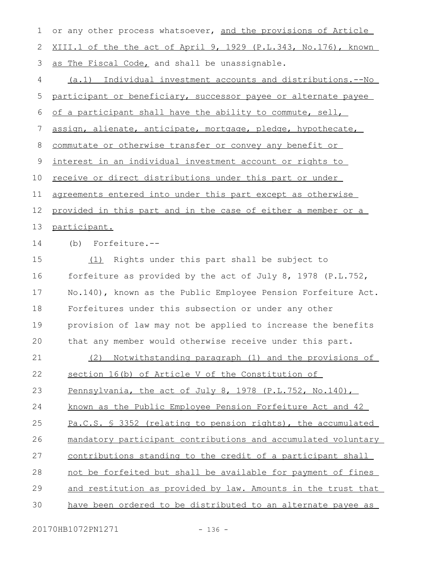| $\mathbf 1$ | or any other process whatsoever, and the provisions of Article       |
|-------------|----------------------------------------------------------------------|
| 2           | XIII.1 of the the act of April 9, 1929 (P.L.343, No.176), known      |
| 3           | as The Fiscal Code, and shall be unassignable.                       |
| 4           | (a.1) Individual investment accounts and distributions.--No          |
| 5           | participant or beneficiary, successor payee or alternate payee       |
| 6           | of a participant shall have the ability to commute, sell,            |
| 7           | assign, alienate, anticipate, mortgage, pledge, hypothecate,         |
| 8           | commutate or otherwise transfer or convey any benefit or             |
| 9           | interest in an individual investment account or rights to            |
| 10          | receive or direct distributions under this part or under             |
| 11          | agreements entered into under this part except as otherwise          |
| 12          | <u>provided in this part and in the case of either a member or a</u> |
| 13          | participant.                                                         |
| 14          | Forfeiture.--<br>(b)                                                 |
| 15          | Rights under this part shall be subject to<br>(1)                    |
| 16          | forfeiture as provided by the act of July 8, 1978 (P.L.752,          |
| 17          | No.140), known as the Public Employee Pension Forfeiture Act.        |
| 18          | Forfeitures under this subsection or under any other                 |
| 19          | provision of law may not be applied to increase the benefits         |
| 20          | that any member would otherwise receive under this part.             |
| 21          | Notwithstanding paragraph (1) and the provisions of<br>(2)           |
| 22          | section 16(b) of Article V of the Constitution of                    |
| 23          | Pennsylvania, the act of July 8, 1978 (P.L.752, No.140),             |
| 24          | known as the Public Employee Pension Forfeiture Act and 42           |
| 25          | Pa.C.S. § 3352 (relating to pension rights), the accumulated         |
| 26          | mandatory participant contributions and accumulated voluntary        |
| 27          | contributions standing to the credit of a participant shall          |
| 28          | not be forfeited but shall be available for payment of fines         |
| 29          | and restitution as provided by law. Amounts in the trust that        |
| 30          | have been ordered to be distributed to an alternate payee as         |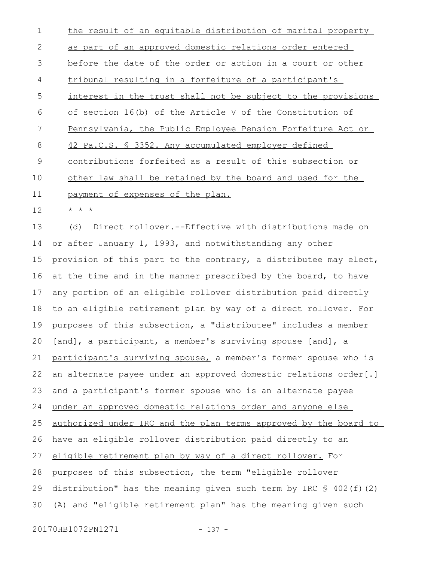the result of an equitable distribution of marital property as part of an approved domestic relations order entered before the date of the order or action in a court or other tribunal resulting in a forfeiture of a participant's interest in the trust shall not be subject to the provisions of section 16(b) of the Article V of the Constitution of Pennsylvania, the Public Employee Pension Forfeiture Act or 42 Pa.C.S. § 3352. Any accumulated employer defined contributions forfeited as a result of this subsection or other law shall be retained by the board and used for the payment of expenses of the plan. \* \* \* 1 2 3 4 5 6 7 8 9 10 11 12

(d) Direct rollover.--Effective with distributions made on or after January 1, 1993, and notwithstanding any other provision of this part to the contrary, a distributee may elect, at the time and in the manner prescribed by the board, to have any portion of an eligible rollover distribution paid directly to an eligible retirement plan by way of a direct rollover. For purposes of this subsection, a "distributee" includes a member  $[and]$ , a participant, a member's surviving spouse  $[and]$ , a participant's surviving spouse, a member's former spouse who is an alternate payee under an approved domestic relations order[.] and a participant's former spouse who is an alternate payee under an approved domestic relations order and anyone else authorized under IRC and the plan terms approved by the board to have an eligible rollover distribution paid directly to an eligible retirement plan by way of a direct rollover. For purposes of this subsection, the term "eligible rollover distribution" has the meaning given such term by IRC  $$ 402(f)(2)$ (A) and "eligible retirement plan" has the meaning given such 13 14 15 16 17 18 19 20 21 22 23 24 25 26 27 28 29 30

20170HB1072PN1271 - 137 -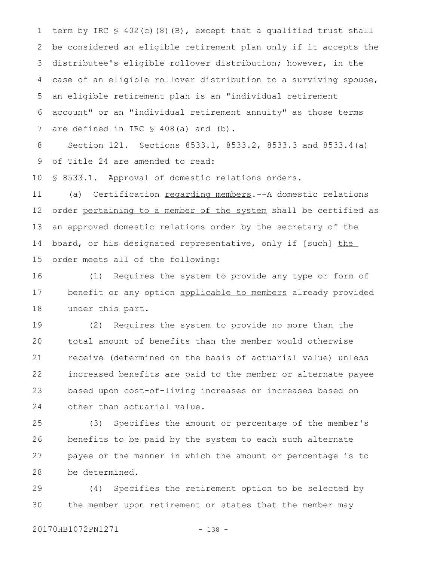term by IRC § 402(c)(8)(B), except that a qualified trust shall be considered an eligible retirement plan only if it accepts the distributee's eligible rollover distribution; however, in the case of an eligible rollover distribution to a surviving spouse, an eligible retirement plan is an "individual retirement account" or an "individual retirement annuity" as those terms are defined in IRC § 408(a) and (b). 1 2 3 4 5 6 7

Section 121. Sections 8533.1, 8533.2, 8533.3 and 8533.4(a) of Title 24 are amended to read: 8 9

§ 8533.1. Approval of domestic relations orders. 10

(a) Certification regarding members.--A domestic relations order pertaining to a member of the system shall be certified as an approved domestic relations order by the secretary of the board, or his designated representative, only if [such] the order meets all of the following: 11 12 13 14 15

(1) Requires the system to provide any type or form of benefit or any option applicable to members already provided under this part. 16 17 18

(2) Requires the system to provide no more than the total amount of benefits than the member would otherwise receive (determined on the basis of actuarial value) unless increased benefits are paid to the member or alternate payee based upon cost-of-living increases or increases based on other than actuarial value. 19  $20$ 21 22 23 24

(3) Specifies the amount or percentage of the member's benefits to be paid by the system to each such alternate payee or the manner in which the amount or percentage is to be determined. 25 26 27 28

(4) Specifies the retirement option to be selected by the member upon retirement or states that the member may 29 30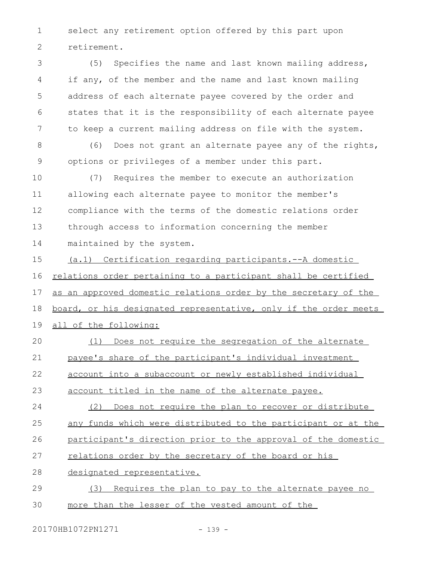select any retirement option offered by this part upon retirement. 1 2

(5) Specifies the name and last known mailing address, if any, of the member and the name and last known mailing address of each alternate payee covered by the order and states that it is the responsibility of each alternate payee to keep a current mailing address on file with the system. 3 4 5 6 7

(6) Does not grant an alternate payee any of the rights, options or privileges of a member under this part. 8 9

(7) Requires the member to execute an authorization allowing each alternate payee to monitor the member's compliance with the terms of the domestic relations order through access to information concerning the member maintained by the system. 10 11 12 13 14

(a.1) Certification regarding participants.--A domestic relations order pertaining to a participant shall be certified as an approved domestic relations order by the secretary of the board, or his designated representative, only if the order meets all of the following: 15 16 17 18 19

(1) Does not require the segregation of the alternate payee's share of the participant's individual investment  $20$ 21

account into a subaccount or newly established individual 22

- account titled in the name of the alternate payee. 23
- (2) Does not require the plan to recover or distribute any funds which were distributed to the participant or at the 24 25

participant's direction prior to the approval of the domestic 26

- relations order by the secretary of the board or his 27
- designated representative. 28
- (3) Requires the plan to pay to the alternate payee no more than the lesser of the vested amount of the 29 30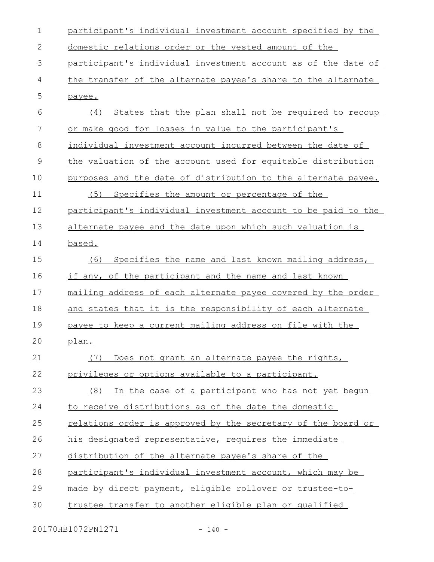| $\mathbf 1$   | participant's individual investment account specified by the  |
|---------------|---------------------------------------------------------------|
| 2             | domestic relations order or the vested amount of the          |
| 3             | participant's individual investment account as of the date of |
| 4             | the transfer of the alternate payee's share to the alternate  |
| 5             | payee.                                                        |
| 6             | (4) States that the plan shall not be required to recoup      |
| 7             | or make good for losses in value to the participant's         |
| 8             | individual investment account incurred between the date of    |
| $\mathcal{G}$ | the valuation of the account used for equitable distribution  |
| 10            | purposes and the date of distribution to the alternate payee. |
| 11            | Specifies the amount or percentage of the<br>(5)              |
| 12            | participant's individual investment account to be paid to the |
| 13            | alternate payee and the date upon which such valuation is     |
| 14            | based.                                                        |
| 15            | (6)<br>Specifies the name and last known mailing address,     |
| 16            | if any, of the participant and the name and last known        |
| 17            | mailing address of each alternate payee covered by the order  |
| 18            | and states that it is the responsibility of each alternate    |
| 19            | payee to keep a current mailing address on file with the      |
| 20            | <u>plan.</u>                                                  |
| 21            | Does not grant an alternate payee the rights,<br>(7)          |
| 22            | privileges or options available to a participant.             |
| 23            | In the case of a participant who has not yet begun<br>(8)     |
| 24            | to receive distributions as of the date the domestic          |
| 25            | relations order is approved by the secretary of the board or  |
| 26            | his designated representative, requires the immediate         |
| 27            | distribution of the alternate payee's share of the            |
| 28            | participant's individual investment account, which may be     |
| 29            | made by direct payment, eligible rollover or trustee-to-      |
| 30            | trustee transfer to another eligible plan or qualified        |

20170HB1072PN1271 - 140 -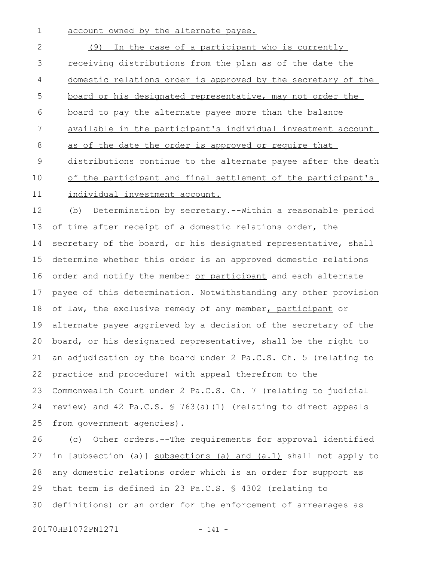account owned by the alternate payee. 1

(9) In the case of a participant who is currently receiving distributions from the plan as of the date the domestic relations order is approved by the secretary of the board or his designated representative, may not order the board to pay the alternate payee more than the balance available in the participant's individual investment account as of the date the order is approved or require that distributions continue to the alternate payee after the death of the participant and final settlement of the participant's individual investment account. 2 3 4 5 6 7 8 9 10 11

(b) Determination by secretary.--Within a reasonable period of time after receipt of a domestic relations order, the secretary of the board, or his designated representative, shall determine whether this order is an approved domestic relations order and notify the member or participant and each alternate payee of this determination. Notwithstanding any other provision of law, the exclusive remedy of any member, participant or alternate payee aggrieved by a decision of the secretary of the board, or his designated representative, shall be the right to an adjudication by the board under 2 Pa.C.S. Ch. 5 (relating to practice and procedure) with appeal therefrom to the Commonwealth Court under 2 Pa.C.S. Ch. 7 (relating to judicial review) and 42 Pa.C.S. § 763(a)(1) (relating to direct appeals from government agencies). 12 13 14 15 16 17 18 19 20 21 22 23 24 25

(c) Other orders.--The requirements for approval identified in [subsection (a)] subsections (a) and (a.1) shall not apply to any domestic relations order which is an order for support as that term is defined in 23 Pa.C.S. § 4302 (relating to definitions) or an order for the enforcement of arrearages as 26 27 28 29 30

20170HB1072PN1271 - 141 -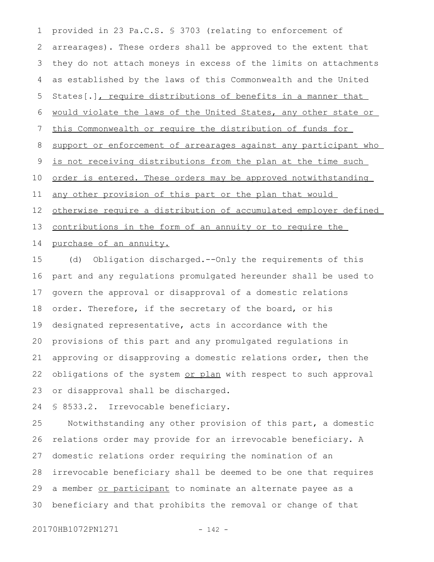provided in 23 Pa.C.S. § 3703 (relating to enforcement of arrearages). These orders shall be approved to the extent that they do not attach moneys in excess of the limits on attachments as established by the laws of this Commonwealth and the United States[.], require distributions of benefits in a manner that would violate the laws of the United States, any other state or this Commonwealth or require the distribution of funds for support or enforcement of arrearages against any participant who is not receiving distributions from the plan at the time such order is entered. These orders may be approved notwithstanding any other provision of this part or the plan that would otherwise require a distribution of accumulated employer defined contributions in the form of an annuity or to require the 1 2 3 4 5 6 7 8 9 10 11 12 13

## purchase of an annuity. 14

(d) Obligation discharged.--Only the requirements of this part and any regulations promulgated hereunder shall be used to govern the approval or disapproval of a domestic relations order. Therefore, if the secretary of the board, or his designated representative, acts in accordance with the provisions of this part and any promulgated regulations in approving or disapproving a domestic relations order, then the obligations of the system or plan with respect to such approval or disapproval shall be discharged. 15 16 17 18 19 20 21 22 23

§ 8533.2. Irrevocable beneficiary. 24

Notwithstanding any other provision of this part, a domestic relations order may provide for an irrevocable beneficiary. A domestic relations order requiring the nomination of an irrevocable beneficiary shall be deemed to be one that requires a member or participant to nominate an alternate payee as a beneficiary and that prohibits the removal or change of that 25 26 27 28 29 30

20170HB1072PN1271 - 142 -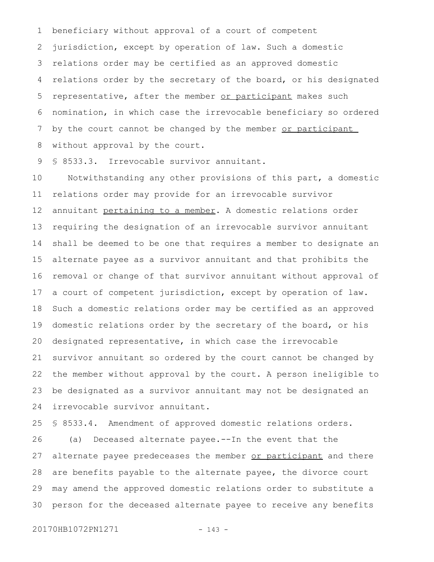beneficiary without approval of a court of competent jurisdiction, except by operation of law. Such a domestic relations order may be certified as an approved domestic relations order by the secretary of the board, or his designated representative, after the member or participant makes such nomination, in which case the irrevocable beneficiary so ordered by the court cannot be changed by the member or participant without approval by the court. 1 2 3 4 5 6 7 8

§ 8533.3. Irrevocable survivor annuitant. 9

Notwithstanding any other provisions of this part, a domestic relations order may provide for an irrevocable survivor annuitant pertaining to a member. A domestic relations order requiring the designation of an irrevocable survivor annuitant shall be deemed to be one that requires a member to designate an alternate payee as a survivor annuitant and that prohibits the removal or change of that survivor annuitant without approval of a court of competent jurisdiction, except by operation of law. Such a domestic relations order may be certified as an approved domestic relations order by the secretary of the board, or his designated representative, in which case the irrevocable survivor annuitant so ordered by the court cannot be changed by the member without approval by the court. A person ineligible to be designated as a survivor annuitant may not be designated an irrevocable survivor annuitant. 10 11 12 13 14 15 16 17 18 19 20 21 22 23 24

§ 8533.4. Amendment of approved domestic relations orders. (a) Deceased alternate payee.--In the event that the alternate payee predeceases the member or participant and there are benefits payable to the alternate payee, the divorce court may amend the approved domestic relations order to substitute a person for the deceased alternate payee to receive any benefits 25 26 27 28 29 30

20170HB1072PN1271 - 143 -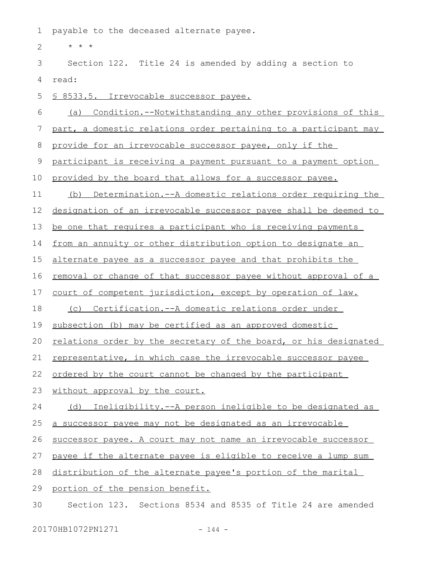payable to the deceased alternate payee. 1

\* \* \* 2

Section 122. Title 24 is amended by adding a section to read: 3 4

§ 8533.5. Irrevocable successor payee. 5

(a) Condition.--Notwithstanding any other provisions of this 6

part, a domestic relations order pertaining to a participant may 7

provide for an irrevocable successor payee, only if the 8

participant is receiving a payment pursuant to a payment option 9

provided by the board that allows for a successor payee. 10

(b) Determination.--A domestic relations order requiring the 11

designation of an irrevocable successor payee shall be deemed to 12

be one that requires a participant who is receiving payments 13

from an annuity or other distribution option to designate an 14

alternate payee as a successor payee and that prohibits the 15

removal or change of that successor payee without approval of a 16

court of competent jurisdiction, except by operation of law. 17

(c) Certification.--A domestic relations order under 18

subsection (b) may be certified as an approved domestic 19

relations order by the secretary of the board, or his designated 20

representative, in which case the irrevocable successor payee 21

ordered by the court cannot be changed by the participant 22

without approval by the court. 23

(d) Ineligibility.--A person ineligible to be designated as 24

a successor payee may not be designated as an irrevocable 25

successor payee. A court may not name an irrevocable successor 26

payee if the alternate payee is eligible to receive a lump sum 27

distribution of the alternate payee's portion of the marital 28

portion of the pension benefit. 29

Section 123. Sections 8534 and 8535 of Title 24 are amended 30

20170HB1072PN1271 - 144 -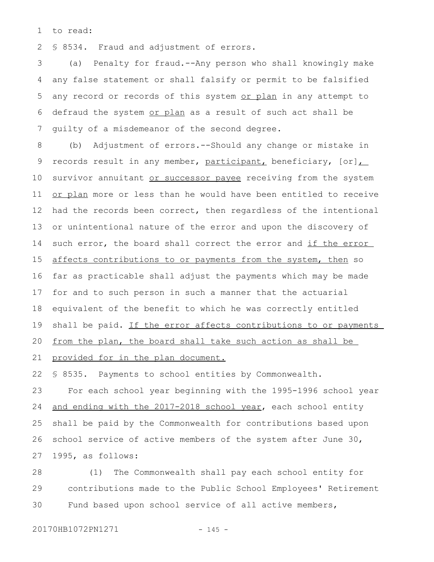to read: 1

§ 8534. Fraud and adjustment of errors. 2

(a) Penalty for fraud.--Any person who shall knowingly make any false statement or shall falsify or permit to be falsified any record or records of this system or plan in any attempt to defraud the system or plan as a result of such act shall be guilty of a misdemeanor of the second degree. 3 4 5 6 7

(b) Adjustment of errors.--Should any change or mistake in records result in any member, participant, beneficiary, [or], survivor annuitant or successor payee receiving from the system or plan more or less than he would have been entitled to receive had the records been correct, then regardless of the intentional or unintentional nature of the error and upon the discovery of such error, the board shall correct the error and if the error affects contributions to or payments from the system, then so far as practicable shall adjust the payments which may be made for and to such person in such a manner that the actuarial equivalent of the benefit to which he was correctly entitled shall be paid. If the error affects contributions to or payments from the plan, the board shall take such action as shall be provided for in the plan document. 8 9 10 11 12 13 14 15 16 17 18 19 20 21

§ 8535. Payments to school entities by Commonwealth. 22

For each school year beginning with the 1995-1996 school year and ending with the 2017-2018 school year, each school entity shall be paid by the Commonwealth for contributions based upon school service of active members of the system after June 30, 1995, as follows: 23 24 25 26 27

(1) The Commonwealth shall pay each school entity for contributions made to the Public School Employees' Retirement Fund based upon school service of all active members, 28 29 30

20170HB1072PN1271 - 145 -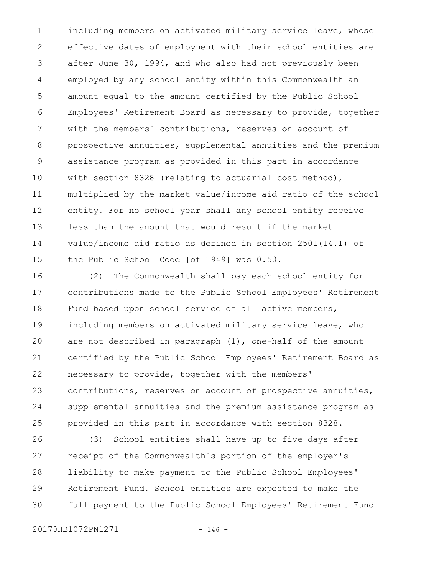including members on activated military service leave, whose effective dates of employment with their school entities are after June 30, 1994, and who also had not previously been employed by any school entity within this Commonwealth an amount equal to the amount certified by the Public School Employees' Retirement Board as necessary to provide, together with the members' contributions, reserves on account of prospective annuities, supplemental annuities and the premium assistance program as provided in this part in accordance with section 8328 (relating to actuarial cost method), multiplied by the market value/income aid ratio of the school entity. For no school year shall any school entity receive less than the amount that would result if the market value/income aid ratio as defined in section 2501(14.1) of the Public School Code [of 1949] was 0.50. 1 2 3 4 5 6 7 8 9 10 11 12 13 14 15

(2) The Commonwealth shall pay each school entity for contributions made to the Public School Employees' Retirement Fund based upon school service of all active members, including members on activated military service leave, who are not described in paragraph (1), one-half of the amount certified by the Public School Employees' Retirement Board as necessary to provide, together with the members' contributions, reserves on account of prospective annuities, supplemental annuities and the premium assistance program as provided in this part in accordance with section 8328. 16 17 18 19 20 21 22 23 24 25

(3) School entities shall have up to five days after receipt of the Commonwealth's portion of the employer's liability to make payment to the Public School Employees' Retirement Fund. School entities are expected to make the full payment to the Public School Employees' Retirement Fund 26 27 28 29 30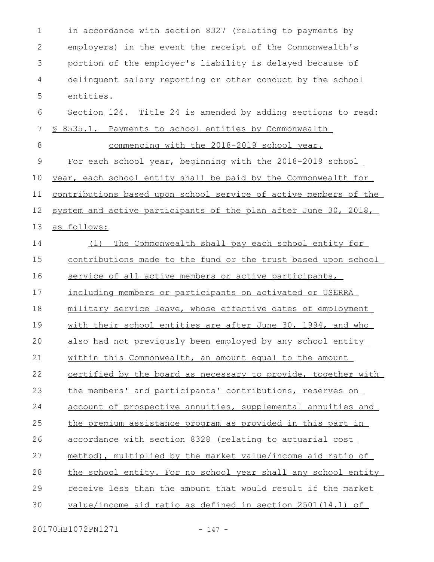in accordance with section 8327 (relating to payments by employers) in the event the receipt of the Commonwealth's portion of the employer's liability is delayed because of delinquent salary reporting or other conduct by the school entities. Section 124. Title 24 is amended by adding sections to read: § 8535.1. Payments to school entities by Commonwealth commencing with the 2018-2019 school year. For each school year, beginning with the 2018-2019 school year, each school entity shall be paid by the Commonwealth for contributions based upon school service of active members of the system and active participants of the plan after June 30, 2018, as follows: (1) The Commonwealth shall pay each school entity for contributions made to the fund or the trust based upon school service of all active members or active participants, including members or participants on activated or USERRA military service leave, whose effective dates of employment with their school entities are after June 30, 1994, and who also had not previously been employed by any school entity within this Commonwealth, an amount equal to the amount certified by the board as necessary to provide, together with the members' and participants' contributions, reserves on account of prospective annuities, supplemental annuities and the premium assistance program as provided in this part in accordance with section 8328 (relating to actuarial cost method), multiplied by the market value/income aid ratio of the school entity. For no school year shall any school entity receive less than the amount that would result if the market value/income aid ratio as defined in section 2501(14.1) of 1 2 3 4 5 6 7 8 9 10 11 12 13 14 15 16 17 18 19  $20$ 21 22 23 24 25 26 27 28 29 30

20170HB1072PN1271 - 147 -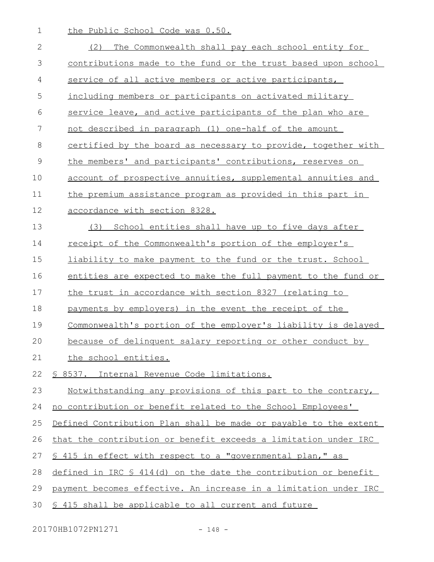the Public School Code was 0.50. (2) The Commonwealth shall pay each school entity for contributions made to the fund or the trust based upon school service of all active members or active participants, including members or participants on activated military service leave, and active participants of the plan who are not described in paragraph (1) one-half of the amount certified by the board as necessary to provide, together with the members' and participants' contributions, reserves on account of prospective annuities, supplemental annuities and the premium assistance program as provided in this part in accordance with section 8328. (3) School entities shall have up to five days after receipt of the Commonwealth's portion of the employer's liability to make payment to the fund or the trust. School entities are expected to make the full payment to the fund or the trust in accordance with section 8327 (relating to payments by employers) in the event the receipt of the Commonwealth's portion of the employer's liability is delayed because of delinquent salary reporting or other conduct by the school entities. § 8537. Internal Revenue Code limitations. Notwithstanding any provisions of this part to the contrary, no contribution or benefit related to the School Employees' Defined Contribution Plan shall be made or payable to the extent that the contribution or benefit exceeds a limitation under IRC § 415 in effect with respect to a "governmental plan," as defined in IRC § 414(d) on the date the contribution or benefit payment becomes effective. An increase in a limitation under IRC § 415 shall be applicable to all current and future 1 2 3 4 5 6 7 8 9 10 11 12 13 14 15 16 17 18 19  $20$ 21 22 23 24 25 26 27 28 29 30

20170HB1072PN1271 - 148 -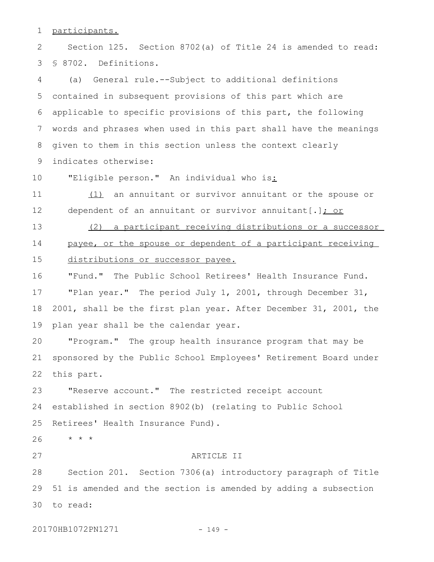participants. 1

Section 125. Section 8702(a) of Title 24 is amended to read: § 8702. Definitions. 2 3

(a) General rule.--Subject to additional definitions contained in subsequent provisions of this part which are applicable to specific provisions of this part, the following words and phrases when used in this part shall have the meanings given to them in this section unless the context clearly indicates otherwise: 4 5 6 7 8 9

"Eligible person." An individual who is: 10

(1) an annuitant or survivor annuitant or the spouse or dependent of an annuitant or survivor annuitant [.]  $\frac{1}{10}$  or 11 12

(2) a participant receiving distributions or a successor payee, or the spouse or dependent of a participant receiving distributions or successor payee. 13 14 15

"Fund." The Public School Retirees' Health Insurance Fund. "Plan year." The period July 1, 2001, through December 31, 2001, shall be the first plan year. After December 31, 2001, the plan year shall be the calendar year. 16 17 18 19

"Program." The group health insurance program that may be sponsored by the Public School Employees' Retirement Board under this part. 20 21 22

"Reserve account." The restricted receipt account established in section 8902(b) (relating to Public School Retirees' Health Insurance Fund). 23 24 25

\* \* \* 26

27

## ARTICLE II

Section 201. Section 7306(a) introductory paragraph of Title 51 is amended and the section is amended by adding a subsection to read: 3028 29

20170HB1072PN1271 - 149 -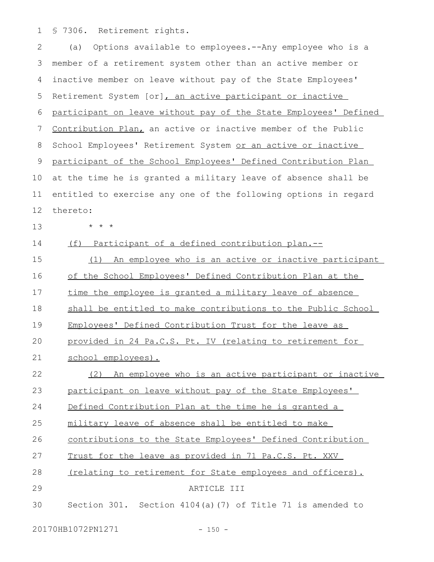§ 7306. Retirement rights. 1

(a) Options available to employees.--Any employee who is a member of a retirement system other than an active member or inactive member on leave without pay of the State Employees' Retirement System [or], an active participant or inactive participant on leave without pay of the State Employees' Defined Contribution Plan, an active or inactive member of the Public School Employees' Retirement System or an active or inactive participant of the School Employees' Defined Contribution Plan at the time he is granted a military leave of absence shall be entitled to exercise any one of the following options in regard thereto: \* \* \* (f) Participant of a defined contribution plan.-- (1) An employee who is an active or inactive participant of the School Employees' Defined Contribution Plan at the time the employee is granted a military leave of absence shall be entitled to make contributions to the Public School Employees' Defined Contribution Trust for the leave as provided in 24 Pa.C.S. Pt. IV (relating to retirement for school employees). (2) An employee who is an active participant or inactive participant on leave without pay of the State Employees' Defined Contribution Plan at the time he is granted a military leave of absence shall be entitled to make contributions to the State Employees' Defined Contribution Trust for the leave as provided in 71 Pa.C.S. Pt. XXV (relating to retirement for State employees and officers). ARTICLE III Section 301. Section 4104(a)(7) of Title 71 is amended to 2 3 4 5 6 7 8 9 10 11 12 13 14 15 16 17 18 19  $20$ 21 22 23 24 25 26 27 28 29 30

20170HB1072PN1271 - 150 -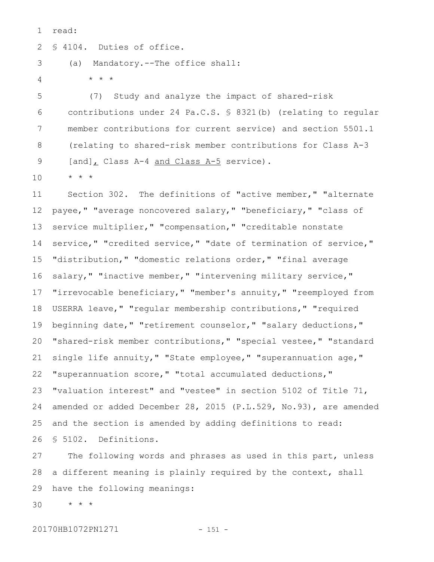read: 1

§ 4104. Duties of office. 2

\* \* \*

(a) Mandatory.--The office shall: 3

4

(7) Study and analyze the impact of shared-risk contributions under 24 Pa.C.S. § 8321(b) (relating to regular member contributions for current service) and section 5501.1 (relating to shared-risk member contributions for Class A-3 [and], Class A-4 and Class A-5 service). 5 6 7 8 9

\* \* \* 10

Section 302. The definitions of "active member," "alternate payee," "average noncovered salary," "beneficiary," "class of service multiplier," "compensation," "creditable nonstate service," "credited service," "date of termination of service," "distribution," "domestic relations order," "final average salary," "inactive member," "intervening military service," "irrevocable beneficiary," "member's annuity," "reemployed from USERRA leave," "regular membership contributions," "required beginning date," "retirement counselor," "salary deductions," "shared-risk member contributions," "special vestee," "standard single life annuity," "State employee," "superannuation age," "superannuation score," "total accumulated deductions," "valuation interest" and "vestee" in section 5102 of Title 71, amended or added December 28, 2015 (P.L.529, No.93), are amended and the section is amended by adding definitions to read: § 5102. Definitions. 11 12 13 14 15 16 17 18 19 20 21 22 23 24 25 26

The following words and phrases as used in this part, unless a different meaning is plainly required by the context, shall have the following meanings: 27 28 29

\* \* \* 30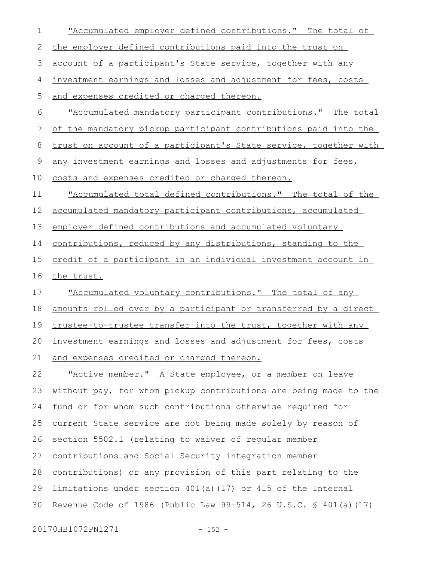| $\mathbf 1$ | "Accumulated employer defined contributions." The total of       |
|-------------|------------------------------------------------------------------|
| 2           | the employer defined contributions paid into the trust on        |
| 3           | account of a participant's State service, together with any      |
| 4           | investment earnings and losses and adjustment for fees, costs    |
| 5           | and expenses credited or charged thereon.                        |
| 6           | "Accumulated mandatory participant contributions." The total     |
| 7           | of the mandatory pickup participant contributions paid into the  |
| 8           | trust on account of a participant's State service, together with |
| $\mathsf 9$ | any investment earnings and losses and adjustments for fees,     |
| 10          | costs and expenses credited or charged thereon.                  |
| 11          | "Accumulated total defined contributions." The total of the      |
| 12          | accumulated mandatory participant contributions, accumulated     |
| 13          | employer defined contributions and accumulated voluntary         |
| 14          | contributions, reduced by any distributions, standing to the     |
| 15          | credit of a participant in an individual investment account in   |
|             |                                                                  |
| 16          | the trust.                                                       |
| 17          | "Accumulated voluntary contributions." The total of any          |
| 18          | amounts rolled over by a participant or transferred by a direct  |
| 19          | trustee-to-trustee transfer into the trust, together with any    |
| 20          | investment earnings and losses and adjustment for fees, costs    |
| 21          | and expenses credited or charged thereon.                        |
| 22          | "Active member." A State employee, or a member on leave          |
| 23          | without pay, for whom pickup contributions are being made to the |
| 24          | fund or for whom such contributions otherwise required for       |
| 25          | current State service are not being made solely by reason of     |
| 26          | section 5502.1 (relating to waiver of regular member             |
| 27          | contributions and Social Security integration member             |
| 28          | contributions) or any provision of this part relating to the     |
| 29          | limitations under section 401(a) (17) or 415 of the Internal     |

20170HB1072PN1271 - 152 -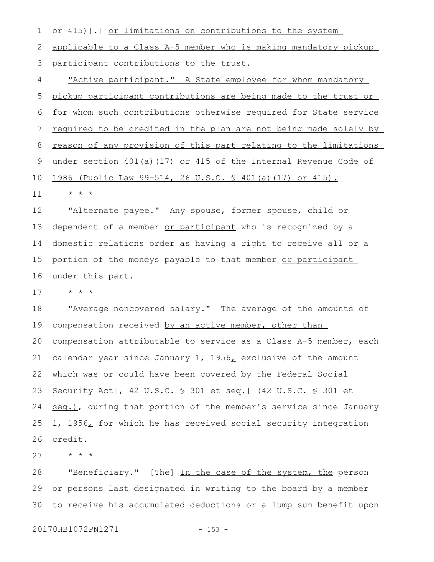or 415)[.] or limitations on contributions to the system 1

applicable to a Class A-5 member who is making mandatory pickup participant contributions to the trust. 2 3

"Active participant." A State employee for whom mandatory pickup participant contributions are being made to the trust or for whom such contributions otherwise required for State service required to be credited in the plan are not being made solely by reason of any provision of this part relating to the limitations under section 401(a)(17) or 415 of the Internal Revenue Code of 1986 (Public Law 99-514, 26 U.S.C. § 401(a)(17) or 415). 4 5 6 7 8 9 10

\* \* \* 11

"Alternate payee." Any spouse, former spouse, child or dependent of a member or participant who is recognized by a domestic relations order as having a right to receive all or a portion of the moneys payable to that member or participant under this part. 12 13 14 15 16

\* \* \* 17

"Average noncovered salary." The average of the amounts of compensation received by an active member, other than compensation attributable to service as a Class A-5 member, each calendar year since January 1, 1956, exclusive of the amount which was or could have been covered by the Federal Social Security Act[, 42 U.S.C. § 301 et seq.] (42 U.S.C. § 301 et seq.), during that portion of the member's service since January 1, 1956, for which he has received social security integration credit. 18 19 20 21 22 23 24 25 26

\* \* \* 27

"Beneficiary." [The] In the case of the system, the person or persons last designated in writing to the board by a member to receive his accumulated deductions or a lump sum benefit upon 28 29 30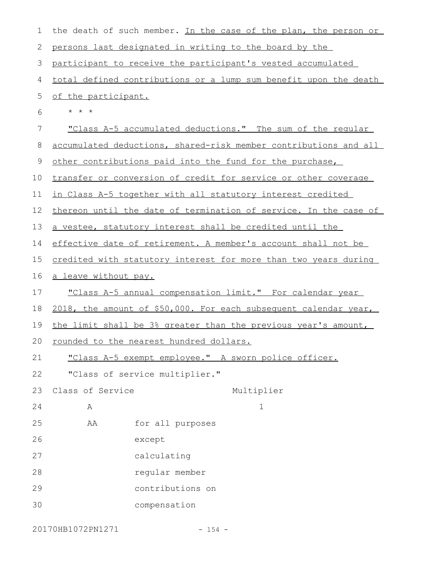| $\mathbf 1$ |                             | the death of such member. In the case of the plan, the person or |
|-------------|-----------------------------|------------------------------------------------------------------|
| 2           |                             | persons last designated in writing to the board by the           |
| 3           |                             | participant to receive the participant's vested accumulated      |
| 4           |                             | total defined contributions or a lump sum benefit upon the death |
| 5           | of the participant.         |                                                                  |
| 6           | $\star$ $\star$ $\star$     |                                                                  |
| 7           |                             | "Class A-5 accumulated deductions." The sum of the regular       |
| 8           |                             | accumulated deductions, shared-risk member contributions and all |
| 9           |                             | other contributions paid into the fund for the purchase,         |
| 10          |                             | transfer or conversion of credit for service or other coverage   |
| 11          |                             | in Class A-5 together with all statutory interest credited       |
| 12          |                             | thereon until the date of termination of service. In the case of |
| 13          |                             | a vestee, statutory interest shall be credited until the         |
| 14          |                             | effective date of retirement. A member's account shall not be    |
| 15          |                             | credited with statutory interest for more than two years during  |
| 16          | <u>a leave without pay.</u> |                                                                  |
| 17          |                             | "Class A-5 annual compensation limit." For calendar year         |
| 18          |                             | 2018, the amount of \$50,000. For each subsequent calendar year, |
| 19          |                             | the limit shall be 3% greater than the previous year's amount,   |
| 20          |                             | rounded to the nearest hundred dollars.                          |
| 21          |                             | "Class A-5 exempt employee." A sworn police officer.             |
| 22          |                             | "Class of service multiplier."                                   |
| 23          | Class of Service            | Multiplier                                                       |
| 24          | Α                           | $\mathbf 1$                                                      |
| 25          | AA                          | for all purposes                                                 |
| 26          |                             | except                                                           |
| 27          |                             | calculating                                                      |
| 28          |                             | regular member                                                   |
| 29          |                             | contributions on                                                 |
| 30          |                             | compensation                                                     |
|             |                             |                                                                  |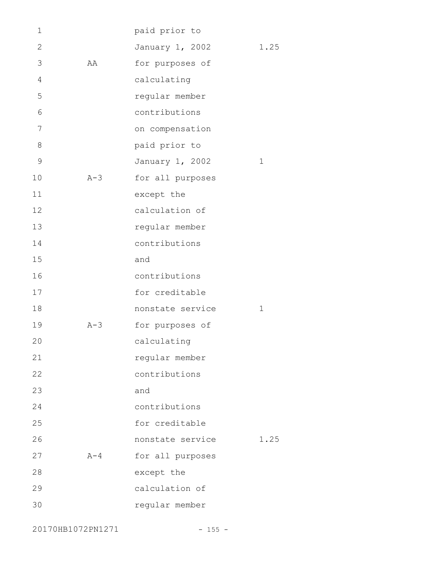| 1              |         | paid prior to    |             |
|----------------|---------|------------------|-------------|
| $\mathbf{2}$   |         | January 1, 2002  | 1.25        |
| 3              | AA      | for purposes of  |             |
| $\overline{4}$ |         | calculating      |             |
| 5              |         | regular member   |             |
| 6              |         | contributions    |             |
| 7              |         | on compensation  |             |
| 8              |         | paid prior to    |             |
| $\mathcal{G}$  |         | January 1, 2002  | $\mathbf 1$ |
| 10             | $A-3$   | for all purposes |             |
| 11             |         | except the       |             |
| 12             |         | calculation of   |             |
| 13             |         | regular member   |             |
| 14             |         | contributions    |             |
| 15             |         | and              |             |
| 16             |         | contributions    |             |
| 17             |         | for creditable   |             |
| 18             |         | nonstate service | $\mathbf 1$ |
| 19             | $A-3$   | for purposes of  |             |
| 20             |         | calculating      |             |
| 21             |         | regular member   |             |
| 22             |         | contributions    |             |
| 23             |         | and              |             |
| 24             |         | contributions    |             |
| 25             |         | for creditable   |             |
| 26             |         | nonstate service | 1.25        |
| 27             | $A - 4$ | for all purposes |             |
| 28             |         | except the       |             |
| 29             |         | calculation of   |             |
| 30             |         | regular member   |             |

20170HB1072PN1271 - 155 -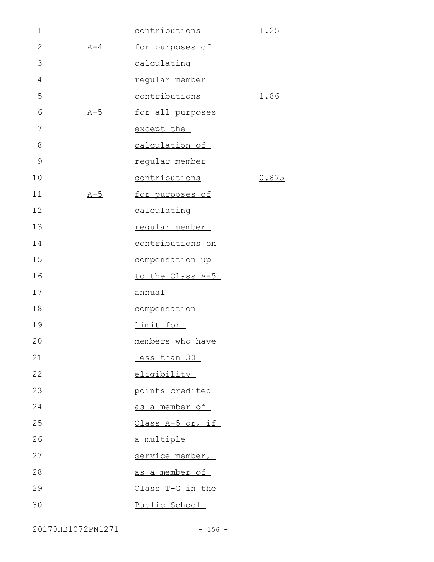| $\mathbf 1$   |         | contributions     | 1.25  |
|---------------|---------|-------------------|-------|
| $\mathbf{2}$  | $A - 4$ | for purposes of   |       |
| 3             |         | calculating       |       |
| 4             |         | regular member    |       |
| 5             |         | contributions     | 1.86  |
| 6             | $A-5$   | for all purposes  |       |
| 7             |         | except the        |       |
| 8             |         | calculation of    |       |
| $\mathcal{G}$ |         | regular member    |       |
| 10            |         | contributions     | 0.875 |
| 11            | $A-5$   | for purposes of   |       |
| 12            |         | calculating       |       |
| 13            |         | regular member    |       |
| 14            |         | contributions on  |       |
| 15            |         | compensation up   |       |
| 16            |         | to the Class A-5  |       |
| 17            |         | <u>annual</u>     |       |
| 18            |         | compensation      |       |
| 19            |         | limit for         |       |
| 20            |         | members who have  |       |
| 21            |         | less than 30      |       |
| 22            |         | eligibility       |       |
| 23            |         | points credited   |       |
| 24            |         | as a member of    |       |
| 25            |         | Class A-5 or, if  |       |
| 26            |         | <u>a multiple</u> |       |
| 27            |         | service member,   |       |
| 28            |         | as a member of    |       |
| 29            |         | Class T-G in the  |       |
| 30            |         | Public School     |       |

20170HB1072PN1271 - 156 -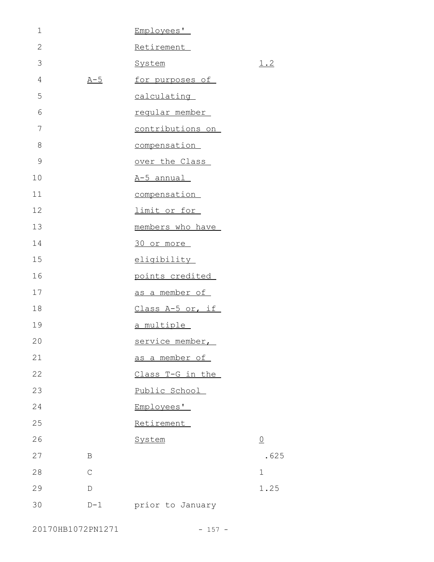| $\mathbf 1$  |              | Employees'             |                |
|--------------|--------------|------------------------|----------------|
| $\mathbf{2}$ |              | Retirement             |                |
| 3            |              | System                 | <u>1.2</u>     |
| 4            | $A - 5$      | for purposes of        |                |
| 5            |              | calculating            |                |
| 6            |              | regular member         |                |
| 7            |              | contributions on       |                |
| $\,8\,$      |              | compensation           |                |
| 9            |              | over the Class         |                |
| 10           |              | A-5 annual             |                |
| 11           |              | compensation           |                |
| 12           |              | limit or for           |                |
| 13           |              | members who have       |                |
| 14           |              | 30 or more             |                |
| 15           |              | eligibility            |                |
| 16           |              | points credited        |                |
| 17           |              | as a member of         |                |
| 18           |              | Class A-5 or, if       |                |
| 19           |              | a multiple             |                |
| 20           |              | <u>service member,</u> |                |
| 21           |              | as a member of         |                |
| 22           |              | Class T-G in the       |                |
| 23           |              | Public School          |                |
| 24           |              | Employees'             |                |
| 25           |              | Retirement             |                |
| 26           |              | System                 | $\overline{0}$ |
| 27           | B            |                        | .625           |
| 28           | $\mathsf{C}$ |                        | 1              |
| 29           | D            |                        | 1.25           |
| 30           | $D-1$        | prior to January       |                |

20170HB1072PN1271 - 157 -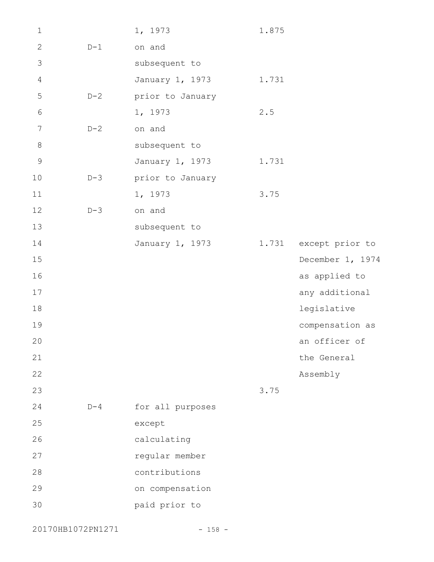| $\mathbf 1$    |       | 1, 1973          | 1.875 |                       |
|----------------|-------|------------------|-------|-----------------------|
| $\mathbf{2}$   | $D-1$ | on and           |       |                       |
| 3              |       | subsequent to    |       |                       |
| 4              |       | January 1, 1973  | 1.731 |                       |
| 5              | $D-2$ | prior to January |       |                       |
| $\sqrt{6}$     |       | 1, 1973          | 2.5   |                       |
| $\overline{7}$ | $D-2$ | on and           |       |                       |
| $8\,$          |       | subsequent to    |       |                       |
| $\overline{9}$ |       | January 1, 1973  | 1.731 |                       |
| 10             | $D-3$ | prior to January |       |                       |
| 11             |       | 1, 1973          | 3.75  |                       |
| 12             | $D-3$ | on and           |       |                       |
| 13             |       | subsequent to    |       |                       |
| 14             |       | January 1, 1973  |       | 1.731 except prior to |
| 15             |       |                  |       | December 1, 1974      |
| 16             |       |                  |       | as applied to         |
| $17$           |       |                  |       | any additional        |
| 18             |       |                  |       | legislative           |
| 19             |       |                  |       | compensation as       |
| 20             |       |                  |       | an officer of         |
| 21             |       |                  |       | the General           |
| 22             |       |                  |       | Assembly              |
| 23             |       |                  | 3.75  |                       |
| 24             | $D-4$ | for all purposes |       |                       |
| 25             |       | except           |       |                       |
| 26             |       | calculating      |       |                       |
| 27             |       | regular member   |       |                       |
| 28             |       | contributions    |       |                       |
| 29             |       | on compensation  |       |                       |
| 30             |       | paid prior to    |       |                       |
|                |       |                  |       |                       |

20170HB1072PN1271 - 158 -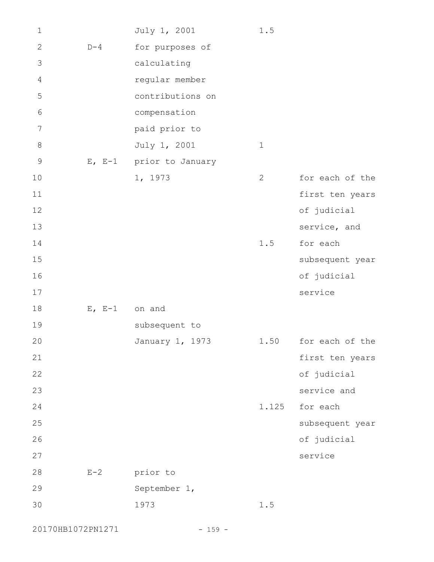| $1\,$          |          | July 1, 2001            | 1.5         |                      |
|----------------|----------|-------------------------|-------------|----------------------|
| $\mathbf{2}$   | $D-4$    | for purposes of         |             |                      |
| 3              |          | calculating             |             |                      |
| $\overline{4}$ |          | regular member          |             |                      |
| 5              |          | contributions on        |             |                      |
| $\sqrt{6}$     |          | compensation            |             |                      |
| $\overline{7}$ |          | paid prior to           |             |                      |
| $\,8\,$        |          | July 1, 2001            | $\mathbf 1$ |                      |
| $\mathcal{G}$  |          | E, E-1 prior to January |             |                      |
| 10             |          | 1, 1973                 | 2           | for each of the      |
| 11             |          |                         |             | first ten years      |
| 12             |          |                         |             | of judicial          |
| 13             |          |                         |             | service, and         |
| 14             |          |                         | 1.5         | for each             |
| 15             |          |                         |             | subsequent year      |
| 16             |          |                         |             | of judicial          |
| 17             |          |                         |             | service              |
| 18             | $E, E-1$ | on and                  |             |                      |
| 19             |          | subsequent to           |             |                      |
| 20             |          | January 1, 1973         |             | 1.50 for each of the |
| 21             |          |                         |             | first ten years      |
| 22             |          |                         |             | of judicial          |
| 23             |          |                         |             | service and          |
| 24             |          |                         | 1.125       | for each             |
| 25             |          |                         |             | subsequent year      |
| 26             |          |                         |             | of judicial          |
| 27             |          |                         |             | service              |
| 28             | $E-2$    | prior to                |             |                      |
| 29             |          | September 1,            |             |                      |
| 30             |          | 1973                    | 1.5         |                      |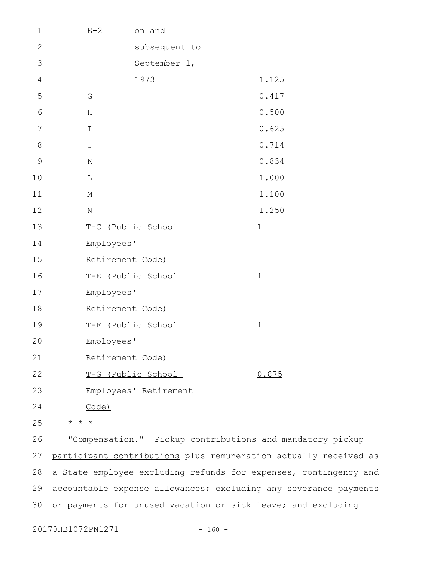| $\mathbf 1$     | $E - 2$          | on and                |             |
|-----------------|------------------|-----------------------|-------------|
| $\sqrt{2}$      |                  | subsequent to         |             |
| $\mathfrak{Z}$  |                  | September 1,          |             |
| $\sqrt{4}$      |                  | 1973                  | 1.125       |
| $\mathsf S$     | G                |                       | 0.417       |
| $\sqrt{6}$      | H                |                       | 0.500       |
| $7\phantom{.0}$ | Ι                |                       | 0.625       |
| $\,8\,$         | J                |                       | 0.714       |
| $\mathsf 9$     | Κ                |                       | 0.834       |
| 10              | L                |                       | 1.000       |
| 11              | $\mathbb M$      |                       | 1.100       |
| 12              | $\rm N$          |                       | 1.250       |
| 13              |                  | T-C (Public School    | $\mathbf 1$ |
| 14              | Employees'       |                       |             |
| 15              | Retirement Code) |                       |             |
| 16              |                  | T-E (Public School    | $\mathbf 1$ |
| 17              | Employees'       |                       |             |
| 18              | Retirement Code) |                       |             |
| 19              |                  | T-F (Public School    | $1\,$       |
| 20              | Employees'       |                       |             |
| 21              | Retirement Code) |                       |             |
| 22              |                  | T-G (Public School    | 0.875       |
| 23              |                  | Employees' Retirement |             |
| 24              | <u>Code)</u>     |                       |             |

\* \* \* 25

"Compensation." Pickup contributions and mandatory pickup participant contributions plus remuneration actually received as a State employee excluding refunds for expenses, contingency and accountable expense allowances; excluding any severance payments or payments for unused vacation or sick leave; and excluding 26 27 28 29 30

20170HB1072PN1271 - 160 -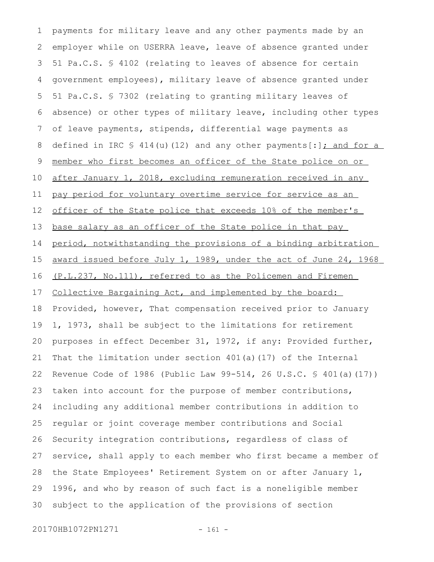payments for military leave and any other payments made by an employer while on USERRA leave, leave of absence granted under 51 Pa.C.S. § 4102 (relating to leaves of absence for certain government employees), military leave of absence granted under 51 Pa.C.S. § 7302 (relating to granting military leaves of absence) or other types of military leave, including other types of leave payments, stipends, differential wage payments as defined in IRC  $\frac{1}{2}$  414(u)(12) and any other payments[:]; and for a member who first becomes an officer of the State police on or after January 1, 2018, excluding remuneration received in any pay period for voluntary overtime service for service as an officer of the State police that exceeds 10% of the member's base salary as an officer of the State police in that pay period, notwithstanding the provisions of a binding arbitration award issued before July 1, 1989, under the act of June 24, 1968 (P.L.237, No.111), referred to as the Policemen and Firemen Collective Bargaining Act, and implemented by the board: Provided, however, That compensation received prior to January 1, 1973, shall be subject to the limitations for retirement purposes in effect December 31, 1972, if any: Provided further, That the limitation under section  $401(a)(17)$  of the Internal Revenue Code of 1986 (Public Law 99-514, 26 U.S.C. § 401(a)(17)) taken into account for the purpose of member contributions, including any additional member contributions in addition to regular or joint coverage member contributions and Social Security integration contributions, regardless of class of service, shall apply to each member who first became a member of the State Employees' Retirement System on or after January 1, 1996, and who by reason of such fact is a noneligible member subject to the application of the provisions of section 1 2 3 4 5 6 7 8 9 10 11 12 13 14 15 16 17 18 19 20 21 22 23 24 25 26 27 28 29 30

20170HB1072PN1271 - 161 -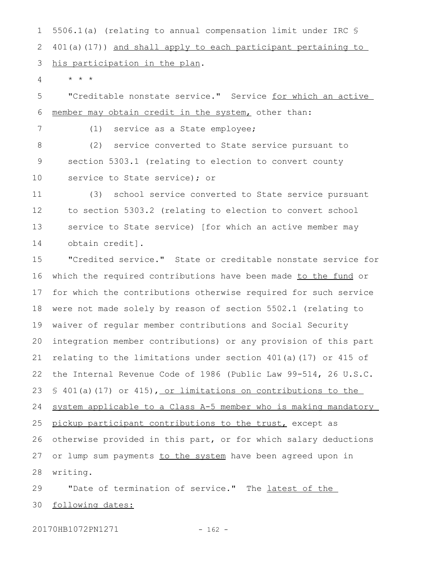5506.1(a) (relating to annual compensation limit under IRC § 401(a)(17)) and shall apply to each participant pertaining to his participation in the plan. 1 2 3

 $\star$   $\hspace{0.1cm} \star$   $\hspace{0.1cm} \star$ 4

7

"Creditable nonstate service." Service for which an active member may obtain credit in the system, other than: 5 6

(1) service as a State employee;

(2) service converted to State service pursuant to section 5303.1 (relating to election to convert county service to State service); or 8 9 10

(3) school service converted to State service pursuant to section 5303.2 (relating to election to convert school service to State service) [for which an active member may obtain credit]. 11 12 13 14

"Credited service." State or creditable nonstate service for which the required contributions have been made to the fund or for which the contributions otherwise required for such service were not made solely by reason of section 5502.1 (relating to waiver of regular member contributions and Social Security integration member contributions) or any provision of this part relating to the limitations under section 401(a)(17) or 415 of the Internal Revenue Code of 1986 (Public Law 99-514, 26 U.S.C. § 401(a)(17) or 415), or limitations on contributions to the system applicable to a Class A-5 member who is making mandatory pickup participant contributions to the trust, except as otherwise provided in this part, or for which salary deductions or lump sum payments to the system have been agreed upon in writing. 15 16 17 18 19 20 21 22 23 24 25 26 27 28

"Date of termination of service." The latest of the following dates: 29 30

20170HB1072PN1271 - 162 -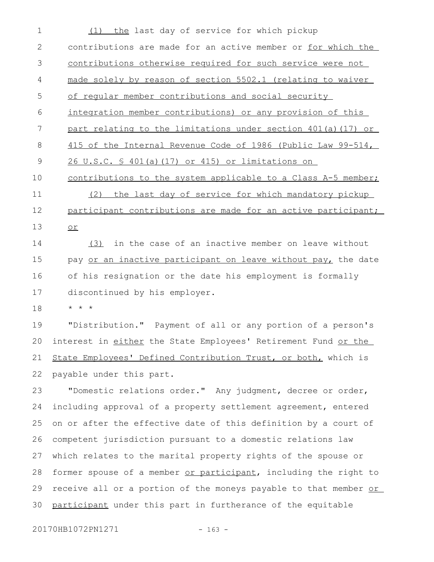(1) the last day of service for which pickup contributions are made for an active member or for which the contributions otherwise required for such service were not made solely by reason of section 5502.1 (relating to waiver of regular member contributions and social security integration member contributions) or any provision of this part relating to the limitations under section 401(a)(17) or 415 of the Internal Revenue Code of 1986 (Public Law 99-514, 26 U.S.C. § 401(a)(17) or 415) or limitations on contributions to the system applicable to a Class A-5 member; (2) the last day of service for which mandatory pickup participant contributions are made for an active participant; or (3) in the case of an inactive member on leave without pay or an inactive participant on leave without pay, the date of his resignation or the date his employment is formally discontinued by his employer. \* \* \* "Distribution." Payment of all or any portion of a person's interest in either the State Employees' Retirement Fund or the State Employees' Defined Contribution Trust, or both, which is payable under this part. "Domestic relations order." Any judgment, decree or order, including approval of a property settlement agreement, entered on or after the effective date of this definition by a court of competent jurisdiction pursuant to a domestic relations law which relates to the marital property rights of the spouse or former spouse of a member or participant, including the right to receive all or a portion of the moneys payable to that member or participant under this part in furtherance of the equitable 1 2 3 4 5 6 7 8 9 10 11 12 13 14 15 16 17 18 19 20 21 22 23 24 25 26 27 28 29 30

20170HB1072PN1271 - 163 -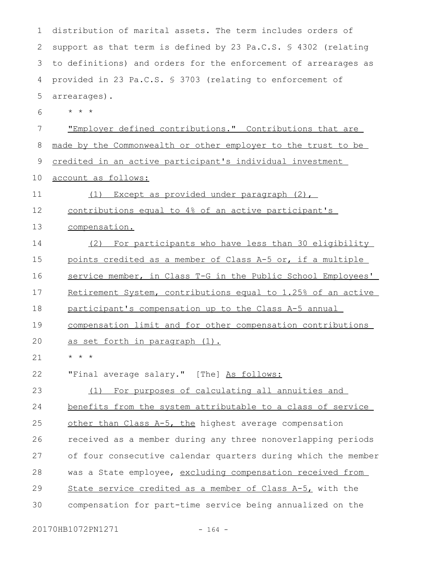| 1  | distribution of marital assets. The term includes orders of     |
|----|-----------------------------------------------------------------|
| 2  | support as that term is defined by 23 Pa.C.S. § 4302 (relating  |
| 3  | to definitions) and orders for the enforcement of arrearages as |
| 4  | provided in 23 Pa.C.S. § 3703 (relating to enforcement of       |
| 5  | arrearages).                                                    |
| 6  | $\star$ $\star$ $\star$                                         |
| 7  | "Employer defined contributions." Contributions that are        |
| 8  | made by the Commonwealth or other employer to the trust to be   |
| 9  | credited in an active participant's individual investment       |
| 10 | account as follows:                                             |
| 11 | Except as provided under paragraph (2),<br>(1)                  |
| 12 | contributions equal to 4% of an active participant's            |
| 13 | compensation.                                                   |
| 14 | (2) For participants who have less than 30 eligibility          |
| 15 | points credited as a member of Class A-5 or, if a multiple      |
| 16 | service member, in Class T-G in the Public School Employees'    |
| 17 | Retirement System, contributions equal to 1.25% of an active    |
| 18 | participant's compensation up to the Class A-5 annual           |
| 19 | compensation limit and for other compensation contributions     |
| 20 | as set forth in paragraph (1).                                  |
| 21 | $\star$ $\star$ $\star$                                         |
| 22 | "Final average salary." [The] As follows:                       |
| 23 | For purposes of calculating all annuities and<br>(1)            |
| 24 | benefits from the system attributable to a class of service     |
| 25 | other than Class A-5, the highest average compensation          |
| 26 | received as a member during any three nonoverlapping periods    |
| 27 | of four consecutive calendar quarters during which the member   |
| 28 | was a State employee, excluding compensation received from      |
| 29 | State service credited as a member of Class A-5, with the       |
| 30 | compensation for part-time service being annualized on the      |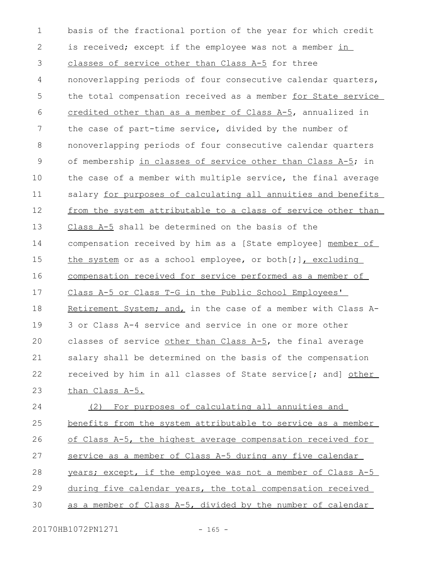basis of the fractional portion of the year for which credit is received; except if the employee was not a member in classes of service other than Class A-5 for three nonoverlapping periods of four consecutive calendar quarters, the total compensation received as a member for State service credited other than as a member of Class A-5, annualized in the case of part-time service, divided by the number of nonoverlapping periods of four consecutive calendar quarters of membership in classes of service other than Class A-5; in the case of a member with multiple service, the final average salary for purposes of calculating all annuities and benefits from the system attributable to a class of service other than Class A-5 shall be determined on the basis of the compensation received by him as a [State employee] member of the system or as a school employee, or both $[i]$ , excluding compensation received for service performed as a member of Class A-5 or Class T-G in the Public School Employees' Retirement System; and, in the case of a member with Class A-3 or Class A-4 service and service in one or more other classes of service other than Class A-5, the final average salary shall be determined on the basis of the compensation received by him in all classes of State service[; and] other than Class A-5. (2) For purposes of calculating all annuities and benefits from the system attributable to service as a member of Class A-5, the highest average compensation received for service as a member of Class A-5 during any five calendar years; except, if the employee was not a member of Class A-5 during five calendar years, the total compensation received as a member of Class A-5, divided by the number of calendar 1 2 3 4 5 6 7 8 9 10 11 12 13 14 15 16 17 18 19  $20$ 21 22 23 24 25 26 27 28 29 30

20170HB1072PN1271 - 165 -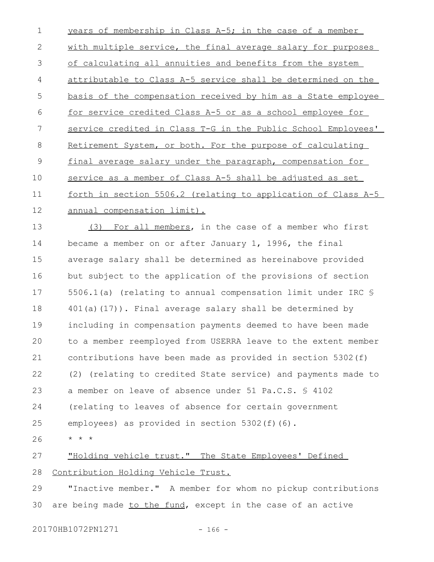years of membership in Class A-5; in the case of a member with multiple service, the final average salary for purposes of calculating all annuities and benefits from the system attributable to Class A-5 service shall be determined on the basis of the compensation received by him as a State employee for service credited Class A-5 or as a school employee for service credited in Class T-G in the Public School Employees' Retirement System, or both. For the purpose of calculating final average salary under the paragraph, compensation for service as a member of Class A-5 shall be adjusted as set forth in section 5506.2 (relating to application of Class A-5 annual compensation limit). 1 2 3 4 5 6 7 8 9 10 11 12

(3) For all members, in the case of a member who first became a member on or after January 1, 1996, the final average salary shall be determined as hereinabove provided but subject to the application of the provisions of section 5506.1(a) (relating to annual compensation limit under IRC §  $401(a)(17)$ . Final average salary shall be determined by including in compensation payments deemed to have been made to a member reemployed from USERRA leave to the extent member contributions have been made as provided in section 5302(f) (2) (relating to credited State service) and payments made to a member on leave of absence under 51 Pa.C.S. § 4102 (relating to leaves of absence for certain government employees) as provided in section 5302(f)(6). \* \* \* 13 14 15 16 17 18 19  $20$ 21 22 23 24 25 26

"Holding vehicle trust." The State Employees' Defined Contribution Holding Vehicle Trust. 27 28

"Inactive member." A member for whom no pickup contributions are being made to the fund, except in the case of an active 29 30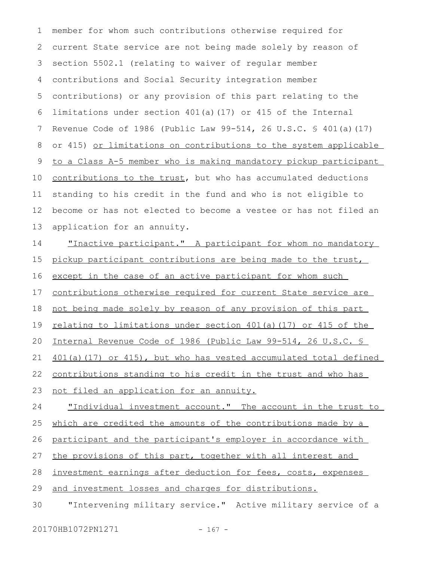member for whom such contributions otherwise required for current State service are not being made solely by reason of section 5502.1 (relating to waiver of regular member contributions and Social Security integration member contributions) or any provision of this part relating to the limitations under section 401(a)(17) or 415 of the Internal Revenue Code of 1986 (Public Law 99-514, 26 U.S.C. § 401(a)(17) or 415) or limitations on contributions to the system applicable to a Class A-5 member who is making mandatory pickup participant contributions to the trust, but who has accumulated deductions standing to his credit in the fund and who is not eligible to become or has not elected to become a vestee or has not filed an application for an annuity. 1 2 3 4 5 6 7 8 9 10 11 12 13

"Inactive participant." A participant for whom no mandatory pickup participant contributions are being made to the trust, except in the case of an active participant for whom such contributions otherwise required for current State service are not being made solely by reason of any provision of this part relating to limitations under section  $401(a)(17)$  or  $415$  of the Internal Revenue Code of 1986 (Public Law 99-514, 26 U.S.C. § 401(a)(17) or 415), but who has vested accumulated total defined contributions standing to his credit in the trust and who has not filed an application for an annuity. "Individual investment account." The account in the trust to which are credited the amounts of the contributions made by a participant and the participant's employer in accordance with 14 15 16 17 18 19 20 21 22 23 24 25 26

the provisions of this part, together with all interest and 27

investment earnings after deduction for fees, costs, expenses 28

and investment losses and charges for distributions. 29

"Intervening military service." Active military service of a 30

20170HB1072PN1271 - 167 -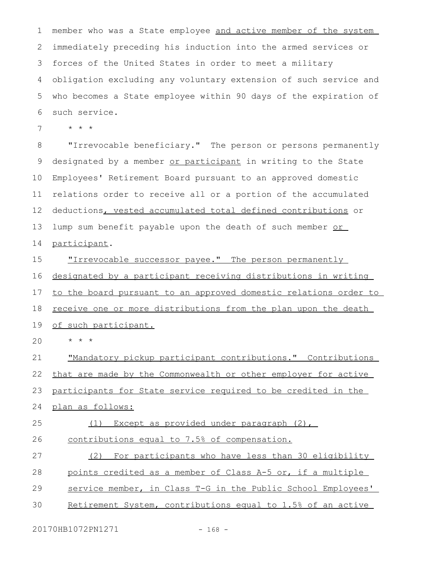member who was a State employee and active member of the system immediately preceding his induction into the armed services or forces of the United States in order to meet a military obligation excluding any voluntary extension of such service and who becomes a State employee within 90 days of the expiration of such service. 1 2 3 4 5 6

\* \* \* 7

"Irrevocable beneficiary." The person or persons permanently designated by a member or participant in writing to the State Employees' Retirement Board pursuant to an approved domestic relations order to receive all or a portion of the accumulated deductions, vested accumulated total defined contributions or lump sum benefit payable upon the death of such member or participant. 8 9 10 11 12 13 14

"Irrevocable successor payee." The person permanently designated by a participant receiving distributions in writing to the board pursuant to an approved domestic relations order to receive one or more distributions from the plan upon the death of such participant. 15 16 17 18 19

\* \* \*  $20$ 

"Mandatory pickup participant contributions." Contributions that are made by the Commonwealth or other employer for active participants for State service required to be credited in the plan as follows: (1) Except as provided under paragraph (2), contributions equal to 7.5% of compensation. 21 22 23 24 25 26

(2) For participants who have less than 30 eligibility points credited as a member of Class A-5 or, if a multiple service member, in Class T-G in the Public School Employees' 27 28 29

Retirement System, contributions equal to 1.5% of an active 30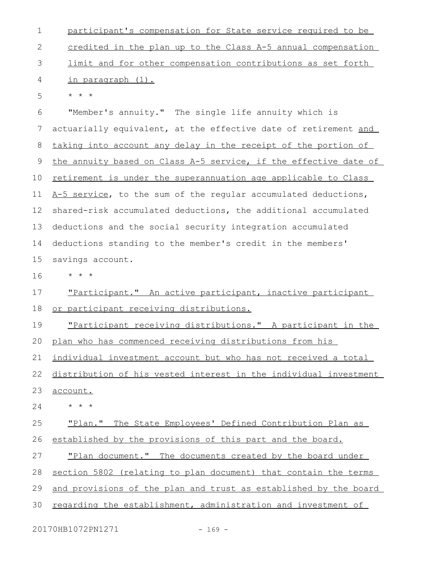participant's compensation for State service required to be credited in the plan up to the Class A-5 annual compensation limit and for other compensation contributions as set forth in paragraph (1). \* \* \* "Member's annuity." The single life annuity which is actuarially equivalent, at the effective date of retirement and taking into account any delay in the receipt of the portion of the annuity based on Class A-5 service, if the effective date of retirement is under the superannuation age applicable to Class A-5 service, to the sum of the regular accumulated deductions, shared-risk accumulated deductions, the additional accumulated deductions and the social security integration accumulated deductions standing to the member's credit in the members' savings account. \* \* \* "Participant." An active participant, inactive participant or participant receiving distributions. "Participant receiving distributions." A participant in the plan who has commenced receiving distributions from his individual investment account but who has not received a total distribution of his vested interest in the individual investment account. \* \* \* "Plan." The State Employees' Defined Contribution Plan as established by the provisions of this part and the board. "Plan document." The documents created by the board under section 5802 (relating to plan document) that contain the terms and provisions of the plan and trust as established by the board regarding the establishment, administration and investment of 1 2 3 4 5 6 7 8 9 10 11 12 13 14 15 16 17 18 19 20 21 22 23 24 25 26 27 28 29 30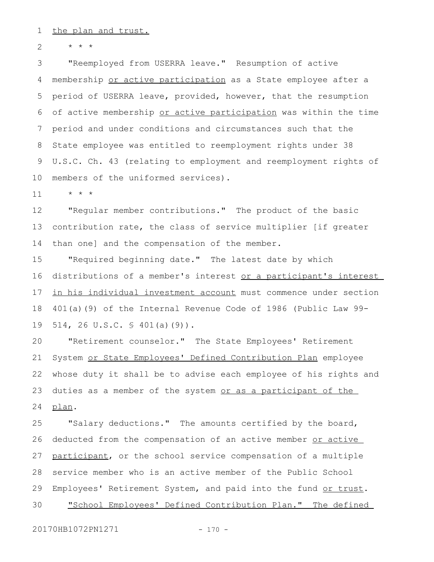the plan and trust. 1

\* \* \* 2

"Reemployed from USERRA leave." Resumption of active membership or active participation as a State employee after a period of USERRA leave, provided, however, that the resumption of active membership or active participation was within the time period and under conditions and circumstances such that the State employee was entitled to reemployment rights under 38 U.S.C. Ch. 43 (relating to employment and reemployment rights of members of the uniformed services). 3 4 5 6 7 8 9 10

\* \* \* 11

"Regular member contributions." The product of the basic contribution rate, the class of service multiplier [if greater than one] and the compensation of the member. 12 13 14

"Required beginning date." The latest date by which distributions of a member's interest or a participant's interest in his individual investment account must commence under section 401(a)(9) of the Internal Revenue Code of 1986 (Public Law 99- 514, 26 U.S.C. § 401(a)(9)). 15 16 17 18 19

"Retirement counselor." The State Employees' Retirement System or State Employees' Defined Contribution Plan employee whose duty it shall be to advise each employee of his rights and duties as a member of the system or as a participant of the plan. 20 21 22 23 24

"Salary deductions." The amounts certified by the board, deducted from the compensation of an active member or active participant, or the school service compensation of a multiple service member who is an active member of the Public School Employees' Retirement System, and paid into the fund or trust. "School Employees' Defined Contribution Plan." The defined 25 26 27 28 29 30

20170HB1072PN1271 - 170 -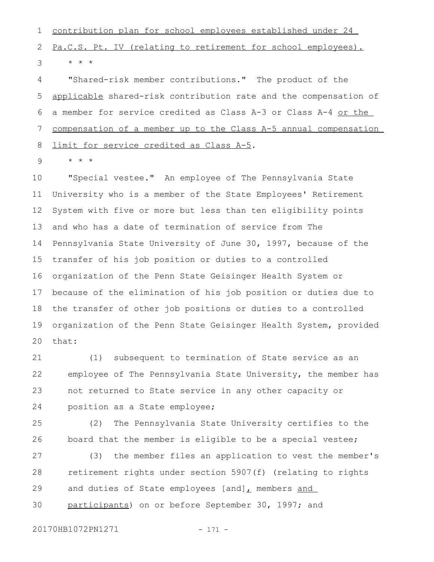contribution plan for school employees established under 24 Pa.C.S. Pt. IV (relating to retirement for school employees). \* \* \* 1 2 3

"Shared-risk member contributions." The product of the applicable shared-risk contribution rate and the compensation of a member for service credited as Class A-3 or Class A-4 or the compensation of a member up to the Class A-5 annual compensation limit for service credited as Class A-5. 4 5 6 7 8

\* \* \* 9

"Special vestee." An employee of The Pennsylvania State University who is a member of the State Employees' Retirement System with five or more but less than ten eligibility points and who has a date of termination of service from The Pennsylvania State University of June 30, 1997, because of the transfer of his job position or duties to a controlled organization of the Penn State Geisinger Health System or because of the elimination of his job position or duties due to the transfer of other job positions or duties to a controlled organization of the Penn State Geisinger Health System, provided that: 10 11 12 13 14 15 16 17 18 19  $20$ 

(1) subsequent to termination of State service as an employee of The Pennsylvania State University, the member has not returned to State service in any other capacity or position as a State employee; 21 22 23 24

(2) The Pennsylvania State University certifies to the board that the member is eligible to be a special vestee; 25 26

(3) the member files an application to vest the member's retirement rights under section 5907(f) (relating to rights and duties of State employees [and], members and participants) on or before September 30, 1997; and 27 28 29 30

20170HB1072PN1271 - 171 -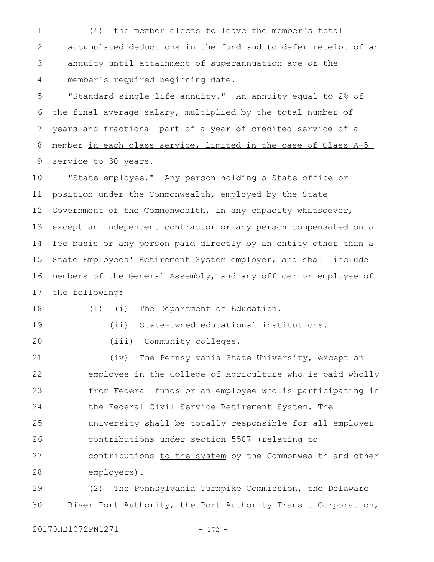(4) the member elects to leave the member's total accumulated deductions in the fund and to defer receipt of an annuity until attainment of superannuation age or the member's required beginning date. 1 2 3 4

"Standard single life annuity." An annuity equal to 2% of the final average salary, multiplied by the total number of years and fractional part of a year of credited service of a member in each class service, limited in the case of Class A-5 service to 30 years. 5 6 7 8 9

"State employee." Any person holding a State office or position under the Commonwealth, employed by the State Government of the Commonwealth, in any capacity whatsoever, except an independent contractor or any person compensated on a fee basis or any person paid directly by an entity other than a State Employees' Retirement System employer, and shall include members of the General Assembly, and any officer or employee of the following: 10 11 12 13 14 15 16 17

18 19 (1) (i) The Department of Education.

(ii) State-owned educational institutions.

(iii) Community colleges. 20

(iv) The Pennsylvania State University, except an employee in the College of Agriculture who is paid wholly from Federal funds or an employee who is participating in the Federal Civil Service Retirement System. The university shall be totally responsible for all employer contributions under section 5507 (relating to contributions to the system by the Commonwealth and other employers). 21 22 23 24 25 26 27 28

(2) The Pennsylvania Turnpike Commission, the Delaware River Port Authority, the Port Authority Transit Corporation, 29 30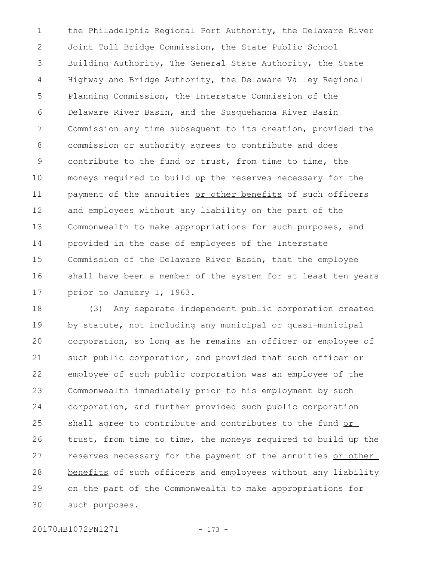the Philadelphia Regional Port Authority, the Delaware River Joint Toll Bridge Commission, the State Public School Building Authority, The General State Authority, the State Highway and Bridge Authority, the Delaware Valley Regional Planning Commission, the Interstate Commission of the Delaware River Basin, and the Susquehanna River Basin Commission any time subsequent to its creation, provided the commission or authority agrees to contribute and does contribute to the fund or trust, from time to time, the moneys required to build up the reserves necessary for the payment of the annuities or other benefits of such officers and employees without any liability on the part of the Commonwealth to make appropriations for such purposes, and provided in the case of employees of the Interstate Commission of the Delaware River Basin, that the employee shall have been a member of the system for at least ten years prior to January 1, 1963. 1 2 3 4 5 6 7 8 9 10 11 12 13 14 15 16 17

(3) Any separate independent public corporation created by statute, not including any municipal or quasi-municipal corporation, so long as he remains an officer or employee of such public corporation, and provided that such officer or employee of such public corporation was an employee of the Commonwealth immediately prior to his employment by such corporation, and further provided such public corporation shall agree to contribute and contributes to the fund or trust, from time to time, the moneys required to build up the reserves necessary for the payment of the annuities or other benefits of such officers and employees without any liability on the part of the Commonwealth to make appropriations for such purposes. 18 19 20 21 22 23 24 25 26 27 28 29 30

20170HB1072PN1271 - 173 -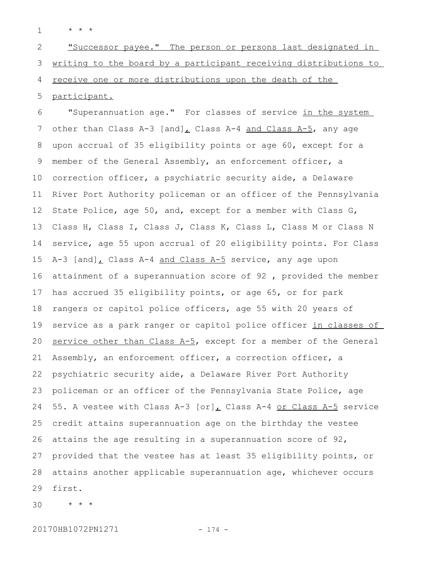\* \* \* 1

"Successor payee." The person or persons last designated in writing to the board by a participant receiving distributions to receive one or more distributions upon the death of the 2 3 4

participant. 5

"Superannuation age." For classes of service in the system other than Class A-3 [and], Class A-4 and Class A-5, any age upon accrual of 35 eligibility points or age 60, except for a member of the General Assembly, an enforcement officer, a correction officer, a psychiatric security aide, a Delaware River Port Authority policeman or an officer of the Pennsylvania State Police, age 50, and, except for a member with Class G, Class H, Class I, Class J, Class K, Class L, Class M or Class N service, age 55 upon accrual of 20 eligibility points. For Class A-3 [and], Class A-4 and Class A-5 service, any age upon attainment of a superannuation score of 92 , provided the member has accrued 35 eligibility points, or age 65, or for park rangers or capitol police officers, age 55 with 20 years of service as a park ranger or capitol police officer in classes of service other than Class  $A-5$ , except for a member of the General Assembly, an enforcement officer, a correction officer, a psychiatric security aide, a Delaware River Port Authority policeman or an officer of the Pennsylvania State Police, age 55. A vestee with Class A-3  $[or]_L$  Class A-4 or Class A-5 service credit attains superannuation age on the birthday the vestee attains the age resulting in a superannuation score of 92, provided that the vestee has at least 35 eligibility points, or attains another applicable superannuation age, whichever occurs first. 6 7 8 9 10 11 12 13 14 15 16 17 18 19 20 21 22 23 24 25 26 27 28 29

\* \* \* 30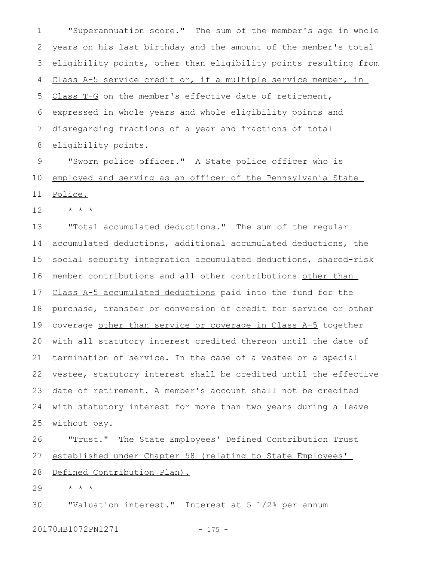"Superannuation score." The sum of the member's age in whole years on his last birthday and the amount of the member's total eligibility points, other than eligibility points resulting from Class A-5 service credit or, if a multiple service member, in Class T-G on the member's effective date of retirement, expressed in whole years and whole eligibility points and disregarding fractions of a year and fractions of total eligibility points. 1 2 3 4 5 6 7 8

"Sworn police officer." A State police officer who is employed and serving as an officer of the Pennsylvania State Police. 9 10 11

\* \* \* 12

"Total accumulated deductions." The sum of the regular accumulated deductions, additional accumulated deductions, the social security integration accumulated deductions, shared-risk member contributions and all other contributions other than Class A-5 accumulated deductions paid into the fund for the purchase, transfer or conversion of credit for service or other coverage other than service or coverage in Class A-5 together with all statutory interest credited thereon until the date of termination of service. In the case of a vestee or a special vestee, statutory interest shall be credited until the effective date of retirement. A member's account shall not be credited with statutory interest for more than two years during a leave without pay. 13 14 15 16 17 18 19 20 21 22 23 24 25

## "Trust." The State Employees' Defined Contribution Trust established under Chapter 58 (relating to State Employees' Defined Contribution Plan). 26 27 28

\* \* \* 29

"Valuation interest." Interest at 5 1/2% per annum 30

20170HB1072PN1271 - 175 -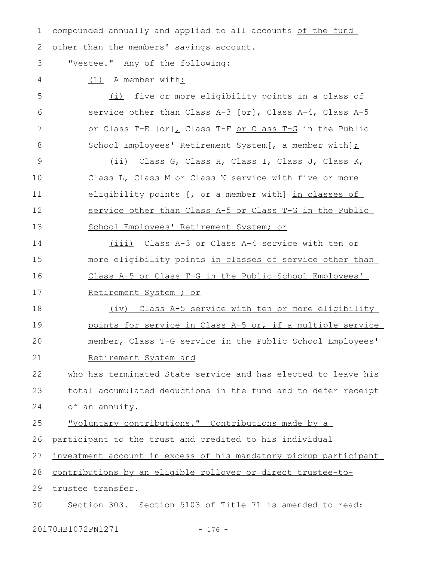compounded annually and applied to all accounts of the fund other than the members' savings account. 1 2

3

"Vestee." Any of the following:

(1) A member with: 4

(i) five or more eligibility points in a class of service other than Class A-3  $[or]_L$  Class A-4, Class A-5 or Class T-E [or], Class T-F or Class T-G in the Public School Employees' Retirement System[, a member with]; 5 6 7 8

(ii) Class G, Class H, Class I, Class J, Class K, Class L, Class M or Class N service with five or more eligibility points [, or a member with] in classes of service other than Class A-5 or Class T-G in the Public School Employees' Retirement System; or 9 10 11 12 13

(iii) Class A-3 or Class A-4 service with ten or more eligibility points in classes of service other than Class A-5 or Class T-G in the Public School Employees' Retirement System ; or 14 15 16 17

18

(iv) Class A-5 service with ten or more eligibility points for service in Class A-5 or, if a multiple service member, Class T-G service in the Public School Employees' Retirement System and 19 20 21

who has terminated State service and has elected to leave his total accumulated deductions in the fund and to defer receipt of an annuity. 22 23 24

"Voluntary contributions." Contributions made by a 25

participant to the trust and credited to his individual 26

investment account in excess of his mandatory pickup participant 27

contributions by an eligible rollover or direct trustee-to-28

trustee transfer. 29

Section 303. Section 5103 of Title 71 is amended to read: 30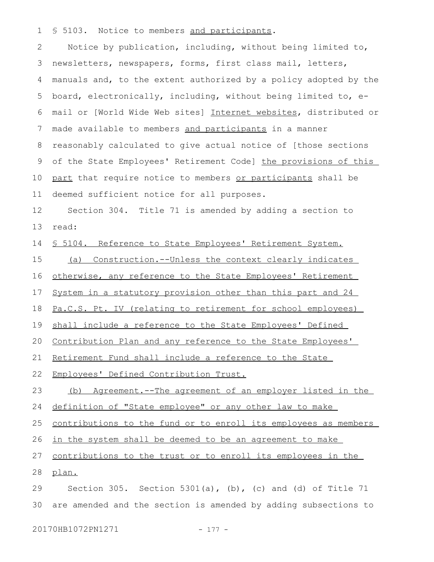§ 5103. Notice to members and participants. 1

Notice by publication, including, without being limited to, newsletters, newspapers, forms, first class mail, letters, manuals and, to the extent authorized by a policy adopted by the board, electronically, including, without being limited to, email or [World Wide Web sites] Internet websites, distributed or made available to members and participants in a manner reasonably calculated to give actual notice of [those sections of the State Employees' Retirement Code] the provisions of this part that require notice to members or participants shall be deemed sufficient notice for all purposes. 2 3 4 5 6 7 8 9 10 11

Section 304. Title 71 is amended by adding a section to read: 12 13

§ 5104. Reference to State Employees' Retirement System. 14

(a) Construction.--Unless the context clearly indicates 15

otherwise, any reference to the State Employees' Retirement 16

System in a statutory provision other than this part and 24 17

Pa.C.S. Pt. IV (relating to retirement for school employees) 18

shall include a reference to the State Employees' Defined 19

Contribution Plan and any reference to the State Employees' 20

Retirement Fund shall include a reference to the State 21

Employees' Defined Contribution Trust. 22

(b) Agreement.--The agreement of an employer listed in the 23

definition of "State employee" or any other law to make 24

contributions to the fund or to enroll its employees as members 25

in the system shall be deemed to be an agreement to make 26

contributions to the trust or to enroll its employees in the 27

plan. 28

Section 305. Section 5301(a),  $(b)$ , (c) and (d) of Title 71 are amended and the section is amended by adding subsections to 29 30

20170HB1072PN1271 - 177 -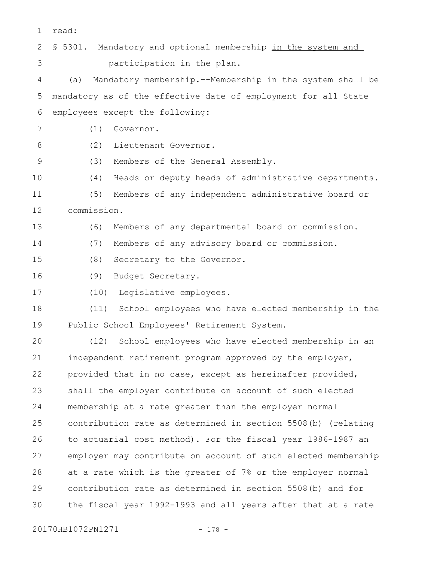| 1               | read:                                                           |
|-----------------|-----------------------------------------------------------------|
| 2               | \$ 5301. Mandatory and optional membership in the system and    |
| 3               | participation in the plan.                                      |
| 4               | Mandatory membership.--Membership in the system shall be<br>(a) |
| 5               | mandatory as of the effective date of employment for all State  |
| 6               | employees except the following:                                 |
| $7\phantom{.0}$ | (1)<br>Governor.                                                |
| $8\,$           | (2)<br>Lieutenant Governor.                                     |
| $\mathsf 9$     | (3)<br>Members of the General Assembly.                         |
| 10              | (4)<br>Heads or deputy heads of administrative departments.     |
| 11              | Members of any independent administrative board or<br>(5)       |
| 12              | commission.                                                     |
| 13              | Members of any departmental board or commission.<br>(6)         |
| 14              | Members of any advisory board or commission.<br>(7)             |
| 15              | (8)<br>Secretary to the Governor.                               |
| 16              | (9)<br>Budget Secretary.                                        |
| 17              | Legislative employees.<br>(10)                                  |
| 18              | School employees who have elected membership in the<br>(11)     |
| 19              | Public School Employees' Retirement System.                     |
| 20              | School employees who have elected membership in an<br>(12)      |
| 21              | independent retirement program approved by the employer,        |
| 22              | provided that in no case, except as hereinafter provided,       |
| 23              | shall the employer contribute on account of such elected        |
| 24              | membership at a rate greater than the employer normal           |
| 25              | contribution rate as determined in section 5508(b) (relating    |
| 26              | to actuarial cost method). For the fiscal year 1986-1987 an     |
| 27              | employer may contribute on account of such elected membership   |
| 28              | at a rate which is the greater of 7% or the employer normal     |
| 29              | contribution rate as determined in section 5508(b) and for      |

the fiscal year 1992-1993 and all years after that at a rate 30

20170HB1072PN1271 - 178 -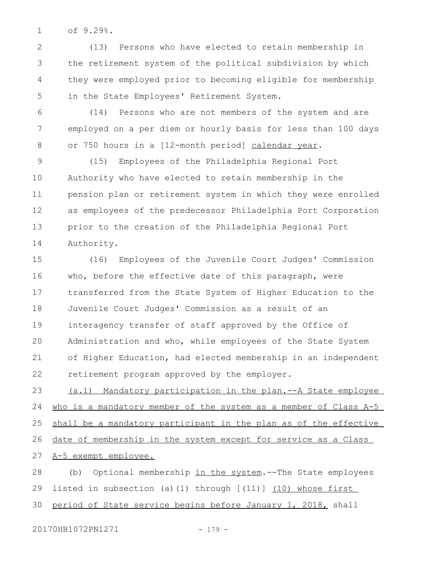of 9.29%. 1

(13) Persons who have elected to retain membership in the retirement system of the political subdivision by which they were employed prior to becoming eligible for membership in the State Employees' Retirement System. 2 3 4 5

(14) Persons who are not members of the system and are employed on a per diem or hourly basis for less than 100 days or 750 hours in a [12-month period] calendar year. 6 7 8

(15) Employees of the Philadelphia Regional Port Authority who have elected to retain membership in the pension plan or retirement system in which they were enrolled as employees of the predecessor Philadelphia Port Corporation prior to the creation of the Philadelphia Regional Port Authority. 9 10 11 12 13 14

(16) Employees of the Juvenile Court Judges' Commission who, before the effective date of this paragraph, were transferred from the State System of Higher Education to the Juvenile Court Judges' Commission as a result of an interagency transfer of staff approved by the Office of Administration and who, while employees of the State System of Higher Education, had elected membership in an independent retirement program approved by the employer. 15 16 17 18 19  $20$ 21 22

(a.1) Mandatory participation in the plan.--A State employee who is a mandatory member of the system as a member of Class A-5 shall be a mandatory participant in the plan as of the effective date of membership in the system except for service as a Class A-5 exempt employee. 23 24 25 26 27

(b) Optional membership in the system.--The State employees listed in subsection (a)(1) through  $\lceil$  (11)] (10) whose first period of State service begins before January 1, 2018, shall 28 29 30

20170HB1072PN1271 - 179 -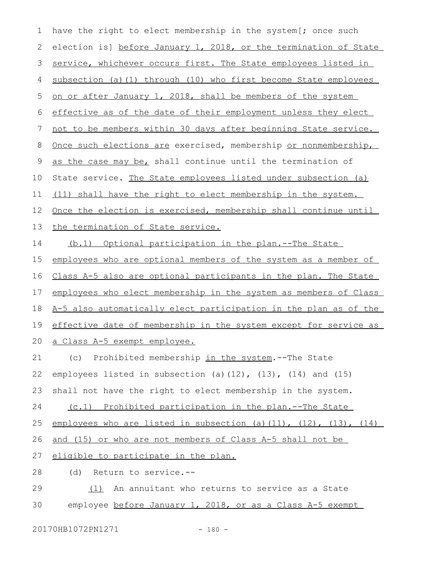have the right to elect membership in the system [; once such election is] before January 1, 2018, or the termination of State service, whichever occurs first. The State employees listed in subsection (a)(1) through (10) who first become State employees on or after January 1, 2018, shall be members of the system effective as of the date of their employment unless they elect not to be members within 30 days after beginning State service. Once such elections are exercised, membership or nonmembership, as the case may be, shall continue until the termination of State service. The State employees listed under subsection (a) (11) shall have the right to elect membership in the system. Once the election is exercised, membership shall continue until the termination of State service. (b.1) Optional participation in the plan.--The State employees who are optional members of the system as a member of Class A-5 also are optional participants in the plan. The State employees who elect membership in the system as members of Class A-5 also automatically elect participation in the plan as of the effective date of membership in the system except for service as a Class A-5 exempt employee. (c) Prohibited membership in the system.--The State employees listed in subsection (a)(12), (13), (14) and (15) shall not have the right to elect membership in the system. (c.1) Prohibited participation in the plan.--The State employees who are listed in subsection (a)(11),  $(12)$ ,  $(13)$ ,  $(14)$ and (15) or who are not members of Class A-5 shall not be eligible to participate in the plan. (d) Return to service.-- (1) An annuitant who returns to service as a State employee before January 1, 2018, or as a Class A-5 exempt 1 2 3 4 5 6 7 8 9 10 11 12 13 14 15 16 17 18 19 20 21 22 23 24 25 26 27 28 29 30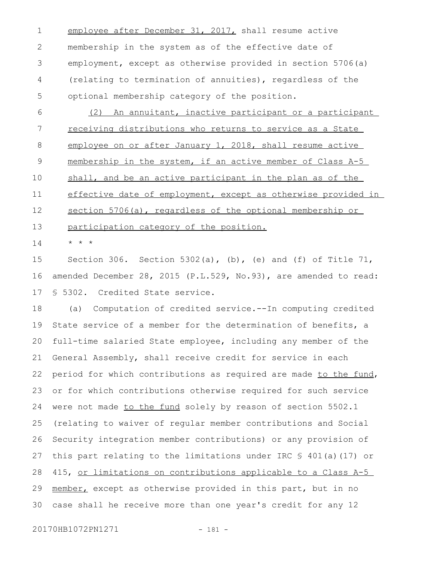employee after December 31, 2017, shall resume active membership in the system as of the effective date of employment, except as otherwise provided in section 5706(a) (relating to termination of annuities), regardless of the optional membership category of the position. 1 2 3 4 5

(2) An annuitant, inactive participant or a participant receiving distributions who returns to service as a State employee on or after January 1, 2018, shall resume active membership in the system, if an active member of Class A-5 shall, and be an active participant in the plan as of the effective date of employment, except as otherwise provided in section 5706(a), regardless of the optional membership or participation category of the position. \* \* \* 6 7 8 9 10 11 12 13 14

Section 306. Section 5302(a), (b), (e) and (f) of Title 71, amended December 28, 2015 (P.L.529, No.93), are amended to read: § 5302. Credited State service. 15 16 17

(a) Computation of credited service.--In computing credited State service of a member for the determination of benefits, a full-time salaried State employee, including any member of the General Assembly, shall receive credit for service in each period for which contributions as required are made to the fund, or for which contributions otherwise required for such service were not made to the fund solely by reason of section 5502.1 (relating to waiver of regular member contributions and Social Security integration member contributions) or any provision of this part relating to the limitations under IRC  $\frac{1}{5}$  401(a)(17) or 415, or limitations on contributions applicable to a Class A-5 member, except as otherwise provided in this part, but in no case shall he receive more than one year's credit for any 12 18 19 20 21 22 23 24 25 26 27 28 29 30

20170HB1072PN1271 - 181 -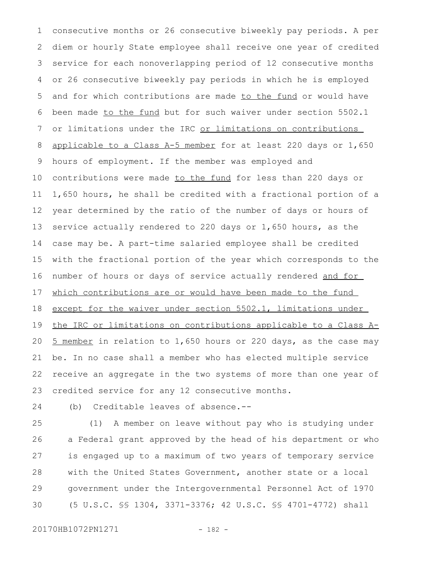consecutive months or 26 consecutive biweekly pay periods. A per diem or hourly State employee shall receive one year of credited service for each nonoverlapping period of 12 consecutive months or 26 consecutive biweekly pay periods in which he is employed and for which contributions are made to the fund or would have been made to the fund but for such waiver under section 5502.1 or limitations under the IRC or limitations on contributions applicable to a Class A-5 member for at least 220 days or 1,650 hours of employment. If the member was employed and contributions were made to the fund for less than 220 days or 1,650 hours, he shall be credited with a fractional portion of a year determined by the ratio of the number of days or hours of service actually rendered to 220 days or 1,650 hours, as the case may be. A part-time salaried employee shall be credited with the fractional portion of the year which corresponds to the number of hours or days of service actually rendered and for which contributions are or would have been made to the fund except for the waiver under section 5502.1, limitations under the IRC or limitations on contributions applicable to a Class A-5 member in relation to 1,650 hours or 220 days, as the case may be. In no case shall a member who has elected multiple service receive an aggregate in the two systems of more than one year of credited service for any 12 consecutive months. 1 2 3 4 5 6 7 8 9 10 11 12 13 14 15 16 17 18 19 20 21 22 23

(b) Creditable leaves of absence.-- 24

(1) A member on leave without pay who is studying under a Federal grant approved by the head of his department or who is engaged up to a maximum of two years of temporary service with the United States Government, another state or a local government under the Intergovernmental Personnel Act of 1970 (5 U.S.C. §§ 1304, 3371-3376; 42 U.S.C. §§ 4701-4772) shall 25 26 27 28 29 30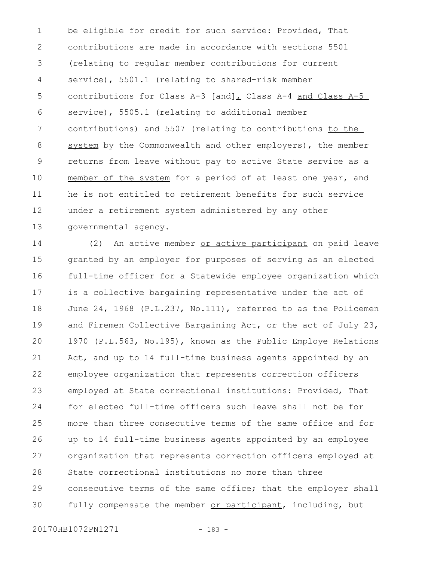be eligible for credit for such service: Provided, That contributions are made in accordance with sections 5501 (relating to regular member contributions for current service), 5501.1 (relating to shared-risk member contributions for Class A-3 [and], Class A-4 and Class A-5 service), 5505.1 (relating to additional member contributions) and 5507 (relating to contributions to the system by the Commonwealth and other employers), the member returns from leave without pay to active State service as a member of the system for a period of at least one year, and he is not entitled to retirement benefits for such service under a retirement system administered by any other governmental agency. 1 2 3 4 5 6 7 8 9 10 11 12 13

(2) An active member or active participant on paid leave granted by an employer for purposes of serving as an elected full-time officer for a Statewide employee organization which is a collective bargaining representative under the act of June 24, 1968 (P.L.237, No.111), referred to as the Policemen and Firemen Collective Bargaining Act, or the act of July 23, 1970 (P.L.563, No.195), known as the Public Employe Relations Act, and up to 14 full-time business agents appointed by an employee organization that represents correction officers employed at State correctional institutions: Provided, That for elected full-time officers such leave shall not be for more than three consecutive terms of the same office and for up to 14 full-time business agents appointed by an employee organization that represents correction officers employed at State correctional institutions no more than three consecutive terms of the same office; that the employer shall fully compensate the member or participant, including, but 14 15 16 17 18 19  $20$ 21 22 23 24 25 26 27 28 29 30

20170HB1072PN1271 - 183 -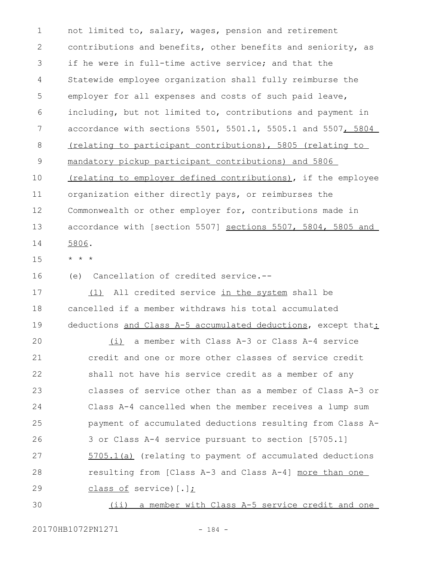not limited to, salary, wages, pension and retirement contributions and benefits, other benefits and seniority, as if he were in full-time active service; and that the Statewide employee organization shall fully reimburse the employer for all expenses and costs of such paid leave, including, but not limited to, contributions and payment in accordance with sections 5501, 5501.1, 5505.1 and 5507, 5804 (relating to participant contributions), 5805 (relating to mandatory pickup participant contributions) and 5806 (relating to employer defined contributions), if the employee organization either directly pays, or reimburses the Commonwealth or other employer for, contributions made in accordance with [section 5507] sections 5507, 5804, 5805 and 5806. 1 2 3 4 5 6 7 8 9 10 11 12 13 14

- \* \* \* 15
- (e) Cancellation of credited service.-- 16

(1) All credited service in the system shall be cancelled if a member withdraws his total accumulated deductions and Class A-5 accumulated deductions, except that: 17 18 19

(i) a member with Class A-3 or Class A-4 service credit and one or more other classes of service credit shall not have his service credit as a member of any classes of service other than as a member of Class A-3 or Class A-4 cancelled when the member receives a lump sum payment of accumulated deductions resulting from Class A-3 or Class A-4 service pursuant to section [5705.1] 5705.1(a) (relating to payment of accumulated deductions resulting from [Class A-3 and Class A-4] more than one class of service) [.];  $20$ 21 22 23 24 25 26 27 28 29

(ii) a member with Class A-5 service credit and one 30

20170HB1072PN1271 - 184 -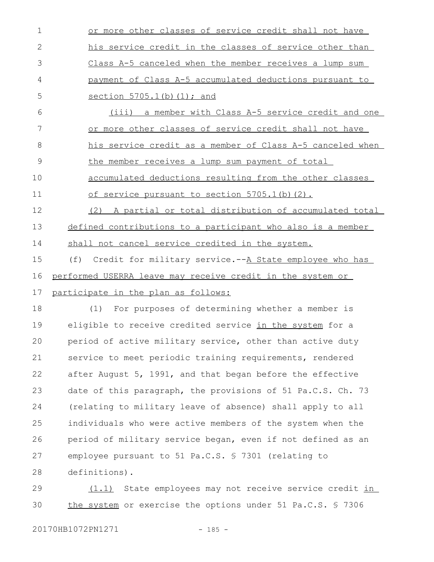| $\mathbf 1$  | or more other classes of service credit shall not have        |
|--------------|---------------------------------------------------------------|
| $\mathbf{2}$ | his service credit in the classes of service other than       |
| 3            | Class A-5 canceled when the member receives a lump sum        |
| 4            | payment of Class A-5 accumulated deductions pursuant to       |
| 5            | section 5705.1(b) (1); and                                    |
| 6            | (iii) a member with Class A-5 service credit and one          |
| 7            | or more other classes of service credit shall not have        |
| 8            | his service credit as a member of Class A-5 canceled when     |
| 9            | the member receives a lump sum payment of total               |
| 10           | accumulated deductions resulting from the other classes       |
| 11           | of service pursuant to section 5705.1(b)(2).                  |
| 12           | (2) A partial or total distribution of accumulated total      |
| 13           | defined contributions to a participant who also is a member   |
| 14           | shall not cancel service credited in the system.              |
| 15           | Credit for military service.--A State employee who has<br>(f) |
| 16           | performed USERRA leave may receive credit in the system or    |
| 17           | participate in the plan as follows:                           |
| 18           | (1) For purposes of determining whether a member is           |
| 19           | eligible to receive credited service in the system for a      |
| 20           | period of active military service, other than active duty     |
| 21           | service to meet periodic training requirements, rendered      |
| 22           | after August 5, 1991, and that began before the effective     |
| 23           | date of this paragraph, the provisions of 51 Pa.C.S. Ch. 73   |
| 24           | (relating to military leave of absence) shall apply to all    |
| 25           | individuals who were active members of the system when the    |
| 26           | period of military service began, even if not defined as an   |
| 27           | employee pursuant to 51 Pa.C.S. § 7301 (relating to           |
| 28           | definitions).                                                 |
|              |                                                               |

(1.1) State employees may not receive service credit in the system or exercise the options under 51 Pa.C.S. § 7306 29 30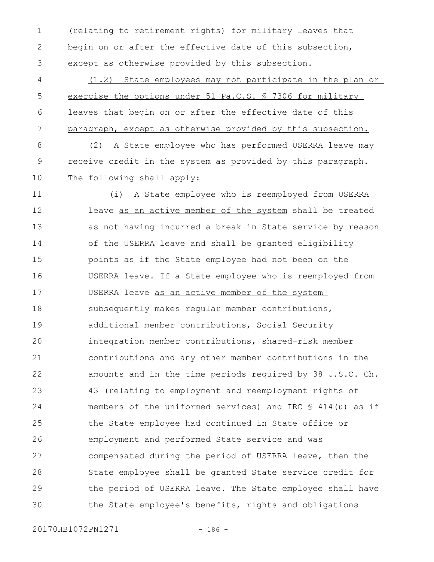(relating to retirement rights) for military leaves that begin on or after the effective date of this subsection, except as otherwise provided by this subsection. 1 2 3

(1.2) State employees may not participate in the plan or exercise the options under 51 Pa.C.S. § 7306 for military leaves that begin on or after the effective date of this paragraph, except as otherwise provided by this subsection. 4 5 6 7

(2) A State employee who has performed USERRA leave may receive credit in the system as provided by this paragraph. The following shall apply: 8 9 10

(i) A State employee who is reemployed from USERRA leave as an active member of the system shall be treated as not having incurred a break in State service by reason of the USERRA leave and shall be granted eligibility points as if the State employee had not been on the USERRA leave. If a State employee who is reemployed from USERRA leave as an active member of the system subsequently makes regular member contributions, additional member contributions, Social Security integration member contributions, shared-risk member contributions and any other member contributions in the amounts and in the time periods required by 38 U.S.C. Ch. 43 (relating to employment and reemployment rights of members of the uniformed services) and IRC § 414(u) as if the State employee had continued in State office or employment and performed State service and was compensated during the period of USERRA leave, then the State employee shall be granted State service credit for the period of USERRA leave. The State employee shall have the State employee's benefits, rights and obligations 11 12 13 14 15 16 17 18 19 20 21 22 23 24 25 26 27 28 29 30

20170HB1072PN1271 - 186 -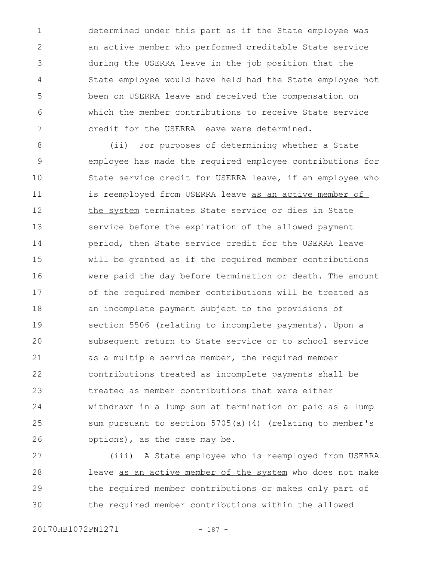determined under this part as if the State employee was an active member who performed creditable State service during the USERRA leave in the job position that the State employee would have held had the State employee not been on USERRA leave and received the compensation on which the member contributions to receive State service credit for the USERRA leave were determined. 1 2 3 4 5 6 7

(ii) For purposes of determining whether a State employee has made the required employee contributions for State service credit for USERRA leave, if an employee who is reemployed from USERRA leave as an active member of the system terminates State service or dies in State service before the expiration of the allowed payment period, then State service credit for the USERRA leave will be granted as if the required member contributions were paid the day before termination or death. The amount of the required member contributions will be treated as an incomplete payment subject to the provisions of section 5506 (relating to incomplete payments). Upon a subsequent return to State service or to school service as a multiple service member, the required member contributions treated as incomplete payments shall be treated as member contributions that were either withdrawn in a lump sum at termination or paid as a lump sum pursuant to section 5705(a)(4) (relating to member's options), as the case may be. 8 9 10 11 12 13 14 15 16 17 18 19 20 21 22 23 24 25 26

(iii) A State employee who is reemployed from USERRA leave as an active member of the system who does not make the required member contributions or makes only part of the required member contributions within the allowed 27 28 29 30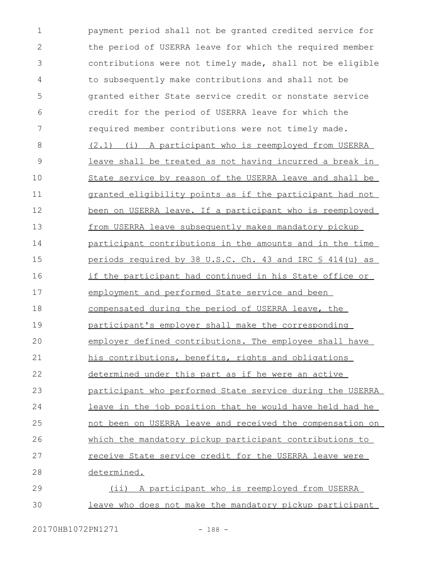payment period shall not be granted credited service for the period of USERRA leave for which the required member contributions were not timely made, shall not be eligible to subsequently make contributions and shall not be granted either State service credit or nonstate service credit for the period of USERRA leave for which the required member contributions were not timely made. (2.1) (i) A participant who is reemployed from USERRA leave shall be treated as not having incurred a break in State service by reason of the USERRA leave and shall be granted eligibility points as if the participant had not been on USERRA leave. If a participant who is reemployed from USERRA leave subsequently makes mandatory pickup participant contributions in the amounts and in the time periods required by 38 U.S.C. Ch. 43 and IRC § 414(u) as if the participant had continued in his State office or employment and performed State service and been compensated during the period of USERRA leave, the participant's employer shall make the corresponding employer defined contributions. The employee shall have his contributions, benefits, rights and obligations determined under this part as if he were an active participant who performed State service during the USERRA leave in the job position that he would have held had he not been on USERRA leave and received the compensation on which the mandatory pickup participant contributions to receive State service credit for the USERRA leave were determined. (ii) A participant who is reemployed from USERRA leave who does not make the mandatory pickup participant 1 2 3 4 5 6 7 8 9 10 11 12 13 14 15 16 17 18 19  $20$ 21 22 23 24 25 26 27 28 29 30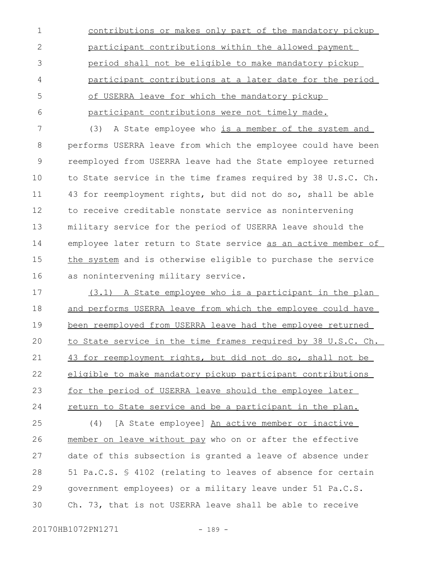contributions or makes only part of the mandatory pickup participant contributions within the allowed payment period shall not be eligible to make mandatory pickup participant contributions at a later date for the period of USERRA leave for which the mandatory pickup participant contributions were not timely made. 1 2 3 4 5 6

(3) A State employee who is a member of the system and performs USERRA leave from which the employee could have been reemployed from USERRA leave had the State employee returned to State service in the time frames required by 38 U.S.C. Ch. 43 for reemployment rights, but did not do so, shall be able to receive creditable nonstate service as nonintervening military service for the period of USERRA leave should the employee later return to State service as an active member of the system and is otherwise eligible to purchase the service as nonintervening military service. 7 8 9 10 11 12 13 14 15 16

(3.1) A State employee who is a participant in the plan and performs USERRA leave from which the employee could have been reemployed from USERRA leave had the employee returned to State service in the time frames required by 38 U.S.C. Ch. 43 for reemployment rights, but did not do so, shall not be eligible to make mandatory pickup participant contributions for the period of USERRA leave should the employee later return to State service and be a participant in the plan. 17 18 19  $20$ 21 22 23 24

(4) [A State employee] An active member or inactive member on leave without pay who on or after the effective date of this subsection is granted a leave of absence under 51 Pa.C.S. § 4102 (relating to leaves of absence for certain government employees) or a military leave under 51 Pa.C.S. Ch. 73, that is not USERRA leave shall be able to receive 25 26 27 28 29 30

$$
- 189 -
$$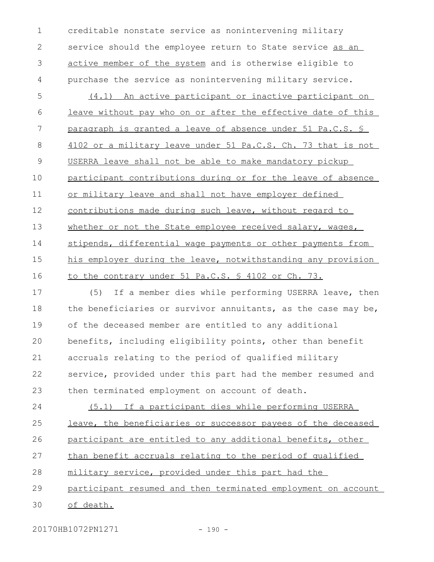creditable nonstate service as nonintervening military service should the employee return to State service as an active member of the system and is otherwise eligible to purchase the service as nonintervening military service. 1 2 3 4

(4.1) An active participant or inactive participant on leave without pay who on or after the effective date of this paragraph is granted a leave of absence under 51 Pa.C.S. § 4102 or a military leave under 51 Pa.C.S. Ch. 73 that is not USERRA leave shall not be able to make mandatory pickup participant contributions during or for the leave of absence or military leave and shall not have employer defined contributions made during such leave, without regard to whether or not the State employee received salary, wages, stipends, differential wage payments or other payments from his employer during the leave, notwithstanding any provision to the contrary under 51 Pa.C.S. § 4102 or Ch. 73. 5 6 7 8 9 10 11 12 13 14 15 16

(5) If a member dies while performing USERRA leave, then the beneficiaries or survivor annuitants, as the case may be, of the deceased member are entitled to any additional benefits, including eligibility points, other than benefit accruals relating to the period of qualified military service, provided under this part had the member resumed and then terminated employment on account of death. 17 18 19  $20$ 21 22 23

(5.1) If a participant dies while performing USERRA leave, the beneficiaries or successor payees of the deceased participant are entitled to any additional benefits, other than benefit accruals relating to the period of qualified military service, provided under this part had the 24 25 26 27 28

participant resumed and then terminated employment on account 29

of death. 30

20170HB1072PN1271 - 190 -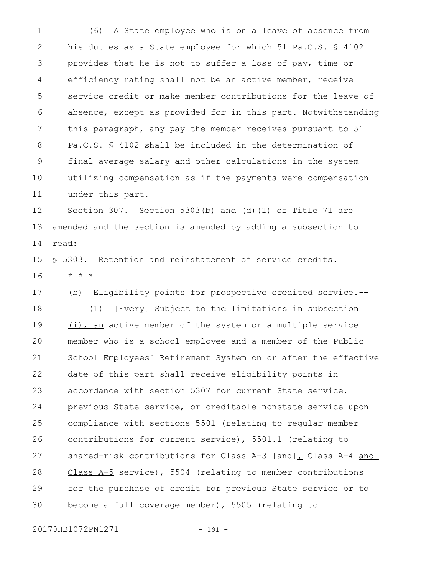(6) A State employee who is on a leave of absence from his duties as a State employee for which 51 Pa.C.S. § 4102 provides that he is not to suffer a loss of pay, time or efficiency rating shall not be an active member, receive service credit or make member contributions for the leave of absence, except as provided for in this part. Notwithstanding this paragraph, any pay the member receives pursuant to 51 Pa.C.S. § 4102 shall be included in the determination of final average salary and other calculations in the system utilizing compensation as if the payments were compensation under this part. 1 2 3 4 5 6 7 8 9 10 11

Section 307. Section 5303(b) and (d)(1) of Title 71 are amended and the section is amended by adding a subsection to read: 12 13 14

§ 5303. Retention and reinstatement of service credits. \* \* \* 15 16

(b) Eligibility points for prospective credited service.-- (1) [Every] Subject to the limitations in subsection (i), an active member of the system or a multiple service member who is a school employee and a member of the Public School Employees' Retirement System on or after the effective date of this part shall receive eligibility points in accordance with section 5307 for current State service, previous State service, or creditable nonstate service upon compliance with sections 5501 (relating to regular member contributions for current service), 5501.1 (relating to shared-risk contributions for Class A-3  $[and]_L$  Class A-4 and Class A-5 service), 5504 (relating to member contributions for the purchase of credit for previous State service or to become a full coverage member), 5505 (relating to 17 18 19 20 21 22 23 24 25 26 27 28 29 30

20170HB1072PN1271 - 191 -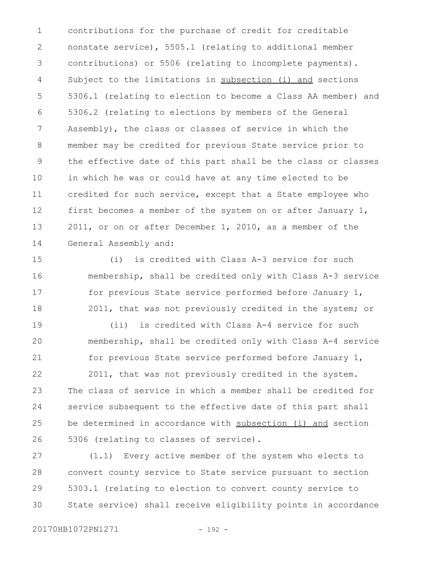contributions for the purchase of credit for creditable nonstate service), 5505.1 (relating to additional member contributions) or 5506 (relating to incomplete payments). Subject to the limitations in subsection (i) and sections 5306.1 (relating to election to become a Class AA member) and 5306.2 (relating to elections by members of the General Assembly), the class or classes of service in which the member may be credited for previous State service prior to the effective date of this part shall be the class or classes in which he was or could have at any time elected to be credited for such service, except that a State employee who first becomes a member of the system on or after January 1, 2011, or on or after December 1, 2010, as a member of the General Assembly and: 1 2 3 4 5 6 7 8 9 10 11 12 13 14

(i) is credited with Class A-3 service for such membership, shall be credited only with Class A-3 service for previous State service performed before January 1, 2011, that was not previously credited in the system; or 15 16 17 18

(ii) is credited with Class A-4 service for such membership, shall be credited only with Class A-4 service for previous State service performed before January 1, 19 20 21

2011, that was not previously credited in the system. The class of service in which a member shall be credited for service subsequent to the effective date of this part shall be determined in accordance with subsection (i) and section 5306 (relating to classes of service). 22 23 24 25 26

(1.1) Every active member of the system who elects to convert county service to State service pursuant to section 5303.1 (relating to election to convert county service to State service) shall receive eligibility points in accordance 27 28 29 30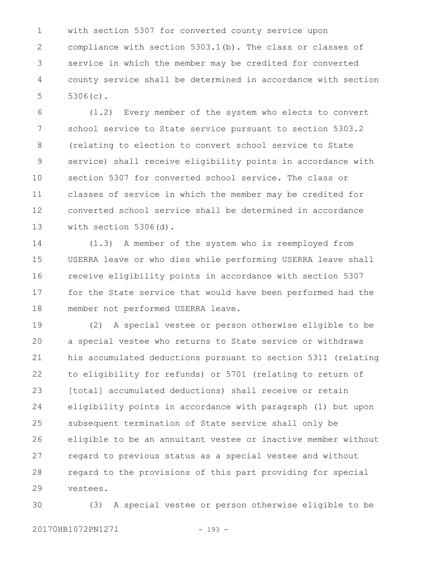with section 5307 for converted county service upon compliance with section 5303.1(b). The class or classes of service in which the member may be credited for converted county service shall be determined in accordance with section 5306(c). 1 2 3 4 5

(1.2) Every member of the system who elects to convert school service to State service pursuant to section 5303.2 (relating to election to convert school service to State service) shall receive eligibility points in accordance with section 5307 for converted school service. The class or classes of service in which the member may be credited for converted school service shall be determined in accordance with section 5306(d). 6 7 8 9 10 11 12 13

(1.3) A member of the system who is reemployed from USERRA leave or who dies while performing USERRA leave shall receive eligibility points in accordance with section 5307 for the State service that would have been performed had the member not performed USERRA leave. 14 15 16 17 18

(2) A special vestee or person otherwise eligible to be a special vestee who returns to State service or withdraws his accumulated deductions pursuant to section 5311 (relating to eligibility for refunds) or 5701 (relating to return of [total] accumulated deductions) shall receive or retain eligibility points in accordance with paragraph (1) but upon subsequent termination of State service shall only be eligible to be an annuitant vestee or inactive member without regard to previous status as a special vestee and without regard to the provisions of this part providing for special vestees. 19  $20$ 21 22 23 24 25 26 27 28 29

(3) A special vestee or person otherwise eligible to be 30

20170HB1072PN1271 - 193 -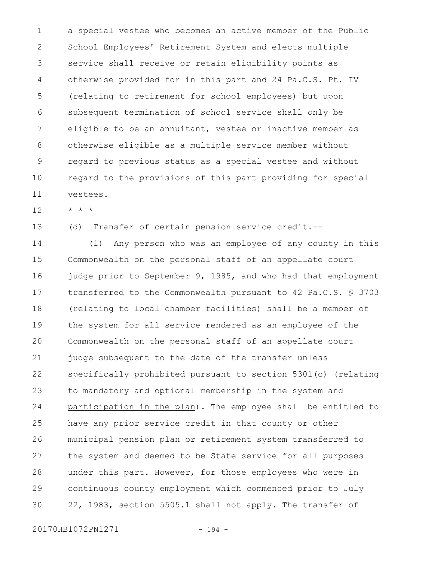a special vestee who becomes an active member of the Public School Employees' Retirement System and elects multiple service shall receive or retain eligibility points as otherwise provided for in this part and 24 Pa.C.S. Pt. IV (relating to retirement for school employees) but upon subsequent termination of school service shall only be eligible to be an annuitant, vestee or inactive member as otherwise eligible as a multiple service member without regard to previous status as a special vestee and without regard to the provisions of this part providing for special vestees. 1 2 3 4 5 6 7 8 9 10 11

\* \* \* 12

(d) Transfer of certain pension service credit.-- 13

(1) Any person who was an employee of any county in this Commonwealth on the personal staff of an appellate court judge prior to September 9, 1985, and who had that employment transferred to the Commonwealth pursuant to 42 Pa.C.S. § 3703 (relating to local chamber facilities) shall be a member of the system for all service rendered as an employee of the Commonwealth on the personal staff of an appellate court judge subsequent to the date of the transfer unless specifically prohibited pursuant to section 5301(c) (relating to mandatory and optional membership in the system and participation in the plan). The employee shall be entitled to have any prior service credit in that county or other municipal pension plan or retirement system transferred to the system and deemed to be State service for all purposes under this part. However, for those employees who were in continuous county employment which commenced prior to July 22, 1983, section 5505.1 shall not apply. The transfer of 14 15 16 17 18 19 20 21 22 23 24 25 26 27 28 29 30

20170HB1072PN1271 - 194 -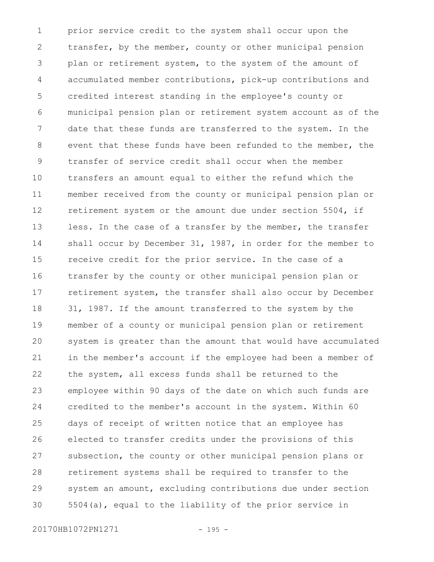prior service credit to the system shall occur upon the transfer, by the member, county or other municipal pension plan or retirement system, to the system of the amount of accumulated member contributions, pick-up contributions and credited interest standing in the employee's county or municipal pension plan or retirement system account as of the date that these funds are transferred to the system. In the event that these funds have been refunded to the member, the transfer of service credit shall occur when the member transfers an amount equal to either the refund which the member received from the county or municipal pension plan or retirement system or the amount due under section 5504, if less. In the case of a transfer by the member, the transfer shall occur by December 31, 1987, in order for the member to receive credit for the prior service. In the case of a transfer by the county or other municipal pension plan or retirement system, the transfer shall also occur by December 31, 1987. If the amount transferred to the system by the member of a county or municipal pension plan or retirement system is greater than the amount that would have accumulated in the member's account if the employee had been a member of the system, all excess funds shall be returned to the employee within 90 days of the date on which such funds are credited to the member's account in the system. Within 60 days of receipt of written notice that an employee has elected to transfer credits under the provisions of this subsection, the county or other municipal pension plans or retirement systems shall be required to transfer to the system an amount, excluding contributions due under section 5504(a), equal to the liability of the prior service in 1 2 3 4 5 6 7 8 9 10 11 12 13 14 15 16 17 18 19  $20$ 21 22 23 24 25 26 27 28 29 30

20170HB1072PN1271 - 195 -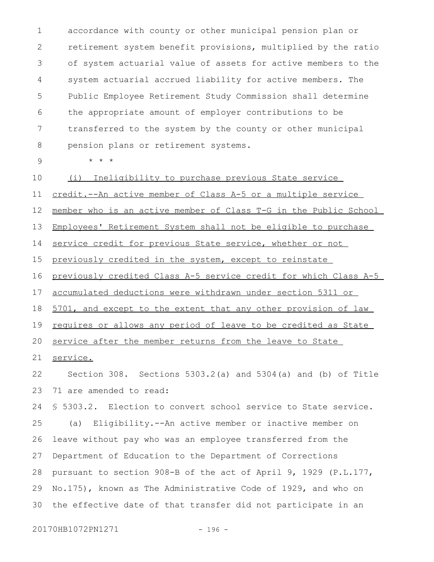accordance with county or other municipal pension plan or retirement system benefit provisions, multiplied by the ratio of system actuarial value of assets for active members to the system actuarial accrued liability for active members. The Public Employee Retirement Study Commission shall determine the appropriate amount of employer contributions to be transferred to the system by the county or other municipal pension plans or retirement systems. 1 2 3 4 5 6 7 8

9

\* \* \*

(i) Ineligibility to purchase previous State service 10

credit.--An active member of Class A-5 or a multiple service 11

member who is an active member of Class T-G in the Public School 12

Employees' Retirement System shall not be eligible to purchase 13

service credit for previous State service, whether or not 14

previously credited in the system, except to reinstate 15

previously credited Class A-5 service credit for which Class A-5 16

accumulated deductions were withdrawn under section 5311 or 17

5701, and except to the extent that any other provision of law 18

requires or allows any period of leave to be credited as State 19

service after the member returns from the leave to State 20

service. 21

Section 308. Sections 5303.2(a) and 5304(a) and (b) of Title 71 are amended to read: 22 23

§ 5303.2. Election to convert school service to State service. (a) Eligibility.--An active member or inactive member on leave without pay who was an employee transferred from the Department of Education to the Department of Corrections pursuant to section 908-B of the act of April 9, 1929 (P.L.177, No.175), known as The Administrative Code of 1929, and who on the effective date of that transfer did not participate in an 24 25 26 27 28 29 30

20170HB1072PN1271 - 196 -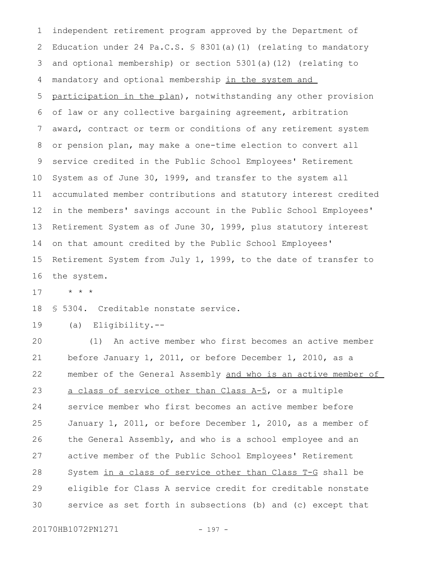independent retirement program approved by the Department of Education under 24 Pa.C.S. § 8301(a)(1) (relating to mandatory and optional membership) or section 5301(a)(12) (relating to mandatory and optional membership in the system and participation in the plan), notwithstanding any other provision of law or any collective bargaining agreement, arbitration award, contract or term or conditions of any retirement system or pension plan, may make a one-time election to convert all service credited in the Public School Employees' Retirement System as of June 30, 1999, and transfer to the system all accumulated member contributions and statutory interest credited in the members' savings account in the Public School Employees' Retirement System as of June 30, 1999, plus statutory interest on that amount credited by the Public School Employees' Retirement System from July 1, 1999, to the date of transfer to the system. 1 2 3 4 5 6 7 8 9 10 11 12 13 14 15 16

\* \* \* 17

§ 5304. Creditable nonstate service. 18

(a) Eligibility.-- 19

(1) An active member who first becomes an active member before January 1, 2011, or before December 1, 2010, as a member of the General Assembly and who is an active member of a class of service other than Class A-5, or a multiple service member who first becomes an active member before January 1, 2011, or before December 1, 2010, as a member of the General Assembly, and who is a school employee and an active member of the Public School Employees' Retirement System in a class of service other than Class T-G shall be eligible for Class A service credit for creditable nonstate service as set forth in subsections (b) and (c) except that 20 21 22 23 24 25 26 27 28 29 30

20170HB1072PN1271 - 197 -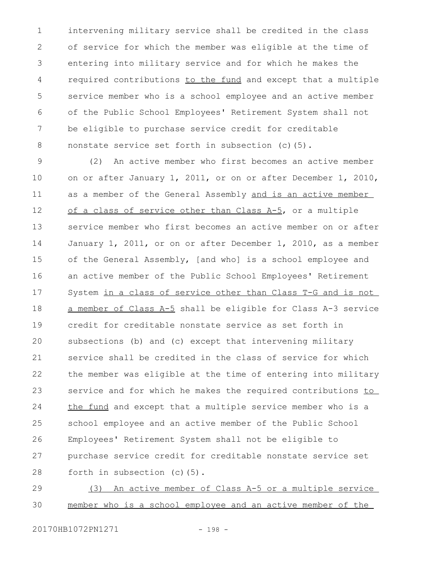intervening military service shall be credited in the class of service for which the member was eligible at the time of entering into military service and for which he makes the required contributions to the fund and except that a multiple service member who is a school employee and an active member of the Public School Employees' Retirement System shall not be eligible to purchase service credit for creditable nonstate service set forth in subsection (c)(5). 1 2 3 4 5 6 7 8

(2) An active member who first becomes an active member on or after January 1, 2011, or on or after December 1, 2010, as a member of the General Assembly and is an active member of a class of service other than Class A-5, or a multiple service member who first becomes an active member on or after January 1, 2011, or on or after December 1, 2010, as a member of the General Assembly, [and who] is a school employee and an active member of the Public School Employees' Retirement System in a class of service other than Class T-G and is not a member of Class A-5 shall be eligible for Class A-3 service credit for creditable nonstate service as set forth in subsections (b) and (c) except that intervening military service shall be credited in the class of service for which the member was eligible at the time of entering into military service and for which he makes the required contributions to the fund and except that a multiple service member who is a school employee and an active member of the Public School Employees' Retirement System shall not be eligible to purchase service credit for creditable nonstate service set forth in subsection (c)(5). 9 10 11 12 13 14 15 16 17 18 19  $20$ 21 22 23 24 25 26 27 28

(3) An active member of Class A-5 or a multiple service member who is a school employee and an active member of the 29 30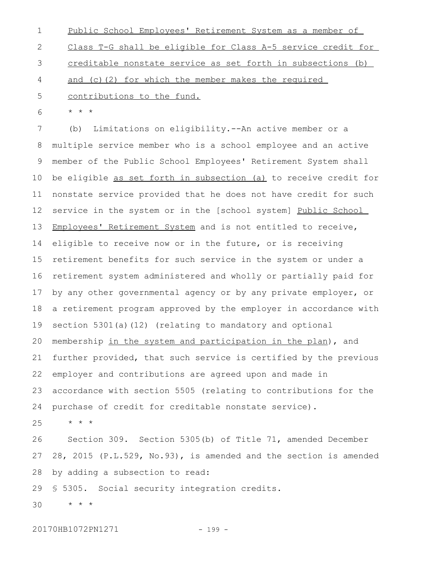Public School Employees' Retirement System as a member of Class T-G shall be eligible for Class A-5 service credit for creditable nonstate service as set forth in subsections (b) and (c)(2) for which the member makes the required contributions to the fund. 1 2 3 4 5

\* \* \* 6

(b) Limitations on eligibility.--An active member or a multiple service member who is a school employee and an active member of the Public School Employees' Retirement System shall be eligible as set forth in subsection (a) to receive credit for nonstate service provided that he does not have credit for such service in the system or in the [school system] Public School Employees' Retirement System and is not entitled to receive, eligible to receive now or in the future, or is receiving retirement benefits for such service in the system or under a retirement system administered and wholly or partially paid for by any other governmental agency or by any private employer, or a retirement program approved by the employer in accordance with section 5301(a)(12) (relating to mandatory and optional membership in the system and participation in the plan), and further provided, that such service is certified by the previous employer and contributions are agreed upon and made in accordance with section 5505 (relating to contributions for the purchase of credit for creditable nonstate service). 7 8 9 10 11 12 13 14 15 16 17 18 19 20 21 22 23 24

\* \* \* 25

Section 309. Section 5305(b) of Title 71, amended December 28, 2015 (P.L.529, No.93), is amended and the section is amended by adding a subsection to read: 26 27 28

§ 5305. Social security integration credits. 29

\* \* \* 30

20170HB1072PN1271 - 199 -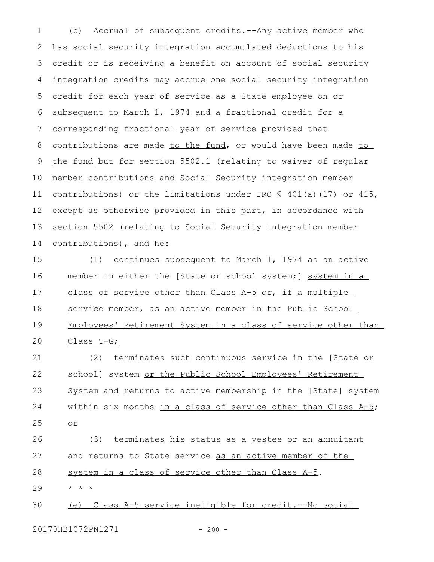(b) Accrual of subsequent credits.--Any active member who has social security integration accumulated deductions to his credit or is receiving a benefit on account of social security integration credits may accrue one social security integration credit for each year of service as a State employee on or subsequent to March 1, 1974 and a fractional credit for a corresponding fractional year of service provided that contributions are made to the fund, or would have been made to the fund but for section 5502.1 (relating to waiver of regular member contributions and Social Security integration member contributions) or the limitations under IRC § 401(a)(17) or 415, except as otherwise provided in this part, in accordance with section 5502 (relating to Social Security integration member contributions), and he: 1 2 3 4 5 6 7 8 9 10 11 12 13 14

(1) continues subsequent to March 1, 1974 as an active member in either the [State or school system;] system in a class of service other than Class A-5 or, if a multiple service member, as an active member in the Public School Employees' Retirement System in a class of service other than Class T-G; 15 16 17 18 19 20

(2) terminates such continuous service in the [State or school] system or the Public School Employees' Retirement System and returns to active membership in the [State] system within six months in a class of service other than Class A-5; or 21 22 23 24 25

(3) terminates his status as a vestee or an annuitant and returns to State service as an active member of the system in a class of service other than Class A-5. \* \* \* 26 27 28 29

(e) Class A-5 service ineligible for credit.--No social 30

20170HB1072PN1271 - 200 -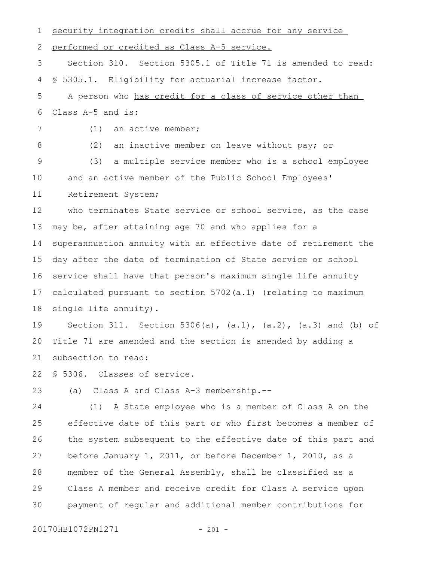security integration credits shall accrue for any service performed or credited as Class A-5 service. Section 310. Section 5305.1 of Title 71 is amended to read: § 5305.1. Eligibility for actuarial increase factor. A person who has credit for a class of service other than Class A-5 and is: (1) an active member; (2) an inactive member on leave without pay; or (3) a multiple service member who is a school employee and an active member of the Public School Employees' Retirement System; who terminates State service or school service, as the case may be, after attaining age 70 and who applies for a superannuation annuity with an effective date of retirement the day after the date of termination of State service or school service shall have that person's maximum single life annuity calculated pursuant to section 5702(a.1) (relating to maximum single life annuity). Section 311. Section 5306(a),  $(a.1)$ ,  $(a.2)$ ,  $(a.3)$  and (b) of Title 71 are amended and the section is amended by adding a subsection to read: § 5306. Classes of service. (a) Class A and Class A-3 membership.-- (1) A State employee who is a member of Class A on the effective date of this part or who first becomes a member of the system subsequent to the effective date of this part and before January 1, 2011, or before December 1, 2010, as a member of the General Assembly, shall be classified as a Class A member and receive credit for Class A service upon payment of regular and additional member contributions for 1 2 3 4 5 6 7 8 9 10 11 12 13 14 15 16 17 18 19  $20$ 21 22 23 24 25 26 27 28 29 30

20170HB1072PN1271 - 201 -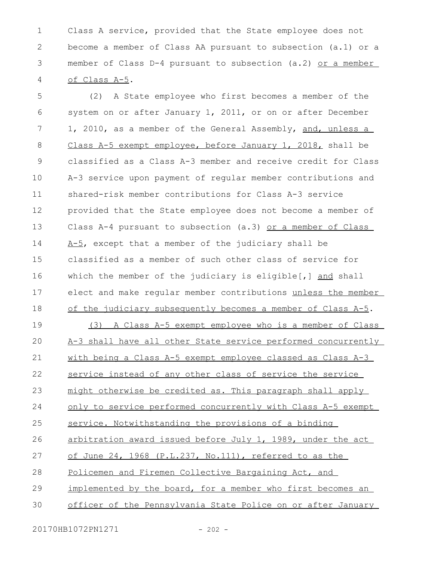Class A service, provided that the State employee does not become a member of Class AA pursuant to subsection (a.1) or a member of Class D-4 pursuant to subsection (a.2) or a member of Class A-5. 1 2 3 4

(2) A State employee who first becomes a member of the system on or after January 1, 2011, or on or after December 1, 2010, as a member of the General Assembly, and, unless a Class A-5 exempt employee, before January 1, 2018, shall be classified as a Class A-3 member and receive credit for Class A-3 service upon payment of regular member contributions and shared-risk member contributions for Class A-3 service provided that the State employee does not become a member of Class A-4 pursuant to subsection (a.3) or a member of Class A-5, except that a member of the judiciary shall be classified as a member of such other class of service for which the member of the judiciary is eligible $[j]$  and shall elect and make regular member contributions unless the member of the judiciary subsequently becomes a member of Class A-5. (3) A Class A-5 exempt employee who is a member of Class A-3 shall have all other State service performed concurrently with being a Class A-5 exempt employee classed as Class A-3 service instead of any other class of service the service might otherwise be credited as. This paragraph shall apply only to service performed concurrently with Class A-5 exempt service. Notwithstanding the provisions of a binding arbitration award issued before July 1, 1989, under the act of June 24, 1968 (P.L.237, No.111), referred to as the Policemen and Firemen Collective Bargaining Act, and implemented by the board, for a member who first becomes an officer of the Pennsylvania State Police on or after January 5 6 7 8 9 10 11 12 13 14 15 16 17 18 19  $20$ 21 22 23 24 25 26 27 28 29 30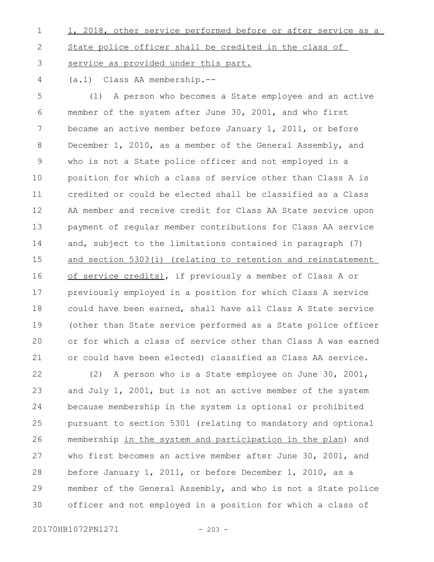- 1, 2018, other service performed before or after service as a State police officer shall be credited in the class of service as provided under this part. 1 2 3
- (a.1) Class AA membership.-- 4

(1) A person who becomes a State employee and an active member of the system after June 30, 2001, and who first became an active member before January 1, 2011, or before December 1, 2010, as a member of the General Assembly, and who is not a State police officer and not employed in a position for which a class of service other than Class A is credited or could be elected shall be classified as a Class AA member and receive credit for Class AA State service upon payment of regular member contributions for Class AA service and, subject to the limitations contained in paragraph (7) and section 5303(i) (relating to retention and reinstatement of service credits), if previously a member of Class A or previously employed in a position for which Class A service could have been earned, shall have all Class A State service (other than State service performed as a State police officer or for which a class of service other than Class A was earned or could have been elected) classified as Class AA service. 5 6 7 8 9 10 11 12 13 14 15 16 17 18 19  $20$ 21

(2) A person who is a State employee on June 30, 2001, and July 1, 2001, but is not an active member of the system because membership in the system is optional or prohibited pursuant to section 5301 (relating to mandatory and optional membership in the system and participation in the plan) and who first becomes an active member after June 30, 2001, and before January 1, 2011, or before December 1, 2010, as a member of the General Assembly, and who is not a State police officer and not employed in a position for which a class of 22 23 24 25 26 27 28 29 30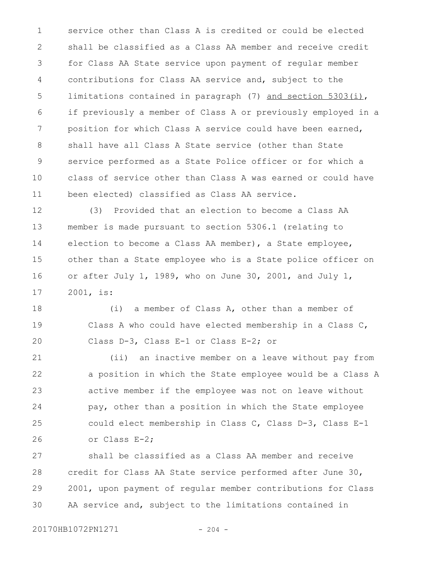service other than Class A is credited or could be elected shall be classified as a Class AA member and receive credit for Class AA State service upon payment of regular member contributions for Class AA service and, subject to the limitations contained in paragraph (7) and section 5303(i), if previously a member of Class A or previously employed in a position for which Class A service could have been earned, shall have all Class A State service (other than State service performed as a State Police officer or for which a class of service other than Class A was earned or could have been elected) classified as Class AA service. 1 2 3 4 5 6 7 8 9 10 11

(3) Provided that an election to become a Class AA member is made pursuant to section 5306.1 (relating to election to become a Class AA member), a State employee, other than a State employee who is a State police officer on or after July 1, 1989, who on June 30, 2001, and July 1, 2001, is: 12 13 14 15 16 17

(i) a member of Class A, other than a member of Class A who could have elected membership in a Class C, Class D-3, Class E-1 or Class E-2; or 18 19 20

(ii) an inactive member on a leave without pay from a position in which the State employee would be a Class A active member if the employee was not on leave without pay, other than a position in which the State employee could elect membership in Class C, Class D-3, Class E-1 or Class E-2; 21 22 23 24 25 26

shall be classified as a Class AA member and receive credit for Class AA State service performed after June 30, 2001, upon payment of regular member contributions for Class AA service and, subject to the limitations contained in 27 28 29 30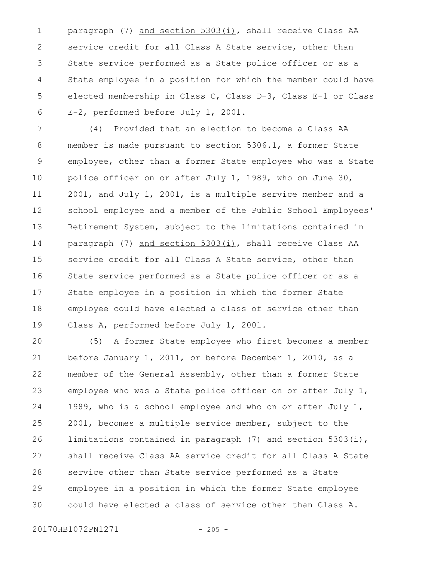paragraph (7) and section 5303(i), shall receive Class AA service credit for all Class A State service, other than State service performed as a State police officer or as a State employee in a position for which the member could have elected membership in Class C, Class D-3, Class E-1 or Class E-2, performed before July 1, 2001. 1 2 3 4 5 6

(4) Provided that an election to become a Class AA member is made pursuant to section 5306.1, a former State employee, other than a former State employee who was a State police officer on or after July 1, 1989, who on June 30, 2001, and July 1, 2001, is a multiple service member and a school employee and a member of the Public School Employees' Retirement System, subject to the limitations contained in paragraph (7) and section 5303(i), shall receive Class AA service credit for all Class A State service, other than State service performed as a State police officer or as a State employee in a position in which the former State employee could have elected a class of service other than Class A, performed before July 1, 2001. 7 8 9 10 11 12 13 14 15 16 17 18 19

(5) A former State employee who first becomes a member before January 1, 2011, or before December 1, 2010, as a member of the General Assembly, other than a former State employee who was a State police officer on or after July 1, 1989, who is a school employee and who on or after July 1, 2001, becomes a multiple service member, subject to the limitations contained in paragraph (7) and section 5303(i), shall receive Class AA service credit for all Class A State service other than State service performed as a State employee in a position in which the former State employee could have elected a class of service other than Class A. 20 21 22 23 24 25 26 27 28 29 30

20170HB1072PN1271 - 205 -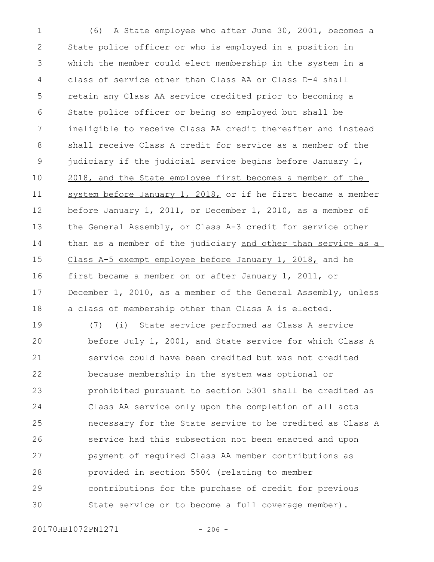(6) A State employee who after June 30, 2001, becomes a State police officer or who is employed in a position in which the member could elect membership in the system in a class of service other than Class AA or Class D-4 shall retain any Class AA service credited prior to becoming a State police officer or being so employed but shall be ineligible to receive Class AA credit thereafter and instead shall receive Class A credit for service as a member of the judiciary if the judicial service begins before January 1, 2018, and the State employee first becomes a member of the system before January 1, 2018, or if he first became a member before January 1, 2011, or December 1, 2010, as a member of the General Assembly, or Class A-3 credit for service other than as a member of the judiciary and other than service as a Class A-5 exempt employee before January 1, 2018, and he first became a member on or after January 1, 2011, or December 1, 2010, as a member of the General Assembly, unless a class of membership other than Class A is elected. (7) (i) State service performed as Class A service before July 1, 2001, and State service for which Class A service could have been credited but was not credited because membership in the system was optional or prohibited pursuant to section 5301 shall be credited as Class AA service only upon the completion of all acts necessary for the State service to be credited as Class A service had this subsection not been enacted and upon payment of required Class AA member contributions as provided in section 5504 (relating to member contributions for the purchase of credit for previous State service or to become a full coverage member). 1 2 3 4 5 6 7 8 9 10 11 12 13 14 15 16 17 18 19 20 21 22 23 24 25 26 27 28 29 30

20170HB1072PN1271 - 206 -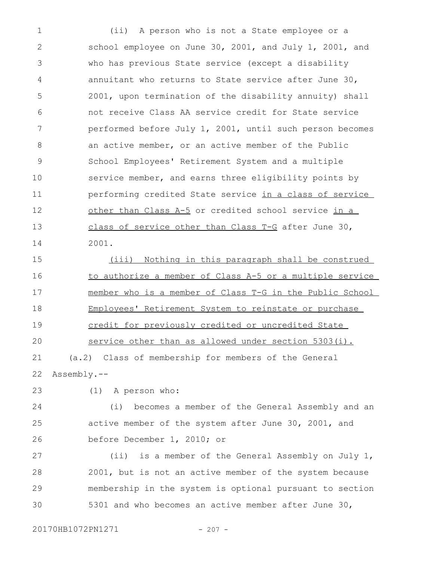(ii) A person who is not a State employee or a school employee on June 30, 2001, and July 1, 2001, and who has previous State service (except a disability annuitant who returns to State service after June 30, 2001, upon termination of the disability annuity) shall not receive Class AA service credit for State service performed before July 1, 2001, until such person becomes an active member, or an active member of the Public School Employees' Retirement System and a multiple service member, and earns three eligibility points by performing credited State service in a class of service other than Class A-5 or credited school service in a class of service other than Class T-G after June 30, 2001. 1 2 3 4 5 6 7 8 9 10 11 12 13 14

(iii) Nothing in this paragraph shall be construed to authorize a member of Class A-5 or a multiple service member who is a member of Class T-G in the Public School Employees' Retirement System to reinstate or purchase credit for previously credited or uncredited State service other than as allowed under section 5303(i). (a.2) Class of membership for members of the General Assembly.-- 15 16 17 18 19 20 21 22

23

(1) A person who:

(i) becomes a member of the General Assembly and an active member of the system after June 30, 2001, and before December 1, 2010; or 24 25 26

(ii) is a member of the General Assembly on July 1, 2001, but is not an active member of the system because membership in the system is optional pursuant to section 5301 and who becomes an active member after June 30, 27 28 29 30

20170HB1072PN1271 - 207 -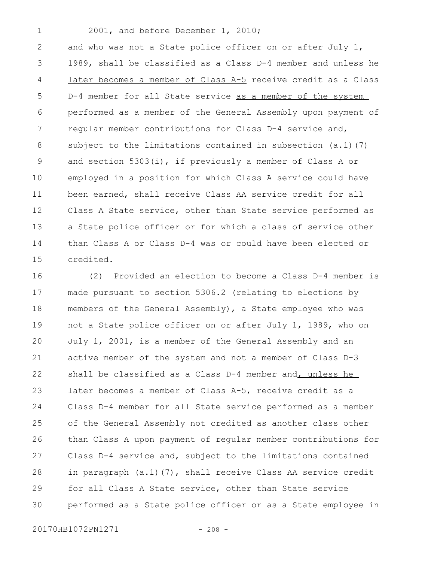1

## 2001, and before December 1, 2010;

and who was not a State police officer on or after July 1, 1989, shall be classified as a Class D-4 member and unless he later becomes a member of Class A-5 receive credit as a Class D-4 member for all State service as a member of the system performed as a member of the General Assembly upon payment of regular member contributions for Class D-4 service and, subject to the limitations contained in subsection  $(a.1)(7)$ and section 5303(i), if previously a member of Class A or employed in a position for which Class A service could have been earned, shall receive Class AA service credit for all Class A State service, other than State service performed as a State police officer or for which a class of service other than Class A or Class D-4 was or could have been elected or credited. 2 3 4 5 6 7 8 9 10 11 12 13 14 15

(2) Provided an election to become a Class D-4 member is made pursuant to section 5306.2 (relating to elections by members of the General Assembly), a State employee who was not a State police officer on or after July 1, 1989, who on July 1, 2001, is a member of the General Assembly and an active member of the system and not a member of Class D-3 shall be classified as a Class D-4 member and, unless he later becomes a member of Class A-5, receive credit as a Class D-4 member for all State service performed as a member of the General Assembly not credited as another class other than Class A upon payment of regular member contributions for Class D-4 service and, subject to the limitations contained in paragraph (a.1)(7), shall receive Class AA service credit for all Class A State service, other than State service performed as a State police officer or as a State employee in 16 17 18 19 20 21 22 23 24 25 26 27 28 29 30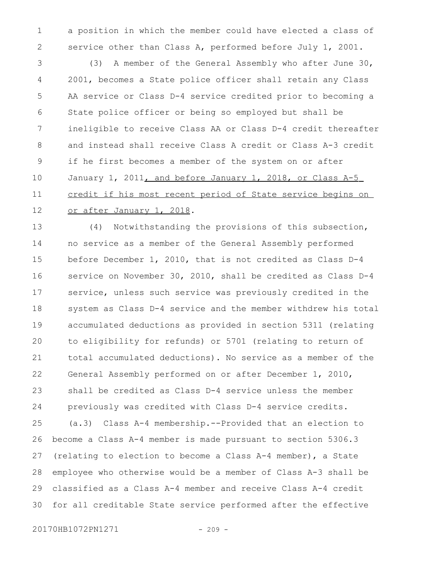a position in which the member could have elected a class of service other than Class A, performed before July 1, 2001. 1 2

(3) A member of the General Assembly who after June 30, 2001, becomes a State police officer shall retain any Class AA service or Class D-4 service credited prior to becoming a State police officer or being so employed but shall be ineligible to receive Class AA or Class D-4 credit thereafter and instead shall receive Class A credit or Class A-3 credit if he first becomes a member of the system on or after January  $1$ ,  $2011$ , and before January  $1$ ,  $2018$ , or Class A-5 credit if his most recent period of State service begins on or after January 1, 2018. 3 4 5 6 7 8 9 10 11 12

(4) Notwithstanding the provisions of this subsection, no service as a member of the General Assembly performed before December 1, 2010, that is not credited as Class D-4 service on November 30, 2010, shall be credited as Class D-4 service, unless such service was previously credited in the system as Class D-4 service and the member withdrew his total accumulated deductions as provided in section 5311 (relating to eligibility for refunds) or 5701 (relating to return of total accumulated deductions). No service as a member of the General Assembly performed on or after December 1, 2010, shall be credited as Class D-4 service unless the member previously was credited with Class D-4 service credits. (a.3) Class A-4 membership.--Provided that an election to become a Class A-4 member is made pursuant to section 5306.3 (relating to election to become a Class A-4 member), a State employee who otherwise would be a member of Class A-3 shall be classified as a Class A-4 member and receive Class A-4 credit for all creditable State service performed after the effective 13 14 15 16 17 18 19 20 21 22 23 24 25 26 27 28 29 30

20170HB1072PN1271 - 209 -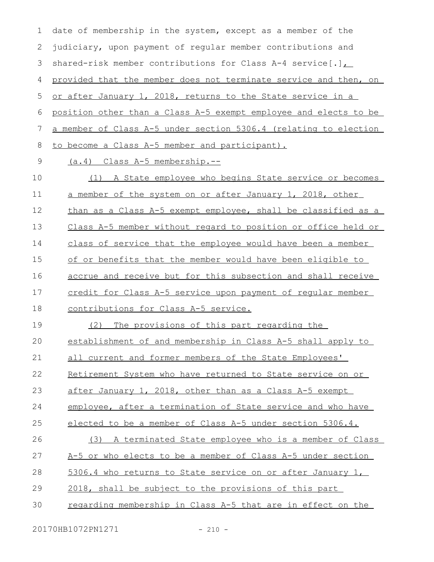date of membership in the system, except as a member of the judiciary, upon payment of regular member contributions and shared-risk member contributions for Class A-4 service[.], provided that the member does not terminate service and then, on or after January 1, 2018, returns to the State service in a position other than a Class A-5 exempt employee and elects to be a member of Class A-5 under section 5306.4 (relating to election to become a Class A-5 member and participant). (a.4) Class A-5 membership.-- (1) A State employee who begins State service or becomes a member of the system on or after January 1, 2018, other than as a Class A-5 exempt employee, shall be classified as a Class A-5 member without regard to position or office held or class of service that the employee would have been a member of or benefits that the member would have been eligible to accrue and receive but for this subsection and shall receive credit for Class A-5 service upon payment of regular member contributions for Class A-5 service. (2) The provisions of this part regarding the establishment of and membership in Class A-5 shall apply to all current and former members of the State Employees' Retirement System who have returned to State service on or after January 1, 2018, other than as a Class A-5 exempt employee, after a termination of State service and who have elected to be a member of Class A-5 under section 5306.4. (3) A terminated State employee who is a member of Class A-5 or who elects to be a member of Class A-5 under section 5306.4 who returns to State service on or after January 1, 2018, shall be subject to the provisions of this part regarding membership in Class A-5 that are in effect on the 1 2 3 4 5 6 7 8 9 10 11 12 13 14 15 16 17 18 19  $20$ 21 22 23 24 25 26 27 28 29 30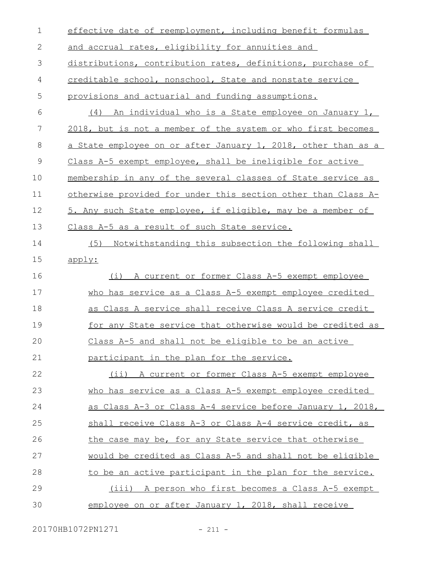| $\mathbf 1$   | effective date of reemployment, including benefit formulas    |
|---------------|---------------------------------------------------------------|
| $\mathbf{2}$  | and accrual rates, eligibility for annuities and              |
| 3             | distributions, contribution rates, definitions, purchase of   |
| 4             | creditable school, nonschool, State and nonstate service      |
| 5             | provisions and actuarial and funding assumptions.             |
| 6             | (4) An individual who is a State employee on January 1,       |
| 7             | 2018, but is not a member of the system or who first becomes  |
| 8             | a State employee on or after January 1, 2018, other than as a |
| $\mathcal{G}$ | Class A-5 exempt employee, shall be ineligible for active     |
| 10            | membership in any of the several classes of State service as  |
| 11            | otherwise provided for under this section other than Class A- |
| 12            | 5. Any such State employee, if eligible, may be a member of   |
| 13            | Class A-5 as a result of such State service.                  |
| 14            | (5) Notwithstanding this subsection the following shall       |
| 15            | apply:                                                        |
| 16            | (i) A current or former Class A-5 exempt employee             |
| 17            | who has service as a Class A-5 exempt employee credited       |
| 18            | as Class A service shall receive Class A service credit       |
| 19            | for any State service that otherwise would be credited as     |
| 20            | Class A-5 and shall not be eligible to be an active           |
| 21            | participant in the plan for the service.                      |
| 22            | (ii) A current or former Class A-5 exempt employee            |
| 23            | who has service as a Class A-5 exempt employee credited       |
| 24            | as Class A-3 or Class A-4 service before January 1, 2018,     |
| 25            | shall receive Class A-3 or Class A-4 service credit, as       |
| 26            | the case may be, for any State service that otherwise         |
| 27            | would be credited as Class A-5 and shall not be eligible      |
| 28            | to be an active participant in the plan for the service.      |
| 29            | (iii) A person who first becomes a Class A-5 exempt           |
| 30            | employee on or after January 1, 2018, shall receive           |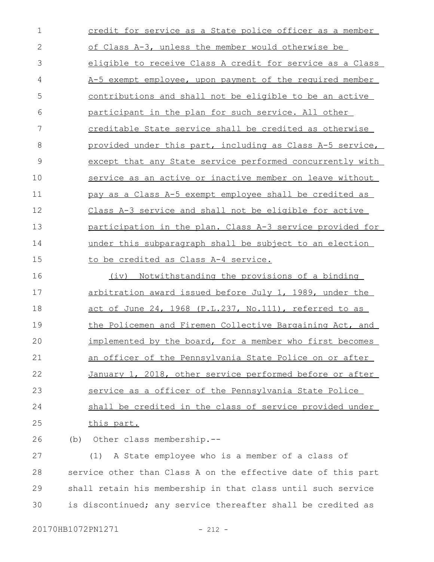credit for service as a State police officer as a member of Class A-3, unless the member would otherwise be eligible to receive Class A credit for service as a Class A-5 exempt employee, upon payment of the required member contributions and shall not be eligible to be an active participant in the plan for such service. All other creditable State service shall be credited as otherwise provided under this part, including as Class A-5 service, except that any State service performed concurrently with service as an active or inactive member on leave without pay as a Class A-5 exempt employee shall be credited as Class A-3 service and shall not be eligible for active participation in the plan. Class A-3 service provided for under this subparagraph shall be subject to an election to be credited as Class A-4 service. (iv) Notwithstanding the provisions of a binding arbitration award issued before July 1, 1989, under the act of June 24, 1968 (P.L.237, No.111), referred to as the Policemen and Firemen Collective Bargaining Act, and implemented by the board, for a member who first becomes an officer of the Pennsylvania State Police on or after January 1, 2018, other service performed before or after service as a officer of the Pennsylvania State Police shall be credited in the class of service provided under this part. (b) Other class membership.-- (1) A State employee who is a member of a class of 1 2 3 4 5 6 7 8 9 10 11 12 13 14 15 16 17 18 19  $20$ 21 22 23 24 25 26 27

service other than Class A on the effective date of this part shall retain his membership in that class until such service is discontinued; any service thereafter shall be credited as 28 29 30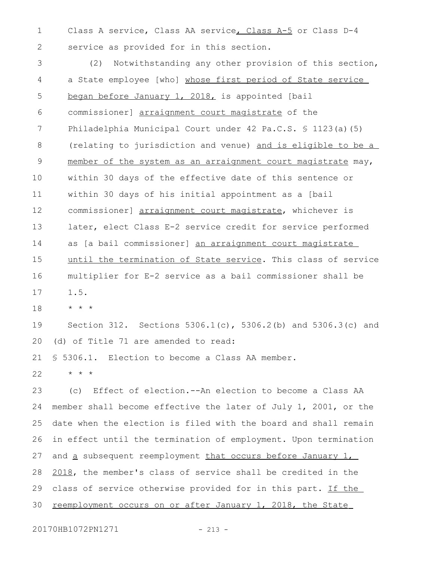Class A service, Class AA service, Class A-5 or Class D-4 service as provided for in this section. 1 2

(2) Notwithstanding any other provision of this section, a State employee [who] whose first period of State service began before January 1, 2018, is appointed [bail commissioner] arraignment court magistrate of the Philadelphia Municipal Court under 42 Pa.C.S. § 1123(a)(5) (relating to jurisdiction and venue) and is eligible to be a member of the system as an arraignment court magistrate may, within 30 days of the effective date of this sentence or within 30 days of his initial appointment as a [bail commissioner] arraignment court magistrate, whichever is later, elect Class E-2 service credit for service performed as [a bail commissioner] an arraignment court magistrate until the termination of State service. This class of service multiplier for E-2 service as a bail commissioner shall be 1.5. 3 4 5 6 7 8 9 10 11 12 13 14 15 16 17

\* \* \* 18

Section 312. Sections 5306.1(c), 5306.2(b) and 5306.3(c) and (d) of Title 71 are amended to read: 19 20

§ 5306.1. Election to become a Class AA member. 21

\* \* \* 22

(c) Effect of election.--An election to become a Class AA member shall become effective the later of July 1, 2001, or the date when the election is filed with the board and shall remain in effect until the termination of employment. Upon termination and a subsequent reemployment that occurs before January 1, 2018, the member's class of service shall be credited in the class of service otherwise provided for in this part. If the reemployment occurs on or after January 1, 2018, the State 23 24 25 26 27 28 29 30

20170HB1072PN1271 - 213 -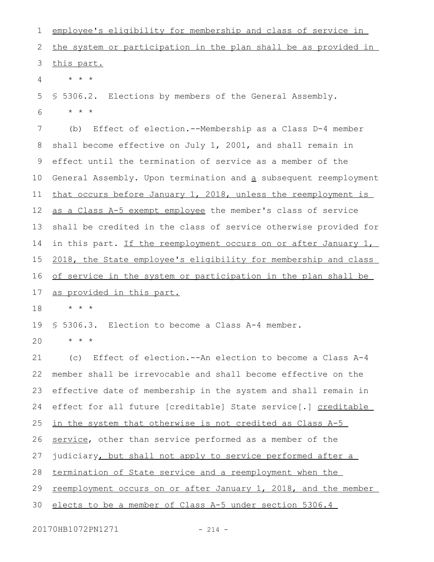employee's eligibility for membership and class of service in the system or participation in the plan shall be as provided in this part. \* \* \* § 5306.2. Elections by members of the General Assembly. \* \* \* (b) Effect of election.--Membership as a Class D-4 member shall become effective on July 1, 2001, and shall remain in effect until the termination of service as a member of the General Assembly. Upon termination and a subsequent reemployment that occurs before January 1, 2018, unless the reemployment is as a Class A-5 exempt employee the member's class of service shall be credited in the class of service otherwise provided for in this part. If the reemployment occurs on or after January 1, 2018, the State employee's eligibility for membership and class of service in the system or participation in the plan shall be as provided in this part. \* \* \* § 5306.3. Election to become a Class A-4 member. \* \* \* (c) Effect of election.--An election to become a Class A-4 member shall be irrevocable and shall become effective on the effective date of membership in the system and shall remain in effect for all future [creditable] State service[.] creditable in the system that otherwise is not credited as Class A-5 service, other than service performed as a member of the judiciary, but shall not apply to service performed after a termination of State service and a reemployment when the reemployment occurs on or after January 1, 2018, and the member elects to be a member of Class A-5 under section 5306.4 1 2 3 4 5 6 7 8 9 10 11 12 13 14 15 16 17 18 19  $20$ 21 22 23 24 25 26 27 28 29 30

20170HB1072PN1271 - 214 -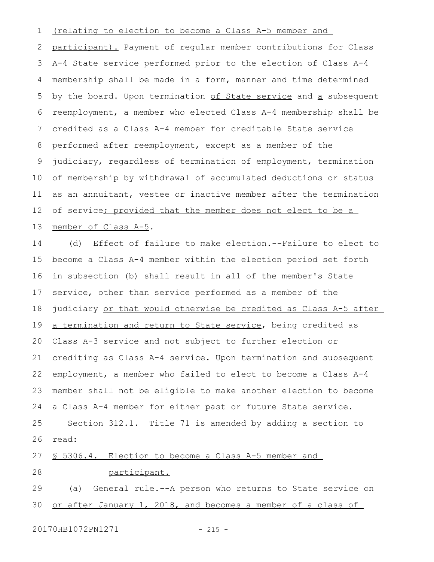## (relating to election to become a Class A-5 member and 1

participant). Payment of regular member contributions for Class A-4 State service performed prior to the election of Class A-4 membership shall be made in a form, manner and time determined by the board. Upon termination of State service and a subsequent reemployment, a member who elected Class A-4 membership shall be credited as a Class A-4 member for creditable State service performed after reemployment, except as a member of the judiciary, regardless of termination of employment, termination of membership by withdrawal of accumulated deductions or status as an annuitant, vestee or inactive member after the termination of service; provided that the member does not elect to be a member of Class A-5. 2 3 4 5 6 7 8 9 10 11 12 13

(d) Effect of failure to make election.--Failure to elect to become a Class A-4 member within the election period set forth in subsection (b) shall result in all of the member's State service, other than service performed as a member of the judiciary or that would otherwise be credited as Class A-5 after a termination and return to State service, being credited as Class A-3 service and not subject to further election or crediting as Class A-4 service. Upon termination and subsequent employment, a member who failed to elect to become a Class A-4 member shall not be eligible to make another election to become a Class A-4 member for either past or future State service. Section 312.1. Title 71 is amended by adding a section to read: § 5306.4. Election to become a Class A-5 member and 14 15 16 17 18 19 20 21 22 23 24 25 26 27

28

participant.

(a) General rule.--A person who returns to State service on or after January 1, 2018, and becomes a member of a class of 29 30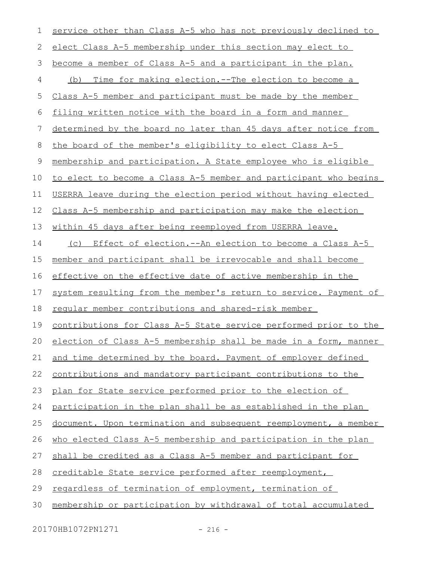| 1  | service other than Class A-5 who has not previously declined to         |
|----|-------------------------------------------------------------------------|
| 2  | elect Class A-5 membership under this section may elect to              |
| 3  | become a member of Class A-5 and a participant in the plan.             |
| 4  | (b) Time for making election.--The election to become a                 |
| 5  | Class A-5 member and participant must be made by the member             |
| 6  | filing written notice with the board in a form and manner               |
| 7  | determined by the board no later than 45 days after notice from         |
| 8  | the board of the member's eligibility to elect Class A-5                |
| 9  | membership and participation. A State employee who is eligible          |
| 10 | to elect to become a Class A-5 member and participant who begins        |
| 11 | USERRA leave during the election period without having elected          |
| 12 | Class A-5 membership and participation may make the election            |
| 13 | within 45 days after being reemployed from USERRA leave.                |
| 14 | (c) Effect of election.--An election to become a Class A-5              |
| 15 | member and participant shall be irrevocable and shall become            |
| 16 | effective on the effective date of active membership in the             |
| 17 | system resulting from the member's return to service. Payment of        |
| 18 | reqular member contributions and shared-risk member                     |
| 19 | <u>contributions for Class A-5 State service performed prior to the</u> |
| 20 | election of Class A-5 membership shall be made in a form, manner        |
| 21 | and time determined by the board. Payment of employer defined           |
| 22 | contributions and mandatory participant contributions to the            |
| 23 | plan for State service performed prior to the election of               |
| 24 | participation in the plan shall be as established in the plan           |
| 25 | document. Upon termination and subsequent reemployment, a member        |
| 26 | who elected Class A-5 membership and participation in the plan          |
| 27 | shall be credited as a Class A-5 member and participant for             |
| 28 | creditable State service performed after reemployment,                  |
| 29 | regardless of termination of employment, termination of                 |
| 30 | membership or participation by withdrawal of total accumulated          |

20170HB1072PN1271 - 216 -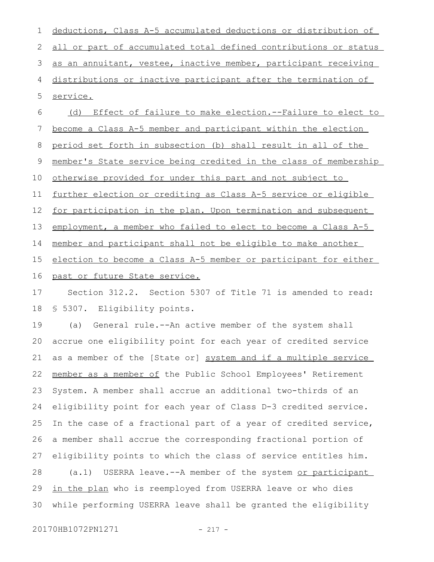all or part of accumulated total defined contributions or status as an annuitant, vestee, inactive member, participant receiving distributions or inactive participant after the termination of service. (d) Effect of failure to make election.--Failure to elect to 2 3 4 5 6

deductions, Class A-5 accumulated deductions or distribution of

become a Class A-5 member and participant within the election period set forth in subsection (b) shall result in all of the member's State service being credited in the class of membership otherwise provided for under this part and not subject to further election or crediting as Class A-5 service or eligible for participation in the plan. Upon termination and subsequent employment, a member who failed to elect to become a Class A-5 member and participant shall not be eligible to make another election to become a Class A-5 member or participant for either 7 8 9 10 11 12 13 14 15

past or future State service. 16

1

Section 312.2. Section 5307 of Title 71 is amended to read: § 5307. Eligibility points. 17 18

(a) General rule.--An active member of the system shall accrue one eligibility point for each year of credited service as a member of the [State or] system and if a multiple service member as a member of the Public School Employees' Retirement System. A member shall accrue an additional two-thirds of an eligibility point for each year of Class D-3 credited service. In the case of a fractional part of a year of credited service, a member shall accrue the corresponding fractional portion of eligibility points to which the class of service entitles him. (a.1) USERRA leave.--A member of the system or participant in the plan who is reemployed from USERRA leave or who dies while performing USERRA leave shall be granted the eligibility 19 20 21 22 23 24 25 26 27 28 29 30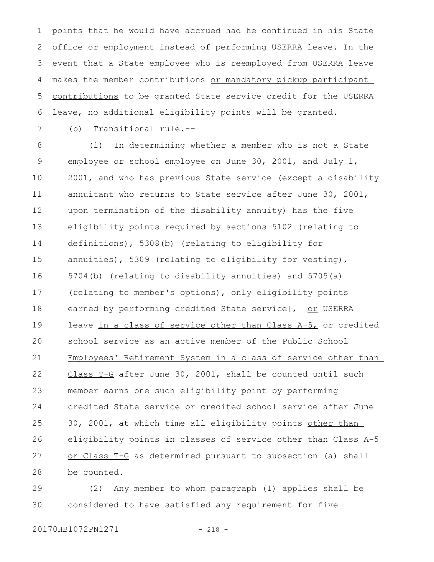points that he would have accrued had he continued in his State office or employment instead of performing USERRA leave. In the event that a State employee who is reemployed from USERRA leave makes the member contributions or mandatory pickup participant contributions to be granted State service credit for the USERRA leave, no additional eligibility points will be granted. 1 2 3 4 5 6

7

(b) Transitional rule.--

(1) In determining whether a member who is not a State employee or school employee on June 30, 2001, and July 1, 2001, and who has previous State service (except a disability annuitant who returns to State service after June 30, 2001, upon termination of the disability annuity) has the five eligibility points required by sections 5102 (relating to definitions), 5308(b) (relating to eligibility for annuities), 5309 (relating to eligibility for vesting), 5704(b) (relating to disability annuities) and 5705(a) (relating to member's options), only eligibility points earned by performing credited State service[,] or USERRA leave in a class of service other than Class A-5, or credited school service as an active member of the Public School Employees' Retirement System in a class of service other than Class T-G after June 30, 2001, shall be counted until such member earns one such eligibility point by performing credited State service or credited school service after June 30, 2001, at which time all eligibility points other than eligibility points in classes of service other than Class A-5 or Class T-G as determined pursuant to subsection (a) shall be counted. 8 9 10 11 12 13 14 15 16 17 18 19 20 21 22 23 24 25 26 27 28

(2) Any member to whom paragraph (1) applies shall be considered to have satisfied any requirement for five 29 30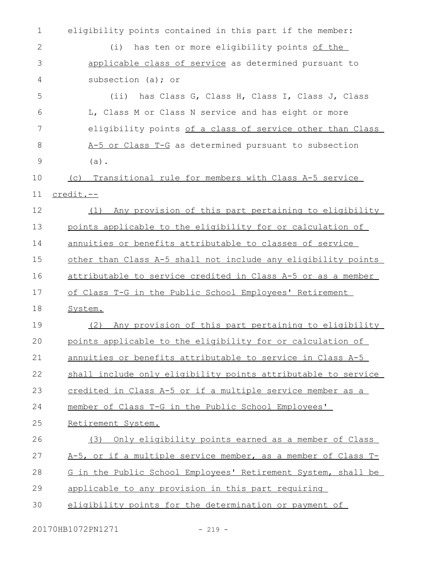| $\mathbf 1$ | eligibility points contained in this part if the member:      |
|-------------|---------------------------------------------------------------|
| 2           | has ten or more eligibility points of the<br>(i)              |
| 3           | applicable class of service as determined pursuant to         |
| 4           | subsection (a); or                                            |
| 5           | (ii) has Class G, Class H, Class I, Class J, Class            |
| 6           | L, Class M or Class N service and has eight or more           |
| 7           | eligibility points of a class of service other than Class     |
| 8           | A-5 or Class T-G as determined pursuant to subsection         |
| 9           | $(a)$ .                                                       |
| 10          | Transitional rule for members with Class A-5 service<br>(C)   |
| 11          | credit.--                                                     |
| 12          | Any provision of this part pertaining to eligibility<br>(1)   |
| 13          | points applicable to the eligibility for or calculation of    |
| 14          | annuities or benefits attributable to classes of service      |
| 15          | other than Class A-5 shall not include any eligibility points |
| 16          | attributable to service credited in Class A-5 or as a member  |
| 17          | of Class T-G in the Public School Employees' Retirement       |
| 18          | System.                                                       |
| 19          | Any provision of this part pertaining to eligibility<br>(2)   |
| 20          | points applicable to the eligibility for or calculation of    |
| 21          | annuities or benefits attributable to service in Class A-5    |
| 22          | shall include only eligibility points attributable to service |
| 23          | credited in Class A-5 or if a multiple service member as a    |
| 24          | member of Class T-G in the Public School Employees'           |
| 25          | Retirement System.                                            |
| 26          | Only eligibility points earned as a member of Class<br>(3)    |
| 27          | A-5, or if a multiple service member, as a member of Class T- |
| 28          | G in the Public School Employees' Retirement System, shall be |
| 29          | applicable to any provision in this part requiring            |
| 30          | eligibility points for the determination or payment of        |
|             |                                                               |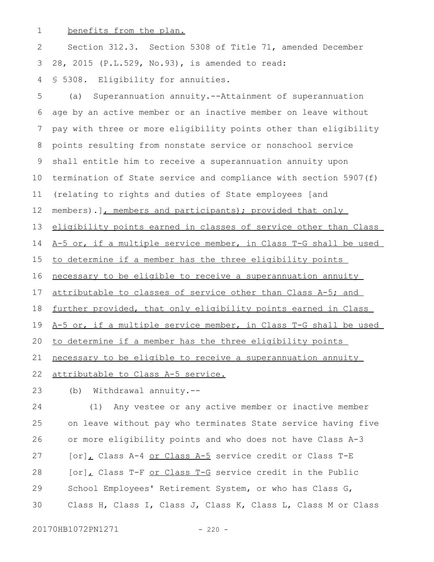benefits from the plan. 1

Section 312.3. Section 5308 of Title 71, amended December 28, 2015 (P.L.529, No.93), is amended to read: § 5308. Eligibility for annuities. 2 3 4

(a) Superannuation annuity.--Attainment of superannuation age by an active member or an inactive member on leave without pay with three or more eligibility points other than eligibility points resulting from nonstate service or nonschool service shall entitle him to receive a superannuation annuity upon termination of State service and compliance with section 5907(f) (relating to rights and duties of State employees [and members).], members and participants); provided that only eligibility points earned in classes of service other than Class A-5 or, if a multiple service member, in Class T-G shall be used to determine if a member has the three eligibility points necessary to be eligible to receive a superannuation annuity attributable to classes of service other than Class A-5; and further provided, that only eligibility points earned in Class A-5 or, if a multiple service member, in Class T-G shall be used to determine if a member has the three eligibility points necessary to be eligible to receive a superannuation annuity attributable to Class A-5 service. 5 6 7 8 9 10 11 12 13 14 15 16 17 18 19 20 21 22

(b) Withdrawal annuity.-- 23

(1) Any vestee or any active member or inactive member on leave without pay who terminates State service having five or more eligibility points and who does not have Class A-3 [or], Class A-4 or Class A-5 service credit or Class T-E [or], Class T-F or Class T-G service credit in the Public School Employees' Retirement System, or who has Class G, Class H, Class I, Class J, Class K, Class L, Class M or Class 24 25 26 27 28 29 30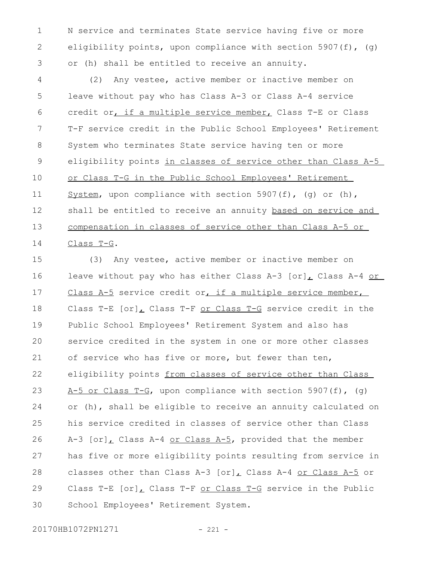N service and terminates State service having five or more eligibility points, upon compliance with section 5907(f), (g) or (h) shall be entitled to receive an annuity. 1 2 3

(2) Any vestee, active member or inactive member on leave without pay who has Class A-3 or Class A-4 service credit or, if a multiple service member, Class T-E or Class T-F service credit in the Public School Employees' Retirement System who terminates State service having ten or more eligibility points in classes of service other than Class A-5 or Class T-G in the Public School Employees' Retirement System, upon compliance with section 5907(f), (g) or (h), shall be entitled to receive an annuity based on service and compensation in classes of service other than Class A-5 or Class T-G. 4 5 6 7 8 9 10 11 12 13 14

(3) Any vestee, active member or inactive member on leave without pay who has either Class A-3  $[or]_L$  Class A-4 or Class A-5 service credit or, if a multiple service member, Class T-E [or], Class T-F or Class T-G service credit in the Public School Employees' Retirement System and also has service credited in the system in one or more other classes of service who has five or more, but fewer than ten, eligibility points from classes of service other than Class A-5 or Class T-G, upon compliance with section 5907(f),  $(q)$ or (h), shall be eligible to receive an annuity calculated on his service credited in classes of service other than Class A-3  $[or]$ , Class A-4 or Class A-5, provided that the member has five or more eligibility points resulting from service in classes other than Class A-3  $[or]_L$  Class A-4 or Class A-5 or Class T-E [or], Class T-F or Class T-G service in the Public School Employees' Retirement System. 15 16 17 18 19 20 21 22 23 24 25 26 27 28 29 30

20170HB1072PN1271 - 221 -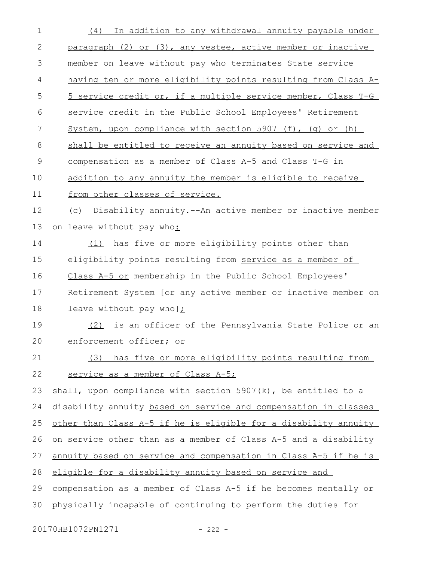| $\mathbf 1$    | (4) In addition to any withdrawal annuity payable under                |
|----------------|------------------------------------------------------------------------|
| $\mathbf{2}$   | paragraph (2) or (3), any vestee, active member or inactive            |
| 3              | member on leave without pay who terminates State service               |
| 4              | having ten or more eligibility points resulting from Class A-          |
| 5              | 5 service credit or, if a multiple service member, Class T-G           |
| 6              | service credit in the Public School Employees' Retirement              |
| $\overline{7}$ | System, upon compliance with section 5907 (f), (g) or (h)              |
| 8              | shall be entitled to receive an annuity based on service and           |
| $\mathsf 9$    | compensation as a member of Class A-5 and Class T-G in                 |
| 10             | addition to any annuity the member is eligible to receive              |
| 11             | from other classes of service.                                         |
| 12             | (c) Disability annuity.--An active member or inactive member           |
| 13             | on leave without pay who:                                              |
| 14             | (1) has five or more eligibility points other than                     |
| 15             | eligibility points resulting from service as a member of               |
| 16             | Class A-5 or membership in the Public School Employees'                |
| 17             | Retirement System [or any active member or inactive member on          |
| 18             | leave without pay whol:                                                |
| 19             | (2) is an officer of the Pennsylvania State Police or an               |
| 20             | enforcement officer; or                                                |
| 21             | (3) has five or more eligibility points resulting from                 |
| 22             | service as a member of Class A-5;                                      |
| 23             | shall, upon compliance with section $5907(k)$ , be entitled to a       |
| 24             | disability annuity based on service and compensation in classes        |
| 25             | other than Class A-5 if he is eligible for a disability annuity        |
| 26             | on service other than as a member of Class A-5 and a disability        |
| 27             | <u>annuity based on service and compensation in Class A-5 if he is</u> |
| 28             | eligible for a disability annuity based on service and                 |
| 29             | compensation as a member of Class A-5 if he becomes mentally or        |
| 30             | physically incapable of continuing to perform the duties for           |
|                |                                                                        |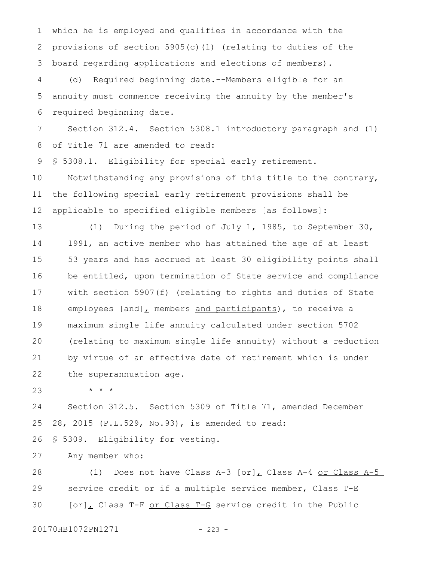which he is employed and qualifies in accordance with the provisions of section 5905(c)(1) (relating to duties of the board regarding applications and elections of members). 1 2 3

(d) Required beginning date.--Members eligible for an annuity must commence receiving the annuity by the member's required beginning date. 4 5 6

Section 312.4. Section 5308.1 introductory paragraph and (1) of Title 71 are amended to read: 7 8

§ 5308.1. Eligibility for special early retirement. 9

Notwithstanding any provisions of this title to the contrary, the following special early retirement provisions shall be applicable to specified eligible members [as follows]: 10 11 12

(1) During the period of July 1, 1985, to September 30, 1991, an active member who has attained the age of at least 53 years and has accrued at least 30 eligibility points shall be entitled, upon termination of State service and compliance with section 5907(f) (relating to rights and duties of State employees [and], members and participants), to receive a maximum single life annuity calculated under section 5702 (relating to maximum single life annuity) without a reduction by virtue of an effective date of retirement which is under the superannuation age. 13 14 15 16 17 18 19 20 21 22

\* \* \* 23

Section 312.5. Section 5309 of Title 71, amended December 28, 2015 (P.L.529, No.93), is amended to read: 24 25

§ 5309. Eligibility for vesting. 26

Any member who: 27

(1) Does not have Class A-3  $[or]_L$  Class A-4 or Class A-5 service credit or if a multiple service member, Class T-E [or], Class T-F or Class T-G service credit in the Public 28 29 30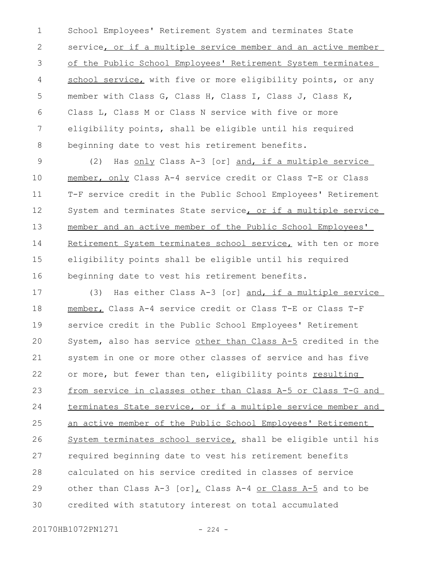School Employees' Retirement System and terminates State service, or if a multiple service member and an active member of the Public School Employees' Retirement System terminates school service, with five or more eligibility points, or any member with Class G, Class H, Class I, Class J, Class K, Class L, Class M or Class N service with five or more eligibility points, shall be eligible until his required beginning date to vest his retirement benefits. 1 2 3 4 5 6 7 8

(2) Has only Class A-3 [or] and, if a multiple service member, only Class A-4 service credit or Class T-E or Class T-F service credit in the Public School Employees' Retirement System and terminates State service, or if a multiple service member and an active member of the Public School Employees' Retirement System terminates school service, with ten or more eligibility points shall be eligible until his required beginning date to vest his retirement benefits. 9 10 11 12 13 14 15 16

(3) Has either Class A-3 [or] and, if a multiple service member, Class A-4 service credit or Class T-E or Class T-F service credit in the Public School Employees' Retirement System, also has service other than Class A-5 credited in the system in one or more other classes of service and has five or more, but fewer than ten, eligibility points resulting from service in classes other than Class A-5 or Class T-G and terminates State service, or if a multiple service member and an active member of the Public School Employees' Retirement System terminates school service, shall be eligible until his required beginning date to vest his retirement benefits calculated on his service credited in classes of service other than Class A-3 [or], Class A-4 or Class A-5 and to be credited with statutory interest on total accumulated 17 18 19 20 21 22 23 24 25 26 27 28 29 30

20170HB1072PN1271 - 224 -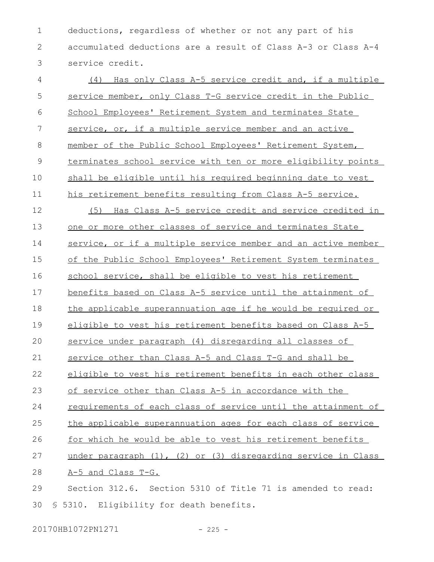deductions, regardless of whether or not any part of his accumulated deductions are a result of Class A-3 or Class A-4 service credit. 1 2 3

(4) Has only Class A-5 service credit and, if a multiple service member, only Class T-G service credit in the Public School Employees' Retirement System and terminates State service, or, if a multiple service member and an active member of the Public School Employees' Retirement System, terminates school service with ten or more eligibility points shall be eligible until his required beginning date to vest his retirement benefits resulting from Class A-5 service. (5) Has Class A-5 service credit and service credited in one or more other classes of service and terminates State service, or if a multiple service member and an active member of the Public School Employees' Retirement System terminates school service, shall be eligible to vest his retirement benefits based on Class A-5 service until the attainment of the applicable superannuation age if he would be required or eligible to vest his retirement benefits based on Class A-5 service under paragraph (4) disregarding all classes of service other than Class A-5 and Class T-G and shall be eligible to vest his retirement benefits in each other class of service other than Class A-5 in accordance with the requirements of each class of service until the attainment of the applicable superannuation ages for each class of service for which he would be able to vest his retirement benefits under paragraph (1), (2) or (3) disregarding service in Class A-5 and Class T-G. Section 312.6. Section 5310 of Title 71 is amended to read: § 5310. Eligibility for death benefits. 4 5 6 7 8 9 10 11 12 13 14 15 16 17 18 19  $20$ 21 22 23 24 25 26 27 28 29 30

20170HB1072PN1271 - 225 -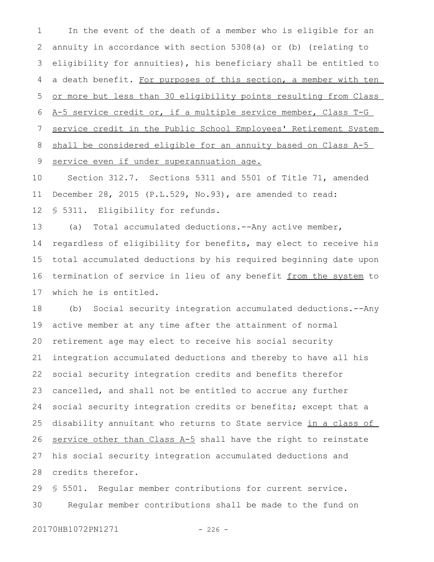In the event of the death of a member who is eligible for an annuity in accordance with section 5308(a) or (b) (relating to eligibility for annuities), his beneficiary shall be entitled to a death benefit. For purposes of this section, a member with ten or more but less than 30 eligibility points resulting from Class A-5 service credit or, if a multiple service member, Class T-G service credit in the Public School Employees' Retirement System shall be considered eligible for an annuity based on Class A-5 service even if under superannuation age. 1 2 3 4 5 6 7 8 9

Section 312.7. Sections 5311 and 5501 of Title 71, amended December 28, 2015 (P.L.529, No.93), are amended to read: § 5311. Eligibility for refunds. 10 11 12

(a) Total accumulated deductions.--Any active member, regardless of eligibility for benefits, may elect to receive his total accumulated deductions by his required beginning date upon termination of service in lieu of any benefit from the system to which he is entitled. 13 14 15 16 17

(b) Social security integration accumulated deductions.--Any active member at any time after the attainment of normal retirement age may elect to receive his social security integration accumulated deductions and thereby to have all his social security integration credits and benefits therefor cancelled, and shall not be entitled to accrue any further social security integration credits or benefits; except that a disability annuitant who returns to State service in a class of service other than Class A-5 shall have the right to reinstate his social security integration accumulated deductions and credits therefor. 18 19 20 21 22 23 24 25 26 27 28

§ 5501. Regular member contributions for current service. Regular member contributions shall be made to the fund on 29 30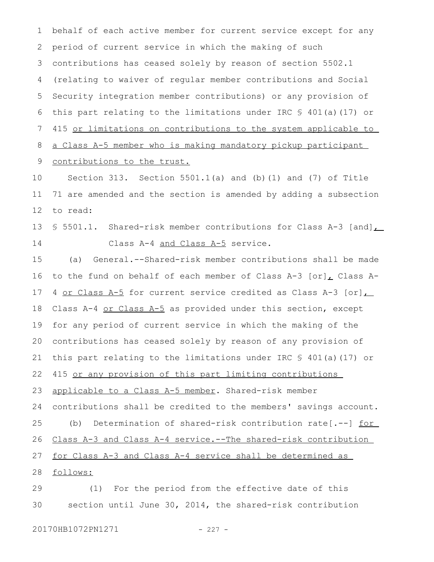behalf of each active member for current service except for any period of current service in which the making of such contributions has ceased solely by reason of section 5502.1 (relating to waiver of regular member contributions and Social Security integration member contributions) or any provision of this part relating to the limitations under IRC § 401(a)(17) or 415 or limitations on contributions to the system applicable to a Class A-5 member who is making mandatory pickup participant contributions to the trust. 1 2 3 4 5 6 7 8 9

Section 313. Section  $5501.1(a)$  and (b)(1) and (7) of Title 71 are amended and the section is amended by adding a subsection to read: 10 11 12

§ 5501.1. Shared-risk member contributions for Class A-3 [and] Class A-4 and Class A-5 service. 13 14

(a) General.--Shared-risk member contributions shall be made to the fund on behalf of each member of Class A-3  $[or]$  Class A-4 or Class A-5 for current service credited as Class A-3 [or] Class A-4 or Class A-5 as provided under this section, except for any period of current service in which the making of the contributions has ceased solely by reason of any provision of this part relating to the limitations under IRC § 401(a)(17) or 415 or any provision of this part limiting contributions applicable to a Class A-5 member. Shared-risk member contributions shall be credited to the members' savings account. (b) Determination of shared-risk contribution rate[.--] <u>for</u> Class A-3 and Class A-4 service.--The shared-risk contribution for Class A-3 and Class A-4 service shall be determined as follows: (1) For the period from the effective date of this 15 16 17 18 19 20 21 22 23 24 25 26 27 28 29

section until June 30, 2014, the shared-risk contribution 30

20170HB1072PN1271 - 227 -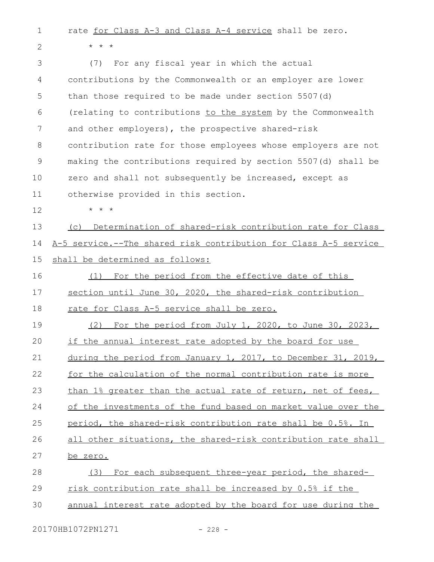rate for Class A-3 and Class A-4 service shall be zero. 1

\* \* \*

2

(7) For any fiscal year in which the actual contributions by the Commonwealth or an employer are lower than those required to be made under section 5507(d) (relating to contributions to the system by the Commonwealth and other employers), the prospective shared-risk contribution rate for those employees whose employers are not making the contributions required by section 5507(d) shall be zero and shall not subsequently be increased, except as otherwise provided in this section. \* \* \* (c) Determination of shared-risk contribution rate for Class A-5 service.--The shared risk contribution for Class A-5 service shall be determined as follows: (1) For the period from the effective date of this section until June 30, 2020, the shared-risk contribution rate for Class A-5 service shall be zero. (2) For the period from July 1, 2020, to June 30, 2023, if the annual interest rate adopted by the board for use during the period from January 1, 2017, to December 31, 2019, for the calculation of the normal contribution rate is more than 1% greater than the actual rate of return, net of fees, of the investments of the fund based on market value over the period, the shared-risk contribution rate shall be 0.5%. In all other situations, the shared-risk contribution rate shall be zero. (3) For each subsequent three-year period, the sharedrisk contribution rate shall be increased by 0.5% if the annual interest rate adopted by the board for use during the 3 4 5 6 7 8 9 10 11 12 13 14 15 16 17 18 19  $20$ 21 22 23 24 25 26 27 28 29 30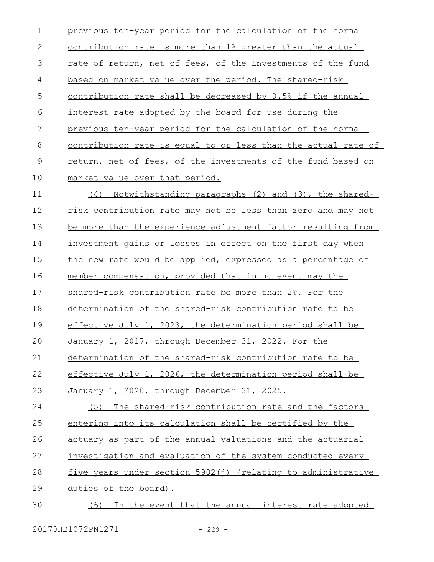previous ten-year period for the calculation of the normal contribution rate is more than 1% greater than the actual rate of return, net of fees, of the investments of the fund based on market value over the period. The shared-risk contribution rate shall be decreased by 0.5% if the annual interest rate adopted by the board for use during the previous ten-year period for the calculation of the normal contribution rate is equal to or less than the actual rate of return, net of fees, of the investments of the fund based on market value over that period. (4) Notwithstanding paragraphs (2) and (3), the sharedrisk contribution rate may not be less than zero and may not be more than the experience adjustment factor resulting from investment gains or losses in effect on the first day when the new rate would be applied, expressed as a percentage of member compensation, provided that in no event may the shared-risk contribution rate be more than 2%. For the determination of the shared-risk contribution rate to be effective July 1, 2023, the determination period shall be January 1, 2017, through December 31, 2022. For the determination of the shared-risk contribution rate to be effective July 1, 2026, the determination period shall be January 1, 2020, through December 31, 2025. (5) The shared-risk contribution rate and the factors entering into its calculation shall be certified by the actuary as part of the annual valuations and the actuarial investigation and evaluation of the system conducted every five years under section 5902(j) (relating to administrative duties of the board). (6) In the event that the annual interest rate adopted 1 2 3 4 5 6 7 8 9 10 11 12 13 14 15 16 17 18 19  $20$ 21 22 23 24 25 26 27 28 29 30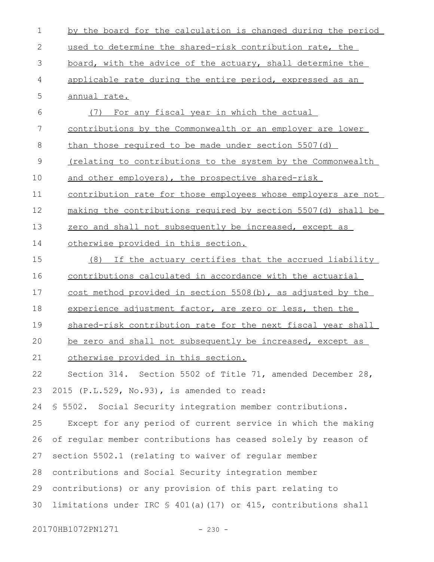| $\mathbf 1$   | by the board for the calculation is changed during the period       |
|---------------|---------------------------------------------------------------------|
| 2             | used to determine the shared-risk contribution rate, the            |
| 3             | board, with the advice of the actuary, shall determine the          |
| 4             | applicable rate during the entire period, expressed as an           |
| 5             | annual rate.                                                        |
| 6             | For any fiscal year in which the actual<br>(7)                      |
| 7             | contributions by the Commonwealth or an employer are lower          |
| 8             | than those required to be made under section 5507(d)                |
| $\mathcal{G}$ | <u>(relating to contributions to the system by the Commonwealth</u> |
| 10            | and other employers), the prospective shared-risk                   |
| 11            | contribution rate for those employees whose employers are not       |
| 12            | making the contributions required by section 5507(d) shall be       |
| 13            | zero and shall not subsequently be increased, except as             |
| 14            | otherwise provided in this section.                                 |
| 15            | (8) If the actuary certifies that the accrued liability             |
| 16            | contributions calculated in accordance with the actuarial           |
| 17            | cost method provided in section 5508(b), as adjusted by the         |
| 18            | experience adjustment factor, are zero or less, then the            |
| 19            | shared-risk contribution rate for the next fiscal year shall        |
| 20            | be zero and shall not subsequently be increased, except as          |
| 21            | otherwise provided in this section.                                 |
| 22            | Section 314. Section 5502 of Title 71, amended December 28,         |
| 23            | 2015 (P.L.529, No.93), is amended to read:                          |
| 24            | \$ 5502. Social Security integration member contributions.          |
| 25            | Except for any period of current service in which the making        |
| 26            | of regular member contributions has ceased solely by reason of      |
| 27            | section 5502.1 (relating to waiver of regular member                |
| 28            | contributions and Social Security integration member                |
| 29            | contributions) or any provision of this part relating to            |
| 30            | limitations under IRC § 401(a)(17) or 415, contributions shall      |
|               |                                                                     |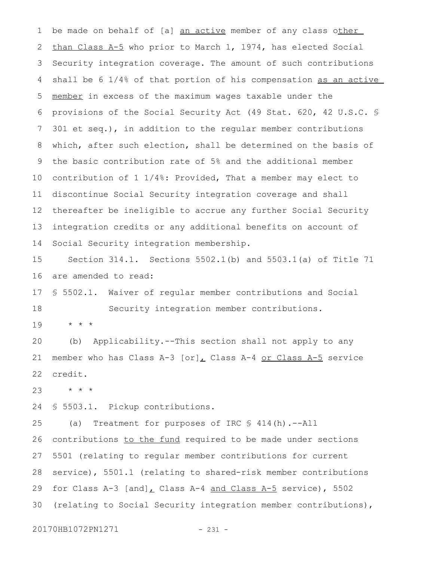be made on behalf of [a] an active member of any class other than Class A-5 who prior to March 1, 1974, has elected Social Security integration coverage. The amount of such contributions shall be 6 1/4% of that portion of his compensation as an active member in excess of the maximum wages taxable under the provisions of the Social Security Act (49 Stat. 620, 42 U.S.C. § 301 et seq.), in addition to the regular member contributions which, after such election, shall be determined on the basis of the basic contribution rate of 5% and the additional member contribution of 1 1/4%: Provided, That a member may elect to discontinue Social Security integration coverage and shall thereafter be ineligible to accrue any further Social Security integration credits or any additional benefits on account of Social Security integration membership. 1 2 3 4 5 6 7 8 9 10 11 12 13 14

Section 314.1. Sections 5502.1(b) and 5503.1(a) of Title 71 are amended to read: 15 16

§ 5502.1. Waiver of regular member contributions and Social Security integration member contributions. 17 18

\* \* \* 19

(b) Applicability.--This section shall not apply to any member who has Class A-3  $[or]_L$  Class A-4 or Class A-5 service credit. 20 21 22

\* \* \* 23

§ 5503.1. Pickup contributions. 24

(a) Treatment for purposes of IRC § 414(h).--All contributions to the fund required to be made under sections 5501 (relating to regular member contributions for current service), 5501.1 (relating to shared-risk member contributions for Class A-3 [and], Class A-4 and Class A-5 service), 5502 (relating to Social Security integration member contributions), 25 26 27 28 29 30

20170HB1072PN1271 - 231 -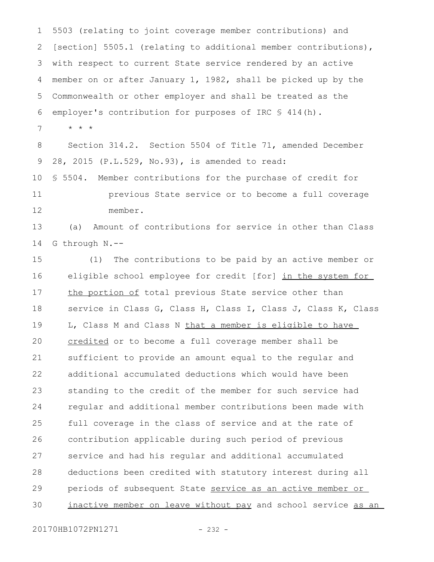5503 (relating to joint coverage member contributions) and [section] 5505.1 (relating to additional member contributions), with respect to current State service rendered by an active member on or after January 1, 1982, shall be picked up by the Commonwealth or other employer and shall be treated as the employer's contribution for purposes of IRC § 414(h). 1 2 3 4 5 6

\* \* \* 7

Section 314.2. Section 5504 of Title 71, amended December 28, 2015 (P.L.529, No.93), is amended to read: § 5504. Member contributions for the purchase of credit for previous State service or to become a full coverage member. 8 9 10 11 12

(a) Amount of contributions for service in other than Class G through N.-- 13 14

(1) The contributions to be paid by an active member or eligible school employee for credit [for] in the system for the portion of total previous State service other than service in Class G, Class H, Class I, Class J, Class K, Class L, Class M and Class N that a member is eligible to have credited or to become a full coverage member shall be sufficient to provide an amount equal to the regular and additional accumulated deductions which would have been standing to the credit of the member for such service had regular and additional member contributions been made with full coverage in the class of service and at the rate of contribution applicable during such period of previous service and had his regular and additional accumulated deductions been credited with statutory interest during all periods of subsequent State service as an active member or inactive member on leave without pay and school service as an 15 16 17 18 19 20 21 22 23 24 25 26 27 28 29 30

20170HB1072PN1271 - 232 -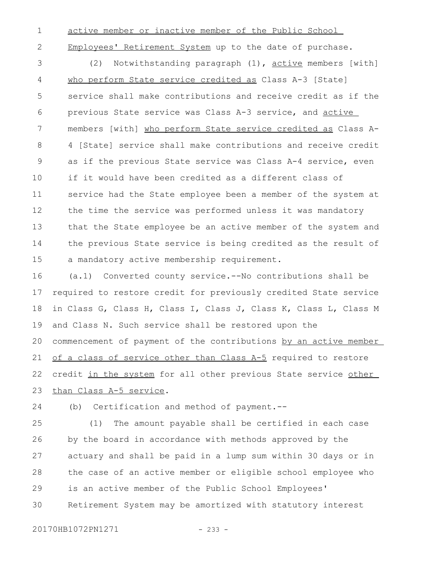1

active member or inactive member of the Public School

2

Employees' Retirement System up to the date of purchase.

(2) Notwithstanding paragraph (1), active members [with] who perform State service credited as Class A-3 [State] service shall make contributions and receive credit as if the previous State service was Class A-3 service, and active members [with] who perform State service credited as Class A-4 [State] service shall make contributions and receive credit as if the previous State service was Class A-4 service, even if it would have been credited as a different class of service had the State employee been a member of the system at the time the service was performed unless it was mandatory that the State employee be an active member of the system and the previous State service is being credited as the result of a mandatory active membership requirement. 3 4 5 6 7 8 9 10 11 12 13 14 15

(a.1) Converted county service.--No contributions shall be required to restore credit for previously credited State service in Class G, Class H, Class I, Class J, Class K, Class L, Class M and Class N. Such service shall be restored upon the commencement of payment of the contributions by an active member of a class of service other than Class A-5 required to restore credit in the system for all other previous State service other than Class A-5 service. 16 17 18 19 20 21 22 23

(b) Certification and method of payment.-- 24

(1) The amount payable shall be certified in each case by the board in accordance with methods approved by the actuary and shall be paid in a lump sum within 30 days or in the case of an active member or eligible school employee who is an active member of the Public School Employees' Retirement System may be amortized with statutory interest 25 26 27 28 29 30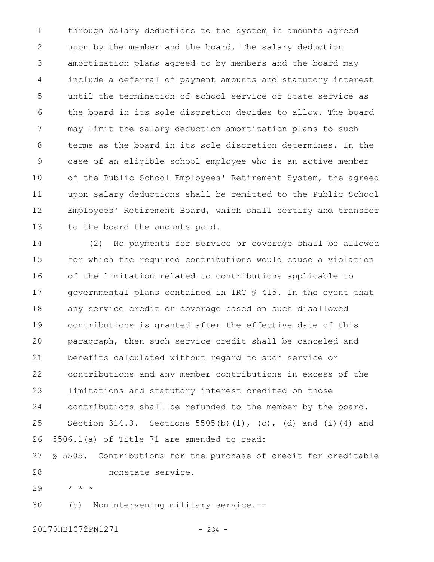through salary deductions to the system in amounts agreed upon by the member and the board. The salary deduction amortization plans agreed to by members and the board may include a deferral of payment amounts and statutory interest until the termination of school service or State service as the board in its sole discretion decides to allow. The board may limit the salary deduction amortization plans to such terms as the board in its sole discretion determines. In the case of an eligible school employee who is an active member of the Public School Employees' Retirement System, the agreed upon salary deductions shall be remitted to the Public School Employees' Retirement Board, which shall certify and transfer to the board the amounts paid. 1 2 3 4 5 6 7 8 9 10 11 12 13

(2) No payments for service or coverage shall be allowed for which the required contributions would cause a violation of the limitation related to contributions applicable to governmental plans contained in IRC § 415. In the event that any service credit or coverage based on such disallowed contributions is granted after the effective date of this paragraph, then such service credit shall be canceled and benefits calculated without regard to such service or contributions and any member contributions in excess of the limitations and statutory interest credited on those contributions shall be refunded to the member by the board. Section 314.3. Sections 5505(b)(1), (c), (d) and (i)(4) and 5506.1(a) of Title 71 are amended to read: § 5505. Contributions for the purchase of credit for creditable nonstate service. 14 15 16 17 18 19  $20$ 21 22 23 24 25 26 27 28

\* \* \* 29

(b) Nonintervening military service.-- 30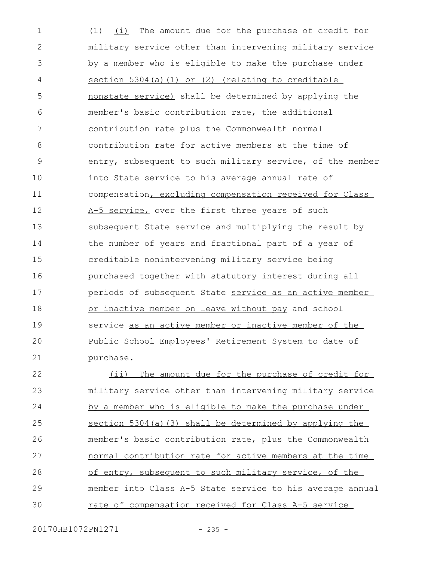(1) (i) The amount due for the purchase of credit for military service other than intervening military service by a member who is eligible to make the purchase under section 5304(a)(1) or (2) (relating to creditable nonstate service) shall be determined by applying the member's basic contribution rate, the additional contribution rate plus the Commonwealth normal contribution rate for active members at the time of entry, subsequent to such military service, of the member into State service to his average annual rate of compensation, excluding compensation received for Class A-5 service, over the first three years of such subsequent State service and multiplying the result by the number of years and fractional part of a year of creditable nonintervening military service being purchased together with statutory interest during all periods of subsequent State service as an active member or inactive member on leave without pay and school service as an active member or inactive member of the Public School Employees' Retirement System to date of purchase. (ii) The amount due for the purchase of credit for military service other than intervening military service by a member who is eligible to make the purchase under 1 2 3 4 5 6 7 8 9 10 11 12 13 14 15 16 17 18 19  $20$ 21 22 23 24

section 5304(a)(3) shall be determined by applying the member's basic contribution rate, plus the Commonwealth normal contribution rate for active members at the time of entry, subsequent to such military service, of the member into Class A-5 State service to his average annual rate of compensation received for Class A-5 service 25 26 27 28 29 30

20170HB1072PN1271 - 235 -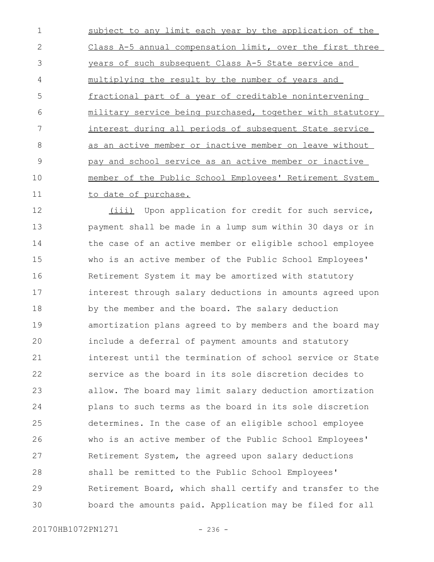subject to any limit each year by the application of the Class A-5 annual compensation limit, over the first three years of such subsequent Class A-5 State service and multiplying the result by the number of years and fractional part of a year of creditable nonintervening military service being purchased, together with statutory interest during all periods of subsequent State service as an active member or inactive member on leave without pay and school service as an active member or inactive member of the Public School Employees' Retirement System to date of purchase. 1 2 3 4 5 6 7 8 9 10 11

(iii) Upon application for credit for such service, payment shall be made in a lump sum within 30 days or in the case of an active member or eligible school employee who is an active member of the Public School Employees' Retirement System it may be amortized with statutory interest through salary deductions in amounts agreed upon by the member and the board. The salary deduction amortization plans agreed to by members and the board may include a deferral of payment amounts and statutory interest until the termination of school service or State service as the board in its sole discretion decides to allow. The board may limit salary deduction amortization plans to such terms as the board in its sole discretion determines. In the case of an eligible school employee who is an active member of the Public School Employees' Retirement System, the agreed upon salary deductions shall be remitted to the Public School Employees' Retirement Board, which shall certify and transfer to the board the amounts paid. Application may be filed for all 12 13 14 15 16 17 18 19  $20$ 21 22 23 24 25 26 27 28 29 30

20170HB1072PN1271 - 236 -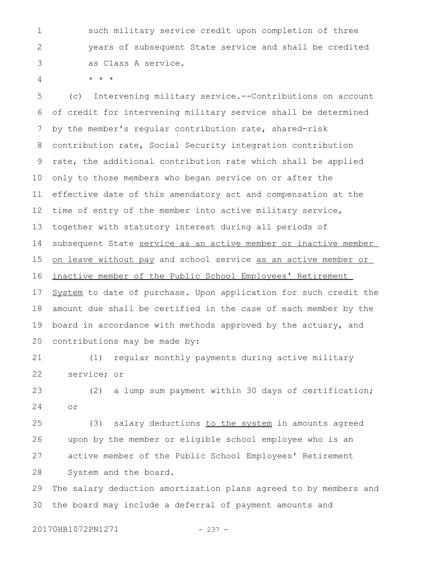such military service credit upon completion of three years of subsequent State service and shall be credited as Class A service. 1 2 3

4

\* \* \*

(c) Intervening military service.--Contributions on account of credit for intervening military service shall be determined by the member's regular contribution rate, shared-risk contribution rate, Social Security integration contribution rate, the additional contribution rate which shall be applied only to those members who began service on or after the effective date of this amendatory act and compensation at the time of entry of the member into active military service, together with statutory interest during all periods of subsequent State service as an active member or inactive member on leave without pay and school service as an active member or inactive member of the Public School Employees' Retirement System to date of purchase. Upon application for such credit the amount due shall be certified in the case of each member by the board in accordance with methods approved by the actuary, and contributions may be made by: 5 6 7 8 9 10 11 12 13 14 15 16 17 18 19 20

(1) regular monthly payments during active military service; or 21 22

(2) a lump sum payment within 30 days of certification; or 23 24

(3) salary deductions to the system in amounts agreed upon by the member or eligible school employee who is an active member of the Public School Employees' Retirement System and the board. 25 26 27 28

The salary deduction amortization plans agreed to by members and the board may include a deferral of payment amounts and 29 30

20170HB1072PN1271 - 237 -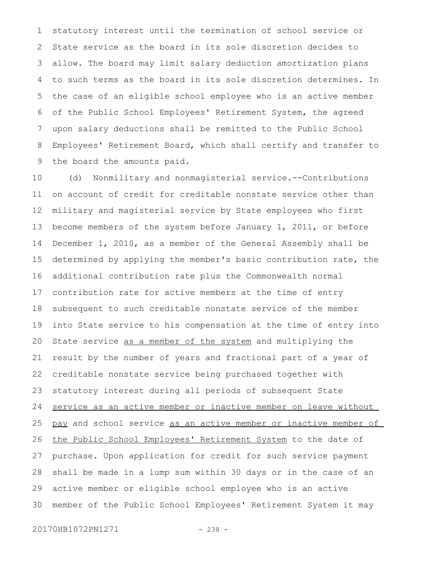statutory interest until the termination of school service or State service as the board in its sole discretion decides to allow. The board may limit salary deduction amortization plans to such terms as the board in its sole discretion determines. In the case of an eligible school employee who is an active member of the Public School Employees' Retirement System, the agreed upon salary deductions shall be remitted to the Public School Employees' Retirement Board, which shall certify and transfer to the board the amounts paid. 1 2 3 4 5 6 7 8 9

(d) Nonmilitary and nonmagisterial service.--Contributions on account of credit for creditable nonstate service other than military and magisterial service by State employees who first become members of the system before January 1, 2011, or before December 1, 2010, as a member of the General Assembly shall be determined by applying the member's basic contribution rate, the additional contribution rate plus the Commonwealth normal contribution rate for active members at the time of entry subsequent to such creditable nonstate service of the member into State service to his compensation at the time of entry into State service as a member of the system and multiplying the result by the number of years and fractional part of a year of creditable nonstate service being purchased together with statutory interest during all periods of subsequent State service as an active member or inactive member on leave without pay and school service as an active member or inactive member of the Public School Employees' Retirement System to the date of purchase. Upon application for credit for such service payment shall be made in a lump sum within 30 days or in the case of an active member or eligible school employee who is an active member of the Public School Employees' Retirement System it may 10 11 12 13 14 15 16 17 18 19 20 21 22 23 24 25 26 27 28 29 30

20170HB1072PN1271 - 238 -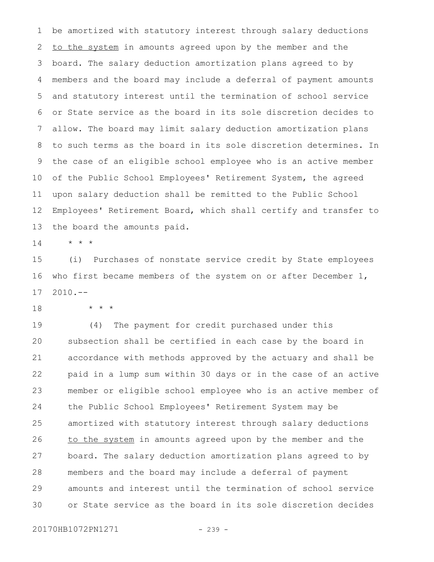be amortized with statutory interest through salary deductions to the system in amounts agreed upon by the member and the board. The salary deduction amortization plans agreed to by members and the board may include a deferral of payment amounts and statutory interest until the termination of school service or State service as the board in its sole discretion decides to allow. The board may limit salary deduction amortization plans to such terms as the board in its sole discretion determines. In the case of an eligible school employee who is an active member of the Public School Employees' Retirement System, the agreed upon salary deduction shall be remitted to the Public School Employees' Retirement Board, which shall certify and transfer to the board the amounts paid. 1 2 3 4 5 6 7 8 9 10 11 12 13

\* \* \* 14

(i) Purchases of nonstate service credit by State employees who first became members of the system on or after December 1,  $2010. --$ 15 16 17

\* \* \* 18

(4) The payment for credit purchased under this subsection shall be certified in each case by the board in accordance with methods approved by the actuary and shall be paid in a lump sum within 30 days or in the case of an active member or eligible school employee who is an active member of the Public School Employees' Retirement System may be amortized with statutory interest through salary deductions to the system in amounts agreed upon by the member and the board. The salary deduction amortization plans agreed to by members and the board may include a deferral of payment amounts and interest until the termination of school service or State service as the board in its sole discretion decides 19 20 21 22 23 24 25 26 27 28 29 30

20170HB1072PN1271 - 239 -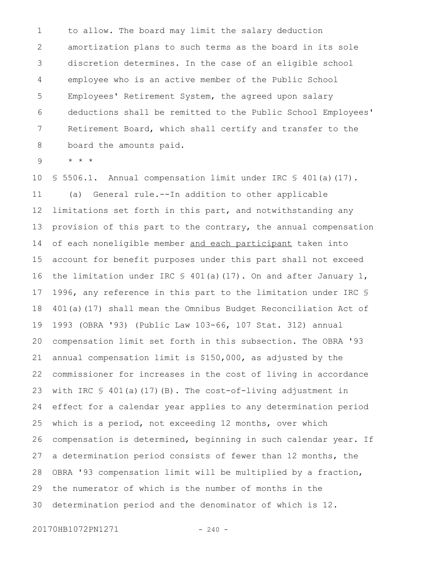to allow. The board may limit the salary deduction amortization plans to such terms as the board in its sole discretion determines. In the case of an eligible school employee who is an active member of the Public School Employees' Retirement System, the agreed upon salary deductions shall be remitted to the Public School Employees' Retirement Board, which shall certify and transfer to the board the amounts paid. 1 2 3 4 5 6 7 8

\* \* \* 9

§ 5506.1. Annual compensation limit under IRC § 401(a)(17). (a) General rule.--In addition to other applicable limitations set forth in this part, and notwithstanding any provision of this part to the contrary, the annual compensation of each noneligible member and each participant taken into account for benefit purposes under this part shall not exceed the limitation under IRC  $\frac{1}{5}$  401(a)(17). On and after January 1, 1996, any reference in this part to the limitation under IRC § 401(a)(17) shall mean the Omnibus Budget Reconciliation Act of 1993 (OBRA '93) (Public Law 103-66, 107 Stat. 312) annual compensation limit set forth in this subsection. The OBRA '93 annual compensation limit is \$150,000, as adjusted by the commissioner for increases in the cost of living in accordance with IRC  $\frac{1}{2}$  401(a)(17)(B). The cost-of-living adjustment in effect for a calendar year applies to any determination period which is a period, not exceeding 12 months, over which compensation is determined, beginning in such calendar year. If a determination period consists of fewer than 12 months, the OBRA '93 compensation limit will be multiplied by a fraction, the numerator of which is the number of months in the determination period and the denominator of which is 12. 10 11 12 13 14 15 16 17 18 19 20 21 22 23 24 25 26 27 28 29 30

20170HB1072PN1271 - 240 -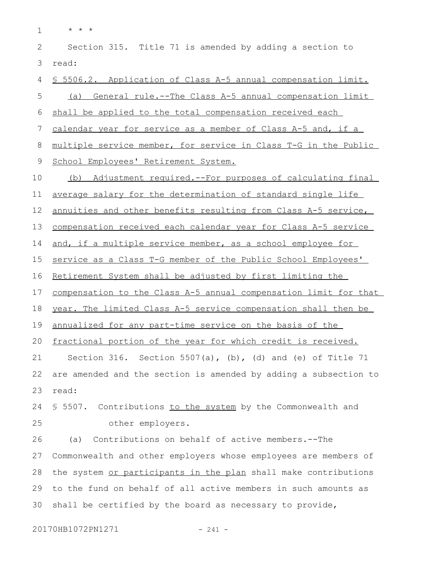\* \* \* Section 315. Title 71 is amended by adding a section to read: § 5506.2. Application of Class A-5 annual compensation limit. (a) General rule.--The Class A-5 annual compensation limit shall be applied to the total compensation received each calendar year for service as a member of Class A-5 and, if a multiple service member, for service in Class T-G in the Public School Employees' Retirement System. (b) Adjustment required.--For purposes of calculating final average salary for the determination of standard single life annuities and other benefits resulting from Class A-5 service, compensation received each calendar year for Class A-5 service and, if a multiple service member, as a school employee for service as a Class T-G member of the Public School Employees' Retirement System shall be adjusted by first limiting the compensation to the Class A-5 annual compensation limit for that vear. The limited Class A-5 service compensation shall then be annualized for any part-time service on the basis of the fractional portion of the year for which credit is received. Section 316. Section 5507(a), (b), (d) and (e) of Title 71 are amended and the section is amended by adding a subsection to read: 1 2 3 4 5 6 7 8 9 10 11 12 13 14 15 16 17 18 19 20 21 22 23

§ 5507. Contributions to the system by the Commonwealth and other employers. 24 25

(a) Contributions on behalf of active members.--The Commonwealth and other employers whose employees are members of the system or participants in the plan shall make contributions to the fund on behalf of all active members in such amounts as shall be certified by the board as necessary to provide, 26 27 28 29 30

20170HB1072PN1271 - 241 -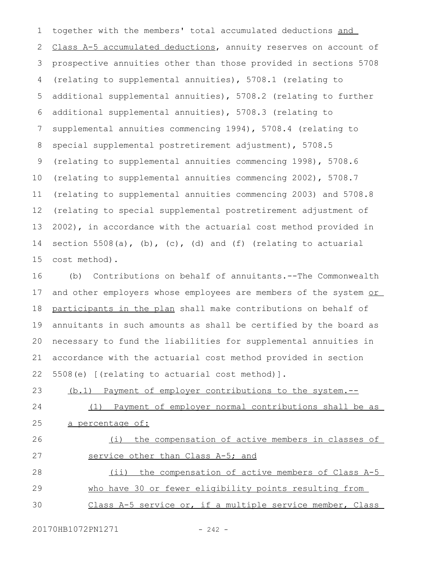together with the members' total accumulated deductions and Class A-5 accumulated deductions, annuity reserves on account of prospective annuities other than those provided in sections 5708 (relating to supplemental annuities), 5708.1 (relating to additional supplemental annuities), 5708.2 (relating to further additional supplemental annuities), 5708.3 (relating to supplemental annuities commencing 1994), 5708.4 (relating to special supplemental postretirement adjustment), 5708.5 (relating to supplemental annuities commencing 1998), 5708.6 (relating to supplemental annuities commencing 2002), 5708.7 (relating to supplemental annuities commencing 2003) and 5708.8 (relating to special supplemental postretirement adjustment of 2002), in accordance with the actuarial cost method provided in section  $5508(a)$ , (b), (c), (d) and (f) (relating to actuarial cost method). 1 2 3 4 5 6 7 8 9 10 11 12 13 14 15

(b) Contributions on behalf of annuitants.--The Commonwealth and other employers whose employees are members of the system or participants in the plan shall make contributions on behalf of annuitants in such amounts as shall be certified by the board as necessary to fund the liabilities for supplemental annuities in accordance with the actuarial cost method provided in section 5508(e) [(relating to actuarial cost method)]. 16 17 18 19 20 21 22

(b.1) Payment of employer contributions to the system.-- (1) Payment of employer normal contributions shall be as 23 24

a percentage of: 25

(i) the compensation of active members in classes of service other than Class A-5; and (ii) the compensation of active members of Class A-5 who have 30 or fewer eligibility points resulting from 26 27 28 29

Class A-5 service or, if a multiple service member, Class 30

20170HB1072PN1271 - 242 -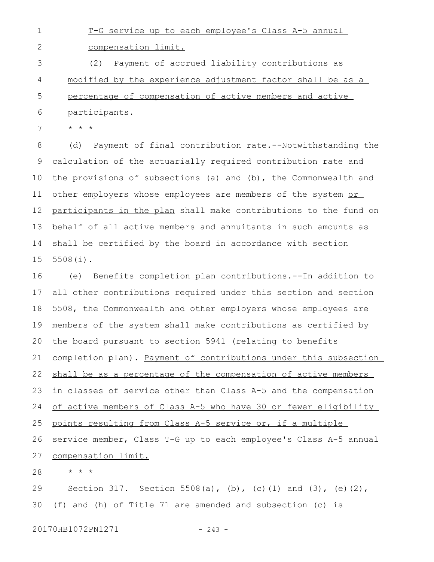T-G service up to each employee's Class A-5 annual 1

compensation limit. 2

participants.

(2) Payment of accrued liability contributions as modified by the experience adjustment factor shall be as a percentage of compensation of active members and active 3 4 5

\* \* \* 7

6

(d) Payment of final contribution rate.--Notwithstanding the calculation of the actuarially required contribution rate and the provisions of subsections (a) and (b), the Commonwealth and other employers whose employees are members of the system or participants in the plan shall make contributions to the fund on behalf of all active members and annuitants in such amounts as shall be certified by the board in accordance with section 5508(i). 8 9 10 11 12 13 14 15

(e) Benefits completion plan contributions.--In addition to all other contributions required under this section and section 5508, the Commonwealth and other employers whose employees are members of the system shall make contributions as certified by the board pursuant to section 5941 (relating to benefits completion plan). Payment of contributions under this subsection shall be as a percentage of the compensation of active members in classes of service other than Class A-5 and the compensation of active members of Class A-5 who have 30 or fewer eligibility points resulting from Class A-5 service or, if a multiple service member, Class T-G up to each employee's Class A-5 annual compensation limit. \* \* \* 16 17 18 19 20 21 22 23 24 25 26 27 28

Section 317. Section 5508(a), (b), (c)(1) and (3), (e)(2), (f) and (h) of Title 71 are amended and subsection (c) is 29 30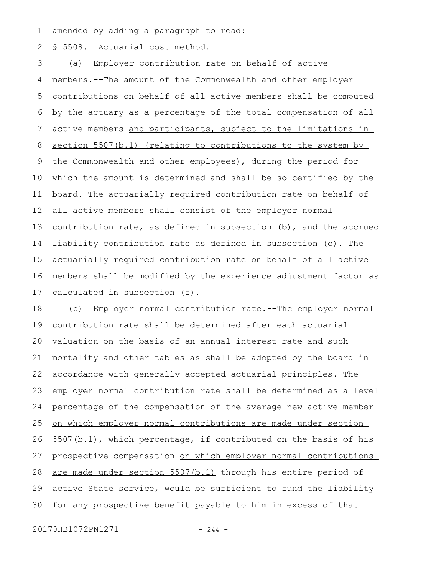amended by adding a paragraph to read: 1

§ 5508. Actuarial cost method. 2

(a) Employer contribution rate on behalf of active members.--The amount of the Commonwealth and other employer contributions on behalf of all active members shall be computed by the actuary as a percentage of the total compensation of all active members and participants, subject to the limitations in section 5507(b.1) (relating to contributions to the system by the Commonwealth and other employees), during the period for which the amount is determined and shall be so certified by the board. The actuarially required contribution rate on behalf of all active members shall consist of the employer normal contribution rate, as defined in subsection (b), and the accrued liability contribution rate as defined in subsection (c). The actuarially required contribution rate on behalf of all active members shall be modified by the experience adjustment factor as calculated in subsection (f). 3 4 5 6 7 8 9 10 11 12 13 14 15 16 17

(b) Employer normal contribution rate.--The employer normal contribution rate shall be determined after each actuarial valuation on the basis of an annual interest rate and such mortality and other tables as shall be adopted by the board in accordance with generally accepted actuarial principles. The employer normal contribution rate shall be determined as a level percentage of the compensation of the average new active member on which employer normal contributions are made under section 5507(b.1), which percentage, if contributed on the basis of his prospective compensation on which employer normal contributions are made under section 5507(b.1) through his entire period of active State service, would be sufficient to fund the liability for any prospective benefit payable to him in excess of that 18 19 20 21 22 23 24 25 26 27 28 29 30

20170HB1072PN1271 - 244 -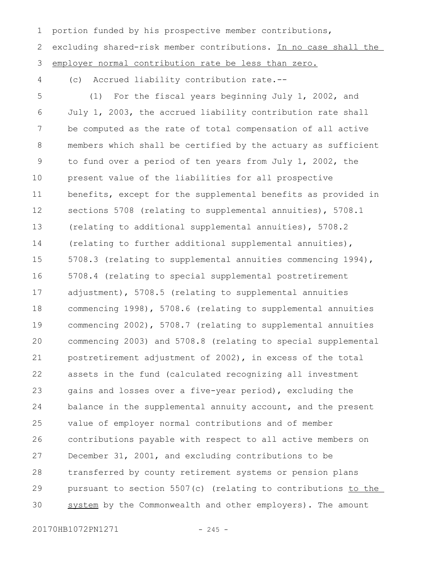portion funded by his prospective member contributions, excluding shared-risk member contributions. In no case shall the employer normal contribution rate be less than zero. 2 3

(c) Accrued liability contribution rate.-- 4

1

(1) For the fiscal years beginning July 1, 2002, and July 1, 2003, the accrued liability contribution rate shall be computed as the rate of total compensation of all active members which shall be certified by the actuary as sufficient to fund over a period of ten years from July 1, 2002, the present value of the liabilities for all prospective benefits, except for the supplemental benefits as provided in sections 5708 (relating to supplemental annuities), 5708.1 (relating to additional supplemental annuities), 5708.2 (relating to further additional supplemental annuities), 5708.3 (relating to supplemental annuities commencing 1994), 5708.4 (relating to special supplemental postretirement adjustment), 5708.5 (relating to supplemental annuities commencing 1998), 5708.6 (relating to supplemental annuities commencing 2002), 5708.7 (relating to supplemental annuities commencing 2003) and 5708.8 (relating to special supplemental postretirement adjustment of 2002), in excess of the total assets in the fund (calculated recognizing all investment gains and losses over a five-year period), excluding the balance in the supplemental annuity account, and the present value of employer normal contributions and of member contributions payable with respect to all active members on December 31, 2001, and excluding contributions to be transferred by county retirement systems or pension plans pursuant to section 5507(c) (relating to contributions to the system by the Commonwealth and other employers). The amount 5 6 7 8 9 10 11 12 13 14 15 16 17 18 19 20 21 22 23 24 25 26 27 28 29 30

20170HB1072PN1271 - 245 -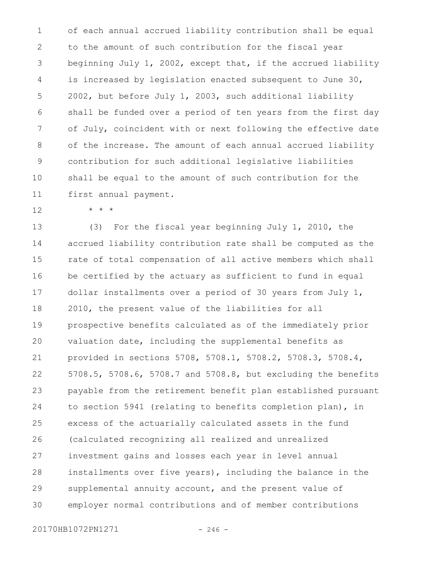of each annual accrued liability contribution shall be equal to the amount of such contribution for the fiscal year beginning July 1, 2002, except that, if the accrued liability is increased by legislation enacted subsequent to June 30, 2002, but before July 1, 2003, such additional liability shall be funded over a period of ten years from the first day of July, coincident with or next following the effective date of the increase. The amount of each annual accrued liability contribution for such additional legislative liabilities shall be equal to the amount of such contribution for the first annual payment. 1 2 3 4 5 6 7 8 9 10 11

12

\* \* \*

(3) For the fiscal year beginning July 1, 2010, the accrued liability contribution rate shall be computed as the rate of total compensation of all active members which shall be certified by the actuary as sufficient to fund in equal dollar installments over a period of 30 years from July 1, 2010, the present value of the liabilities for all prospective benefits calculated as of the immediately prior valuation date, including the supplemental benefits as provided in sections 5708, 5708.1, 5708.2, 5708.3, 5708.4, 5708.5, 5708.6, 5708.7 and 5708.8, but excluding the benefits payable from the retirement benefit plan established pursuant to section 5941 (relating to benefits completion plan), in excess of the actuarially calculated assets in the fund (calculated recognizing all realized and unrealized investment gains and losses each year in level annual installments over five years), including the balance in the supplemental annuity account, and the present value of employer normal contributions and of member contributions 13 14 15 16 17 18 19 20 21 22 23 24 25 26 27 28 29 30

20170HB1072PN1271 - 246 -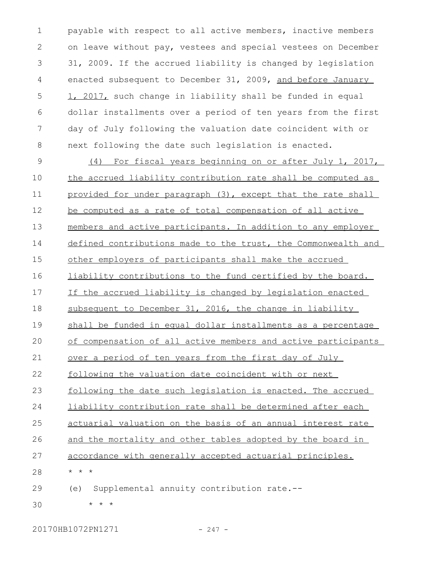payable with respect to all active members, inactive members on leave without pay, vestees and special vestees on December 31, 2009. If the accrued liability is changed by legislation enacted subsequent to December 31, 2009, and before January 1, 2017, such change in liability shall be funded in equal dollar installments over a period of ten years from the first day of July following the valuation date coincident with or next following the date such legislation is enacted. 1 2 3 4 5 6 7 8

(4) For fiscal years beginning on or after July 1, 2017, the accrued liability contribution rate shall be computed as provided for under paragraph (3), except that the rate shall be computed as a rate of total compensation of all active members and active participants. In addition to any employer defined contributions made to the trust, the Commonwealth and other employers of participants shall make the accrued liability contributions to the fund certified by the board. If the accrued liability is changed by legislation enacted subsequent to December 31, 2016, the change in liability shall be funded in equal dollar installments as a percentage of compensation of all active members and active participants over a period of ten years from the first day of July following the valuation date coincident with or next following the date such legislation is enacted. The accrued liability contribution rate shall be determined after each actuarial valuation on the basis of an annual interest rate and the mortality and other tables adopted by the board in accordance with generally accepted actuarial principles. \* \* \* (e) Supplemental annuity contribution rate.-- \* \* \* 9 10 11 12 13 14 15 16 17 18 19  $20$ 21 22 23 24 25 26 27 28 29 30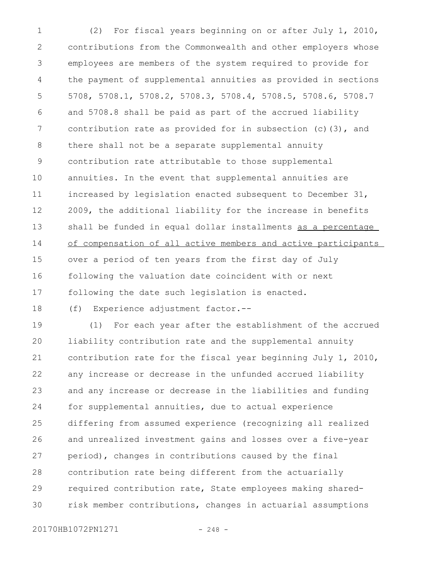(2) For fiscal years beginning on or after July 1, 2010, contributions from the Commonwealth and other employers whose employees are members of the system required to provide for the payment of supplemental annuities as provided in sections 5708, 5708.1, 5708.2, 5708.3, 5708.4, 5708.5, 5708.6, 5708.7 and 5708.8 shall be paid as part of the accrued liability contribution rate as provided for in subsection (c)(3), and there shall not be a separate supplemental annuity contribution rate attributable to those supplemental annuities. In the event that supplemental annuities are increased by legislation enacted subsequent to December 31, 2009, the additional liability for the increase in benefits shall be funded in equal dollar installments as a percentage of compensation of all active members and active participants over a period of ten years from the first day of July following the valuation date coincident with or next following the date such legislation is enacted. 1 2 3 4 5 6 7 8 9 10 11 12 13 14 15 16 17

18

(f) Experience adjustment factor.--

(1) For each year after the establishment of the accrued liability contribution rate and the supplemental annuity contribution rate for the fiscal year beginning July 1, 2010, any increase or decrease in the unfunded accrued liability and any increase or decrease in the liabilities and funding for supplemental annuities, due to actual experience differing from assumed experience (recognizing all realized and unrealized investment gains and losses over a five-year period), changes in contributions caused by the final contribution rate being different from the actuarially required contribution rate, State employees making sharedrisk member contributions, changes in actuarial assumptions 19  $20$ 21 22 23 24 25 26 27 28 29 30

20170HB1072PN1271 - 248 -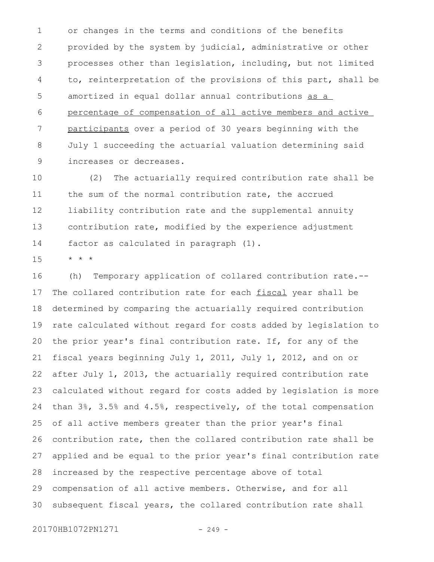or changes in the terms and conditions of the benefits provided by the system by judicial, administrative or other processes other than legislation, including, but not limited to, reinterpretation of the provisions of this part, shall be amortized in equal dollar annual contributions as a percentage of compensation of all active members and active participants over a period of 30 years beginning with the July 1 succeeding the actuarial valuation determining said increases or decreases. 1 2 3 4 5 6 7 8 9

(2) The actuarially required contribution rate shall be the sum of the normal contribution rate, the accrued liability contribution rate and the supplemental annuity contribution rate, modified by the experience adjustment factor as calculated in paragraph (1). 10 11 12 13 14

\* \* \* 15

(h) Temporary application of collared contribution rate.-- The collared contribution rate for each fiscal year shall be determined by comparing the actuarially required contribution rate calculated without regard for costs added by legislation to the prior year's final contribution rate. If, for any of the fiscal years beginning July 1, 2011, July 1, 2012, and on or after July 1, 2013, the actuarially required contribution rate calculated without regard for costs added by legislation is more than 3%, 3.5% and 4.5%, respectively, of the total compensation of all active members greater than the prior year's final contribution rate, then the collared contribution rate shall be applied and be equal to the prior year's final contribution rate increased by the respective percentage above of total compensation of all active members. Otherwise, and for all subsequent fiscal years, the collared contribution rate shall 16 17 18 19 20 21 22 23 24 25 26 27 28 29 30

20170HB1072PN1271 - 249 -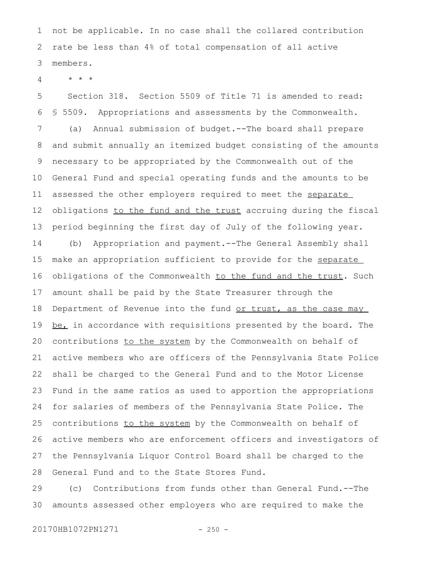not be applicable. In no case shall the collared contribution rate be less than 4% of total compensation of all active members. 1 2 3

\* \* \* 4

Section 318. Section 5509 of Title 71 is amended to read: § 5509. Appropriations and assessments by the Commonwealth. (a) Annual submission of budget.--The board shall prepare and submit annually an itemized budget consisting of the amounts necessary to be appropriated by the Commonwealth out of the General Fund and special operating funds and the amounts to be assessed the other employers required to meet the separate obligations to the fund and the trust accruing during the fiscal period beginning the first day of July of the following year. (b) Appropriation and payment.--The General Assembly shall make an appropriation sufficient to provide for the separate obligations of the Commonwealth to the fund and the trust. Such amount shall be paid by the State Treasurer through the Department of Revenue into the fund or trust, as the case may be, in accordance with requisitions presented by the board. The contributions to the system by the Commonwealth on behalf of active members who are officers of the Pennsylvania State Police shall be charged to the General Fund and to the Motor License Fund in the same ratios as used to apportion the appropriations for salaries of members of the Pennsylvania State Police. The 5 6 7 8 9 10 11 12 13 14 15 16 17 18 19 20 21 22 23 24

contributions to the system by the Commonwealth on behalf of active members who are enforcement officers and investigators of the Pennsylvania Liquor Control Board shall be charged to the General Fund and to the State Stores Fund. 25 26 27 28

(c) Contributions from funds other than General Fund.--The amounts assessed other employers who are required to make the 29 30

20170HB1072PN1271 - 250 -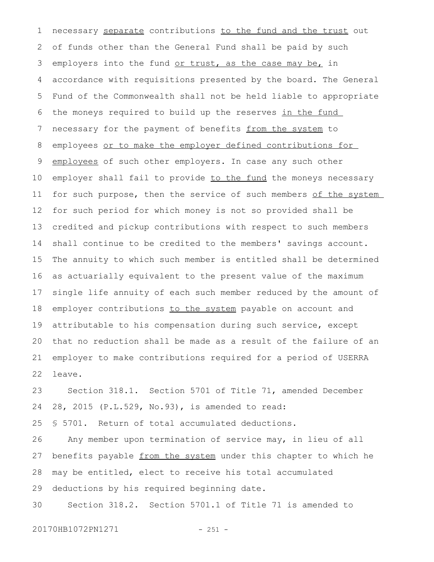necessary separate contributions to the fund and the trust out of funds other than the General Fund shall be paid by such employers into the fund or trust, as the case may be, in accordance with requisitions presented by the board. The General Fund of the Commonwealth shall not be held liable to appropriate the moneys required to build up the reserves in the fund necessary for the payment of benefits from the system to employees or to make the employer defined contributions for employees of such other employers. In case any such other employer shall fail to provide to the fund the moneys necessary for such purpose, then the service of such members of the system for such period for which money is not so provided shall be credited and pickup contributions with respect to such members shall continue to be credited to the members' savings account. The annuity to which such member is entitled shall be determined as actuarially equivalent to the present value of the maximum single life annuity of each such member reduced by the amount of employer contributions to the system payable on account and attributable to his compensation during such service, except that no reduction shall be made as a result of the failure of an employer to make contributions required for a period of USERRA leave. 1 2 3 4 5 6 7 8 9 10 11 12 13 14 15 16 17 18 19 20 21 22

Section 318.1. Section 5701 of Title 71, amended December 28, 2015 (P.L.529, No.93), is amended to read: 23 24

§ 5701. Return of total accumulated deductions. 25

Any member upon termination of service may, in lieu of all benefits payable from the system under this chapter to which he may be entitled, elect to receive his total accumulated deductions by his required beginning date. 26 27 28 29

Section 318.2. Section 5701.1 of Title 71 is amended to 30

20170HB1072PN1271 - 251 -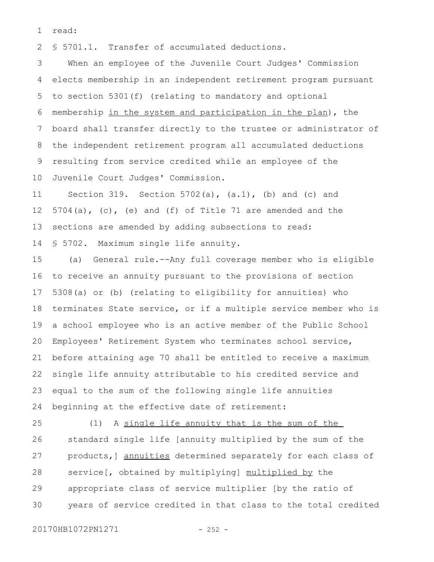read: 1

§ 5701.1. Transfer of accumulated deductions. 2

When an employee of the Juvenile Court Judges' Commission elects membership in an independent retirement program pursuant to section 5301(f) (relating to mandatory and optional membership in the system and participation in the plan), the board shall transfer directly to the trustee or administrator of the independent retirement program all accumulated deductions resulting from service credited while an employee of the Juvenile Court Judges' Commission. 3 4 5 6 7 8 9 10

Section 319. Section 5702(a), (a.1), (b) and (c) and 5704(a), (c), (e) and (f) of Title 71 are amended and the sections are amended by adding subsections to read: § 5702. Maximum single life annuity. 11 12 13 14

(a) General rule.--Any full coverage member who is eligible to receive an annuity pursuant to the provisions of section 5308(a) or (b) (relating to eligibility for annuities) who terminates State service, or if a multiple service member who is a school employee who is an active member of the Public School Employees' Retirement System who terminates school service, before attaining age 70 shall be entitled to receive a maximum single life annuity attributable to his credited service and equal to the sum of the following single life annuities beginning at the effective date of retirement: 15 16 17 18 19 20 21 22 23 24

(1) A single life annuity that is the sum of the standard single life [annuity multiplied by the sum of the products,] annuities determined separately for each class of service[, obtained by multiplying] multiplied by the appropriate class of service multiplier [by the ratio of years of service credited in that class to the total credited 25 26 27 28 29 30

20170HB1072PN1271 - 252 -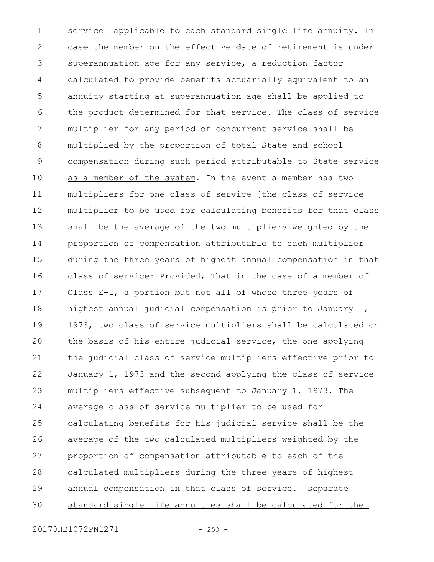service] applicable to each standard single life annuity. In case the member on the effective date of retirement is under superannuation age for any service, a reduction factor calculated to provide benefits actuarially equivalent to an annuity starting at superannuation age shall be applied to the product determined for that service. The class of service multiplier for any period of concurrent service shall be multiplied by the proportion of total State and school compensation during such period attributable to State service as a member of the system. In the event a member has two multipliers for one class of service [the class of service multiplier to be used for calculating benefits for that class shall be the average of the two multipliers weighted by the proportion of compensation attributable to each multiplier during the three years of highest annual compensation in that class of service: Provided, That in the case of a member of Class E-1, a portion but not all of whose three years of highest annual judicial compensation is prior to January 1, 1973, two class of service multipliers shall be calculated on the basis of his entire judicial service, the one applying the judicial class of service multipliers effective prior to January 1, 1973 and the second applying the class of service multipliers effective subsequent to January 1, 1973. The average class of service multiplier to be used for calculating benefits for his judicial service shall be the average of the two calculated multipliers weighted by the proportion of compensation attributable to each of the calculated multipliers during the three years of highest annual compensation in that class of service.] separate standard single life annuities shall be calculated for the 1 2 3 4 5 6 7 8 9 10 11 12 13 14 15 16 17 18 19 20 21 22 23 24 25 26 27 28 29 30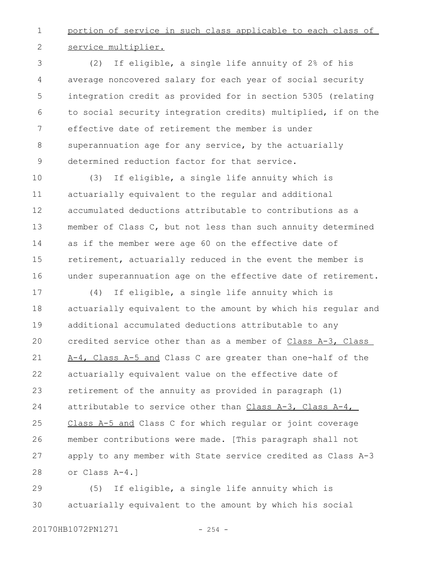portion of service in such class applicable to each class of service multiplier. 1 2

(2) If eligible, a single life annuity of 2% of his average noncovered salary for each year of social security integration credit as provided for in section 5305 (relating to social security integration credits) multiplied, if on the effective date of retirement the member is under superannuation age for any service, by the actuarially determined reduction factor for that service. 3 4 5 6 7 8 9

(3) If eligible, a single life annuity which is actuarially equivalent to the regular and additional accumulated deductions attributable to contributions as a member of Class C, but not less than such annuity determined as if the member were age 60 on the effective date of retirement, actuarially reduced in the event the member is under superannuation age on the effective date of retirement. 10 11 12 13 14 15 16

(4) If eligible, a single life annuity which is actuarially equivalent to the amount by which his regular and additional accumulated deductions attributable to any credited service other than as a member of Class A-3, Class A-4, Class A-5 and Class C are greater than one-half of the actuarially equivalent value on the effective date of retirement of the annuity as provided in paragraph (1) attributable to service other than Class A-3, Class A-4, Class A-5 and Class C for which regular or joint coverage member contributions were made. [This paragraph shall not apply to any member with State service credited as Class A-3 or Class A-4.] 17 18 19  $20$ 21 22 23 24 25 26 27 28

(5) If eligible, a single life annuity which is actuarially equivalent to the amount by which his social 29 30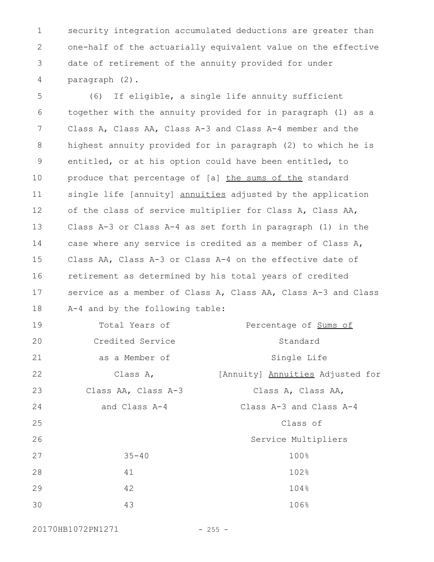security integration accumulated deductions are greater than one-half of the actuarially equivalent value on the effective date of retirement of the annuity provided for under paragraph (2). 1 2 3 4

(6) If eligible, a single life annuity sufficient together with the annuity provided for in paragraph (1) as a Class A, Class AA, Class A-3 and Class A-4 member and the highest annuity provided for in paragraph (2) to which he is entitled, or at his option could have been entitled, to produce that percentage of [a] the sums of the standard single life [annuity] annuities adjusted by the application of the class of service multiplier for Class A, Class AA, Class A-3 or Class A-4 as set forth in paragraph (1) in the case where any service is credited as a member of Class A, Class AA, Class A-3 or Class A-4 on the effective date of retirement as determined by his total years of credited service as a member of Class A, Class AA, Class A-3 and Class A-4 and by the following table: Total Years of Credited Service as a Member of Percentage of Sums of Standard Single Life 5 6 7 8 9 10 11 12 13 14 15 16 17 18 19 20 21

Class A, Class AA, Class A-3 and Class A-4 [Annuity] Annuities Adjusted for Class A, Class AA, Class A-3 and Class A-4 Class of Service Multipliers 35-40 100% 41 102% 42 104% 43 106% 22 23 24 25 26 27 28 29 30

20170HB1072PN1271 - 255 -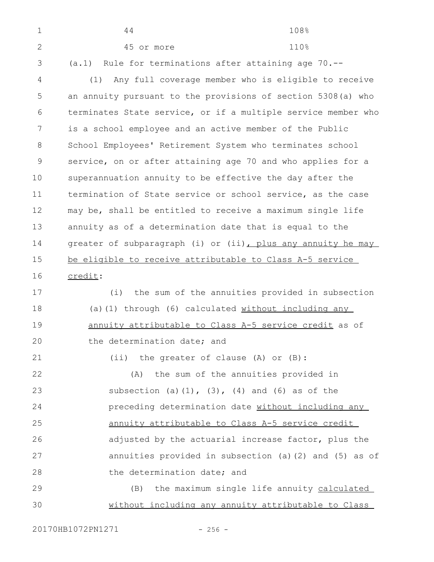| $\mathbf 1$  | 44<br>108%                                                    |  |
|--------------|---------------------------------------------------------------|--|
| $\mathbf{2}$ | 110%<br>45 or more                                            |  |
| 3            | (a.1) Rule for terminations after attaining age 70.--         |  |
| 4            | Any full coverage member who is eligible to receive<br>(1)    |  |
| 5            | an annuity pursuant to the provisions of section 5308(a) who  |  |
| 6            | terminates State service, or if a multiple service member who |  |
| 7            | is a school employee and an active member of the Public       |  |
| 8            | School Employees' Retirement System who terminates school     |  |
| $\mathsf 9$  | service, on or after attaining age 70 and who applies for a   |  |
| 10           | superannuation annuity to be effective the day after the      |  |
| 11           | termination of State service or school service, as the case   |  |
| 12           | may be, shall be entitled to receive a maximum single life    |  |
| 13           | annuity as of a determination date that is equal to the       |  |
| 14           | greater of subparagraph (i) or (ii), plus any annuity he may  |  |
| 15           | be eligible to receive attributable to Class A-5 service      |  |
| 16           | credit:                                                       |  |
| 17           | the sum of the annuities provided in subsection<br>(i)        |  |
| 18           | (a) (1) through (6) calculated without including any          |  |
| 19           | annuity attributable to Class A-5 service credit as of        |  |
| 20           | the determination date; and                                   |  |
| 21           | (ii) the greater of clause (A) or (B):                        |  |
| 22           | (A) the sum of the annuities provided in                      |  |
| 23           | subsection (a) $(1)$ , $(3)$ , $(4)$ and $(6)$ as of the      |  |
| 24           | preceding determination date without including any            |  |
| 25           | annuity attributable to Class A-5 service credit              |  |
| 26           | adjusted by the actuarial increase factor, plus the           |  |
| 27           | annuities provided in subsection (a) (2) and (5) as of        |  |
| 28           | the determination date; and                                   |  |
| 29           | (B) the maximum single life annuity calculated                |  |
| 30           | without including any annuity attributable to Class           |  |
|              |                                                               |  |

20170HB1072PN1271 - 256 -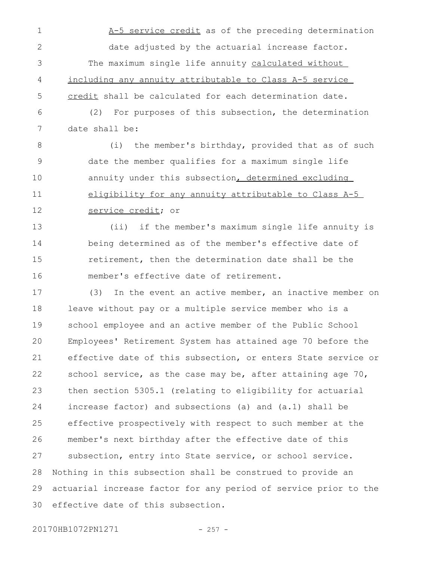- A-5 service credit as of the preceding determination date adjusted by the actuarial increase factor. The maximum single life annuity calculated without including any annuity attributable to Class A-5 service credit shall be calculated for each determination date. 1 2 3 4 5
- (2) For purposes of this subsection, the determination date shall be: 6 7

(i) the member's birthday, provided that as of such date the member qualifies for a maximum single life annuity under this subsection, determined excluding eligibility for any annuity attributable to Class A-5 service credit; or 8 9 10 11 12

(ii) if the member's maximum single life annuity is being determined as of the member's effective date of retirement, then the determination date shall be the member's effective date of retirement. 13 14 15 16

(3) In the event an active member, an inactive member on leave without pay or a multiple service member who is a school employee and an active member of the Public School Employees' Retirement System has attained age 70 before the effective date of this subsection, or enters State service or school service, as the case may be, after attaining age 70, then section 5305.1 (relating to eligibility for actuarial increase factor) and subsections (a) and (a.1) shall be effective prospectively with respect to such member at the member's next birthday after the effective date of this subsection, entry into State service, or school service. Nothing in this subsection shall be construed to provide an actuarial increase factor for any period of service prior to the effective date of this subsection. 17 18 19  $20$ 21 22 23 24 25 26 27 28 29 30

20170HB1072PN1271 - 257 -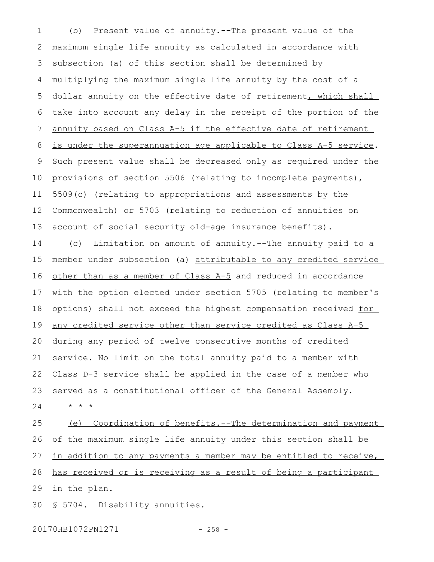(b) Present value of annuity.--The present value of the maximum single life annuity as calculated in accordance with subsection (a) of this section shall be determined by multiplying the maximum single life annuity by the cost of a dollar annuity on the effective date of retirement, which shall take into account any delay in the receipt of the portion of the annuity based on Class A-5 if the effective date of retirement is under the superannuation age applicable to Class A-5 service. Such present value shall be decreased only as required under the provisions of section 5506 (relating to incomplete payments), 5509(c) (relating to appropriations and assessments by the Commonwealth) or 5703 (relating to reduction of annuities on account of social security old-age insurance benefits). (c) Limitation on amount of annuity.--The annuity paid to a 1 2 3 4 5 6 7 8 9 10 11 12 13 14

member under subsection (a) attributable to any credited service other than as a member of Class A-5 and reduced in accordance with the option elected under section 5705 (relating to member's options) shall not exceed the highest compensation received for any credited service other than service credited as Class A-5 during any period of twelve consecutive months of credited service. No limit on the total annuity paid to a member with Class D-3 service shall be applied in the case of a member who served as a constitutional officer of the General Assembly. \* \* \* 15 16 17 18 19 20 21 22 23 24

(e) Coordination of benefits.--The determination and payment of the maximum single life annuity under this section shall be in addition to any payments a member may be entitled to receive, has received or is receiving as a result of being a participant in the plan. 25 26 27 28 29

§ 5704. Disability annuities. 30

20170HB1072PN1271 - 258 -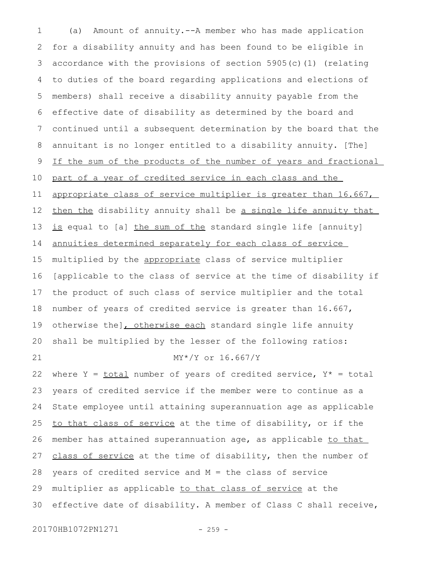(a) Amount of annuity.--A member who has made application for a disability annuity and has been found to be eligible in accordance with the provisions of section 5905(c)(1) (relating to duties of the board regarding applications and elections of members) shall receive a disability annuity payable from the effective date of disability as determined by the board and continued until a subsequent determination by the board that the annuitant is no longer entitled to a disability annuity. [The] If the sum of the products of the number of years and fractional part of a year of credited service in each class and the appropriate class of service multiplier is greater than 16.667, then the disability annuity shall be a single life annuity that is equal to [a] the sum of the standard single life [annuity] annuities determined separately for each class of service multiplied by the appropriate class of service multiplier [applicable to the class of service at the time of disability if the product of such class of service multiplier and the total number of years of credited service is greater than 16.667, otherwise the], otherwise each standard single life annuity shall be multiplied by the lesser of the following ratios: MY\*/Y or 16.667/Y where  $Y = \underline{total}$  number of years of credited service,  $Y^* = total$ years of credited service if the member were to continue as a State employee until attaining superannuation age as applicable to that class of service at the time of disability, or if the member has attained superannuation age, as applicable to that class of service at the time of disability, then the number of years of credited service and M = the class of service multiplier as applicable to that class of service at the effective date of disability. A member of Class C shall receive, 1 2 3 4 5 6 7 8 9 10 11 12 13 14 15 16 17 18 19 20 21 22 23 24 25 26 27 28 29 30

20170HB1072PN1271 - 259 -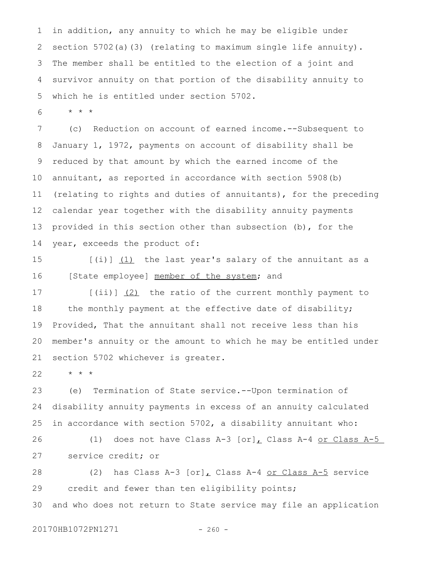in addition, any annuity to which he may be eligible under section 5702(a)(3) (relating to maximum single life annuity). The member shall be entitled to the election of a joint and survivor annuity on that portion of the disability annuity to which he is entitled under section 5702. 1 2 3 4 5

\* \* \* 6

(c) Reduction on account of earned income.--Subsequent to January 1, 1972, payments on account of disability shall be reduced by that amount by which the earned income of the annuitant, as reported in accordance with section 5908(b) (relating to rights and duties of annuitants), for the preceding calendar year together with the disability annuity payments provided in this section other than subsection (b), for the year, exceeds the product of: 7 8 9 10 11 12 13 14

[(i)] (1) the last year's salary of the annuitant as a [State employee] member of the system; and 15 16

[(ii)] (2) the ratio of the current monthly payment to the monthly payment at the effective date of disability; Provided, That the annuitant shall not receive less than his member's annuity or the amount to which he may be entitled under section 5702 whichever is greater. 17 18 19 20 21

\* \* \* 22

(e) Termination of State service.--Upon termination of disability annuity payments in excess of an annuity calculated in accordance with section 5702, a disability annuitant who: 23 24 25

(1) does not have Class A-3  $[or]_L$  Class A-4 or Class A-5 service credit; or 26 27

(2) has Class A-3  $[or]_L$  Class A-4 or Class A-5 service credit and fewer than ten eligibility points; and who does not return to State service may file an application 28 29 30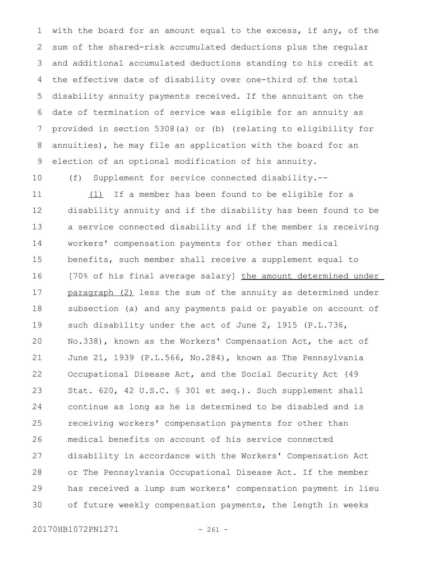with the board for an amount equal to the excess, if any, of the sum of the shared-risk accumulated deductions plus the regular and additional accumulated deductions standing to his credit at the effective date of disability over one-third of the total disability annuity payments received. If the annuitant on the date of termination of service was eligible for an annuity as provided in section 5308(a) or (b) (relating to eligibility for annuities), he may file an application with the board for an election of an optional modification of his annuity. 1 2 3 4 5 6 7 8 9

10

(f) Supplement for service connected disability.--

(1) If a member has been found to be eligible for a disability annuity and if the disability has been found to be a service connected disability and if the member is receiving workers' compensation payments for other than medical benefits, such member shall receive a supplement equal to [70% of his final average salary] the amount determined under paragraph (2) less the sum of the annuity as determined under subsection (a) and any payments paid or payable on account of such disability under the act of June 2, 1915 (P.L.736, No.338), known as the Workers' Compensation Act, the act of June 21, 1939 (P.L.566, No.284), known as The Pennsylvania Occupational Disease Act, and the Social Security Act (49 Stat. 620, 42 U.S.C. § 301 et seq.). Such supplement shall continue as long as he is determined to be disabled and is receiving workers' compensation payments for other than medical benefits on account of his service connected disability in accordance with the Workers' Compensation Act or The Pennsylvania Occupational Disease Act. If the member has received a lump sum workers' compensation payment in lieu of future weekly compensation payments, the length in weeks 11 12 13 14 15 16 17 18 19 20 21 22 23 24 25 26 27 28 29 30

20170HB1072PN1271 - 261 -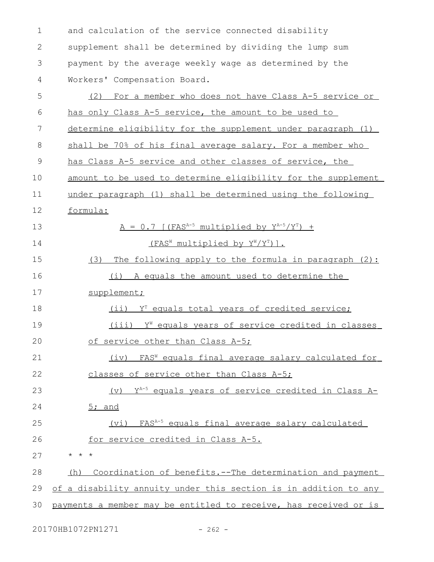and calculation of the service connected disability supplement shall be determined by dividing the lump sum payment by the average weekly wage as determined by the Workers' Compensation Board. (2) For a member who does not have Class A-5 service or has only Class A-5 service, the amount to be used to determine eligibility for the supplement under paragraph (1) shall be 70% of his final average salary. For a member who has Class A-5 service and other classes of service, the amount to be used to determine eligibility for the supplement under paragraph (1) shall be determined using the following formula:  $A = 0.7$  [(FAS<sup>A-5</sup> multiplied by  $Y^{A-5}/Y^{T}$ ) + (FASW multiplied by  $Y^{W}/Y^{T}$ )]. (3) The following apply to the formula in paragraph (2): (i) A equals the amount used to determine the supplement; (ii)  $Y<sup>T</sup>$  equals total years of credited service;  $(iii)$   $Y^W$  equals years of service credited in classes of service other than Class A-5; (iv) FAS<sup>W</sup> equals final average salary calculated for classes of service other than Class A-5; (v)  $Y^{A-5}$  equals years of service credited in Class A-5; and (vi) FASA-5 equals final average salary calculated for service credited in Class A-5. \* \* \* (h) Coordination of benefits.--The determination and payment of a disability annuity under this section is in addition to any payments a member may be entitled to receive, has received or is 1 2 3 4 5 6 7 8 9 10 11 12 13 14 15 16 17 18 19  $20$ 21 22 23 24 25 26 27 28 29 30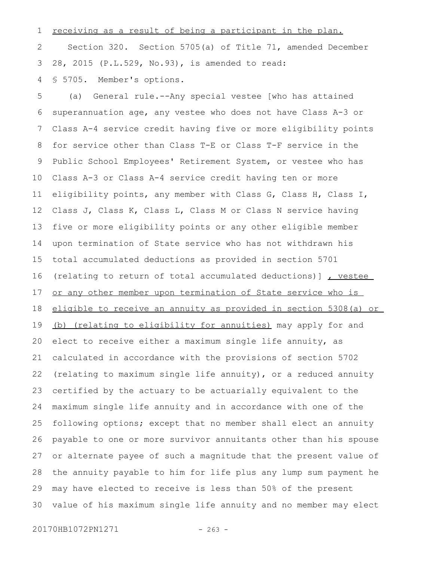receiving as a result of being a participant in the plan. 1

Section 320. Section 5705(a) of Title 71, amended December 28, 2015 (P.L.529, No.93), is amended to read: 2 3

§ 5705. Member's options. 4

(a) General rule.--Any special vestee [who has attained superannuation age, any vestee who does not have Class A-3 or Class A-4 service credit having five or more eligibility points for service other than Class T-E or Class T-F service in the Public School Employees' Retirement System, or vestee who has Class A-3 or Class A-4 service credit having ten or more eligibility points, any member with Class G, Class H, Class I, Class J, Class K, Class L, Class M or Class N service having five or more eligibility points or any other eligible member upon termination of State service who has not withdrawn his total accumulated deductions as provided in section 5701 (relating to return of total accumulated deductions)] , vestee or any other member upon termination of State service who is eligible to receive an annuity as provided in section 5308(a) or (b) (relating to eligibility for annuities) may apply for and elect to receive either a maximum single life annuity, as calculated in accordance with the provisions of section 5702 (relating to maximum single life annuity), or a reduced annuity certified by the actuary to be actuarially equivalent to the maximum single life annuity and in accordance with one of the following options; except that no member shall elect an annuity payable to one or more survivor annuitants other than his spouse or alternate payee of such a magnitude that the present value of the annuity payable to him for life plus any lump sum payment he may have elected to receive is less than 50% of the present value of his maximum single life annuity and no member may elect 5 6 7 8 9 10 11 12 13 14 15 16 17 18 19 20 21 22 23 24 25 26 27 28 29 30

20170HB1072PN1271 - 263 -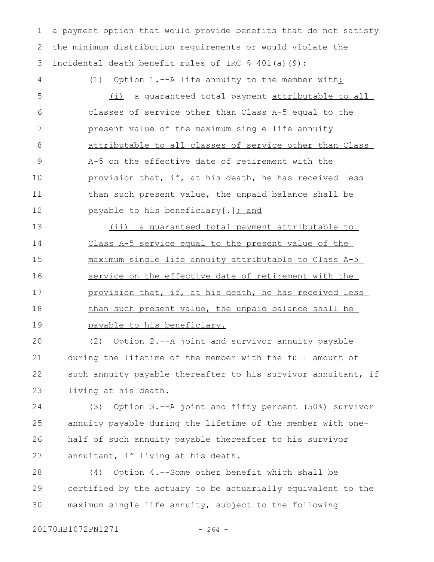a payment option that would provide benefits that do not satisfy the minimum distribution requirements or would violate the incidental death benefit rules of IRC § 401(a)(9): 1 2 3

(1) Option 1.--A life annuity to the member with: (i) a guaranteed total payment attributable to all classes of service other than Class A-5 equal to the present value of the maximum single life annuity attributable to all classes of service other than Class A-5 on the effective date of retirement with the provision that, if, at his death, he has received less than such present value, the unpaid balance shall be payable to his beneficiary  $[.]$  and 4 5 6 7 8 9 10 11 12

(ii) a guaranteed total payment attributable to Class A-5 service equal to the present value of the maximum single life annuity attributable to Class A-5 service on the effective date of retirement with the provision that, if, at his death, he has received less than such present value, the unpaid balance shall be payable to his beneficiary. 13 14 15 16 17 18 19

(2) Option 2.--A joint and survivor annuity payable during the lifetime of the member with the full amount of such annuity payable thereafter to his survivor annuitant, if living at his death. 20 21 22 23

(3) Option 3.--A joint and fifty percent (50%) survivor annuity payable during the lifetime of the member with onehalf of such annuity payable thereafter to his survivor annuitant, if living at his death. 24 25 26 27

(4) Option 4.--Some other benefit which shall be certified by the actuary to be actuarially equivalent to the maximum single life annuity, subject to the following 28 29 30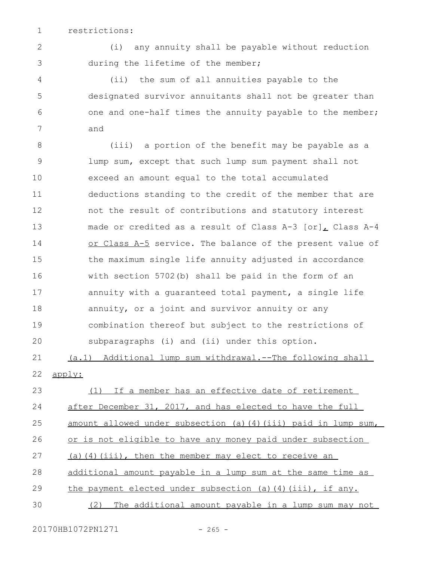restrictions: 1

2

3

(i) any annuity shall be payable without reduction during the lifetime of the member;

(ii) the sum of all annuities payable to the designated survivor annuitants shall not be greater than one and one-half times the annuity payable to the member; and 4 5 6 7

(iii) a portion of the benefit may be payable as a lump sum, except that such lump sum payment shall not exceed an amount equal to the total accumulated deductions standing to the credit of the member that are not the result of contributions and statutory interest made or credited as a result of Class A-3 [or], Class A-4 or Class A-5 service. The balance of the present value of the maximum single life annuity adjusted in accordance with section 5702(b) shall be paid in the form of an annuity with a guaranteed total payment, a single life annuity, or a joint and survivor annuity or any combination thereof but subject to the restrictions of subparagraphs (i) and (ii) under this option. (a.1) Additional lump sum withdrawal.--The following shall apply: (1) If a member has an effective date of retirement after December 31, 2017, and has elected to have the full amount allowed under subsection (a)(4)(iii) paid in lump sum, or is not eligible to have any money paid under subsection 8 9 10 11 12 13 14 15 16 17 18 19 20 21 22 23 24 25 26

(a)(4)(iii), then the member may elect to receive an 27

additional amount payable in a lump sum at the same time as 28

the payment elected under subsection (a)(4)(iii), if any. 29

(2) The additional amount payable in a lump sum may not 30

20170HB1072PN1271 - 265 -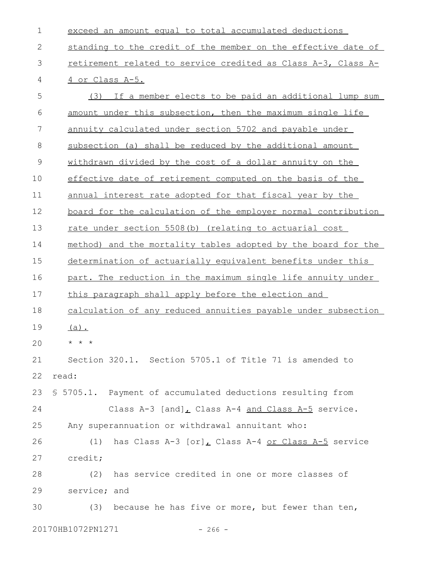| $\mathbf 1$   | exceed an amount equal to total accumulated deductions           |  |  |
|---------------|------------------------------------------------------------------|--|--|
| 2             | standing to the credit of the member on the effective date of    |  |  |
| 3             | retirement related to service credited as Class A-3, Class A-    |  |  |
| 4             | 4 or Class A-5.                                                  |  |  |
| 5             | (3) If a member elects to be paid an additional lump sum         |  |  |
| 6             | amount under this subsection, then the maximum single life       |  |  |
| 7             | annuity calculated under section 5702 and payable under          |  |  |
| $8\,$         | subsection (a) shall be reduced by the additional amount         |  |  |
| $\mathcal{G}$ | withdrawn divided by the cost of a dollar annuity on the         |  |  |
| 10            | effective date of retirement computed on the basis of the        |  |  |
| 11            | annual interest rate adopted for that fiscal year by the         |  |  |
| 12            | board for the calculation of the employer normal contribution    |  |  |
| 13            | rate under section 5508(b) (relating to actuarial cost           |  |  |
| 14            | method) and the mortality tables adopted by the board for the    |  |  |
| 15            | determination of actuarially equivalent benefits under this      |  |  |
| 16            | part. The reduction in the maximum single life annuity under     |  |  |
| 17            | this paragraph shall apply before the election and               |  |  |
| 18            | calculation of any reduced annuities payable under subsection    |  |  |
| 19            | $(a)$ .                                                          |  |  |
| 20            | * * *                                                            |  |  |
| 21            | Section 320.1. Section 5705.1 of Title 71 is amended to          |  |  |
| 22            | read:                                                            |  |  |
| 23            | \$ 5705.1. Payment of accumulated deductions resulting from      |  |  |
| 24            | Class A-3 $[and]_L$ Class A-4 and Class A-5 service.             |  |  |
| 25            | Any superannuation or withdrawal annuitant who:                  |  |  |
| 26            | (1)<br>has Class A-3 [or], Class A-4 <u>or Class A-5</u> service |  |  |
| 27            | credit;                                                          |  |  |
| 28            | (2)<br>has service credited in one or more classes of            |  |  |
| 29            | service; and                                                     |  |  |
| 30            | because he has five or more, but fewer than ten,<br>(3)          |  |  |
|               | 20170HB1072PN1271<br>$-266 -$                                    |  |  |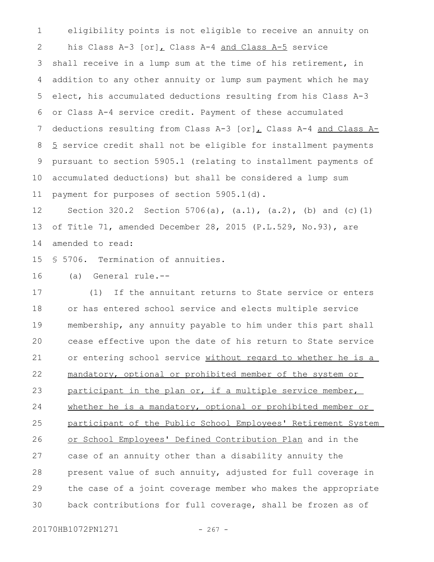eligibility points is not eligible to receive an annuity on his Class A-3  $[or]_L$  Class A-4 and Class A-5 service shall receive in a lump sum at the time of his retirement, in addition to any other annuity or lump sum payment which he may elect, his accumulated deductions resulting from his Class A-3 or Class A-4 service credit. Payment of these accumulated deductions resulting from Class A-3 [or], Class A-4 and Class A-5 service credit shall not be eligible for installment payments pursuant to section 5905.1 (relating to installment payments of accumulated deductions) but shall be considered a lump sum payment for purposes of section 5905.1(d). 1 2 3 4 5 6 7 8 9 10 11

Section 320.2 Section 5706(a),  $(a.1)$ ,  $(a.2)$ ,  $(b)$  and  $(c)$   $(1)$ of Title 71, amended December 28, 2015 (P.L.529, No.93), are amended to read: 12 13 14

§ 5706. Termination of annuities. 15

(a) General rule.-- 16

(1) If the annuitant returns to State service or enters or has entered school service and elects multiple service membership, any annuity payable to him under this part shall cease effective upon the date of his return to State service or entering school service without regard to whether he is a mandatory, optional or prohibited member of the system or participant in the plan or, if a multiple service member, whether he is a mandatory, optional or prohibited member or participant of the Public School Employees' Retirement System or School Employees' Defined Contribution Plan and in the case of an annuity other than a disability annuity the present value of such annuity, adjusted for full coverage in the case of a joint coverage member who makes the appropriate back contributions for full coverage, shall be frozen as of 17 18 19 20 21 22 23 24 25 26 27 28 29 30

20170HB1072PN1271 - 267 -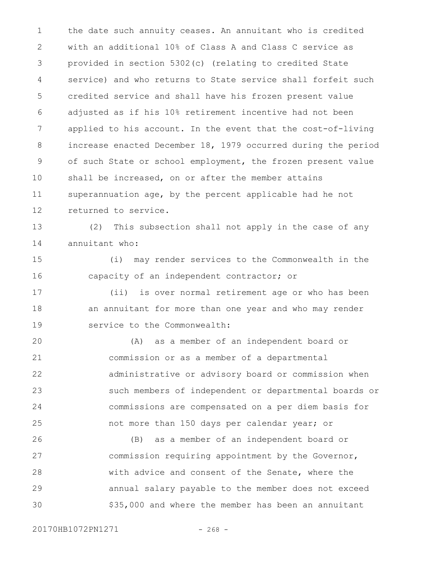the date such annuity ceases. An annuitant who is credited with an additional 10% of Class A and Class C service as provided in section 5302(c) (relating to credited State service) and who returns to State service shall forfeit such credited service and shall have his frozen present value adjusted as if his 10% retirement incentive had not been applied to his account. In the event that the cost-of-living increase enacted December 18, 1979 occurred during the period of such State or school employment, the frozen present value shall be increased, on or after the member attains superannuation age, by the percent applicable had he not returned to service. 1 2 3 4 5 6 7 8 9 10 11 12

(2) This subsection shall not apply in the case of any annuitant who: 13 14

(i) may render services to the Commonwealth in the capacity of an independent contractor; or 15 16

(ii) is over normal retirement age or who has been an annuitant for more than one year and who may render service to the Commonwealth: 17 18 19

(A) as a member of an independent board or commission or as a member of a departmental administrative or advisory board or commission when such members of independent or departmental boards or commissions are compensated on a per diem basis for not more than 150 days per calendar year; or  $20$ 21 22 23 24 25

(B) as a member of an independent board or commission requiring appointment by the Governor, with advice and consent of the Senate, where the annual salary payable to the member does not exceed \$35,000 and where the member has been an annuitant 26 27 28 29 30

20170HB1072PN1271 - 268 -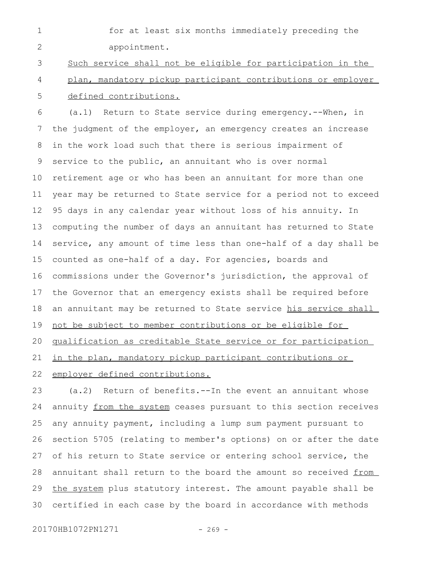for at least six months immediately preceding the appointment. 1 2

Such service shall not be eligible for participation in the plan, mandatory pickup participant contributions or employer defined contributions. 3 4 5

(a.1) Return to State service during emergency.--When, in the judgment of the employer, an emergency creates an increase in the work load such that there is serious impairment of service to the public, an annuitant who is over normal retirement age or who has been an annuitant for more than one year may be returned to State service for a period not to exceed 95 days in any calendar year without loss of his annuity. In computing the number of days an annuitant has returned to State service, any amount of time less than one-half of a day shall be counted as one-half of a day. For agencies, boards and commissions under the Governor's jurisdiction, the approval of the Governor that an emergency exists shall be required before an annuitant may be returned to State service his service shall not be subject to member contributions or be eligible for qualification as creditable State service or for participation in the plan, mandatory pickup participant contributions or employer defined contributions. 6 7 8 9 10 11 12 13 14 15 16 17 18 19 20 21 22

(a.2) Return of benefits.--In the event an annuitant whose annuity from the system ceases pursuant to this section receives any annuity payment, including a lump sum payment pursuant to section 5705 (relating to member's options) on or after the date of his return to State service or entering school service, the annuitant shall return to the board the amount so received from the system plus statutory interest. The amount payable shall be certified in each case by the board in accordance with methods 23 24 25 26 27 28 29 30

20170HB1072PN1271 - 269 -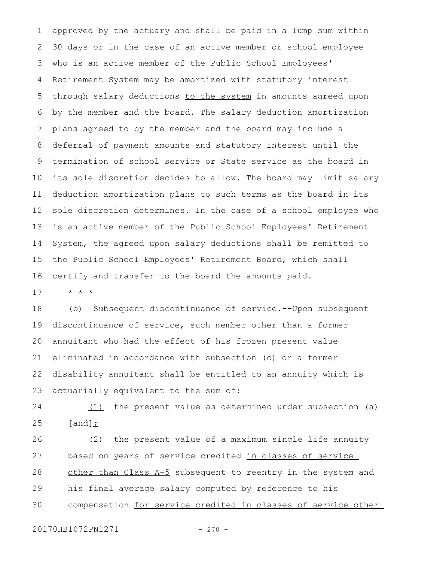approved by the actuary and shall be paid in a lump sum within 30 days or in the case of an active member or school employee who is an active member of the Public School Employees' Retirement System may be amortized with statutory interest through salary deductions to the system in amounts agreed upon by the member and the board. The salary deduction amortization plans agreed to by the member and the board may include a deferral of payment amounts and statutory interest until the termination of school service or State service as the board in its sole discretion decides to allow. The board may limit salary deduction amortization plans to such terms as the board in its sole discretion determines. In the case of a school employee who is an active member of the Public School Employees' Retirement System, the agreed upon salary deductions shall be remitted to the Public School Employees' Retirement Board, which shall certify and transfer to the board the amounts paid. 1 2 3 4 5 6 7 8 9 10 11 12 13 14 15 16

\* \* \* 17

(b) Subsequent discontinuance of service.--Upon subsequent discontinuance of service, such member other than a former annuitant who had the effect of his frozen present value eliminated in accordance with subsection (c) or a former disability annuitant shall be entitled to an annuity which is actuarially equivalent to the sum of: 18 19 20 21 22 23

(1) the present value as determined under subsection (a) [and]; 24 25

(2) the present value of a maximum single life annuity based on years of service credited in classes of service other than Class A-5 subsequent to reentry in the system and his final average salary computed by reference to his compensation for service credited in classes of service other 26 27 28 29 30

20170HB1072PN1271 - 270 -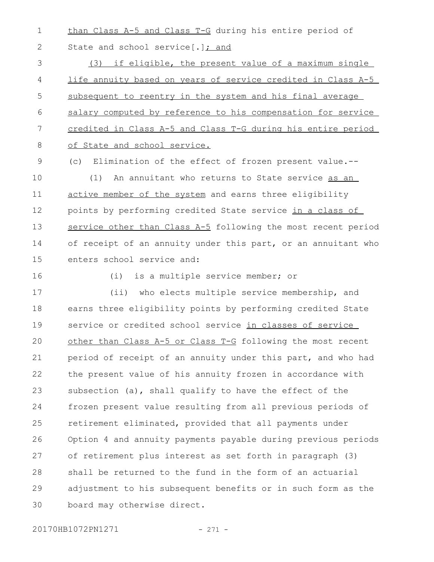than Class A-5 and Class T-G during his entire period of 1

State and school service[.]; and

(3) if eligible, the present value of a maximum single life annuity based on years of service credited in Class A-5 subsequent to reentry in the system and his final average salary computed by reference to his compensation for service credited in Class A-5 and Class T-G during his entire period of State and school service. 3 4 5 6 7 8

(c) Elimination of the effect of frozen present value.-- 9

(1) An annuitant who returns to State service as an active member of the system and earns three eligibility points by performing credited State service in a class of service other than Class A-5 following the most recent period of receipt of an annuity under this part, or an annuitant who enters school service and: 10 11 12 13 14 15

16

2

(i) is a multiple service member; or

(ii) who elects multiple service membership, and earns three eligibility points by performing credited State service or credited school service in classes of service other than Class A-5 or Class T-G following the most recent period of receipt of an annuity under this part, and who had the present value of his annuity frozen in accordance with subsection (a), shall qualify to have the effect of the frozen present value resulting from all previous periods of retirement eliminated, provided that all payments under Option 4 and annuity payments payable during previous periods of retirement plus interest as set forth in paragraph (3) shall be returned to the fund in the form of an actuarial adjustment to his subsequent benefits or in such form as the board may otherwise direct. 17 18 19  $20$ 21 22 23 24 25 26 27 28 29 30

20170HB1072PN1271 - 271 -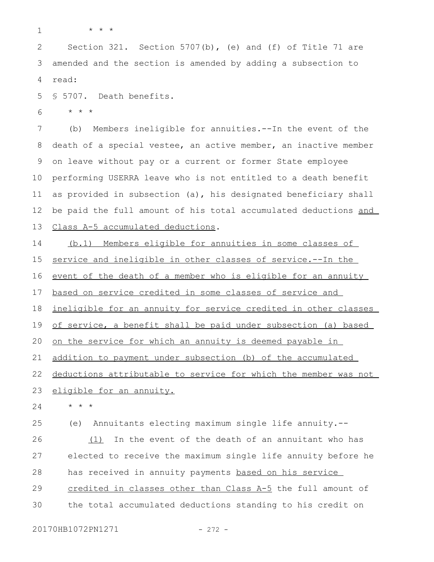1

\* \* \*

Section 321. Section 5707(b), (e) and (f) of Title 71 are amended and the section is amended by adding a subsection to read: 2 3 4

§ 5707. Death benefits. 5

\* \* \* 6

(b) Members ineligible for annuities.--In the event of the death of a special vestee, an active member, an inactive member on leave without pay or a current or former State employee performing USERRA leave who is not entitled to a death benefit as provided in subsection (a), his designated beneficiary shall be paid the full amount of his total accumulated deductions and Class A-5 accumulated deductions. 7 8 9 10 11 12 13

(b.1) Members eligible for annuities in some classes of service and ineligible in other classes of service.--In the event of the death of a member who is eligible for an annuity based on service credited in some classes of service and ineligible for an annuity for service credited in other classes of service, a benefit shall be paid under subsection (a) based on the service for which an annuity is deemed payable in addition to payment under subsection (b) of the accumulated deductions attributable to service for which the member was not eligible for an annuity. \* \* \* (e) Annuitants electing maximum single life annuity.-- (1) In the event of the death of an annuitant who has elected to receive the maximum single life annuity before he has received in annuity payments based on his service 14 15 16 17 18 19 20 21 22 23 24 25 26 27 28

credited in classes other than Class A-5 the full amount of the total accumulated deductions standing to his credit on 29 30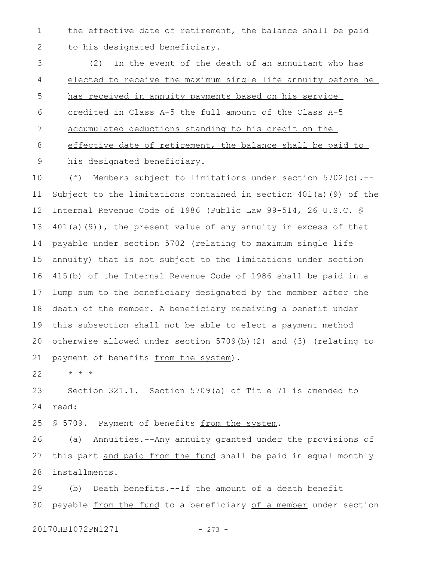the effective date of retirement, the balance shall be paid to his designated beneficiary. 1 2

(2) In the event of the death of an annuitant who has elected to receive the maximum single life annuity before he has received in annuity payments based on his service credited in Class A-5 the full amount of the Class A-5 accumulated deductions standing to his credit on the effective date of retirement, the balance shall be paid to his designated beneficiary. 3 4 5 6 7 8 9

(f) Members subject to limitations under section 5702(c).-- Subject to the limitations contained in section 401(a)(9) of the Internal Revenue Code of 1986 (Public Law 99-514, 26 U.S.C. § 401(a)(9)), the present value of any annuity in excess of that payable under section 5702 (relating to maximum single life annuity) that is not subject to the limitations under section 415(b) of the Internal Revenue Code of 1986 shall be paid in a lump sum to the beneficiary designated by the member after the death of the member. A beneficiary receiving a benefit under this subsection shall not be able to elect a payment method otherwise allowed under section 5709(b)(2) and (3) (relating to payment of benefits from the system). 10 11 12 13 14 15 16 17 18 19 20 21

\* \* \* 22

Section 321.1. Section 5709(a) of Title 71 is amended to read: 23 24

§ 5709. Payment of benefits from the system. 25

(a) Annuities.--Any annuity granted under the provisions of this part and paid from the fund shall be paid in equal monthly installments. 26 27 28

(b) Death benefits.--If the amount of a death benefit payable from the fund to a beneficiary of a member under section 29 30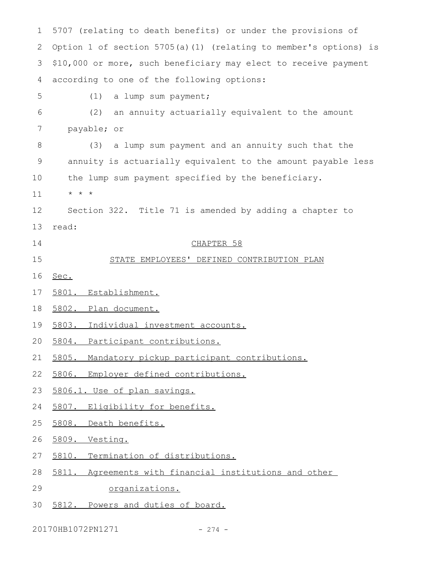5707 (relating to death benefits) or under the provisions of Option 1 of section 5705(a)(1) (relating to member's options) is \$10,000 or more, such beneficiary may elect to receive payment according to one of the following options: (1) a lump sum payment; (2) an annuity actuarially equivalent to the amount payable; or (3) a lump sum payment and an annuity such that the annuity is actuarially equivalent to the amount payable less the lump sum payment specified by the beneficiary. \* \* \* Section 322. Title 71 is amended by adding a chapter to read: CHAPTER 58 STATE EMPLOYEES' DEFINED CONTRIBUTION PLAN Sec. 5801. Establishment. 5802. Plan document. 5803. Individual investment accounts. 5804. Participant contributions. 5805. Mandatory pickup participant contributions. 5806. Employer defined contributions. 5806.1. Use of plan savings. 5807. Eligibility for benefits. 5808. Death benefits. 5809. Vesting. 5810. Termination of distributions. 5811. Agreements with financial institutions and other organizations. 5812. Powers and duties of board. 1 2 3 4 5 6 7 8 9 10 11 12 13 14 15 16 17 18 19 20 21 22 23 24 25 26 27 28 29 30

20170HB1072PN1271 - 274 -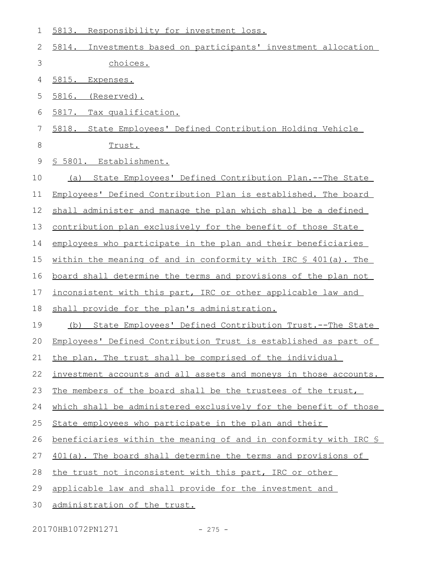| 1           | Responsibility for investment loss.<br>5813.                      |
|-------------|-------------------------------------------------------------------|
| 2           | 5814.<br>Investments based on participants' investment allocation |
| 3           | choices.                                                          |
| 4           | <u>5815.</u><br>Expenses.                                         |
| 5           | 5816. (Reserved).                                                 |
| 6           | Tax qualification.<br>5817.                                       |
| 7           | 5818. State Employees' Defined Contribution Holding Vehicle       |
| 8           | Trust.                                                            |
| $\mathsf 9$ | § 5801. Establishment.                                            |
| 10          | (a) State Employees' Defined Contribution Plan.--The State        |
| 11          | Employees' Defined Contribution Plan is established. The board    |
| 12          | shall administer and manage the plan which shall be a defined     |
| 13          | contribution plan exclusively for the benefit of those State      |
| 14          | employees who participate in the plan and their beneficiaries     |
| 15          | within the meaning of and in conformity with IRC § 401(a). The    |
| 16          | board shall determine the terms and provisions of the plan not    |
| 17          | inconsistent with this part, IRC or other applicable law and      |
| 18          | shall provide for the plan's administration.                      |
| 19          | State Employees' Defined Contribution Trust.--The State<br>(b)    |
| 20          | Employees' Defined Contribution Trust is established as part of   |
| 21          | the plan. The trust shall be comprised of the individual          |
| 22          | investment accounts and all assets and moneys in those accounts.  |
| 23          | The members of the board shall be the trustees of the trust,      |
| 24          | which shall be administered exclusively for the benefit of those  |
| 25          | State employees who participate in the plan and their             |
| 26          | beneficiaries within the meaning of and in conformity with IRC §  |
| 27          | 401(a). The board shall determine the terms and provisions of     |
| 28          | the trust not inconsistent with this part, IRC or other           |
| 29          | applicable law and shall provide for the investment and           |
| 30          | administration of the trust.                                      |

20170HB1072PN1271 - 275 -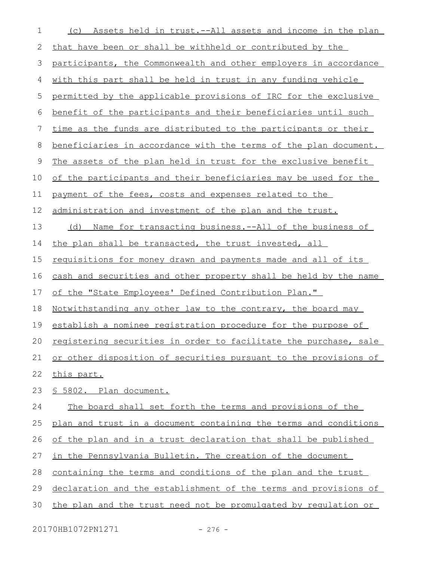| 1  | Assets held in trust.--All assets and income in the plan<br>(C)      |
|----|----------------------------------------------------------------------|
| 2  | that have been or shall be withheld or contributed by the            |
| 3  | participants, the Commonwealth and other employers in accordance     |
| 4  | <u>with this part shall be held in trust in any funding vehicle</u>  |
| 5  | permitted by the applicable provisions of IRC for the exclusive      |
| 6  | benefit of the participants and their beneficiaries until such       |
| 7  | time as the funds are distributed to the participants or their       |
| 8  | beneficiaries in accordance with the terms of the plan document.     |
| 9  | The assets of the plan held in trust for the exclusive benefit       |
| 10 | of the participants and their beneficiaries may be used for the      |
| 11 | payment of the fees, costs and expenses related to the               |
| 12 | administration and investment of the plan and the trust.             |
| 13 | <u>Name for transacting business.--All of the business of</u><br>(d) |
| 14 | the plan shall be transacted, the trust invested, all                |
| 15 | <u>requisitions for money drawn and payments made and all of its</u> |
| 16 | cash and securities and other property shall be held by the name     |
| 17 | of the "State Employees' Defined Contribution Plan."                 |
| 18 | <u>Notwithstanding any other law to the contrary, the board may</u>  |
| 19 | establish a nominee registration procedure for the purpose of        |
| 20 | registering securities in order to facilitate the purchase, sale     |
| 21 | or other disposition of securities pursuant to the provisions of     |
| 22 | this part.                                                           |
| 23 | § 5802. Plan document.                                               |
| 24 | The board shall set forth the terms and provisions of the            |
| 25 | plan and trust in a document containing the terms and conditions     |
| 26 | of the plan and in a trust declaration that shall be published       |
| 27 | in the Pennsylvania Bulletin. The creation of the document           |
| 28 | containing the terms and conditions of the plan and the trust        |
| 29 | declaration and the establishment of the terms and provisions of     |
| 30 | the plan and the trust need not be promulgated by requlation or      |

20170HB1072PN1271 - 276 -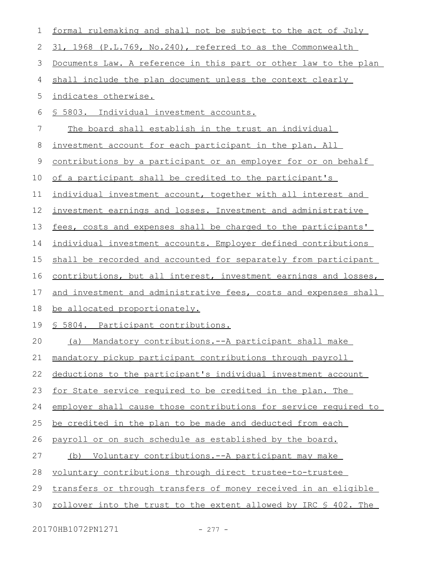| 1  | formal rulemaking and shall not be subject to the act of July           |
|----|-------------------------------------------------------------------------|
| 2  | 31, 1968 (P.L.769, No.240), referred to as the Commonwealth             |
| 3  | Documents Law. A reference in this part or other law to the plan        |
| 4  | shall include the plan document unless the context clearly              |
| 5  | indicates otherwise.                                                    |
| 6  | <u>§ 5803. Individual investment accounts.</u>                          |
| 7  | The board shall establish in the trust an individual                    |
| 8  | investment account for each participant in the plan. All                |
| 9  | contributions by a participant or an employer for or on behalf          |
| 10 | of a participant shall be credited to the participant's                 |
| 11 | individual investment account, together with all interest and           |
| 12 | investment earnings and losses. Investment and administrative           |
| 13 | fees, costs and expenses shall be charged to the participants'          |
| 14 | individual investment accounts. Employer defined contributions          |
| 15 | shall be recorded and accounted for separately from participant         |
| 16 | contributions, but all interest, investment earnings and losses,        |
| 17 | and investment and administrative fees, costs and expenses shall        |
| 18 | be allocated proportionately.                                           |
| 19 | <u>S 5804. Participant contributions.</u>                               |
| 20 | (a) Mandatory contributions.--A participant shall make                  |
| 21 | mandatory pickup participant contributions through payroll              |
| 22 | deductions to the participant's individual investment account           |
| 23 | for State service required to be credited in the plan. The              |
| 24 | employer shall cause those contributions for service required to        |
| 25 | be credited in the plan to be made and deducted from each               |
| 26 | payroll or on such schedule as established by the board.                |
| 27 | Voluntary contributions.--A participant may make<br>(b)                 |
| 28 | voluntary contributions through direct trustee-to-trustee               |
| 29 | transfers or through transfers of money received in an eligible         |
| 30 | <u>rollover into the trust to the extent allowed by IRC \$ 402. The</u> |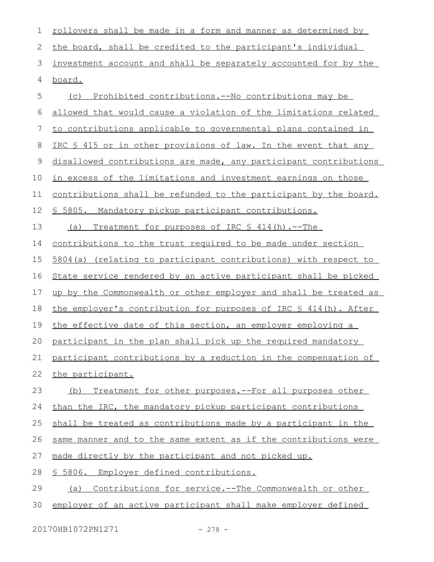| 1  | <u>rollovers shall be made in a form and manner as determined by</u> |
|----|----------------------------------------------------------------------|
| 2  | the board, shall be credited to the participant's individual         |
| 3  | investment account and shall be separately accounted for by the      |
| 4  | board.                                                               |
| 5  | Prohibited contributions.--No contributions may be<br>(C)            |
| 6  | allowed that would cause a violation of the limitations related      |
| 7  | to contributions applicable to governmental plans contained in       |
| 8  | IRC \$ 415 or in other provisions of law. In the event that any      |
| 9  | disallowed contributions are made, any participant contributions     |
| 10 | in excess of the limitations and investment earnings on those        |
| 11 | contributions shall be refunded to the participant by the board.     |
| 12 | <u>§ 5805. Mandatory pickup participant contributions.</u>           |
| 13 | Treatment for purposes of IRC § 414(h).--The<br>(a)                  |
| 14 | <u>contributions to the trust required to be made under section</u>  |
| 15 | 5804(a) (relating to participant contributions) with respect to      |
| 16 | State service rendered by an active participant shall be picked      |
| 17 | up by the Commonwealth or other employer and shall be treated as     |
| 18 | the employer's contribution for purposes of IRC § 414(h). After      |
| 19 | the effective date of this section, an employer employing a          |
|    | 20 participant in the plan shall pick up the required mandatory      |
| 21 | participant contributions by a reduction in the compensation of      |
| 22 | the participant.                                                     |
| 23 | Treatment for other purposes.--For all purposes other<br>(b)         |
| 24 | than the IRC, the mandatory pickup participant contributions         |
| 25 | shall be treated as contributions made by a participant in the       |
| 26 | same manner and to the same extent as if the contributions were      |
| 27 | made directly by the participant and not picked up.                  |
| 28 | \$5806.<br>Employer defined contributions.                           |
| 29 | Contributions for service.--The Commonwealth or other<br>(a)         |
| 30 | employer of an active participant shall make employer defined        |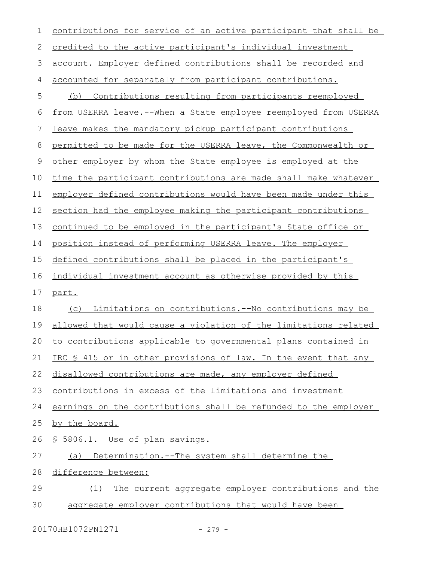| 1  | contributions for service of an active participant that shall be      |
|----|-----------------------------------------------------------------------|
| 2  | credited to the active participant's individual investment            |
| 3  | account. Employer defined contributions shall be recorded and         |
| 4  | accounted for separately from participant contributions.              |
| 5  | Contributions resulting from participants reemployed<br>(b)           |
| 6  | from USERRA leave.--When a State employee reemployed from USERRA      |
| 7  | leave makes the mandatory pickup participant contributions            |
| 8  | permitted to be made for the USERRA leave, the Commonwealth or        |
| 9  | other employer by whom the State employee is employed at the          |
| 10 | time the participant contributions are made shall make whatever       |
| 11 | employer defined contributions would have been made under this        |
| 12 | section had the employee making the participant contributions         |
| 13 | continued to be employed in the participant's State office or         |
| 14 | position instead of performing USERRA leave. The employer             |
| 15 | defined contributions shall be placed in the participant's            |
| 16 | individual investment account as otherwise provided by this           |
| 17 | part.                                                                 |
| 18 | <u>Limitations on contributions.--No contributions may be </u><br>(C) |
| 19 | allowed that would cause a violation of the limitations related       |
| 20 | to contributions applicable to governmental plans contained in        |
| 21 | IRC § 415 or in other provisions of law. In the event that any        |
| 22 | disallowed contributions are made, any employer defined               |
| 23 | contributions in excess of the limitations and investment             |
| 24 | earnings on the contributions shall be refunded to the employer       |
| 25 | by the board.                                                         |
| 26 | § 5806.1. Use of plan savings.                                        |
| 27 | Determination.--The system shall determine the<br>(a)                 |
| 28 | difference between:                                                   |
|    |                                                                       |
| 29 | The current aggregate employer contributions and the<br>(1)           |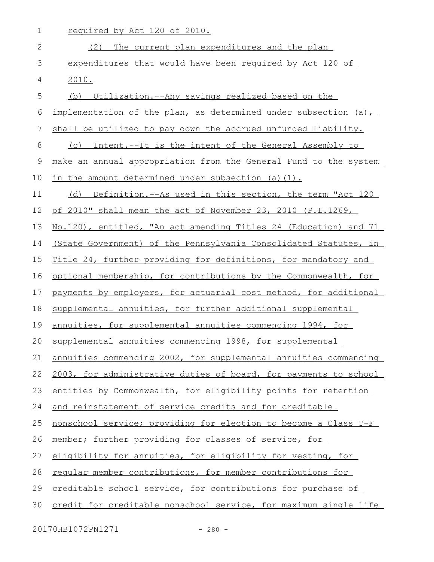| 1              | required by Act 120 of 2010.                                     |
|----------------|------------------------------------------------------------------|
| 2              | (2) The current plan expenditures and the plan                   |
| 3              | expenditures that would have been required by Act 120 of         |
| 4              | 2010.                                                            |
| 5              | (b) Utilization.--Any savings realized based on the              |
| 6              | implementation of the plan, as determined under subsection (a),  |
| $\overline{7}$ | shall be utilized to pay down the accrued unfunded liability.    |
| 8              | Intent.--It is the intent of the General Assembly to<br>(C)      |
| $\mathsf 9$    | make an annual appropriation from the General Fund to the system |
| 10             | in the amount determined under subsection (a)(1).                |
| 11             | (d) Definition.--As used in this section, the term "Act 120      |
| 12             | of 2010" shall mean the act of November 23, 2010 (P.L.1269,      |
| 13             | No.120), entitled, "An act amending Titles 24 (Education) and 71 |
| 14             | (State Government) of the Pennsylvania Consolidated Statutes, in |
| 15             | Title 24, further providing for definitions, for mandatory and   |
| 16             | optional membership, for contributions by the Commonwealth, for  |
| 17             | payments by employers, for actuarial cost method, for additional |
| 18             | supplemental annuities, for further additional supplemental      |
| 19             | annuities, for supplemental annuities commencing 1994, for       |
| 20             | supplemental annuities commencing 1998, for supplemental         |
| 21             | annuities commencing 2002, for supplemental annuities commencing |
| 22             | 2003, for administrative duties of board, for payments to school |
| 23             | entities by Commonwealth, for eligibility points for retention   |
| 24             | and reinstatement of service credits and for creditable          |
| 25             | nonschool service; providing for election to become a Class T-F  |
| 26             | member; further providing for classes of service, for            |
| 27             | eligibility for annuities, for eligibility for vesting, for      |
| 28             | regular member contributions, for member contributions for       |
| 29             | creditable school service, for contributions for purchase of     |
| 30             | credit for creditable nonschool service, for maximum single life |

20170HB1072PN1271 - 280 -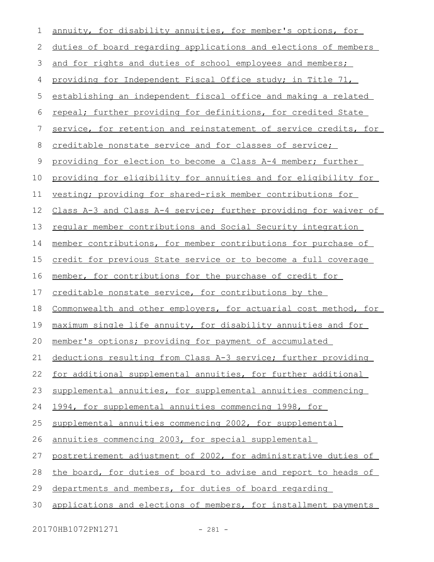| $\mathbf 1$ | annuity, for disability annuities, for member's options, for     |
|-------------|------------------------------------------------------------------|
| 2           | duties of board regarding applications and elections of members  |
| 3           | and for rights and duties of school employees and members;       |
| 4           | providing for Independent Fiscal Office study; in Title 71,      |
| 5           | establishing an independent fiscal office and making a related   |
| 6           | repeal; further providing for definitions, for credited State    |
| 7           | service, for retention and reinstatement of service credits, for |
| 8           | creditable nonstate service and for classes of service;          |
| 9           | providing for election to become a Class A-4 member; further     |
| 10          | providing for eligibility for annuities and for eligibility for  |
| 11          | vesting; providing for shared-risk member contributions for      |
| 12          | Class A-3 and Class A-4 service; further providing for waiver of |
| 13          | regular member contributions and Social Security integration     |
| 14          | member contributions, for member contributions for purchase of   |
| 15          | credit for previous State service or to become a full coverage   |
| 16          | member, for contributions for the purchase of credit for         |
| 17          | creditable nonstate service, for contributions by the            |
| 18          | Commonwealth and other employers, for actuarial cost method, for |
| 19          | maximum single life annuity, for disability annuities and for    |
| 20          | member's options; providing for payment of accumulated           |
| 21          | deductions resulting from Class A-3 service; further providing   |
| 22          | for additional supplemental annuities, for further additional    |
| 23          | supplemental annuities, for supplemental annuities commencing    |
| 24          | 1994, for supplemental annuities commencing 1998, for            |
| 25          | supplemental annuities commencing 2002, for supplemental         |
| 26          | annuities commencing 2003, for special supplemental              |
|             | postretirement adjustment of 2002, for administrative duties of  |
| 27          |                                                                  |
| 28          | the board, for duties of board to advise and report to heads of  |
| 29          | departments and members, for duties of board regarding           |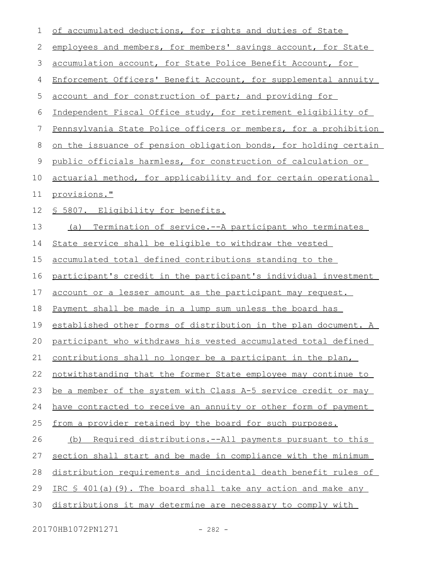| 1  | of accumulated deductions, for rights and duties of State        |
|----|------------------------------------------------------------------|
| 2  | employees and members, for members' savings account, for State   |
| 3  | accumulation account, for State Police Benefit Account, for      |
| 4  | Enforcement Officers' Benefit Account, for supplemental annuity  |
| 5  | <u>account and for construction of part; and providing for</u>   |
| 6  | Independent Fiscal Office study, for retirement eligibility of   |
| 7  | Pennsylvania State Police officers or members, for a prohibition |
| 8  | on the issuance of pension obligation bonds, for holding certain |
| 9  | public officials harmless, for construction of calculation or    |
| 10 | actuarial method, for applicability and for certain operational  |
| 11 | provisions."                                                     |
| 12 | § 5807. Eligibility for benefits.                                |
| 13 | (a) Termination of service.--A participant who terminates        |
| 14 | State service shall be eligible to withdraw the vested           |
| 15 | accumulated total defined contributions standing to the          |
| 16 | participant's credit in the participant's individual investment  |
| 17 | account or a lesser amount as the participant may request.       |
| 18 | Payment shall be made in a lump sum unless the board has         |
| 19 | established other forms of distribution in the plan document. A  |
| 20 | participant who withdraws his vested accumulated total defined   |
| 21 | contributions shall no longer be a participant in the plan,      |
| 22 | notwithstanding that the former State employee may continue to   |
| 23 | be a member of the system with Class A-5 service credit or may   |
| 24 | have contracted to receive an annuity or other form of payment   |
| 25 | from a provider retained by the board for such purposes.         |
| 26 | Required distributions.--All payments pursuant to this<br>(b)    |
| 27 | section shall start and be made in compliance with the minimum   |
| 28 | distribution requirements and incidental death benefit rules of  |
| 29 | IRC § 401(a)(9). The board shall take any action and make any    |
| 30 | distributions it may determine are necessary to comply with      |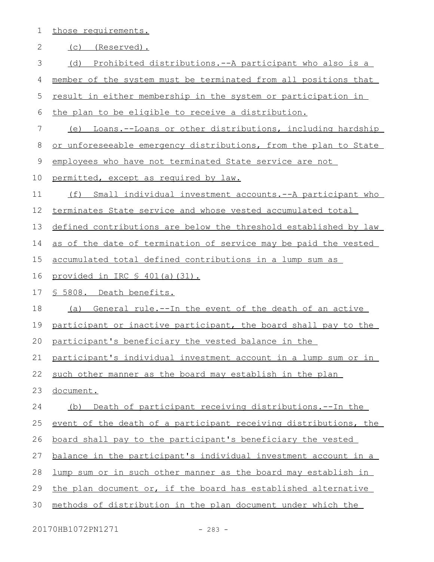|  | those requirements. |
|--|---------------------|
|  |                     |

| 2           | (C)<br>(Reserved).                                               |
|-------------|------------------------------------------------------------------|
| 3           | (d) Prohibited distributions.--A participant who also is a       |
| 4           | member of the system must be terminated from all positions that  |
| 5           | result in either membership in the system or participation in    |
| 6           | the plan to be eligible to receive a distribution.               |
| 7           | Loans.--Loans or other distributions, including hardship<br>(e)  |
| 8           | or unforeseeable emergency distributions, from the plan to State |
| $\mathsf 9$ | employees who have not terminated State service are not          |
| 10          | permitted, except as required by law.                            |
| 11          | (f) Small individual investment accounts.--A participant who     |
| 12          | terminates State service and whose vested accumulated total      |
| 13          | defined contributions are below the threshold established by law |
| 14          | as of the date of termination of service may be paid the vested  |
| 15          | accumulated total defined contributions in a lump sum as         |
| 16          | provided in IRC § 401(a)(31).                                    |
| 17          | § 5808. Death benefits.                                          |
| 18          | General rule.--In the event of the death of an active<br>(a)     |
| 19          | participant or inactive participant, the board shall pay to the  |
| 20          | participant's beneficiary the vested balance in the              |
| 21          | participant's individual investment account in a lump sum or in  |
| 22          | such other manner as the board may establish in the plan         |
| 23          | document.                                                        |
| 24          | (b) Death of participant receiving distributions.--In the        |
| 25          | event of the death of a participant receiving distributions, the |
| 26          | board shall pay to the participant's beneficiary the vested      |
| 27          | balance in the participant's individual investment account in a  |
| 28          | lump sum or in such other manner as the board may establish in   |
| 29          | the plan document or, if the board has established alternative   |
|             |                                                                  |

methods of distribution in the plan document under which the 30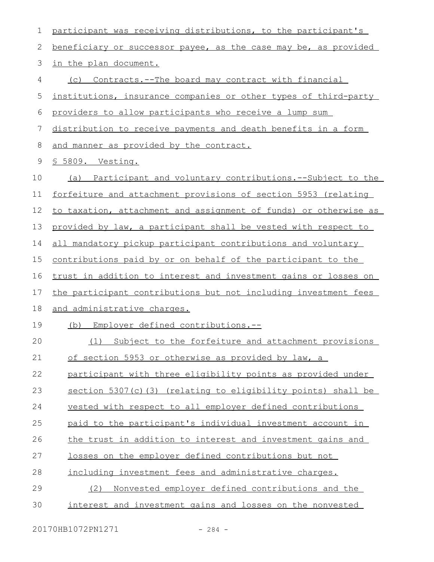| $\mathbf 1$ | participant was receiving distributions, to the participant's       |
|-------------|---------------------------------------------------------------------|
| 2           | beneficiary or successor payee, as the case may be, as provided     |
| 3           | in the plan document.                                               |
| 4           | (c) Contracts.--The board may contract with financial               |
| 5           | institutions, insurance companies or other types of third-party     |
| 6           | providers to allow participants who receive a lump sum              |
| 7           | distribution to receive payments and death benefits in a form       |
| 8           | and manner as provided by the contract.                             |
| 9           | § 5809. Vesting.                                                    |
| 10          | (a) Participant and voluntary contributions.--Subject to the        |
| 11          | forfeiture and attachment provisions of section 5953 (relating      |
| 12          | to taxation, attachment and assignment of funds) or otherwise as    |
| 13          | provided by law, a participant shall be vested with respect to      |
| 14          | all mandatory pickup participant contributions and voluntary        |
| 15          | <u>contributions paid by or on behalf of the participant to the</u> |
| 16          | trust in addition to interest and investment gains or losses on     |
| 17          | the participant contributions but not including investment fees     |
| 18          | and administrative charges.                                         |
| 19          | Employer defined contributions.--<br>(b)                            |
| 20          | Subject to the forfeiture and attachment provisions<br>(1)          |
| 21          | of section 5953 or otherwise as provided by law, a                  |
| 22          | participant with three eligibility points as provided under         |
| 23          | section 5307(c)(3) (relating to eligibility points) shall be        |
| 24          | vested with respect to all employer defined contributions           |
| 25          | paid to the participant's individual investment account in          |
| 26          | the trust in addition to interest and investment gains and          |
| 27          | losses on the employer defined contributions but not                |
| 28          | including investment fees and administrative charges.               |
| 29          | Nonvested employer defined contributions and the<br>(2)             |
| 30          | interest and investment gains and losses on the nonvested           |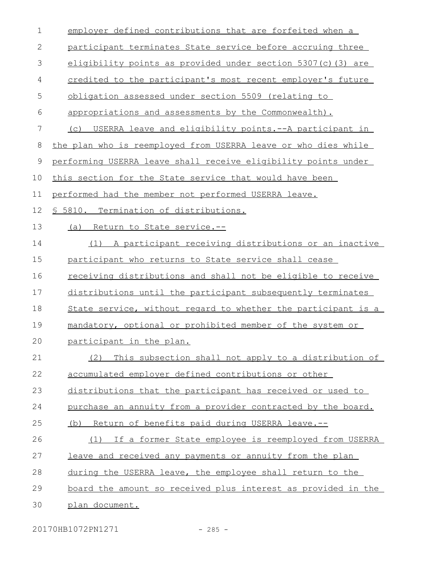| 1  | employer defined contributions that are forfeited when a            |
|----|---------------------------------------------------------------------|
| 2  | participant terminates State service before accruing three          |
| 3  | eligibility points as provided under section 5307(c)(3) are         |
| 4  | credited to the participant's most recent employer's future         |
| 5  | obligation assessed under section 5509 (relating to                 |
| 6  | appropriations and assessments by the Commonwealth).                |
| 7  | USERRA leave and eligibility points. -- A participant in<br>(C)     |
| 8  | the plan who is reemployed from USERRA leave or who dies while      |
| 9  | performing USERRA leave shall receive eligibility points under      |
| 10 | this section for the State service that would have been             |
| 11 | performed had the member not performed USERRA leave.                |
| 12 | <u>S 5810. Termination of distributions.</u>                        |
| 13 | (a) Return to State service.--                                      |
| 14 | (1) A participant receiving distributions or an inactive            |
| 15 | participant who returns to State service shall cease                |
| 16 | <u>receiving distributions and shall not be eligible to receive</u> |
| 17 | distributions until the participant subsequently terminates         |
| 18 | State service, without regard to whether the participant is a       |
| 19 | mandatory, optional or prohibited member of the system or           |
| 20 | participant in the plan.                                            |
| 21 | This subsection shall not apply to a distribution of<br>(2)         |
| 22 | accumulated employer defined contributions or other                 |
| 23 | distributions that the participant has received or used to          |
| 24 | purchase an annuity from a provider contracted by the board.        |
| 25 | Return of benefits paid during USERRA leave.--<br>(b)               |
| 26 | If a former State employee is reemployed from USERRA<br>(1)         |
| 27 | leave and received any payments or annuity from the plan            |
| 28 | during the USERRA leave, the employee shall return to the           |
| 29 | board the amount so received plus interest as provided in the       |
| 30 | plan document.                                                      |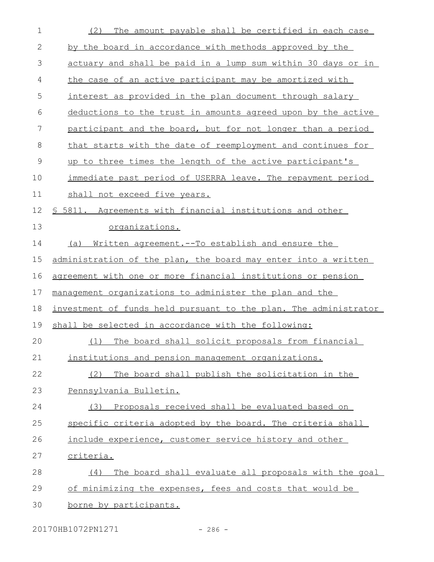| $\mathbf 1$  | The amount payable shall be certified in each case<br>(2)        |
|--------------|------------------------------------------------------------------|
| $\mathbf{2}$ | by the board in accordance with methods approved by the          |
| 3            | actuary and shall be paid in a lump sum within 30 days or in     |
| 4            | the case of an active participant may be amortized with          |
| 5            | interest as provided in the plan document through salary         |
| 6            | deductions to the trust in amounts agreed upon by the active     |
| 7            | participant and the board, but for not longer than a period      |
| 8            | that starts with the date of reemployment and continues for      |
| $\mathsf 9$  | up to three times the length of the active participant's         |
| 10           | immediate past period of USERRA leave. The repayment period      |
| 11           | shall not exceed five years.                                     |
| 12           | \$ 5811. Agreements with financial institutions and other        |
| 13           | organizations.                                                   |
| 14           | Written agreement. -- To establish and ensure the<br>(a)         |
| 15           | administration of the plan, the board may enter into a written   |
| 16           | agreement with one or more financial institutions or pension     |
| 17           | management organizations to administer the plan and the          |
| 18           | investment of funds held pursuant to the plan. The administrator |
| 19           | shall be selected in accordance with the following:              |
| 20           | The board shall solicit proposals from financial<br>(1)          |
| 21           | institutions and pension management organizations.               |
| 22           | The board shall publish the solicitation in the<br>(2)           |
| 23           | Pennsylvania Bulletin.                                           |
| 24           | Proposals received shall be evaluated based on<br>(3)            |
| 25           | specific criteria adopted by the board. The criteria shall       |
| 26           | include experience, customer service history and other           |
| 27           | <u>criteria.</u>                                                 |
| 28           | The board shall evaluate all proposals with the goal<br>(4)      |
| 29           | of minimizing the expenses, fees and costs that would be         |
| 30           | borne by participants.                                           |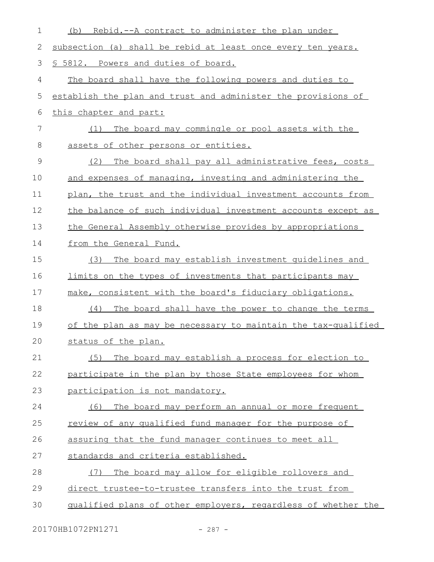| 1               | Rebid.--A contract to administer the plan under<br>(b)         |
|-----------------|----------------------------------------------------------------|
| 2               | subsection (a) shall be rebid at least once every ten years.   |
| 3               | \$ 5812. Powers and duties of board.                           |
| 4               | The board shall have the following powers and duties to        |
| 5               | establish the plan and trust and administer the provisions of  |
| 6               | this chapter and part:                                         |
| $7\phantom{.0}$ | The board may commingle or pool assets with the<br>(1)         |
| 8               | assets of other persons or entities.                           |
| 9               | The board shall pay all administrative fees, costs<br>(2)      |
| 10              | and expenses of managing, investing and administering the      |
| 11              | plan, the trust and the individual investment accounts from    |
| 12              | the balance of such individual investment accounts except as   |
| 13              | the General Assembly otherwise provides by appropriations      |
| 14              | from the General Fund.                                         |
| 15              | The board may establish investment quidelines and<br>(3)       |
| 16              | limits on the types of investments that participants may       |
| 17              | make, consistent with the board's fiduciary obligations.       |
| 18              | The board shall have the power to change the terms<br>(4)      |
| 19              | of the plan as may be necessary to maintain the tax-qualified  |
| 20              | status of the plan.                                            |
| 21              | The board may establish a process for election to<br>(5)       |
| 22              | participate in the plan by those State employees for whom      |
| 23              | participation is not mandatory.                                |
| 24              | The board may perform an annual or more frequent<br>(6)        |
| 25              | <u>review of any qualified fund manager for the purpose of</u> |
| 26              | assuring that the fund manager continues to meet all           |
| 27              | standards and criteria established.                            |
| 28              | The board may allow for eligible rollovers and<br>(7)          |
| 29              | direct trustee-to-trustee transfers into the trust from        |
| 30              | qualified plans of other employers, regardless of whether the  |
|                 |                                                                |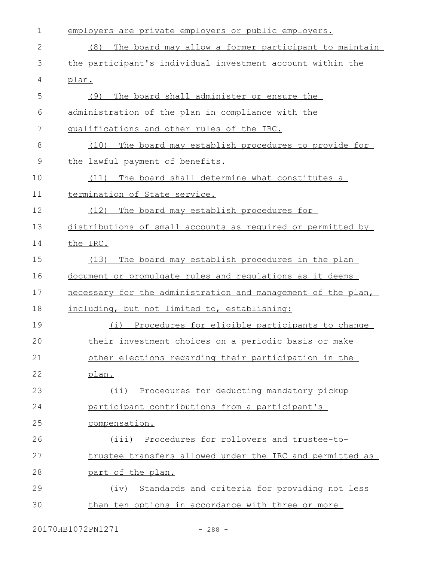| $\mathbf 1$  | employers are private employers or public employers.         |
|--------------|--------------------------------------------------------------|
| $\mathbf{2}$ | The board may allow a former participant to maintain<br>(8)  |
| 3            | the participant's individual investment account within the   |
| 4            | plan.                                                        |
| 5            | The board shall administer or ensure the<br>(9)              |
| 6            | administration of the plan in compliance with the            |
| 7            | qualifications and other rules of the IRC.                   |
| 8            | The board may establish procedures to provide for<br>(10)    |
| $\mathsf 9$  | the lawful payment of benefits.                              |
| 10           | The board shall determine what constitutes a<br>(11)         |
| 11           | termination of State service.                                |
| 12           | The board may establish procedures for<br>(12)               |
| 13           | distributions of small accounts as required or permitted by  |
| 14           | the IRC.                                                     |
| 15           | (13)<br>The board may establish procedures in the plan       |
| 16           | document or promulgate rules and regulations as it deems     |
| 17           | necessary for the administration and management of the plan, |
| 18           | including, but not limited to, establishing:                 |
| 19           | Procedures for eligible participants to change<br>(i)        |
| 20           | their investment choices on a periodic basis or make         |
| 21           | other elections regarding their participation in the         |
| 22           | plan.                                                        |
| 23           | (ii) Procedures for deducting mandatory pickup               |
| 24           | participant contributions from a participant's               |
| 25           | compensation.                                                |
| 26           | (iii) Procedures for rollovers and trustee-to-               |
| 27           | trustee transfers allowed under the IRC and permitted as     |
| 28           | part of the plan.                                            |
| 29           | (iv) Standards and criteria for providing not less           |
| 30           | than ten options in accordance with three or more            |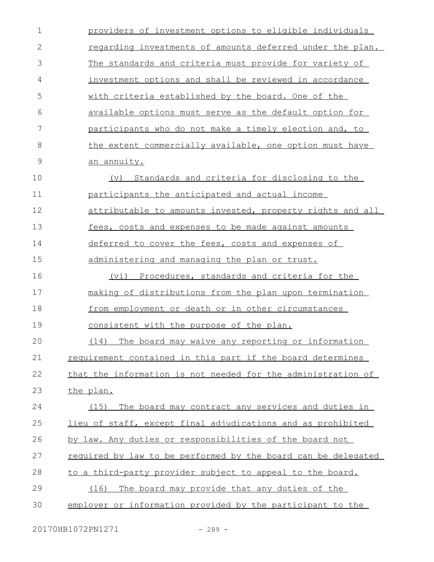| $\mathbf 1$  | providers of investment options to eligible individuals       |
|--------------|---------------------------------------------------------------|
| $\mathbf{2}$ | regarding investments of amounts deferred under the plan.     |
| 3            | The standards and criteria must provide for variety of        |
| 4            | investment options and shall be reviewed in accordance        |
| 5            | <u>with criteria established by the board. One of the</u>     |
| 6            | available options must serve as the default option for        |
| 7            | participants who do not make a timely election and, to        |
| 8            | the extent commercially available, one option must have       |
| 9            | an annuity.                                                   |
| 10           | Standards and criteria for disclosing to the<br>(v)           |
| 11           | participants the anticipated and actual income                |
| 12           | attributable to amounts invested, property rights and all     |
| 13           | fees, costs and expenses to be made against amounts           |
| 14           | deferred to cover the fees, costs and expenses of             |
| 15           | administering and managing the plan or trust.                 |
| 16           | (vi) Procedures, standards and criteria for the               |
| 17           | making of distributions from the plan upon termination        |
| 18           | from employment or death or in other circumstances            |
| 19           | <u>consistent with the purpose of the plan.</u>               |
| 20           | (14) The board may waive any reporting or information         |
| 21           | requirement contained in this part if the board determines    |
| 22           | that the information is not needed for the administration of  |
| 23           | the plan.                                                     |
| 24           | The board may contract any services and duties in<br>(15)     |
| 25           | lieu of staff, except final adjudications and as prohibited   |
| 26           | by law. Any duties or responsibilities of the board not       |
| 27           | required by law to be performed by the board can be delegated |
| 28           | to a third-party provider subject to appeal to the board.     |
| 29           | The board may provide that any duties of the<br>(16)          |
| 30           | employer or information provided by the participant to the    |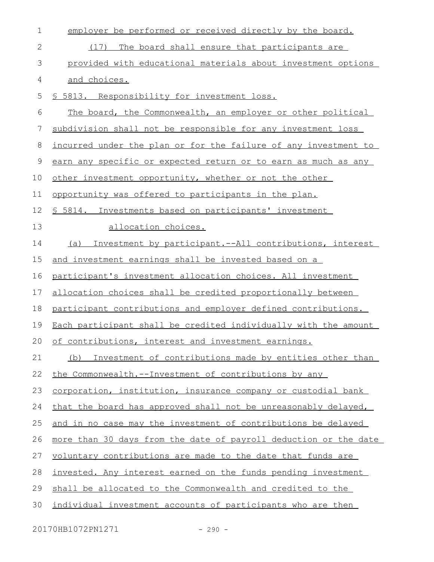| $\mathbf 1$ | employer be performed or received directly by the board.         |
|-------------|------------------------------------------------------------------|
| 2           | (17) The board shall ensure that participants are                |
| 3           | provided with educational materials about investment options     |
| 4           | and choices.                                                     |
| 5           | \$ 5813. Responsibility for investment loss.                     |
| 6           | The board, the Commonwealth, an employer or other political      |
| 7           | subdivision shall not be responsible for any investment loss     |
| 8           | incurred under the plan or for the failure of any investment to  |
| 9           | earn any specific or expected return or to earn as much as any   |
| 10          | other investment opportunity, whether or not the other           |
| 11          | opportunity was offered to participants in the plan.             |
| 12          | \$ 5814. Investments based on participants' investment           |
| 13          | allocation choices.                                              |
| 14          | Investment by participant.--All contributions, interest<br>(a)   |
| 15          | and investment earnings shall be invested based on a             |
| 16          | participant's investment allocation choices. All investment      |
| 17          | allocation choices shall be credited proportionally between      |
| 18          | participant contributions and employer defined contributions.    |
| 19          | Each participant shall be credited individually with the amount  |
| 20          | of contributions, interest and investment earnings.              |
| 21          | Investment of contributions made by entities other than<br>(b)   |
| 22          | the Commonwealth.--Investment of contributions by any            |
| 23          | corporation, institution, insurance company or custodial bank    |
| 24          | that the board has approved shall not be unreasonably delayed,   |
| 25          | and in no case may the investment of contributions be delayed    |
| 26          | more than 30 days from the date of payroll deduction or the date |
| 27          | voluntary contributions are made to the date that funds are      |
| 28          | invested. Any interest earned on the funds pending investment    |
| 29          | shall be allocated to the Commonwealth and credited to the       |
| 30          | individual investment accounts of participants who are then      |

20170HB1072PN1271 - 290 -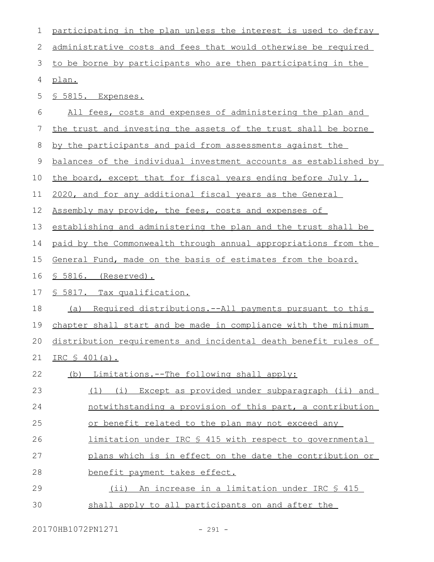| $\mathbf 1$ | participating in the plan unless the interest is used to defray    |
|-------------|--------------------------------------------------------------------|
| 2           | administrative costs and fees that would otherwise be required     |
| 3           | to be borne by participants who are then participating in the      |
| 4           | plan.                                                              |
| 5           | <u>S 5815. Expenses.</u>                                           |
| 6           | All fees, costs and expenses of administering the plan and         |
| 7           | the trust and investing the assets of the trust shall be borne     |
| 8           | by the participants and paid from assessments against the          |
| 9           | balances of the individual investment accounts as established by   |
| 10          | the board, except that for fiscal years ending before July 1,      |
| 11          | 2020, and for any additional fiscal years as the General           |
| 12          | Assembly may provide, the fees, costs and expenses of              |
| 13          | establishing and administering the plan and the trust shall be     |
| 14          | paid by the Commonwealth through annual appropriations from the    |
| 15          | General Fund, made on the basis of estimates from the board.       |
|             | § 5816. (Reserved).                                                |
| 16          |                                                                    |
| 17          | <u>S 5817. Tax qualification.</u>                                  |
| 18          | Required distributions.--All payments pursuant to this<br>(a)      |
| 19          | chapter shall start and be made in compliance with the minimum     |
|             | 20 distribution requirements and incidental death benefit rules of |
| 21          | IRC \$ 401(a).                                                     |
| 22          | (b) Limitations.--The following shall apply:                       |
| 23          | (1) (i) Except as provided under subparagraph (ii) and             |
| 24          | notwithstanding a provision of this part, a contribution           |
| 25          | or benefit related to the plan may not exceed any                  |
| 26          | <u>limitation under IRC § 415 with respect to governmental</u>     |
| 27          | plans which is in effect on the date the contribution or           |
| 28          | benefit payment takes effect.                                      |
| 29          | (ii) An increase in a limitation under IRC § 415                   |

20170HB1072PN1271 - 291 -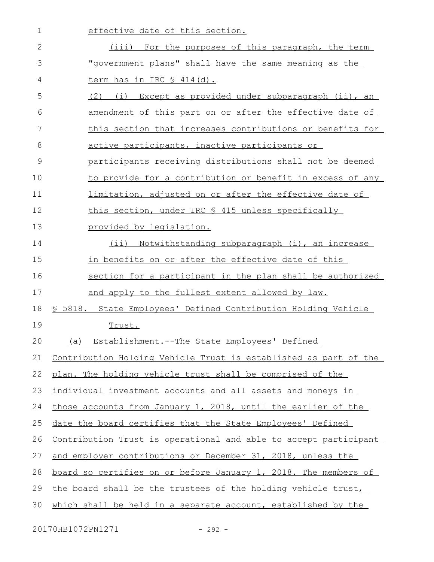| $\mathbf 1$  | effective date of this section.                                  |
|--------------|------------------------------------------------------------------|
| $\mathbf{2}$ | (iii) For the purposes of this paragraph, the term               |
| 3            | "government plans" shall have the same meaning as the            |
| 4            | <u>term has in IRC § 414(d).</u>                                 |
| 5            | (2) (i) Except as provided under subparagraph (ii), an           |
| 6            | amendment of this part on or after the effective date of         |
| 7            | this section that increases contributions or benefits for        |
| 8            | <u>active participants, inactive participants or</u>             |
| 9            | participants receiving distributions shall not be deemed         |
| 10           | to provide for a contribution or benefit in excess of any        |
| 11           | limitation, adjusted on or after the effective date of           |
| 12           | this section, under IRC § 415 unless specifically                |
| 13           | provided by legislation.                                         |
| 14           | (ii) Notwithstanding subparagraph (i), an increase               |
| 15           | in benefits on or after the effective date of this               |
| 16           | section for a participant in the plan shall be authorized        |
| 17           | and apply to the fullest extent allowed by law.                  |
| 18           | \$ 5818. State Employees' Defined Contribution Holding Vehicle   |
| 19           | Trust.                                                           |
| 20           | Establishment.--The State Employees' Defined<br>(a)              |
| 21           | Contribution Holding Vehicle Trust is established as part of the |
| 22           | plan. The holding vehicle trust shall be comprised of the        |
| 23           | individual investment accounts and all assets and moneys in      |
| 24           | those accounts from January 1, 2018, until the earlier of the    |
| 25           | date the board certifies that the State Employees' Defined       |
| 26           | Contribution Trust is operational and able to accept participant |
| 27           | and employer contributions or December 31, 2018, unless the      |
| 28           | board so certifies on or before January 1, 2018. The members of  |
| 29           | the board shall be the trustees of the holding vehicle trust,    |
| 30           | which shall be held in a separate account, established by the    |
|              |                                                                  |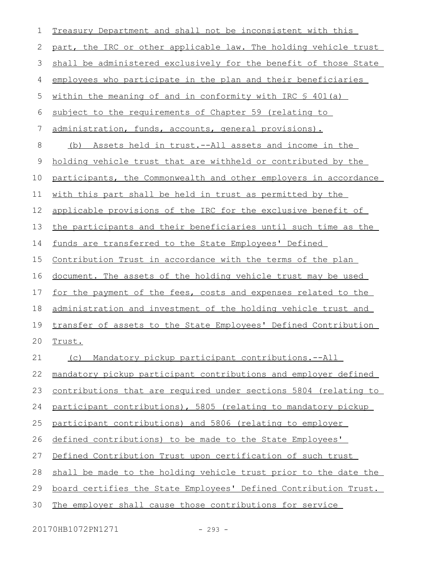| 1  | Treasury Department and shall not be inconsistent with this        |
|----|--------------------------------------------------------------------|
| 2  | part, the IRC or other applicable law. The holding vehicle trust   |
| 3  | shall be administered exclusively for the benefit of those State   |
| 4  | employees who participate in the plan and their beneficiaries      |
| 5  | within the meaning of and in conformity with IRC \$ 401(a)         |
| 6  | subject to the requirements of Chapter 59 (relating to             |
| 7  | administration, funds, accounts, general provisions).              |
| 8  | Assets held in trust.--All assets and income in the<br>(b)         |
| 9  | holding vehicle trust that are withheld or contributed by the      |
| 10 | participants, the Commonwealth and other employers in accordance   |
| 11 | with this part shall be held in trust as permitted by the          |
| 12 | applicable provisions of the IRC for the exclusive benefit of      |
| 13 | the participants and their beneficiaries until such time as the    |
| 14 | funds are transferred to the State Employees' Defined              |
| 15 | <u>Contribution Trust in accordance with the terms of the plan</u> |
| 16 | document. The assets of the holding vehicle trust may be used      |
| 17 | for the payment of the fees, costs and expenses related to the     |
| 18 | administration and investment of the holding vehicle trust and     |
| 19 | transfer of assets to the State Employees' Defined Contribution    |
| 20 | Trust.                                                             |
| 21 | Mandatory pickup participant contributions.--All<br>(C)            |
| 22 | mandatory pickup participant contributions and employer defined    |
| 23 | contributions that are required under sections 5804 (relating to   |
| 24 | participant contributions), 5805 (relating to mandatory pickup     |
| 25 | participant contributions) and 5806 (relating to employer          |
| 26 | defined contributions) to be made to the State Employees'          |
| 27 | Defined Contribution Trust upon certification of such trust        |
| 28 | shall be made to the holding vehicle trust prior to the date the   |
| 29 | board certifies the State Employees' Defined Contribution Trust.   |
| 30 | The employer shall cause those contributions for service           |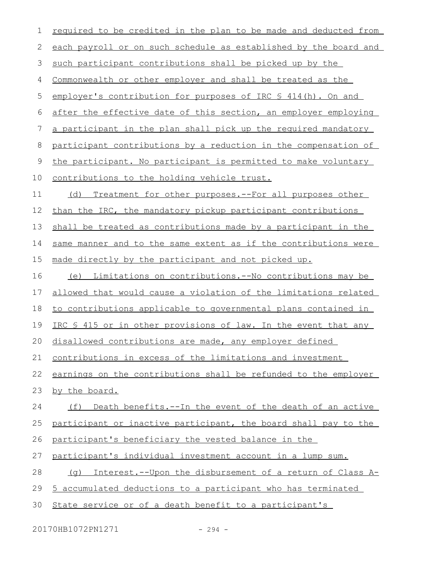| $\mathbf 1$   | required to be credited in the plan to be made and deducted from    |
|---------------|---------------------------------------------------------------------|
| 2             | each payroll or on such schedule as established by the board and    |
| $\mathcal{S}$ | such participant contributions shall be picked up by the            |
| 4             | Commonwealth or other employer and shall be treated as the          |
| 5             | employer's contribution for purposes of IRC § 414(h). On and        |
| $\epsilon$    | after the effective date of this section, an employer employing     |
| 7             | a participant in the plan shall pick up the required mandatory      |
| $\,8\,$       | participant contributions by a reduction in the compensation of     |
| $\mathsf 9$   | the participant. No participant is permitted to make voluntary      |
| 10            | contributions to the holding vehicle trust.                         |
| 11            | (d) Treatment for other purposes.--For all purposes other           |
| 12            | than the IRC, the mandatory pickup participant contributions        |
| 13            | shall be treated as contributions made by a participant in the      |
| 14            | same manner and to the same extent as if the contributions were     |
| 15            | made directly by the participant and not picked up.                 |
| 16            | (e) Limitations on contributions.--No contributions may be          |
| 17            | allowed that would cause a violation of the limitations related     |
| 18            | to contributions applicable to governmental plans contained in      |
| 19            | IRC § 415 or in other provisions of law. In the event that any      |
| 20            | disallowed contributions are made, any employer defined             |
| 21            | contributions in excess of the limitations and investment           |
| 22            | earnings on the contributions shall be refunded to the employer     |
| 23            | by the board.                                                       |
| 24            | Death benefits. -- In the event of the death of an active<br>(f)    |
| 25            | participant or inactive participant, the board shall pay to the     |
| 26            | participant's beneficiary the vested balance in the                 |
| 27            | participant's individual investment account in a lump sum.          |
| 28            | Interest.--Upon the disbursement of a return of Class A-<br>( ) ( ) |
| 29            | 5 accumulated deductions to a participant who has terminated        |
| 30            | State service or of a death benefit to a participant's              |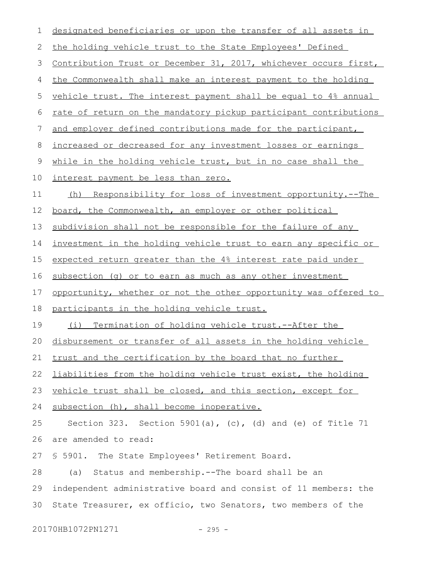| 1  | designated beneficiaries or upon the transfer of all assets in   |
|----|------------------------------------------------------------------|
| 2  | the holding vehicle trust to the State Employees' Defined        |
| 3  | Contribution Trust or December 31, 2017, whichever occurs first, |
| 4  | the Commonwealth shall make an interest payment to the holding   |
| 5  | vehicle trust. The interest payment shall be equal to 4% annual  |
| 6  | rate of return on the mandatory pickup participant contributions |
| 7  | and employer defined contributions made for the participant,     |
| 8  | increased or decreased for any investment losses or earnings     |
| 9  | while in the holding vehicle trust, but in no case shall the     |
| 10 | interest payment be less than zero.                              |
| 11 | (h) Responsibility for loss of investment opportunity.--The      |
| 12 | board, the Commonwealth, an employer or other political          |
| 13 | subdivision shall not be responsible for the failure of any      |
| 14 | investment in the holding vehicle trust to earn any specific or  |
| 15 | expected return greater than the 4% interest rate paid under     |
| 16 | subsection (g) or to earn as much as any other investment        |
| 17 | opportunity, whether or not the other opportunity was offered to |
| 18 | participants in the holding vehicle trust.                       |
| 19 | (i) Termination of holding vehicle trust.--After the             |
|    | 20 disbursement or transfer of all assets in the holding vehicle |
| 21 | trust and the certification by the board that no further         |
| 22 | liabilities from the holding vehicle trust exist, the holding    |
| 23 | vehicle trust shall be closed, and this section, except for      |
| 24 | subsection (h), shall become inoperative.                        |
| 25 | Section 323. Section 5901(a), $(c)$ , (d) and (e) of Title 71    |
| 26 | are amended to read:                                             |
| 27 | \$ 5901. The State Employees' Retirement Board.                  |
| 28 | Status and membership.--The board shall be an<br>(a)             |
| 29 | independent administrative board and consist of 11 members: the  |
| 30 | State Treasurer, ex officio, two Senators, two members of the    |
|    |                                                                  |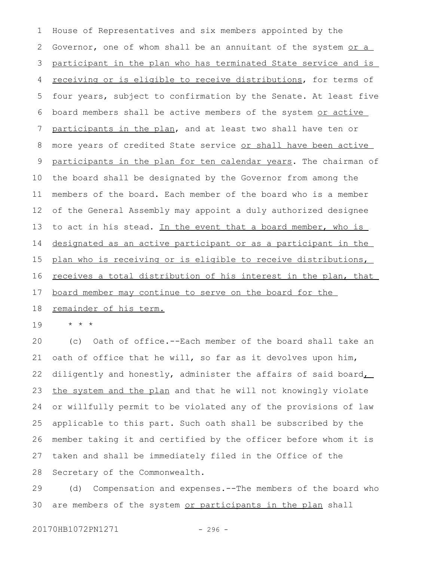House of Representatives and six members appointed by the Governor, one of whom shall be an annuitant of the system or a participant in the plan who has terminated State service and is receiving or is eligible to receive distributions, for terms of four years, subject to confirmation by the Senate. At least five board members shall be active members of the system or active participants in the plan, and at least two shall have ten or more years of credited State service or shall have been active participants in the plan for ten calendar years. The chairman of the board shall be designated by the Governor from among the members of the board. Each member of the board who is a member of the General Assembly may appoint a duly authorized designee to act in his stead. In the event that a board member, who is designated as an active participant or as a participant in the plan who is receiving or is eligible to receive distributions, receives a total distribution of his interest in the plan, that board member may continue to serve on the board for the 1 2 3 4 5 6 7 8 9 10 11 12 13 14 15 16 17

## remainder of his term. 18

\* \* \* 19

(c) Oath of office.--Each member of the board shall take an oath of office that he will, so far as it devolves upon him, diligently and honestly, administer the affairs of said board, the system and the plan and that he will not knowingly violate or willfully permit to be violated any of the provisions of law applicable to this part. Such oath shall be subscribed by the member taking it and certified by the officer before whom it is taken and shall be immediately filed in the Office of the Secretary of the Commonwealth. 20 21 22 23 24 25 26 27 28

(d) Compensation and expenses.--The members of the board who are members of the system or participants in the plan shall 29 30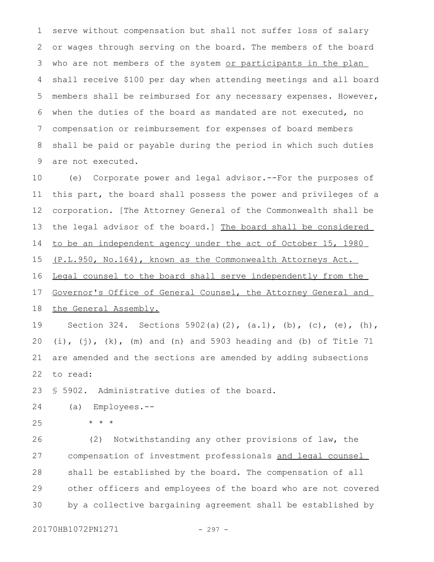serve without compensation but shall not suffer loss of salary or wages through serving on the board. The members of the board who are not members of the system or participants in the plan shall receive \$100 per day when attending meetings and all board members shall be reimbursed for any necessary expenses. However, when the duties of the board as mandated are not executed, no compensation or reimbursement for expenses of board members shall be paid or payable during the period in which such duties are not executed. 1 2 3 4 5 6 7 8 9

(e) Corporate power and legal advisor.--For the purposes of this part, the board shall possess the power and privileges of a corporation. [The Attorney General of the Commonwealth shall be the legal advisor of the board.] The board shall be considered to be an independent agency under the act of October 15, 1980 (P.L.950, No.164), known as the Commonwealth Attorneys Act. Legal counsel to the board shall serve independently from the Governor's Office of General Counsel, the Attorney General and the General Assembly. 10 11 12 13 14 15 16 17 18

Section 324. Sections 5902(a)(2),  $(a.1)$ , (b), (c), (e), (h),  $(i)$ ,  $(j)$ ,  $(k)$ ,  $(m)$  and  $(n)$  and 5903 heading and  $(b)$  of Title 71 are amended and the sections are amended by adding subsections to read: 19 20 21 22

§ 5902. Administrative duties of the board. 23

(a) Employees.-- 24

\* \* \* 25

(2) Notwithstanding any other provisions of law, the compensation of investment professionals and legal counsel shall be established by the board. The compensation of all other officers and employees of the board who are not covered by a collective bargaining agreement shall be established by 26 27 28 29 30

20170HB1072PN1271 - 297 -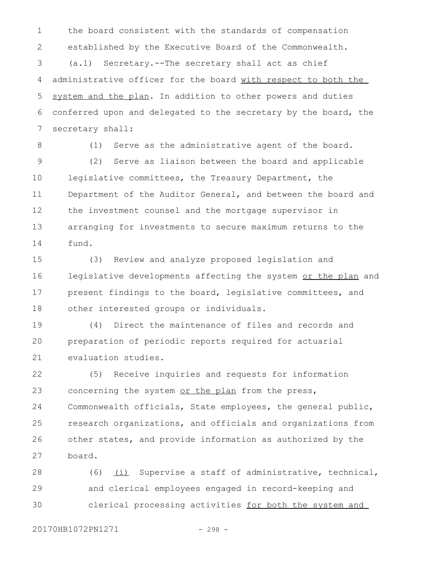the board consistent with the standards of compensation established by the Executive Board of the Commonwealth. (a.1) Secretary.--The secretary shall act as chief administrative officer for the board with respect to both the system and the plan. In addition to other powers and duties conferred upon and delegated to the secretary by the board, the secretary shall: 1 2 3 4 5 6 7

8

(1) Serve as the administrative agent of the board.

(2) Serve as liaison between the board and applicable legislative committees, the Treasury Department, the Department of the Auditor General, and between the board and the investment counsel and the mortgage supervisor in arranging for investments to secure maximum returns to the fund. 9 10 11 12 13 14

(3) Review and analyze proposed legislation and legislative developments affecting the system or the plan and present findings to the board, legislative committees, and other interested groups or individuals. 15 16 17 18

(4) Direct the maintenance of files and records and preparation of periodic reports required for actuarial evaluation studies. 19  $20$ 21

(5) Receive inquiries and requests for information concerning the system or the plan from the press, Commonwealth officials, State employees, the general public, research organizations, and officials and organizations from other states, and provide information as authorized by the board. 22 23 24 25 26 27

(6)  $(i)$  Supervise a staff of administrative, technical, and clerical employees engaged in record-keeping and clerical processing activities for both the system and 28 29 30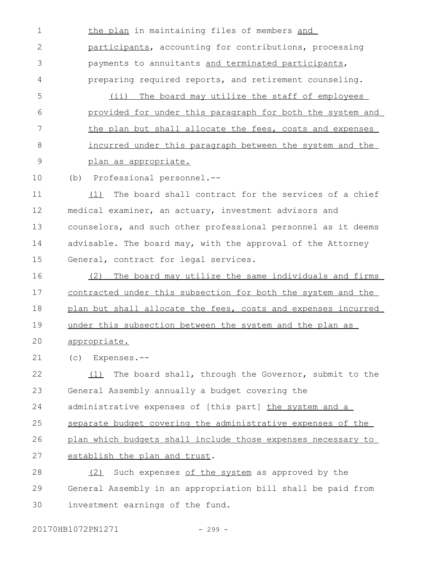the plan in maintaining files of members and participants, accounting for contributions, processing payments to annuitants and terminated participants, preparing required reports, and retirement counseling. (ii) The board may utilize the staff of employees provided for under this paragraph for both the system and the plan but shall allocate the fees, costs and expenses incurred under this paragraph between the system and the plan as appropriate. 1 2 3 4 5 6 7 8 9

(b) Professional personnel.-- 10

(1) The board shall contract for the services of a chief medical examiner, an actuary, investment advisors and counselors, and such other professional personnel as it deems advisable. The board may, with the approval of the Attorney General, contract for legal services. 11 12 13 14 15

(2) The board may utilize the same individuals and firms contracted under this subsection for both the system and the plan but shall allocate the fees, costs and expenses incurred under this subsection between the system and the plan as appropriate. 16 17 18 19  $20$ 

(c) Expenses.-- 21

(1) The board shall, through the Governor, submit to the General Assembly annually a budget covering the administrative expenses of [this part] the system and a separate budget covering the administrative expenses of the plan which budgets shall include those expenses necessary to establish the plan and trust. (2) Such expenses of the system as approved by the 22 23 24 25 26 27 28

General Assembly in an appropriation bill shall be paid from investment earnings of the fund. 29 30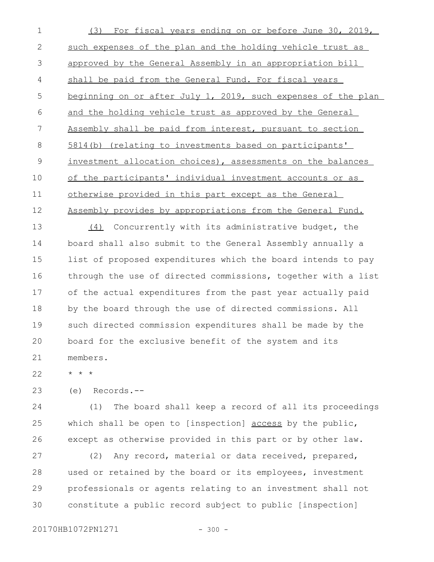(3) For fiscal years ending on or before June 30, 2019, such expenses of the plan and the holding vehicle trust as approved by the General Assembly in an appropriation bill shall be paid from the General Fund. For fiscal years beginning on or after July 1, 2019, such expenses of the plan and the holding vehicle trust as approved by the General Assembly shall be paid from interest, pursuant to section 5814(b) (relating to investments based on participants' investment allocation choices), assessments on the balances of the participants' individual investment accounts or as otherwise provided in this part except as the General Assembly provides by appropriations from the General Fund. (4) Concurrently with its administrative budget, the board shall also submit to the General Assembly annually a list of proposed expenditures which the board intends to pay through the use of directed commissions, together with a list of the actual expenditures from the past year actually paid by the board through the use of directed commissions. All such directed commission expenditures shall be made by the board for the exclusive benefit of the system and its members. 1 2 3 4 5 6 7 8 9 10 11 12 13 14 15 16 17 18 19  $20$ 21

\* \* \* 22

(e) Records.-- 23

(1) The board shall keep a record of all its proceedings which shall be open to [inspection] access by the public, except as otherwise provided in this part or by other law. 24 25 26

(2) Any record, material or data received, prepared, used or retained by the board or its employees, investment professionals or agents relating to an investment shall not constitute a public record subject to public [inspection] 27 28 29 30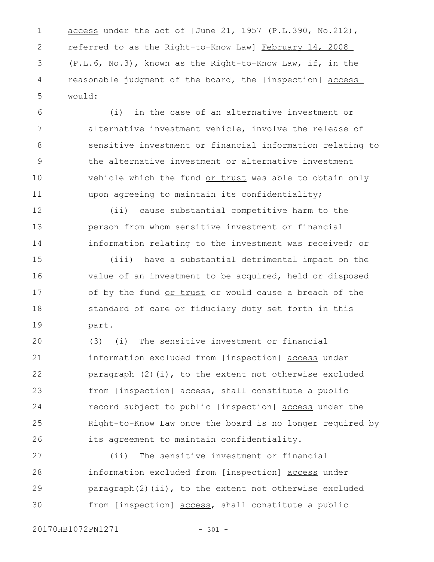access under the act of [June 21, 1957 (P.L.390, No.212), referred to as the Right-to-Know Law] February 14, 2008 (P.L.6, No.3), known as the Right-to-Know Law, if, in the reasonable judgment of the board, the [inspection] access would: 1 2 3 4 5

(i) in the case of an alternative investment or alternative investment vehicle, involve the release of sensitive investment or financial information relating to the alternative investment or alternative investment vehicle which the fund or trust was able to obtain only upon agreeing to maintain its confidentiality; 6 7 8 9 10 11

(ii) cause substantial competitive harm to the person from whom sensitive investment or financial information relating to the investment was received; or 12 13 14

(iii) have a substantial detrimental impact on the value of an investment to be acquired, held or disposed of by the fund or trust or would cause a breach of the standard of care or fiduciary duty set forth in this part. 15 16 17 18 19

(3) (i) The sensitive investment or financial information excluded from [inspection] access under paragraph (2)(i), to the extent not otherwise excluded from [inspection] access, shall constitute a public record subject to public [inspection] access under the Right-to-Know Law once the board is no longer required by its agreement to maintain confidentiality. 20 21 22 23 24 25 26

(ii) The sensitive investment or financial information excluded from [inspection] access under paragraph(2)(ii), to the extent not otherwise excluded from [inspection] access, shall constitute a public 27 28 29 30

20170HB1072PN1271 - 301 -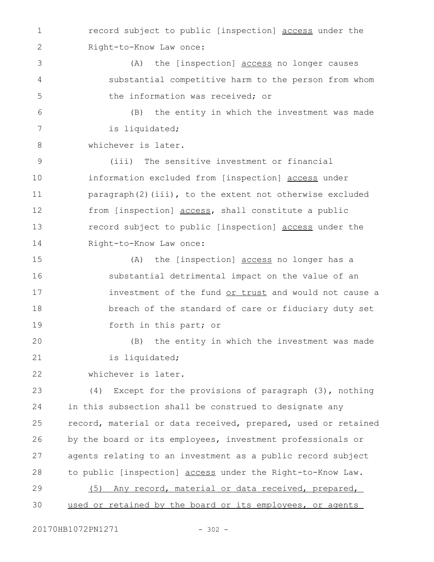record subject to public [inspection] access under the Right-to-Know Law once: 1 2

(A) the [inspection] access no longer causes substantial competitive harm to the person from whom the information was received; or 3 4 5

(B) the entity in which the investment was made is liquidated; 6 7

whichever is later. 8

(iii) The sensitive investment or financial information excluded from [inspection] access under paragraph(2)(iii), to the extent not otherwise excluded from [inspection] access, shall constitute a public record subject to public [inspection] access under the Right-to-Know Law once: 9 10 11 12 13 14

(A) the [inspection] access no longer has a substantial detrimental impact on the value of an investment of the fund or trust and would not cause a breach of the standard of care or fiduciary duty set forth in this part; or 15 16 17 18 19

(B) the entity in which the investment was made is liquidated; 20 21

whichever is later. 22

(4) Except for the provisions of paragraph (3), nothing in this subsection shall be construed to designate any record, material or data received, prepared, used or retained by the board or its employees, investment professionals or agents relating to an investment as a public record subject to public [inspection] access under the Right-to-Know Law. 23 24 25 26 27 28

(5) Any record, material or data received, prepared, used or retained by the board or its employees, or agents 29 30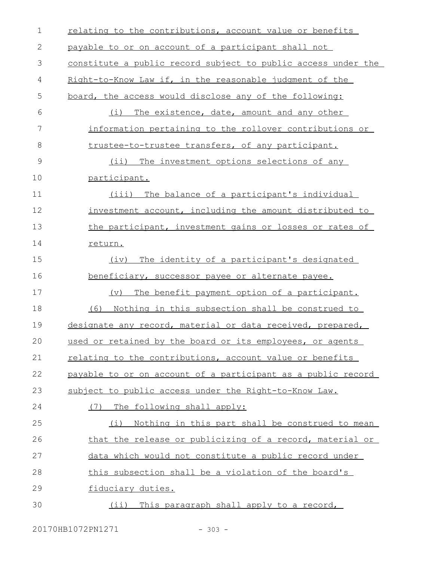| $\mathbf 1$  | relating to the contributions, account value or benefits      |
|--------------|---------------------------------------------------------------|
| $\mathbf{2}$ | payable to or on account of a participant shall not           |
| 3            | constitute a public record subject to public access under the |
| 4            | Right-to-Know Law if, in the reasonable judgment of the       |
| 5            | board, the access would disclose any of the following:        |
| 6            | (i) The existence, date, amount and any other                 |
| 7            | information pertaining to the rollover contributions or       |
| $8\,$        | trustee-to-trustee transfers, of any participant.             |
| 9            | (ii) The investment options selections of any                 |
| 10           | participant.                                                  |
| 11           | The balance of a participant's individual<br>(iii)            |
| 12           | investment account, including the amount distributed to       |
| 13           | the participant, investment gains or losses or rates of       |
| 14           | return.                                                       |
| 15           | The identity of a participant's designated<br>(iv)            |
| 16           | beneficiary, successor payee or alternate payee.              |
| 17           | (v)<br>The benefit payment option of a participant.           |
| 18           | (6) Nothing in this subsection shall be construed to          |
| 19           | designate any record, material or data received, prepared,    |
| 20           | used or retained by the board or its employees, or agents     |
| 21           | relating to the contributions, account value or benefits      |
| 22           | payable to or on account of a participant as a public record  |
| 23           | subject to public access under the Right-to-Know Law.         |
| 24           | (7) The following shall apply:                                |
| 25           | Nothing in this part shall be construed to mean<br>(i)        |
| 26           | that the release or publicizing of a record, material or      |
| 27           | data which would not constitute a public record under         |
| 28           | this subsection shall be a violation of the board's           |
| 29           | fiduciary duties.                                             |
| 30           | This paragraph shall apply to a record,<br>$(i$ i)            |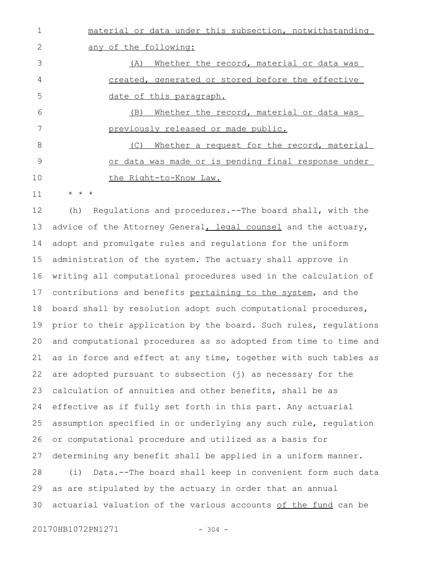material or data under this subsection, notwithstanding any of the following: (A) Whether the record, material or data was created, generated or stored before the effective date of this paragraph. (B) Whether the record, material or data was previously released or made public. (C) Whether a request for the record, material or data was made or is pending final response under the Right-to-Know Law. 1 2 3 4 5 6 7 8 9 10

\* \* \* 11

(h) Regulations and procedures.--The board shall, with the advice of the Attorney General, legal counsel and the actuary, adopt and promulgate rules and regulations for the uniform administration of the system. The actuary shall approve in writing all computational procedures used in the calculation of contributions and benefits pertaining to the system, and the board shall by resolution adopt such computational procedures, prior to their application by the board. Such rules, regulations and computational procedures as so adopted from time to time and as in force and effect at any time, together with such tables as are adopted pursuant to subsection (j) as necessary for the calculation of annuities and other benefits, shall be as effective as if fully set forth in this part. Any actuarial assumption specified in or underlying any such rule, regulation or computational procedure and utilized as a basis for determining any benefit shall be applied in a uniform manner. (i) Data.--The board shall keep in convenient form such data as are stipulated by the actuary in order that an annual actuarial valuation of the various accounts of the fund can be 12 13 14 15 16 17 18 19 20 21 22 23 24 25 26 27 28 29 30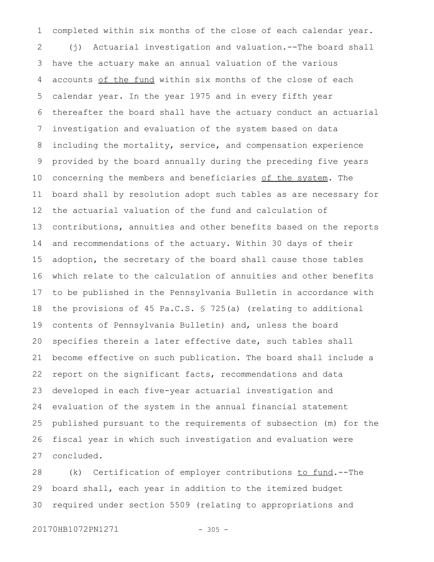completed within six months of the close of each calendar year. (j) Actuarial investigation and valuation.--The board shall have the actuary make an annual valuation of the various accounts of the fund within six months of the close of each calendar year. In the year 1975 and in every fifth year thereafter the board shall have the actuary conduct an actuarial investigation and evaluation of the system based on data including the mortality, service, and compensation experience provided by the board annually during the preceding five years concerning the members and beneficiaries of the system. The board shall by resolution adopt such tables as are necessary for the actuarial valuation of the fund and calculation of contributions, annuities and other benefits based on the reports and recommendations of the actuary. Within 30 days of their adoption, the secretary of the board shall cause those tables which relate to the calculation of annuities and other benefits to be published in the Pennsylvania Bulletin in accordance with the provisions of 45 Pa.C.S. § 725(a) (relating to additional contents of Pennsylvania Bulletin) and, unless the board specifies therein a later effective date, such tables shall become effective on such publication. The board shall include a report on the significant facts, recommendations and data developed in each five-year actuarial investigation and evaluation of the system in the annual financial statement published pursuant to the requirements of subsection (m) for the fiscal year in which such investigation and evaluation were concluded. 1 2 3 4 5 6 7 8 9 10 11 12 13 14 15 16 17 18 19 20 21 22 23 24 25 26 27

(k) Certification of employer contributions to fund.--The board shall, each year in addition to the itemized budget required under section 5509 (relating to appropriations and 28 29 30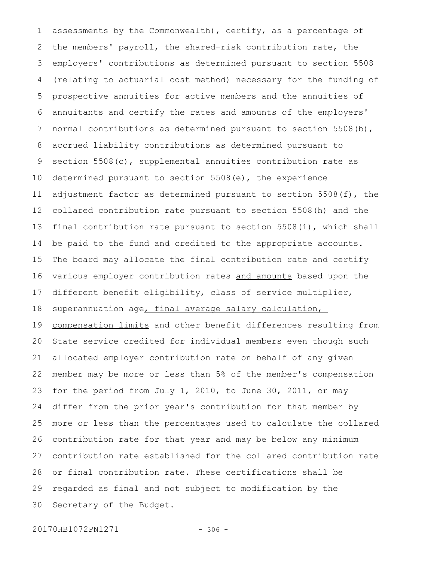assessments by the Commonwealth), certify, as a percentage of the members' payroll, the shared-risk contribution rate, the employers' contributions as determined pursuant to section 5508 (relating to actuarial cost method) necessary for the funding of prospective annuities for active members and the annuities of annuitants and certify the rates and amounts of the employers' normal contributions as determined pursuant to section 5508(b), accrued liability contributions as determined pursuant to section 5508(c), supplemental annuities contribution rate as determined pursuant to section 5508(e), the experience adjustment factor as determined pursuant to section 5508(f), the collared contribution rate pursuant to section 5508(h) and the final contribution rate pursuant to section 5508(i), which shall be paid to the fund and credited to the appropriate accounts. The board may allocate the final contribution rate and certify various employer contribution rates and amounts based upon the different benefit eligibility, class of service multiplier, superannuation age, final average salary calculation, compensation limits and other benefit differences resulting from State service credited for individual members even though such allocated employer contribution rate on behalf of any given member may be more or less than 5% of the member's compensation for the period from July 1, 2010, to June 30, 2011, or may differ from the prior year's contribution for that member by more or less than the percentages used to calculate the collared contribution rate for that year and may be below any minimum contribution rate established for the collared contribution rate or final contribution rate. These certifications shall be regarded as final and not subject to modification by the Secretary of the Budget. 1 2 3 4 5 6 7 8 9 10 11 12 13 14 15 16 17 18 19 20 21 22 23 24 25 26 27 28 29 30

20170HB1072PN1271 - 306 -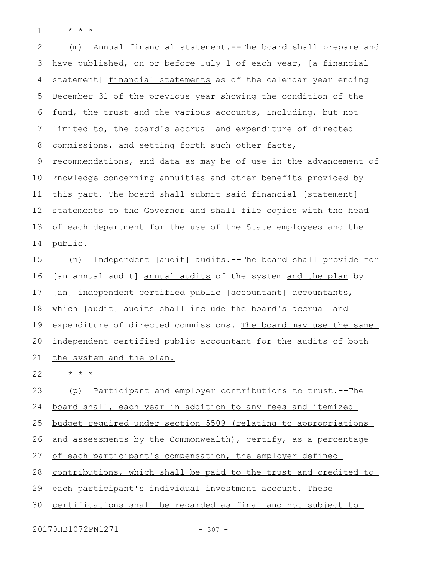\* \* \* 1

(m) Annual financial statement.--The board shall prepare and have published, on or before July 1 of each year, [a financial statement] financial statements as of the calendar year ending December 31 of the previous year showing the condition of the fund, the trust and the various accounts, including, but not limited to, the board's accrual and expenditure of directed commissions, and setting forth such other facts, recommendations, and data as may be of use in the advancement of knowledge concerning annuities and other benefits provided by this part. The board shall submit said financial [statement] statements to the Governor and shall file copies with the head of each department for the use of the State employees and the public. 2 3 4 5 6 7 8 9 10 11 12 13 14

(n) Independent [audit] audits.--The board shall provide for [an annual audit] annual audits of the system and the plan by [an] independent certified public [accountant] accountants, which [audit] audits shall include the board's accrual and expenditure of directed commissions. The board may use the same independent certified public accountant for the audits of both the system and the plan. 15 16 17 18 19 20 21

\* \* \* 22

(p) Participant and employer contributions to trust.--The board shall, each year in addition to any fees and itemized budget required under section 5509 (relating to appropriations and assessments by the Commonwealth), certify, as a percentage of each participant's compensation, the employer defined contributions, which shall be paid to the trust and credited to each participant's individual investment account. These certifications shall be regarded as final and not subject to 23 24 25 26 27 28 29 30

20170HB1072PN1271 - 307 -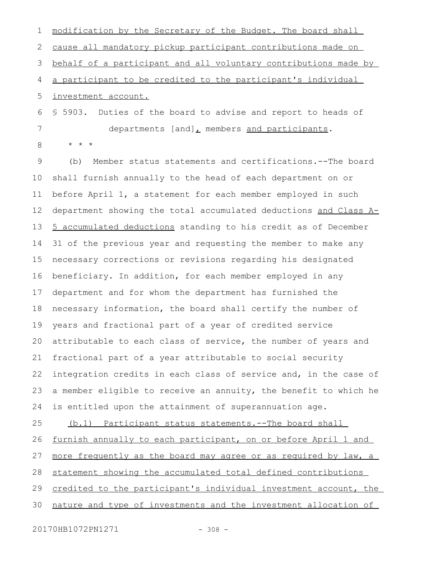modification by the Secretary of the Budget. The board shall cause all mandatory pickup participant contributions made on behalf of a participant and all voluntary contributions made by a participant to be credited to the participant's individual investment account. § 5903. Duties of the board to advise and report to heads of departments [and], members and participants. \* \* \* (b) Member status statements and certifications.--The board shall furnish annually to the head of each department on or 1 2 3 4 5 6 7 8 9 10

before April 1, a statement for each member employed in such department showing the total accumulated deductions and Class A-5 accumulated deductions standing to his credit as of December 31 of the previous year and requesting the member to make any necessary corrections or revisions regarding his designated beneficiary. In addition, for each member employed in any department and for whom the department has furnished the necessary information, the board shall certify the number of years and fractional part of a year of credited service attributable to each class of service, the number of years and fractional part of a year attributable to social security integration credits in each class of service and, in the case of a member eligible to receive an annuity, the benefit to which he is entitled upon the attainment of superannuation age. 11 12 13 14 15 16 17 18 19 20 21 22 23 24

(b.1) Participant status statements.--The board shall furnish annually to each participant, on or before April 1 and more frequently as the board may agree or as required by law, a statement showing the accumulated total defined contributions credited to the participant's individual investment account, the nature and type of investments and the investment allocation of 25 26 27 28 29 30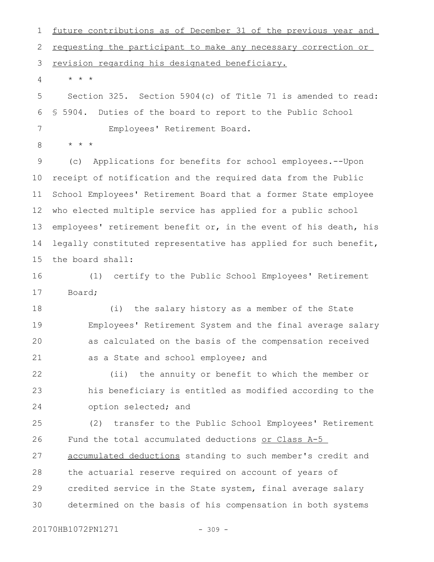future contributions as of December 31 of the previous year and requesting the participant to make any necessary correction or revision regarding his designated beneficiary. 1 2 3

\* \* \* 4

Section 325. Section 5904(c) of Title 71 is amended to read: § 5904. Duties of the board to report to the Public School Employees' Retirement Board. 5 6 7

\* \* \* 8

(c) Applications for benefits for school employees.--Upon receipt of notification and the required data from the Public School Employees' Retirement Board that a former State employee who elected multiple service has applied for a public school employees' retirement benefit or, in the event of his death, his legally constituted representative has applied for such benefit, the board shall: 9 10 11 12 13 14 15

(1) certify to the Public School Employees' Retirement Board; 16 17

(i) the salary history as a member of the State Employees' Retirement System and the final average salary as calculated on the basis of the compensation received as a State and school employee; and 18 19 20 21

(ii) the annuity or benefit to which the member or his beneficiary is entitled as modified according to the option selected; and 22 23 24

(2) transfer to the Public School Employees' Retirement Fund the total accumulated deductions or Class A-5 accumulated deductions standing to such member's credit and the actuarial reserve required on account of years of credited service in the State system, final average salary determined on the basis of his compensation in both systems 25 26 27 28 29 30

20170HB1072PN1271 - 309 -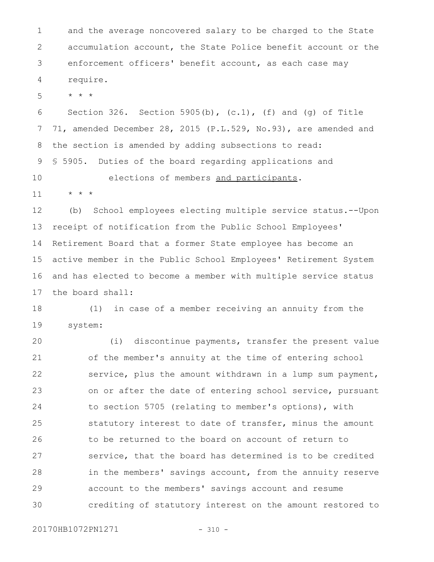and the average noncovered salary to be charged to the State accumulation account, the State Police benefit account or the enforcement officers' benefit account, as each case may require. 1 2 3 4

\* \* \* 5

Section 326. Section 5905(b),  $(c.1)$ ,  $(f)$  and  $(g)$  of Title 71, amended December 28, 2015 (P.L.529, No.93), are amended and the section is amended by adding subsections to read: § 5905. Duties of the board regarding applications and 6 7 8 9

elections of members and participants. \* \* \* 10 11

(b) School employees electing multiple service status.--Upon receipt of notification from the Public School Employees' Retirement Board that a former State employee has become an active member in the Public School Employees' Retirement System and has elected to become a member with multiple service status the board shall: 12 13 14 15 16 17

(1) in case of a member receiving an annuity from the system: 18 19

(i) discontinue payments, transfer the present value of the member's annuity at the time of entering school service, plus the amount withdrawn in a lump sum payment, on or after the date of entering school service, pursuant to section 5705 (relating to member's options), with statutory interest to date of transfer, minus the amount to be returned to the board on account of return to service, that the board has determined is to be credited in the members' savings account, from the annuity reserve account to the members' savings account and resume crediting of statutory interest on the amount restored to 20 21 22 23 24 25 26 27 28 29 30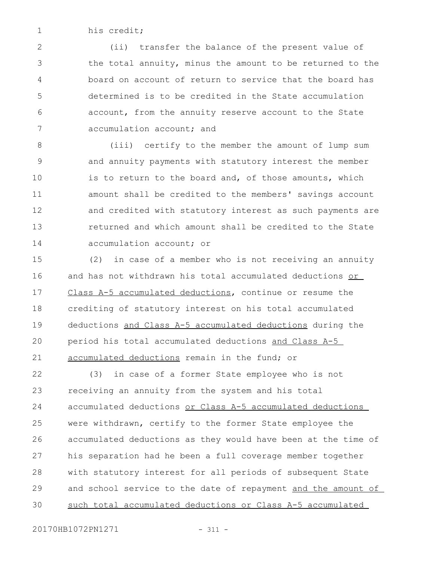his credit; 1

(ii) transfer the balance of the present value of the total annuity, minus the amount to be returned to the board on account of return to service that the board has determined is to be credited in the State accumulation account, from the annuity reserve account to the State accumulation account; and 2 3 4 5 6 7

(iii) certify to the member the amount of lump sum and annuity payments with statutory interest the member is to return to the board and, of those amounts, which amount shall be credited to the members' savings account and credited with statutory interest as such payments are returned and which amount shall be credited to the State accumulation account; or 8 9 10 11 12 13 14

(2) in case of a member who is not receiving an annuity and has not withdrawn his total accumulated deductions or Class A-5 accumulated deductions, continue or resume the crediting of statutory interest on his total accumulated deductions and Class A-5 accumulated deductions during the period his total accumulated deductions and Class A-5 accumulated deductions remain in the fund; or 15 16 17 18 19  $20$ 21

(3) in case of a former State employee who is not receiving an annuity from the system and his total accumulated deductions or Class A-5 accumulated deductions were withdrawn, certify to the former State employee the accumulated deductions as they would have been at the time of his separation had he been a full coverage member together with statutory interest for all periods of subsequent State and school service to the date of repayment and the amount of such total accumulated deductions or Class A-5 accumulated 22 23 24 25 26 27 28 29 30

20170HB1072PN1271 - 311 -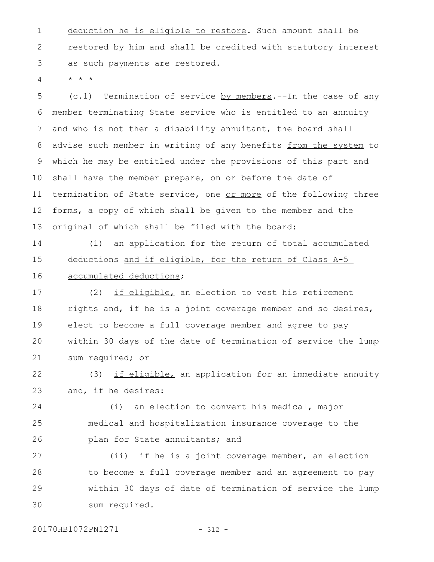deduction he is eligible to restore. Such amount shall be restored by him and shall be credited with statutory interest as such payments are restored. 1 2 3

 $\star$   $\hspace{0.1cm} \star$   $\hspace{0.1cm} \star$ 4

(c.1) Termination of service by members.--In the case of any member terminating State service who is entitled to an annuity and who is not then a disability annuitant, the board shall advise such member in writing of any benefits from the system to which he may be entitled under the provisions of this part and shall have the member prepare, on or before the date of termination of State service, one or more of the following three forms, a copy of which shall be given to the member and the original of which shall be filed with the board: 5 6 7 8 9 10 11 12 13

(1) an application for the return of total accumulated deductions and if eligible, for the return of Class A-5 accumulated deductions; 14 15 16

(2) if eligible, an election to vest his retirement rights and, if he is a joint coverage member and so desires, elect to become a full coverage member and agree to pay within 30 days of the date of termination of service the lump sum required; or 17 18 19 20 21

(3) if eligible, an application for an immediate annuity and, if he desires: 22 23

(i) an election to convert his medical, major medical and hospitalization insurance coverage to the plan for State annuitants; and 24 25 26

(ii) if he is a joint coverage member, an election to become a full coverage member and an agreement to pay within 30 days of date of termination of service the lump sum required. 27 28 29 30

20170HB1072PN1271 - 312 -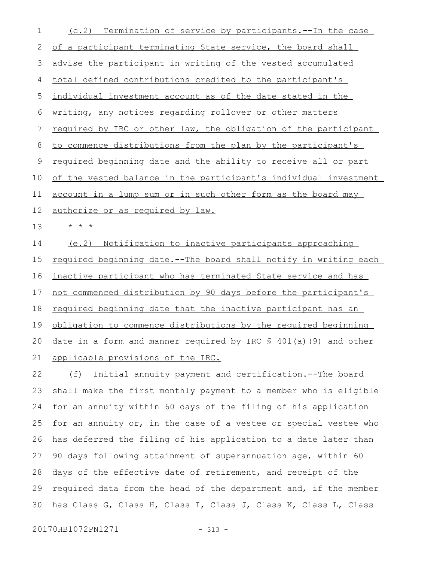(c.2) Termination of service by participants.--In the case of a participant terminating State service, the board shall advise the participant in writing of the vested accumulated total defined contributions credited to the participant's individual investment account as of the date stated in the writing, any notices regarding rollover or other matters required by IRC or other law, the obligation of the participant to commence distributions from the plan by the participant's required beginning date and the ability to receive all or part of the vested balance in the participant's individual investment account in a lump sum or in such other form as the board may authorize or as required by law. \* \* \* (e.2) Notification to inactive participants approaching required beginning date.--The board shall notify in writing each inactive participant who has terminated State service and has not commenced distribution by 90 days before the participant's required beginning date that the inactive participant has an obligation to commence distributions by the required beginning date in a form and manner required by IRC § 401(a)(9) and other applicable provisions of the IRC. (f) Initial annuity payment and certification.--The board 1 2 3 4 5 6 7 8 9 10 11 12 13 14 15 16 17 18 19 20 21 22

shall make the first monthly payment to a member who is eligible for an annuity within 60 days of the filing of his application for an annuity or, in the case of a vestee or special vestee who has deferred the filing of his application to a date later than 90 days following attainment of superannuation age, within 60 days of the effective date of retirement, and receipt of the required data from the head of the department and, if the member has Class G, Class H, Class I, Class J, Class K, Class L, Class 23 24 25 26 27 28 29 30

20170HB1072PN1271 - 313 -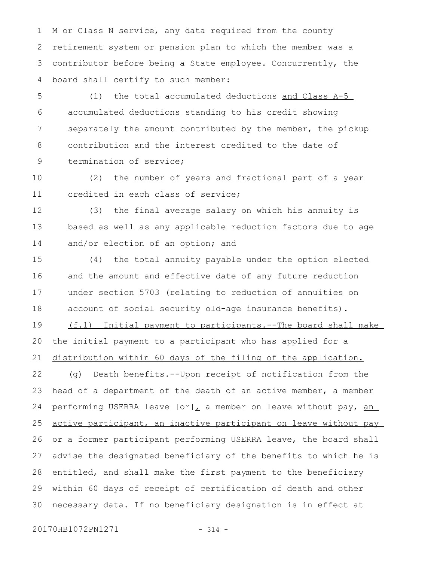M or Class N service, any data required from the county retirement system or pension plan to which the member was a contributor before being a State employee. Concurrently, the board shall certify to such member: 1 2 3 4

(1) the total accumulated deductions and Class A-5 accumulated deductions standing to his credit showing separately the amount contributed by the member, the pickup contribution and the interest credited to the date of termination of service; 5 6 7 8 9

(2) the number of years and fractional part of a year credited in each class of service; 10 11

(3) the final average salary on which his annuity is based as well as any applicable reduction factors due to age and/or election of an option; and 12 13 14

(4) the total annuity payable under the option elected and the amount and effective date of any future reduction under section 5703 (relating to reduction of annuities on account of social security old-age insurance benefits). (f.1) Initial payment to participants.--The board shall make the initial payment to a participant who has applied for a distribution within 60 days of the filing of the application. (g) Death benefits.--Upon receipt of notification from the head of a department of the death of an active member, a member performing USERRA leave  $[or]_L$  a member on leave without pay, an active participant, an inactive participant on leave without pay or a former participant performing USERRA leave, the board shall advise the designated beneficiary of the benefits to which he is entitled, and shall make the first payment to the beneficiary within 60 days of receipt of certification of death and other necessary data. If no beneficiary designation is in effect at 15 16 17 18 19 20 21 22 23 24 25 26 27 28 29 30

20170HB1072PN1271 - 314 -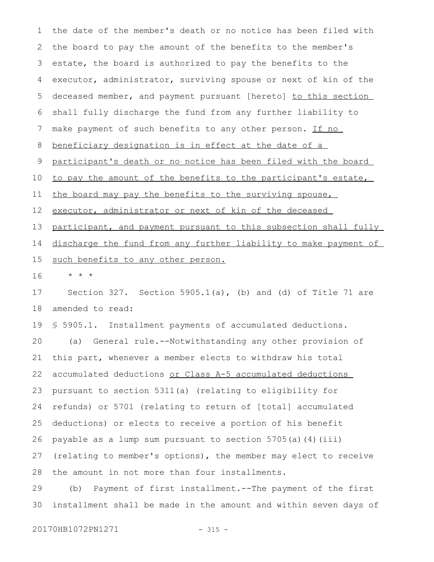the date of the member's death or no notice has been filed with the board to pay the amount of the benefits to the member's estate, the board is authorized to pay the benefits to the executor, administrator, surviving spouse or next of kin of the deceased member, and payment pursuant [hereto] to this section shall fully discharge the fund from any further liability to make payment of such benefits to any other person. If no beneficiary designation is in effect at the date of a participant's death or no notice has been filed with the board to pay the amount of the benefits to the participant's estate, the board may pay the benefits to the surviving spouse, executor, administrator or next of kin of the deceased participant, and payment pursuant to this subsection shall fully discharge the fund from any further liability to make payment of such benefits to any other person. \* \* \* Section 327. Section 5905.1(a), (b) and (d) of Title 71 are amended to read: § 5905.1. Installment payments of accumulated deductions. (a) General rule.--Notwithstanding any other provision of this part, whenever a member elects to withdraw his total accumulated deductions or Class A-5 accumulated deductions pursuant to section 5311(a) (relating to eligibility for refunds) or 5701 (relating to return of [total] accumulated deductions) or elects to receive a portion of his benefit payable as a lump sum pursuant to section 5705(a)(4)(iii) (relating to member's options), the member may elect to receive the amount in not more than four installments. (b) Payment of first installment.--The payment of the first installment shall be made in the amount and within seven days of 1 2 3 4 5 6 7 8 9 10 11 12 13 14 15 16 17 18 19 20 21 22 23 24 25 26 27 28 29 30

20170HB1072PN1271 - 315 -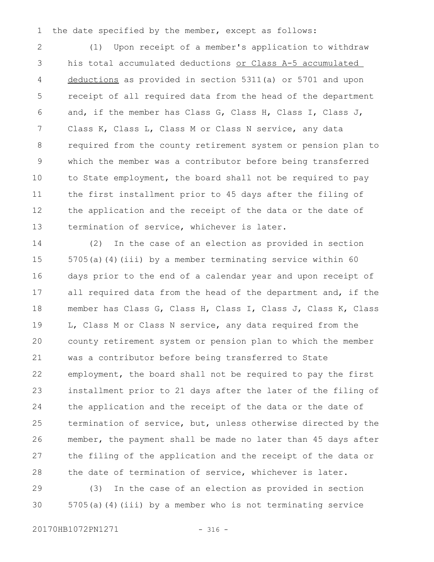the date specified by the member, except as follows: 1

(1) Upon receipt of a member's application to withdraw his total accumulated deductions or Class A-5 accumulated deductions as provided in section 5311(a) or 5701 and upon receipt of all required data from the head of the department and, if the member has Class G, Class H, Class I, Class J, Class K, Class L, Class M or Class N service, any data required from the county retirement system or pension plan to which the member was a contributor before being transferred to State employment, the board shall not be required to pay the first installment prior to 45 days after the filing of the application and the receipt of the data or the date of termination of service, whichever is later. 2 3 4 5 6 7 8 9 10 11 12 13

(2) In the case of an election as provided in section 5705(a)(4)(iii) by a member terminating service within 60 days prior to the end of a calendar year and upon receipt of all required data from the head of the department and, if the member has Class G, Class H, Class I, Class J, Class K, Class L, Class M or Class N service, any data required from the county retirement system or pension plan to which the member was a contributor before being transferred to State employment, the board shall not be required to pay the first installment prior to 21 days after the later of the filing of the application and the receipt of the data or the date of termination of service, but, unless otherwise directed by the member, the payment shall be made no later than 45 days after the filing of the application and the receipt of the data or the date of termination of service, whichever is later. 14 15 16 17 18 19 20 21 22 23 24 25 26 27 28

(3) In the case of an election as provided in section 5705(a)(4)(iii) by a member who is not terminating service 29 30

20170HB1072PN1271 - 316 -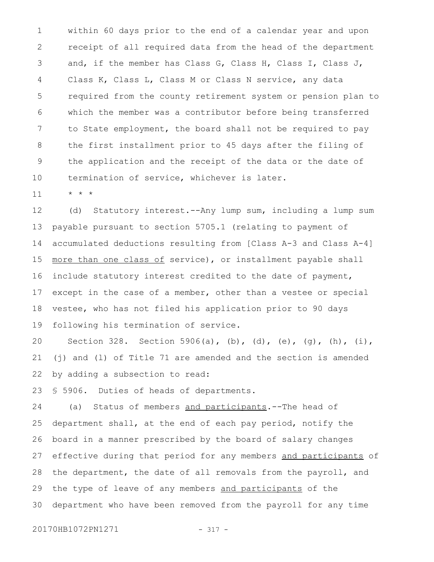within 60 days prior to the end of a calendar year and upon receipt of all required data from the head of the department and, if the member has Class G, Class H, Class I, Class J, Class K, Class L, Class M or Class N service, any data required from the county retirement system or pension plan to which the member was a contributor before being transferred to State employment, the board shall not be required to pay the first installment prior to 45 days after the filing of the application and the receipt of the data or the date of termination of service, whichever is later. 1 2 3 4 5 6 7 8 9 10

\* \* \* 11

(d) Statutory interest.--Any lump sum, including a lump sum payable pursuant to section 5705.1 (relating to payment of accumulated deductions resulting from [Class A-3 and Class A-4] more than one class of service), or installment payable shall include statutory interest credited to the date of payment, except in the case of a member, other than a vestee or special vestee, who has not filed his application prior to 90 days following his termination of service. 12 13 14 15 16 17 18 19

Section 328. Section 5906(a), (b), (d), (e), (q), (h), (i), (j) and (l) of Title 71 are amended and the section is amended by adding a subsection to read: 20 21 22

§ 5906. Duties of heads of departments. 23

(a) Status of members and participants.--The head of department shall, at the end of each pay period, notify the board in a manner prescribed by the board of salary changes effective during that period for any members and participants of the department, the date of all removals from the payroll, and the type of leave of any members and participants of the department who have been removed from the payroll for any time 24 25 26 27 28 29 30

20170HB1072PN1271 - 317 -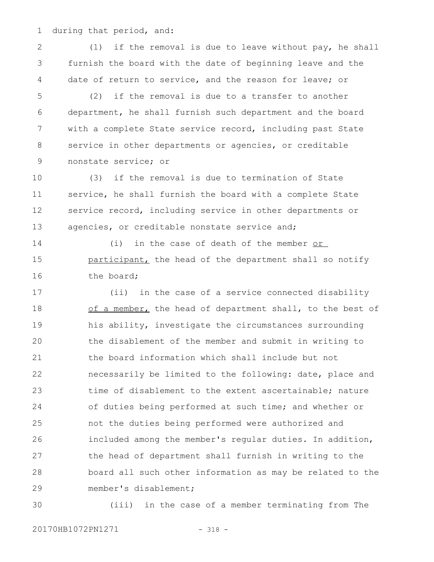during that period, and: 1

(1) if the removal is due to leave without pay, he shall furnish the board with the date of beginning leave and the date of return to service, and the reason for leave; or 2 3 4

(2) if the removal is due to a transfer to another department, he shall furnish such department and the board with a complete State service record, including past State service in other departments or agencies, or creditable nonstate service; or 5 6 7 8 9

(3) if the removal is due to termination of State service, he shall furnish the board with a complete State service record, including service in other departments or agencies, or creditable nonstate service and; 10 11 12 13

(i) in the case of death of the member or participant, the head of the department shall so notify the board; 14 15 16

(ii) in the case of a service connected disability of a member, the head of department shall, to the best of his ability, investigate the circumstances surrounding the disablement of the member and submit in writing to the board information which shall include but not necessarily be limited to the following: date, place and time of disablement to the extent ascertainable; nature of duties being performed at such time; and whether or not the duties being performed were authorized and included among the member's regular duties. In addition, the head of department shall furnish in writing to the board all such other information as may be related to the member's disablement; 17 18 19 20 21 22 23 24 25 26 27 28 29

30

(iii) in the case of a member terminating from The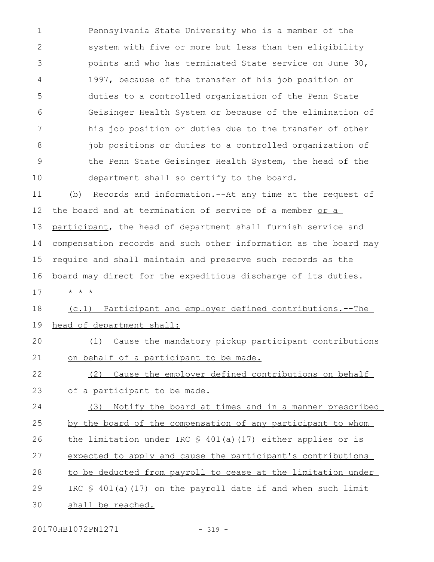Pennsylvania State University who is a member of the system with five or more but less than ten eligibility points and who has terminated State service on June 30, 1997, because of the transfer of his job position or duties to a controlled organization of the Penn State Geisinger Health System or because of the elimination of his job position or duties due to the transfer of other job positions or duties to a controlled organization of the Penn State Geisinger Health System, the head of the department shall so certify to the board. 1 2 3 4 5 6 7 8 9 10

(b) Records and information.--At any time at the request of the board and at termination of service of a member or a participant, the head of department shall furnish service and compensation records and such other information as the board may require and shall maintain and preserve such records as the board may direct for the expeditious discharge of its duties. \* \* \* 11 12 13 14 15 16 17

(c.1) Participant and employer defined contributions.--The head of department shall: 18 19

## (1) Cause the mandatory pickup participant contributions on behalf of a participant to be made.  $20$ 21

(2) Cause the employer defined contributions on behalf of a participant to be made. 22 23

(3) Notify the board at times and in a manner prescribed 24

- by the board of the compensation of any participant to whom 25
- the limitation under IRC  $$ 401(a)(17)$  either applies or is 26
- expected to apply and cause the participant's contributions 27
- to be deducted from payroll to cease at the limitation under 28
- IRC § 401(a)(17) on the payroll date if and when such limit 29
- shall be reached. 30

20170HB1072PN1271 - 319 -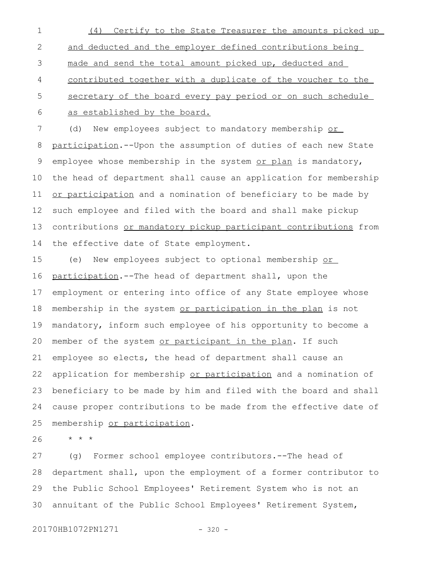(4) Certify to the State Treasurer the amounts picked up and deducted and the employer defined contributions being made and send the total amount picked up, deducted and contributed together with a duplicate of the voucher to the secretary of the board every pay period or on such schedule as established by the board. 1 2 3 4 5 6

(d) New employees subject to mandatory membership or participation.--Upon the assumption of duties of each new State employee whose membership in the system or plan is mandatory, the head of department shall cause an application for membership or participation and a nomination of beneficiary to be made by such employee and filed with the board and shall make pickup contributions or mandatory pickup participant contributions from the effective date of State employment. 7 8 9 10 11 12 13 14

(e) New employees subject to optional membership or participation.--The head of department shall, upon the employment or entering into office of any State employee whose membership in the system or participation in the plan is not mandatory, inform such employee of his opportunity to become a member of the system or participant in the plan. If such employee so elects, the head of department shall cause an application for membership or participation and a nomination of beneficiary to be made by him and filed with the board and shall cause proper contributions to be made from the effective date of membership or participation. 15 16 17 18 19 20 21 22 23 24 25

\* \* \* 26

(g) Former school employee contributors.--The head of department shall, upon the employment of a former contributor to the Public School Employees' Retirement System who is not an annuitant of the Public School Employees' Retirement System, 27 28 29 30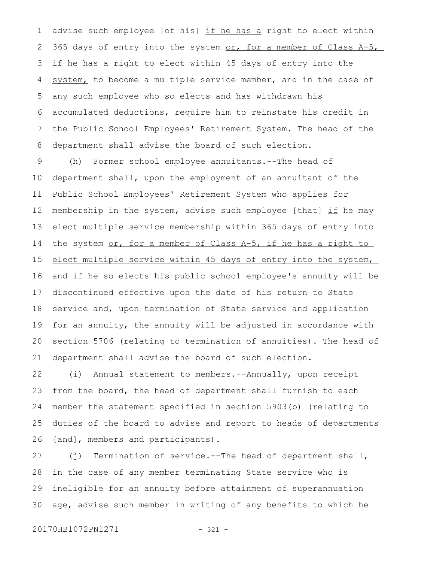advise such employee [of his] if he has a right to elect within 365 days of entry into the system or, for a member of Class A-5, if he has a right to elect within 45 days of entry into the system, to become a multiple service member, and in the case of any such employee who so elects and has withdrawn his accumulated deductions, require him to reinstate his credit in the Public School Employees' Retirement System. The head of the department shall advise the board of such election. 1 2 3 4 5 6 7 8

(h) Former school employee annuitants.--The head of department shall, upon the employment of an annuitant of the Public School Employees' Retirement System who applies for membership in the system, advise such employee [that] if he may elect multiple service membership within 365 days of entry into the system or, for a member of Class A-5, if he has a right to elect multiple service within 45 days of entry into the system, and if he so elects his public school employee's annuity will be discontinued effective upon the date of his return to State service and, upon termination of State service and application for an annuity, the annuity will be adjusted in accordance with section 5706 (relating to termination of annuities). The head of department shall advise the board of such election. 9 10 11 12 13 14 15 16 17 18 19 20 21

(i) Annual statement to members.--Annually, upon receipt from the board, the head of department shall furnish to each member the statement specified in section 5903(b) (relating to duties of the board to advise and report to heads of departments [and], members and participants). 22 23 24 25 26

(j) Termination of service.--The head of department shall, in the case of any member terminating State service who is ineligible for an annuity before attainment of superannuation age, advise such member in writing of any benefits to which he 27 28 29 30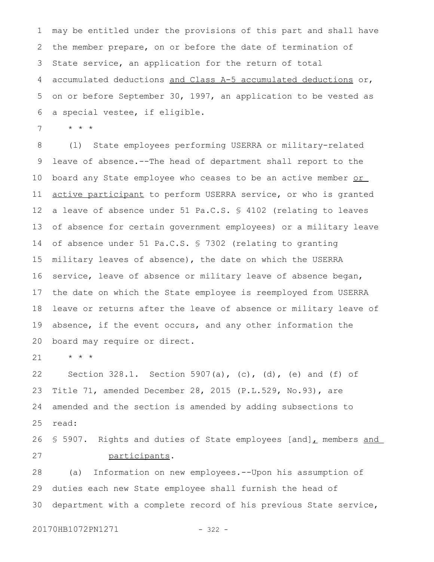may be entitled under the provisions of this part and shall have the member prepare, on or before the date of termination of State service, an application for the return of total accumulated deductions and Class A-5 accumulated deductions or, on or before September 30, 1997, an application to be vested as a special vestee, if eligible. 1 2 3 4 5 6

\* \* \* 7

(l) State employees performing USERRA or military-related leave of absence.--The head of department shall report to the board any State employee who ceases to be an active member or active participant to perform USERRA service, or who is granted a leave of absence under 51 Pa.C.S. § 4102 (relating to leaves of absence for certain government employees) or a military leave of absence under 51 Pa.C.S. § 7302 (relating to granting military leaves of absence), the date on which the USERRA service, leave of absence or military leave of absence began, the date on which the State employee is reemployed from USERRA leave or returns after the leave of absence or military leave of absence, if the event occurs, and any other information the board may require or direct. 8 9 10 11 12 13 14 15 16 17 18 19 20

\* \* \* 21

Section 328.1. Section 5907(a), (c), (d), (e) and (f) of Title 71, amended December 28, 2015 (P.L.529, No.93), are amended and the section is amended by adding subsections to read: 22 23 24 25

§ 5907. Rights and duties of State employees [and], members and participants. 26 27

(a) Information on new employees.--Upon his assumption of duties each new State employee shall furnish the head of department with a complete record of his previous State service, 28 29 30

20170HB1072PN1271 - 322 -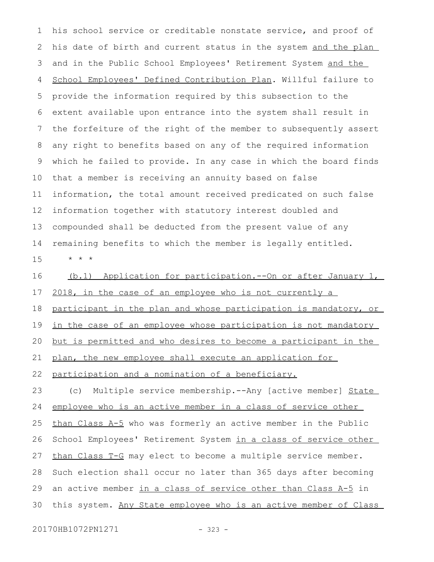his school service or creditable nonstate service, and proof of his date of birth and current status in the system and the plan and in the Public School Employees' Retirement System and the School Employees' Defined Contribution Plan. Willful failure to provide the information required by this subsection to the extent available upon entrance into the system shall result in the forfeiture of the right of the member to subsequently assert any right to benefits based on any of the required information which he failed to provide. In any case in which the board finds that a member is receiving an annuity based on false information, the total amount received predicated on such false information together with statutory interest doubled and compounded shall be deducted from the present value of any remaining benefits to which the member is legally entitled. \* \* \* 1 2 3 4 5 6 7 8 9 10 11 12 13 14 15

(b.1) Application for participation.--On or after January 1, 2018, in the case of an employee who is not currently a participant in the plan and whose participation is mandatory, or in the case of an employee whose participation is not mandatory but is permitted and who desires to become a participant in the plan, the new employee shall execute an application for participation and a nomination of a beneficiary. 16 17 18 19 20 21 22

(c) Multiple service membership.--Any [active member] State employee who is an active member in a class of service other than Class  $A-5$  who was formerly an active member in the Public School Employees' Retirement System in a class of service other than Class T-G may elect to become a multiple service member. Such election shall occur no later than 365 days after becoming an active member in a class of service other than Class A-5 in this system. Any State employee who is an active member of Class 23 24 25 26 27 28 29 30

20170HB1072PN1271 - 323 -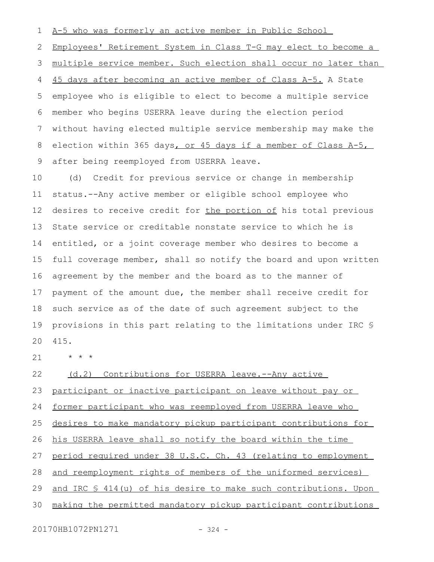A-5 who was formerly an active member in Public School 1

Employees' Retirement System in Class T-G may elect to become a 2

multiple service member. Such election shall occur no later than 3

45 days after becoming an active member of Class A-5. A State employee who is eligible to elect to become a multiple service member who begins USERRA leave during the election period without having elected multiple service membership may make the election within 365 days, or 45 days if a member of Class A-5, after being reemployed from USERRA leave. 4 5 6 7 8 9

(d) Credit for previous service or change in membership status.--Any active member or eligible school employee who desires to receive credit for the portion of his total previous State service or creditable nonstate service to which he is entitled, or a joint coverage member who desires to become a full coverage member, shall so notify the board and upon written agreement by the member and the board as to the manner of payment of the amount due, the member shall receive credit for such service as of the date of such agreement subject to the provisions in this part relating to the limitations under IRC § 415. 10 11 12 13 14 15 16 17 18 19 20

\* \* \* 21

(d.2) Contributions for USERRA leave.--Any active 22

participant or inactive participant on leave without pay or 23

former participant who was reemployed from USERRA leave who 24

desires to make mandatory pickup participant contributions for 25

his USERRA leave shall so notify the board within the time 26

period required under 38 U.S.C. Ch. 43 (relating to employment 27

and reemployment rights of members of the uniformed services) 28

and IRC § 414(u) of his desire to make such contributions. Upon 29

making the permitted mandatory pickup participant contributions 30

20170HB1072PN1271 - 324 -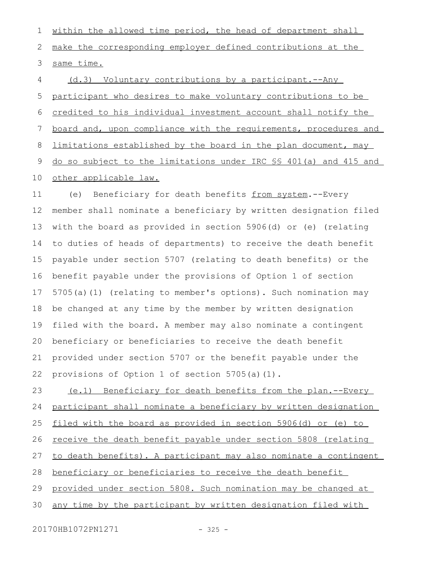within the allowed time period, the head of department shall make the corresponding employer defined contributions at the same time. 1 2 3

(d.3) Voluntary contributions by a participant.--Any participant who desires to make voluntary contributions to be credited to his individual investment account shall notify the board and, upon compliance with the requirements, procedures and limitations established by the board in the plan document, may do so subject to the limitations under IRC §§ 401(a) and 415 and other applicable law. 4 5 6 7 8 9 10

(e) Beneficiary for death benefits from system.--Every member shall nominate a beneficiary by written designation filed with the board as provided in section 5906(d) or (e) (relating to duties of heads of departments) to receive the death benefit payable under section 5707 (relating to death benefits) or the benefit payable under the provisions of Option 1 of section 5705(a)(1) (relating to member's options). Such nomination may be changed at any time by the member by written designation filed with the board. A member may also nominate a contingent beneficiary or beneficiaries to receive the death benefit provided under section 5707 or the benefit payable under the provisions of Option 1 of section 5705(a)(1). 11 12 13 14 15 16 17 18 19 20 21 22

(e.1) Beneficiary for death benefits from the plan.--Every participant shall nominate a beneficiary by written designation filed with the board as provided in section 5906(d) or (e) to receive the death benefit payable under section 5808 (relating to death benefits). A participant may also nominate a contingent beneficiary or beneficiaries to receive the death benefit provided under section 5808. Such nomination may be changed at any time by the participant by written designation filed with 23 24 25 26 27 28 29 30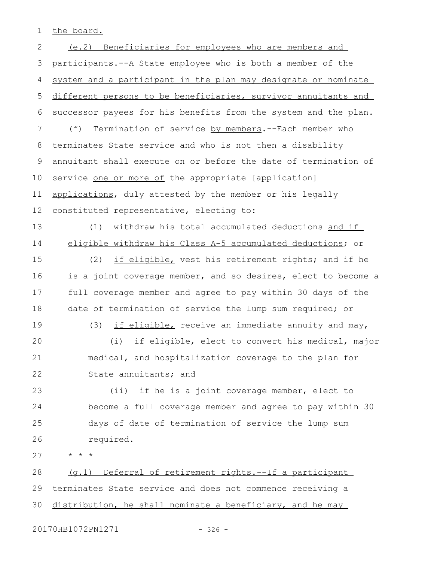the board. 1

(e.2) Beneficiaries for employees who are members and participants.--A State employee who is both a member of the system and a participant in the plan may designate or nominate different persons to be beneficiaries, survivor annuitants and successor payees for his benefits from the system and the plan. (f) Termination of service by members.--Each member who terminates State service and who is not then a disability annuitant shall execute on or before the date of termination of service one or more of the appropriate [application] applications, duly attested by the member or his legally constituted representative, electing to: (1) withdraw his total accumulated deductions and if eligible withdraw his Class A-5 accumulated deductions; or (2) if eligible, vest his retirement rights; and if he is a joint coverage member, and so desires, elect to become a full coverage member and agree to pay within 30 days of the date of termination of service the lump sum required; or (3) if eligible, receive an immediate annuity and may, (i) if eligible, elect to convert his medical, major medical, and hospitalization coverage to the plan for State annuitants; and (ii) if he is a joint coverage member, elect to become a full coverage member and agree to pay within 30 days of date of termination of service the lump sum required. \* \* \* (g.1) Deferral of retirement rights.--If a participant terminates State service and does not commence receiving a distribution, he shall nominate a beneficiary, and he may 2 3 4 5 6 7 8 9 10 11 12 13 14 15 16 17 18 19  $20$ 21 22 23 24 25 26 27 28 29 30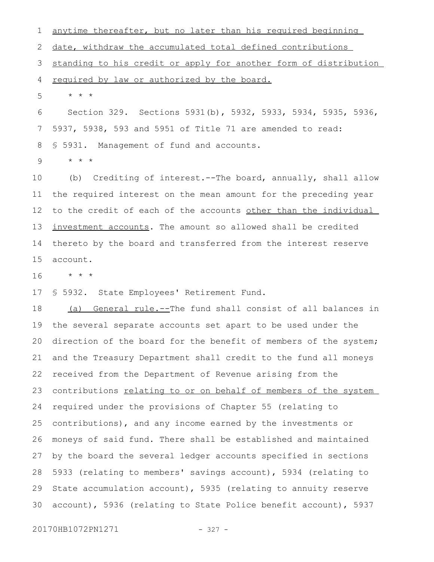anytime thereafter, but no later than his required beginning date, withdraw the accumulated total defined contributions standing to his credit or apply for another form of distribution required by law or authorized by the board. \* \* \* 1 2 3 4 5

Section 329. Sections 5931(b), 5932, 5933, 5934, 5935, 5936, 5937, 5938, 593 and 5951 of Title 71 are amended to read: § 5931. Management of fund and accounts. 6 7 8

\* \* \* 9

(b) Crediting of interest.--The board, annually, shall allow the required interest on the mean amount for the preceding year to the credit of each of the accounts other than the individual investment accounts. The amount so allowed shall be credited thereto by the board and transferred from the interest reserve account. 10 11 12 13 14 15

\* \* \* 16

§ 5932. State Employees' Retirement Fund. 17

(a) General rule.--The fund shall consist of all balances in the several separate accounts set apart to be used under the direction of the board for the benefit of members of the system; and the Treasury Department shall credit to the fund all moneys received from the Department of Revenue arising from the contributions relating to or on behalf of members of the system required under the provisions of Chapter 55 (relating to contributions), and any income earned by the investments or moneys of said fund. There shall be established and maintained by the board the several ledger accounts specified in sections 5933 (relating to members' savings account), 5934 (relating to State accumulation account), 5935 (relating to annuity reserve account), 5936 (relating to State Police benefit account), 5937 18 19 20 21 22 23 24 25 26 27 28 29 30

20170HB1072PN1271 - 327 -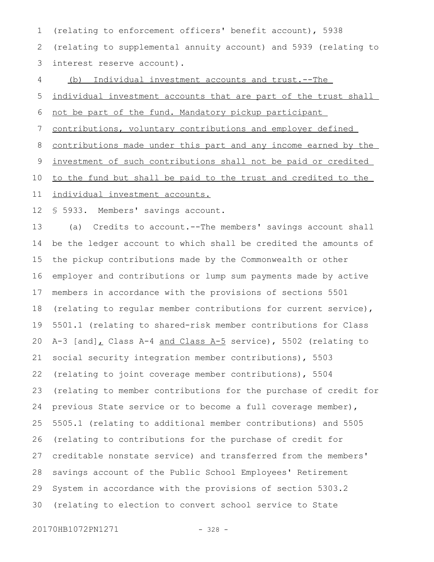(relating to enforcement officers' benefit account), 5938 (relating to supplemental annuity account) and 5939 (relating to interest reserve account). 1 2 3

(b) Individual investment accounts and trust.--The 4

individual investment accounts that are part of the trust shall 5

not be part of the fund. Mandatory pickup participant 6

contributions, voluntary contributions and employer defined 7

contributions made under this part and any income earned by the 8

investment of such contributions shall not be paid or credited 9

to the fund but shall be paid to the trust and credited to the 10

individual investment accounts. 11

§ 5933. Members' savings account. 12

(a) Credits to account.--The members' savings account shall be the ledger account to which shall be credited the amounts of the pickup contributions made by the Commonwealth or other employer and contributions or lump sum payments made by active members in accordance with the provisions of sections 5501 (relating to regular member contributions for current service), 5501.1 (relating to shared-risk member contributions for Class A-3  $[and]$ , Class A-4 and Class A-5 service), 5502 (relating to social security integration member contributions), 5503 (relating to joint coverage member contributions), 5504 (relating to member contributions for the purchase of credit for previous State service or to become a full coverage member), 5505.1 (relating to additional member contributions) and 5505 (relating to contributions for the purchase of credit for creditable nonstate service) and transferred from the members' savings account of the Public School Employees' Retirement System in accordance with the provisions of section 5303.2 (relating to election to convert school service to State 13 14 15 16 17 18 19 20 21 22 23 24 25 26 27 28 29 30

20170HB1072PN1271 - 328 -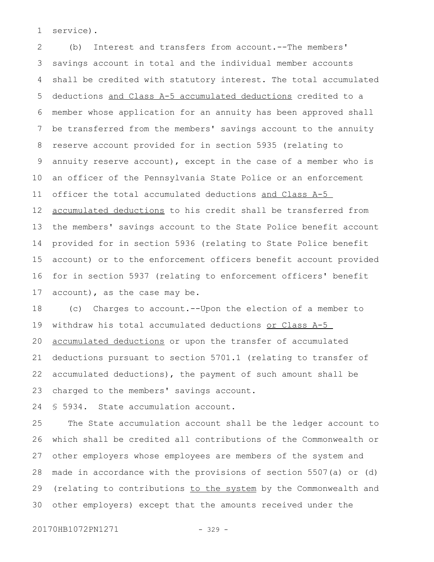service). 1

(b) Interest and transfers from account.--The members' savings account in total and the individual member accounts shall be credited with statutory interest. The total accumulated deductions and Class A-5 accumulated deductions credited to a member whose application for an annuity has been approved shall be transferred from the members' savings account to the annuity reserve account provided for in section 5935 (relating to annuity reserve account), except in the case of a member who is an officer of the Pennsylvania State Police or an enforcement officer the total accumulated deductions and Class A-5 accumulated deductions to his credit shall be transferred from the members' savings account to the State Police benefit account provided for in section 5936 (relating to State Police benefit account) or to the enforcement officers benefit account provided for in section 5937 (relating to enforcement officers' benefit account), as the case may be. 2 3 4 5 6 7 8 9 10 11 12 13 14 15 16 17

(c) Charges to account.--Upon the election of a member to withdraw his total accumulated deductions or Class A-5 accumulated deductions or upon the transfer of accumulated deductions pursuant to section 5701.1 (relating to transfer of accumulated deductions), the payment of such amount shall be charged to the members' savings account. 18 19 20 21 22 23

§ 5934. State accumulation account. 24

The State accumulation account shall be the ledger account to which shall be credited all contributions of the Commonwealth or other employers whose employees are members of the system and made in accordance with the provisions of section 5507(a) or (d) (relating to contributions to the system by the Commonwealth and other employers) except that the amounts received under the 25 26 27 28 29 30

20170HB1072PN1271 - 329 -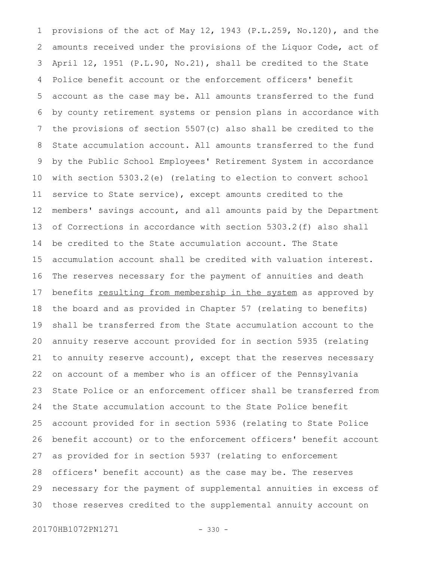provisions of the act of May 12, 1943 (P.L.259, No.120), and the amounts received under the provisions of the Liquor Code, act of April 12, 1951 (P.L.90, No.21), shall be credited to the State Police benefit account or the enforcement officers' benefit account as the case may be. All amounts transferred to the fund by county retirement systems or pension plans in accordance with the provisions of section 5507(c) also shall be credited to the State accumulation account. All amounts transferred to the fund by the Public School Employees' Retirement System in accordance with section 5303.2(e) (relating to election to convert school service to State service), except amounts credited to the members' savings account, and all amounts paid by the Department of Corrections in accordance with section 5303.2(f) also shall be credited to the State accumulation account. The State accumulation account shall be credited with valuation interest. The reserves necessary for the payment of annuities and death benefits resulting from membership in the system as approved by the board and as provided in Chapter 57 (relating to benefits) shall be transferred from the State accumulation account to the annuity reserve account provided for in section 5935 (relating to annuity reserve account), except that the reserves necessary on account of a member who is an officer of the Pennsylvania State Police or an enforcement officer shall be transferred from the State accumulation account to the State Police benefit account provided for in section 5936 (relating to State Police benefit account) or to the enforcement officers' benefit account as provided for in section 5937 (relating to enforcement officers' benefit account) as the case may be. The reserves necessary for the payment of supplemental annuities in excess of those reserves credited to the supplemental annuity account on 1 2 3 4 5 6 7 8 9 10 11 12 13 14 15 16 17 18 19 20 21 22 23 24 25 26 27 28 29 30

20170HB1072PN1271 - 330 -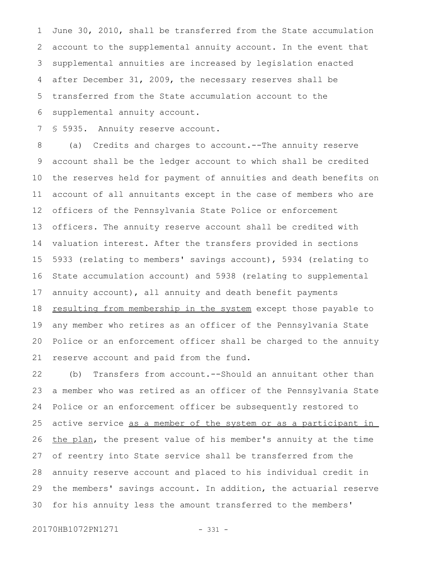June 30, 2010, shall be transferred from the State accumulation account to the supplemental annuity account. In the event that supplemental annuities are increased by legislation enacted after December 31, 2009, the necessary reserves shall be transferred from the State accumulation account to the supplemental annuity account. 1 2 3 4 5 6

§ 5935. Annuity reserve account. 7

(a) Credits and charges to account.--The annuity reserve account shall be the ledger account to which shall be credited the reserves held for payment of annuities and death benefits on account of all annuitants except in the case of members who are officers of the Pennsylvania State Police or enforcement officers. The annuity reserve account shall be credited with valuation interest. After the transfers provided in sections 5933 (relating to members' savings account), 5934 (relating to State accumulation account) and 5938 (relating to supplemental annuity account), all annuity and death benefit payments resulting from membership in the system except those payable to any member who retires as an officer of the Pennsylvania State Police or an enforcement officer shall be charged to the annuity reserve account and paid from the fund. 8 9 10 11 12 13 14 15 16 17 18 19 20 21

(b) Transfers from account.--Should an annuitant other than a member who was retired as an officer of the Pennsylvania State Police or an enforcement officer be subsequently restored to active service as a member of the system or as a participant in the plan, the present value of his member's annuity at the time of reentry into State service shall be transferred from the annuity reserve account and placed to his individual credit in the members' savings account. In addition, the actuarial reserve for his annuity less the amount transferred to the members' 22 23 24 25 26 27 28 29 30

20170HB1072PN1271 - 331 -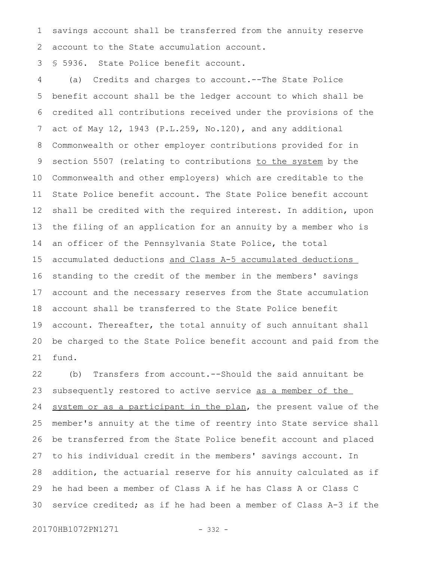savings account shall be transferred from the annuity reserve account to the State accumulation account. 1 2

§ 5936. State Police benefit account. 3

(a) Credits and charges to account.--The State Police benefit account shall be the ledger account to which shall be credited all contributions received under the provisions of the act of May 12, 1943 (P.L.259, No.120), and any additional Commonwealth or other employer contributions provided for in section 5507 (relating to contributions to the system by the Commonwealth and other employers) which are creditable to the State Police benefit account. The State Police benefit account shall be credited with the required interest. In addition, upon the filing of an application for an annuity by a member who is an officer of the Pennsylvania State Police, the total accumulated deductions and Class A-5 accumulated deductions standing to the credit of the member in the members' savings account and the necessary reserves from the State accumulation account shall be transferred to the State Police benefit account. Thereafter, the total annuity of such annuitant shall be charged to the State Police benefit account and paid from the fund. 4 5 6 7 8 9 10 11 12 13 14 15 16 17 18 19 20 21

(b) Transfers from account.--Should the said annuitant be subsequently restored to active service as a member of the system or as a participant in the plan, the present value of the member's annuity at the time of reentry into State service shall be transferred from the State Police benefit account and placed to his individual credit in the members' savings account. In addition, the actuarial reserve for his annuity calculated as if he had been a member of Class A if he has Class A or Class C service credited; as if he had been a member of Class A-3 if the 22 23 24 25 26 27 28 29 30

20170HB1072PN1271 - 332 -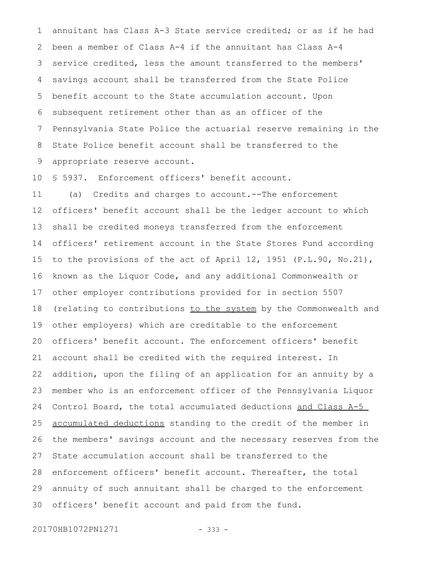annuitant has Class A-3 State service credited; or as if he had been a member of Class A-4 if the annuitant has Class A-4 service credited, less the amount transferred to the members' savings account shall be transferred from the State Police benefit account to the State accumulation account. Upon subsequent retirement other than as an officer of the Pennsylvania State Police the actuarial reserve remaining in the State Police benefit account shall be transferred to the appropriate reserve account. 1 2 3 4 5 6 7 8 9

§ 5937. Enforcement officers' benefit account. 10

(a) Credits and charges to account.--The enforcement officers' benefit account shall be the ledger account to which shall be credited moneys transferred from the enforcement officers' retirement account in the State Stores Fund according to the provisions of the act of April 12, 1951 (P.L.90, No.21), known as the Liquor Code, and any additional Commonwealth or other employer contributions provided for in section 5507 (relating to contributions to the system by the Commonwealth and other employers) which are creditable to the enforcement officers' benefit account. The enforcement officers' benefit account shall be credited with the required interest. In addition, upon the filing of an application for an annuity by a member who is an enforcement officer of the Pennsylvania Liquor Control Board, the total accumulated deductions and Class A-5 accumulated deductions standing to the credit of the member in the members' savings account and the necessary reserves from the State accumulation account shall be transferred to the enforcement officers' benefit account. Thereafter, the total annuity of such annuitant shall be charged to the enforcement officers' benefit account and paid from the fund. 11 12 13 14 15 16 17 18 19 20 21 22 23 24 25 26 27 28 29 30

20170HB1072PN1271 - 333 -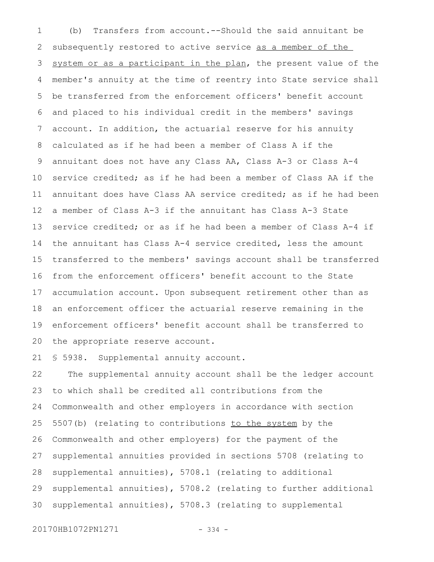(b) Transfers from account.--Should the said annuitant be subsequently restored to active service as a member of the system or as a participant in the plan, the present value of the member's annuity at the time of reentry into State service shall be transferred from the enforcement officers' benefit account and placed to his individual credit in the members' savings account. In addition, the actuarial reserve for his annuity calculated as if he had been a member of Class A if the annuitant does not have any Class AA, Class A-3 or Class A-4 service credited; as if he had been a member of Class AA if the annuitant does have Class AA service credited; as if he had been a member of Class A-3 if the annuitant has Class A-3 State service credited; or as if he had been a member of Class A-4 if the annuitant has Class A-4 service credited, less the amount transferred to the members' savings account shall be transferred from the enforcement officers' benefit account to the State accumulation account. Upon subsequent retirement other than as an enforcement officer the actuarial reserve remaining in the enforcement officers' benefit account shall be transferred to the appropriate reserve account. 1 2 3 4 5 6 7 8 9 10 11 12 13 14 15 16 17 18 19 20

§ 5938. Supplemental annuity account. 21

The supplemental annuity account shall be the ledger account to which shall be credited all contributions from the Commonwealth and other employers in accordance with section 5507(b) (relating to contributions to the system by the Commonwealth and other employers) for the payment of the supplemental annuities provided in sections 5708 (relating to supplemental annuities), 5708.1 (relating to additional supplemental annuities), 5708.2 (relating to further additional supplemental annuities), 5708.3 (relating to supplemental 22 23 24 25 26 27 28 29 30

20170HB1072PN1271 - 334 -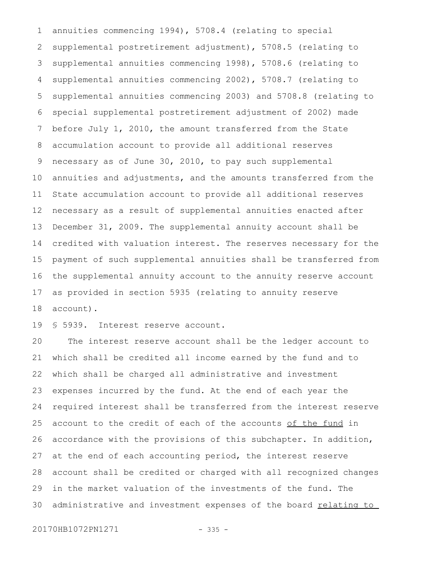annuities commencing 1994), 5708.4 (relating to special supplemental postretirement adjustment), 5708.5 (relating to supplemental annuities commencing 1998), 5708.6 (relating to supplemental annuities commencing 2002), 5708.7 (relating to supplemental annuities commencing 2003) and 5708.8 (relating to special supplemental postretirement adjustment of 2002) made before July 1, 2010, the amount transferred from the State accumulation account to provide all additional reserves necessary as of June 30, 2010, to pay such supplemental annuities and adjustments, and the amounts transferred from the State accumulation account to provide all additional reserves necessary as a result of supplemental annuities enacted after December 31, 2009. The supplemental annuity account shall be credited with valuation interest. The reserves necessary for the payment of such supplemental annuities shall be transferred from the supplemental annuity account to the annuity reserve account as provided in section 5935 (relating to annuity reserve account). 1 2 3 4 5 6 7 8 9 10 11 12 13 14 15 16 17 18

§ 5939. Interest reserve account. 19

The interest reserve account shall be the ledger account to which shall be credited all income earned by the fund and to which shall be charged all administrative and investment expenses incurred by the fund. At the end of each year the required interest shall be transferred from the interest reserve account to the credit of each of the accounts of the fund in accordance with the provisions of this subchapter. In addition, at the end of each accounting period, the interest reserve account shall be credited or charged with all recognized changes in the market valuation of the investments of the fund. The administrative and investment expenses of the board relating to 20 21 22 23 24 25 26 27 28 29 30

20170HB1072PN1271 - 335 -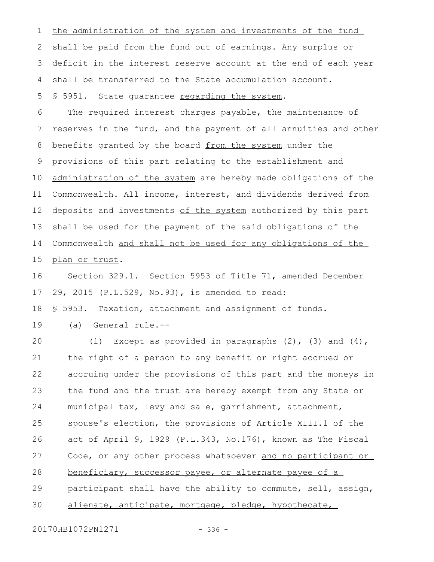the administration of the system and investments of the fund shall be paid from the fund out of earnings. Any surplus or deficit in the interest reserve account at the end of each year shall be transferred to the State accumulation account. § 5951. State quarantee regarding the system. The required interest charges payable, the maintenance of reserves in the fund, and the payment of all annuities and other benefits granted by the board from the system under the provisions of this part relating to the establishment and administration of the system are hereby made obligations of the Commonwealth. All income, interest, and dividends derived from deposits and investments of the system authorized by this part shall be used for the payment of the said obligations of the Commonwealth and shall not be used for any obligations of the plan or trust. Section 329.1. Section 5953 of Title 71, amended December 29, 2015 (P.L.529, No.93), is amended to read: § 5953. Taxation, attachment and assignment of funds. (a) General rule.-- (1) Except as provided in paragraphs  $(2)$ ,  $(3)$  and  $(4)$ , the right of a person to any benefit or right accrued or accruing under the provisions of this part and the moneys in the fund and the trust are hereby exempt from any State or municipal tax, levy and sale, garnishment, attachment, spouse's election, the provisions of Article XIII.1 of the act of April 9, 1929 (P.L.343, No.176), known as The Fiscal Code, or any other process whatsoever and no participant or beneficiary, successor payee, or alternate payee of a participant shall have the ability to commute, sell, assign, alienate, anticipate, mortgage, pledge, hypothecate, 1 2 3 4 5 6 7 8 9 10 11 12 13 14 15 16 17 18 19 20 21 22 23 24 25 26 27 28 29 30

20170HB1072PN1271 - 336 -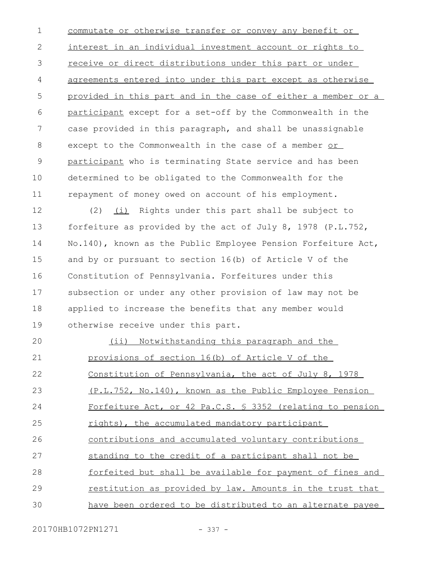commutate or otherwise transfer or convey any benefit or interest in an individual investment account or rights to receive or direct distributions under this part or under agreements entered into under this part except as otherwise provided in this part and in the case of either a member or a participant except for a set-off by the Commonwealth in the case provided in this paragraph, and shall be unassignable except to the Commonwealth in the case of a member or participant who is terminating State service and has been determined to be obligated to the Commonwealth for the repayment of money owed on account of his employment. 1 2 3 4 5 6 7 8 9 10 11

(2) (i) Rights under this part shall be subject to forfeiture as provided by the act of July 8, 1978 (P.L.752, No.140), known as the Public Employee Pension Forfeiture Act, and by or pursuant to section 16(b) of Article V of the Constitution of Pennsylvania. Forfeitures under this subsection or under any other provision of law may not be applied to increase the benefits that any member would otherwise receive under this part. 12 13 14 15 16 17 18 19

(ii) Notwithstanding this paragraph and the provisions of section 16(b) of Article V of the Constitution of Pennsylvania, the act of July 8, 1978 (P.L.752, No.140), known as the Public Employee Pension Forfeiture Act, or 42 Pa.C.S. § 3352 (relating to pension rights), the accumulated mandatory participant contributions and accumulated voluntary contributions standing to the credit of a participant shall not be forfeited but shall be available for payment of fines and restitution as provided by law. Amounts in the trust that have been ordered to be distributed to an alternate payee  $20$ 21 22 23 24 25 26 27 28 29 30

20170HB1072PN1271 - 337 -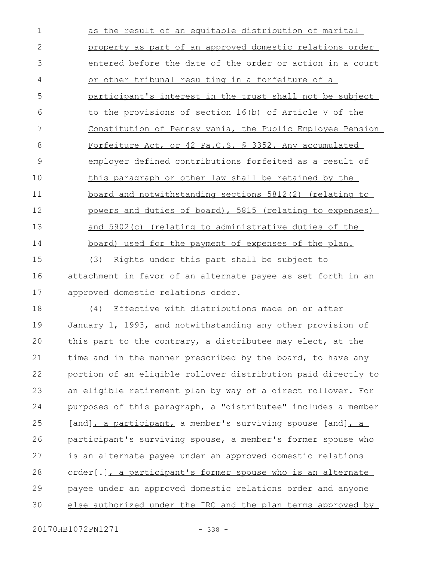as the result of an equitable distribution of marital property as part of an approved domestic relations order entered before the date of the order or action in a court or other tribunal resulting in a forfeiture of a participant's interest in the trust shall not be subject to the provisions of section 16(b) of Article V of the Constitution of Pennsylvania, the Public Employee Pension Forfeiture Act, or 42 Pa.C.S. § 3352. Any accumulated employer defined contributions forfeited as a result of this paragraph or other law shall be retained by the board and notwithstanding sections 5812(2) (relating to powers and duties of board), 5815 (relating to expenses) and 5902(c) (relating to administrative duties of the board) used for the payment of expenses of the plan. 1 2 3 4 5 6 7 8 9 10 11 12 13 14

(3) Rights under this part shall be subject to attachment in favor of an alternate payee as set forth in an approved domestic relations order. 15 16 17

(4) Effective with distributions made on or after January 1, 1993, and notwithstanding any other provision of this part to the contrary, a distributee may elect, at the time and in the manner prescribed by the board, to have any portion of an eligible rollover distribution paid directly to an eligible retirement plan by way of a direct rollover. For purposes of this paragraph, a "distributee" includes a member [and], a participant, a member's surviving spouse [and], a participant's surviving spouse, a member's former spouse who is an alternate payee under an approved domestic relations order[.], a participant's former spouse who is an alternate payee under an approved domestic relations order and anyone else authorized under the IRC and the plan terms approved by 18 19  $20$ 21 22 23 24 25 26 27 28 29 30

20170HB1072PN1271 - 338 -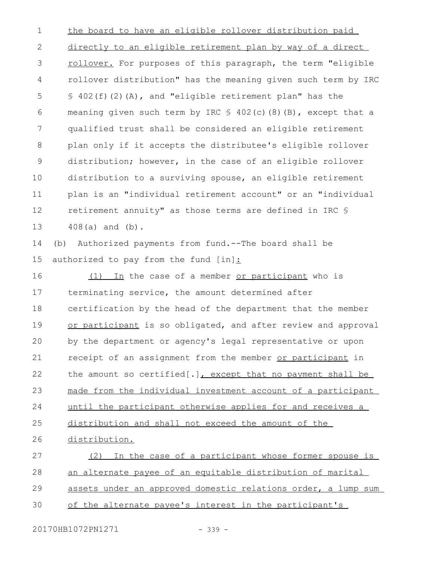the board to have an eligible rollover distribution paid directly to an eligible retirement plan by way of a direct rollover. For purposes of this paragraph, the term "eligible rollover distribution" has the meaning given such term by IRC  $$402(f)(2)(A)$ , and "eligible retirement plan" has the meaning given such term by IRC  $\frac{1}{2}$  402(c)(8)(B), except that a qualified trust shall be considered an eligible retirement plan only if it accepts the distributee's eligible rollover distribution; however, in the case of an eligible rollover distribution to a surviving spouse, an eligible retirement plan is an "individual retirement account" or an "individual retirement annuity" as those terms are defined in IRC § 408(a) and (b). (b) Authorized payments from fund.--The board shall be authorized to pay from the fund [in]: (1) In the case of a member or participant who is terminating service, the amount determined after certification by the head of the department that the member or participant is so obligated, and after review and approval by the department or agency's legal representative or upon receipt of an assignment from the member or participant in the amount so certified[.], except that no payment shall be made from the individual investment account of a participant until the participant otherwise applies for and receives a distribution and shall not exceed the amount of the distribution. (2) In the case of a participant whose former spouse is an alternate payee of an equitable distribution of marital assets under an approved domestic relations order, a lump sum of the alternate payee's interest in the participant's 1 2 3 4 5 6 7 8 9 10 11 12 13 14 15 16 17 18 19  $20$ 21 22 23 24 25 26 27 28 29 30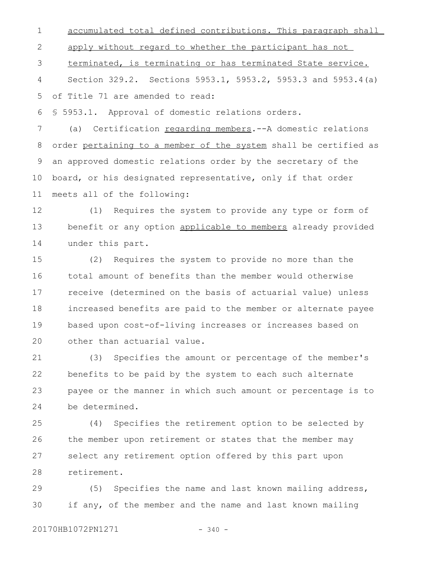accumulated total defined contributions. This paragraph shall apply without regard to whether the participant has not 1 2

terminated, is terminating or has terminated State service. 3

Section 329.2. Sections 5953.1, 5953.2, 5953.3 and 5953.4(a) of Title 71 are amended to read: 4 5

§ 5953.1. Approval of domestic relations orders. 6

(a) Certification regarding members.--A domestic relations order pertaining to a member of the system shall be certified as an approved domestic relations order by the secretary of the board, or his designated representative, only if that order meets all of the following: 7 8 9 10 11

(1) Requires the system to provide any type or form of benefit or any option applicable to members already provided under this part. 12 13 14

(2) Requires the system to provide no more than the total amount of benefits than the member would otherwise receive (determined on the basis of actuarial value) unless increased benefits are paid to the member or alternate payee based upon cost-of-living increases or increases based on other than actuarial value. 15 16 17 18 19  $20$ 

(3) Specifies the amount or percentage of the member's benefits to be paid by the system to each such alternate payee or the manner in which such amount or percentage is to be determined. 21 22 23 24

(4) Specifies the retirement option to be selected by the member upon retirement or states that the member may select any retirement option offered by this part upon retirement. 25 26 27 28

(5) Specifies the name and last known mailing address, if any, of the member and the name and last known mailing 29 30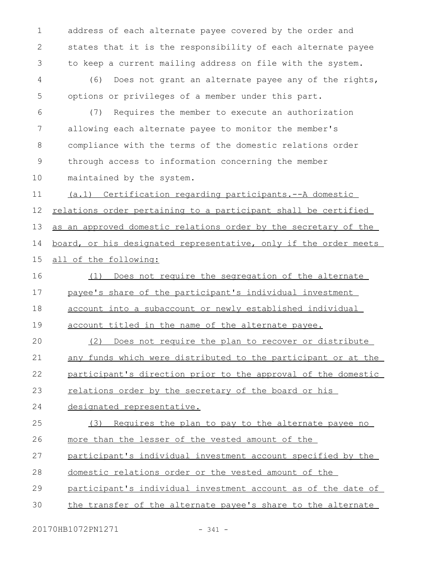address of each alternate payee covered by the order and states that it is the responsibility of each alternate payee to keep a current mailing address on file with the system. 1 2 3

(6) Does not grant an alternate payee any of the rights, options or privileges of a member under this part. 4 5

(7) Requires the member to execute an authorization allowing each alternate payee to monitor the member's compliance with the terms of the domestic relations order through access to information concerning the member maintained by the system. 6 7 8 9 10

(a.1) Certification regarding participants.--A domestic relations order pertaining to a participant shall be certified as an approved domestic relations order by the secretary of the board, or his designated representative, only if the order meets all of the following: 11 12 13 14 15

(1) Does not require the segregation of the alternate payee's share of the participant's individual investment account into a subaccount or newly established individual 16 17 18

account titled in the name of the alternate payee. 19

(2) Does not require the plan to recover or distribute any funds which were distributed to the participant or at the participant's direction prior to the approval of the domestic relations order by the secretary of the board or his  $20$ 21 22 23

designated representative. 24

(3) Requires the plan to pay to the alternate payee no more than the lesser of the vested amount of the 25 26

participant's individual investment account specified by the 27

domestic relations order or the vested amount of the 28

participant's individual investment account as of the date of 29

the transfer of the alternate payee's share to the alternate 30

20170HB1072PN1271 - 341 -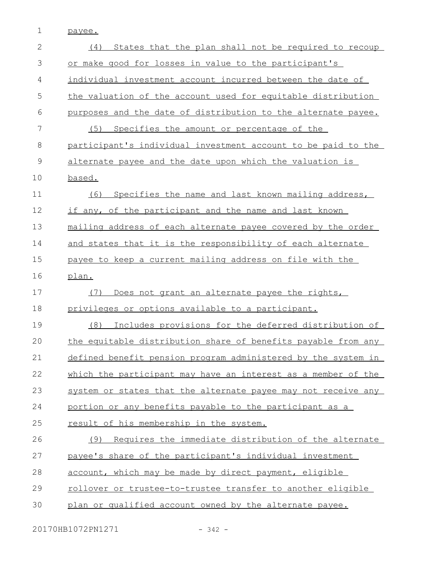1 payee.

| $\overline{2}$ | States that the plan shall not be required to recoup<br>(4)   |
|----------------|---------------------------------------------------------------|
| 3              | or make good for losses in value to the participant's         |
| 4              | individual investment account incurred between the date of    |
| 5              | the valuation of the account used for equitable distribution  |
| 6              | purposes and the date of distribution to the alternate payee. |
| 7              | (5) Specifies the amount or percentage of the                 |
| 8              | participant's individual investment account to be paid to the |
| $\mathcal{G}$  | alternate payee and the date upon which the valuation is      |
| 10             | based.                                                        |
| 11             | Specifies the name and last known mailing address,<br>(6)     |
| 12             | if any, of the participant and the name and last known        |
| 13             | mailing address of each alternate payee covered by the order  |
| 14             | and states that it is the responsibility of each alternate    |
| 15             | payee to keep a current mailing address on file with the      |
| 16             | plan.                                                         |
|                |                                                               |
| 17             | Does not grant an alternate payee the rights,<br>(7)          |
| 18             | privileges or options available to a participant.             |
| 19             | Includes provisions for the deferred distribution of<br>(8)   |
| 20             | the equitable distribution share of benefits payable from any |
| 21             | defined benefit pension program administered by the system in |
| 22             | which the participant may have an interest as a member of the |
| 23             | system or states that the alternate payee may not receive any |
| 24             | portion or any benefits payable to the participant as a       |
| 25             | result of his membership in the system.                       |
| 26             | Requires the immediate distribution of the alternate<br>(9)   |
| 27             | payee's share of the participant's individual investment      |
| 28             | account, which may be made by direct payment, eligible        |
| 29             | rollover or trustee-to-trustee transfer to another eligible   |
| 30             | plan or qualified account owned by the alternate payee.       |

20170HB1072PN1271 - 342 -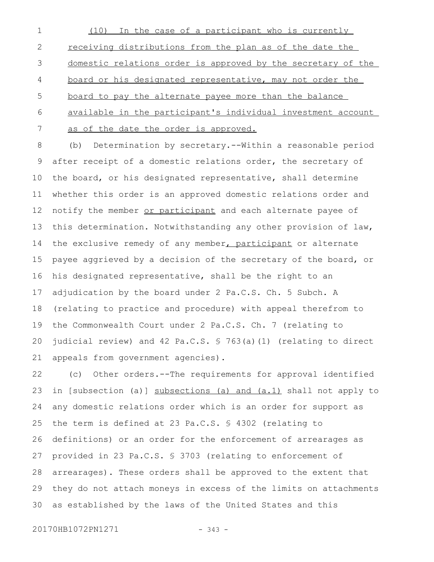(10) In the case of a participant who is currently receiving distributions from the plan as of the date the domestic relations order is approved by the secretary of the board or his designated representative, may not order the board to pay the alternate payee more than the balance available in the participant's individual investment account as of the date the order is approved. 1 2 3 4 5 6 7

(b) Determination by secretary.--Within a reasonable period after receipt of a domestic relations order, the secretary of the board, or his designated representative, shall determine whether this order is an approved domestic relations order and notify the member or participant and each alternate payee of this determination. Notwithstanding any other provision of law, the exclusive remedy of any member, participant or alternate payee aggrieved by a decision of the secretary of the board, or his designated representative, shall be the right to an adjudication by the board under 2 Pa.C.S. Ch. 5 Subch. A (relating to practice and procedure) with appeal therefrom to the Commonwealth Court under 2 Pa.C.S. Ch. 7 (relating to judicial review) and 42 Pa.C.S. § 763(a)(1) (relating to direct appeals from government agencies). 8 9 10 11 12 13 14 15 16 17 18 19 20 21

(c) Other orders.--The requirements for approval identified in [subsection (a)] subsections (a) and (a.1) shall not apply to any domestic relations order which is an order for support as the term is defined at 23 Pa.C.S. § 4302 (relating to definitions) or an order for the enforcement of arrearages as provided in 23 Pa.C.S. § 3703 (relating to enforcement of arrearages). These orders shall be approved to the extent that they do not attach moneys in excess of the limits on attachments as established by the laws of the United States and this 22 23 24 25 26 27 28 29 30

20170HB1072PN1271 - 343 -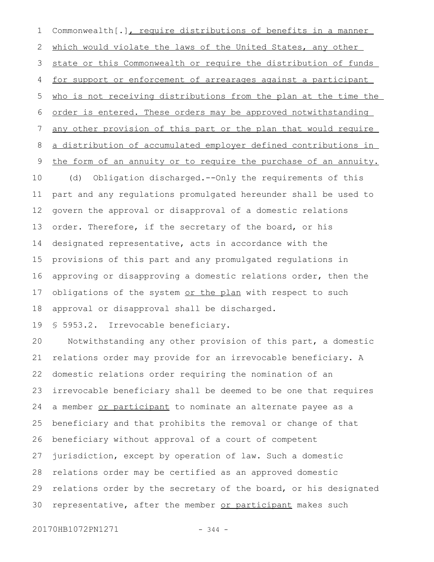Commonwealth[.], require distributions of benefits in a manner which would violate the laws of the United States, any other state or this Commonwealth or require the distribution of funds for support or enforcement of arrearages against a participant who is not receiving distributions from the plan at the time the order is entered. These orders may be approved notwithstanding any other provision of this part or the plan that would require a distribution of accumulated employer defined contributions in the form of an annuity or to require the purchase of an annuity. (d) Obligation discharged.--Only the requirements of this part and any regulations promulgated hereunder shall be used to govern the approval or disapproval of a domestic relations order. Therefore, if the secretary of the board, or his designated representative, acts in accordance with the provisions of this part and any promulgated regulations in approving or disapproving a domestic relations order, then the obligations of the system or the plan with respect to such approval or disapproval shall be discharged. 1 2 3 4 5 6 7 8 9 10 11 12 13 14 15 16 17 18

§ 5953.2. Irrevocable beneficiary. 19

Notwithstanding any other provision of this part, a domestic relations order may provide for an irrevocable beneficiary. A domestic relations order requiring the nomination of an irrevocable beneficiary shall be deemed to be one that requires a member or participant to nominate an alternate payee as a beneficiary and that prohibits the removal or change of that beneficiary without approval of a court of competent jurisdiction, except by operation of law. Such a domestic relations order may be certified as an approved domestic relations order by the secretary of the board, or his designated representative, after the member or participant makes such 20 21 22 23 24 25 26 27 28 29 30

20170HB1072PN1271 - 344 -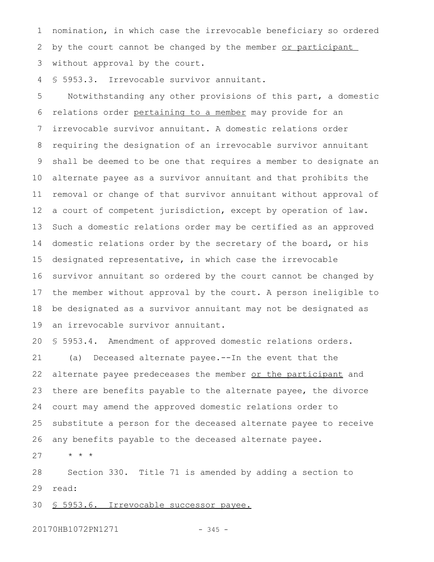nomination, in which case the irrevocable beneficiary so ordered by the court cannot be changed by the member or participant without approval by the court. 1 2 3

§ 5953.3. Irrevocable survivor annuitant. 4

Notwithstanding any other provisions of this part, a domestic relations order pertaining to a member may provide for an irrevocable survivor annuitant. A domestic relations order requiring the designation of an irrevocable survivor annuitant shall be deemed to be one that requires a member to designate an alternate payee as a survivor annuitant and that prohibits the removal or change of that survivor annuitant without approval of a court of competent jurisdiction, except by operation of law. Such a domestic relations order may be certified as an approved domestic relations order by the secretary of the board, or his designated representative, in which case the irrevocable survivor annuitant so ordered by the court cannot be changed by the member without approval by the court. A person ineligible to be designated as a survivor annuitant may not be designated as an irrevocable survivor annuitant. 5 6 7 8 9 10 11 12 13 14 15 16 17 18 19

§ 5953.4. Amendment of approved domestic relations orders. (a) Deceased alternate payee.--In the event that the alternate payee predeceases the member or the participant and there are benefits payable to the alternate payee, the divorce court may amend the approved domestic relations order to substitute a person for the deceased alternate payee to receive any benefits payable to the deceased alternate payee. 20 21 22 23 24 25 26

\* \* \* 27

Section 330. Title 71 is amended by adding a section to read: 28 29

§ 5953.6. Irrevocable successor payee. 30

20170HB1072PN1271 - 345 -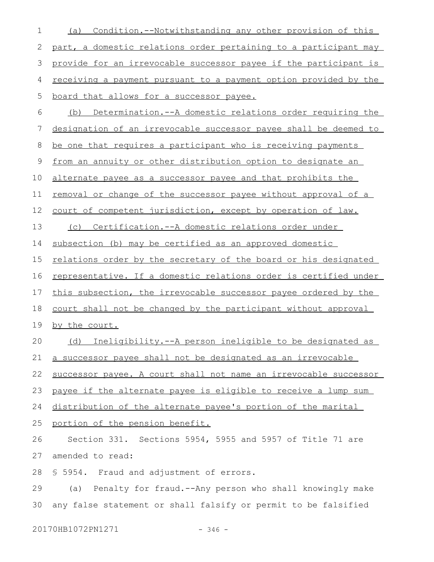| $\mathbf 1$ | Condition.--Notwithstanding any other provision of this<br>(a)          |
|-------------|-------------------------------------------------------------------------|
| 2           | part, a domestic relations order pertaining to a participant may        |
| 3           | provide for an irrevocable successor payee if the participant is        |
| 4           | <u>receiving a payment pursuant to a payment option provided by the</u> |
| 5           | board that allows for a successor payee.                                |
| 6           | Determination. -- A domestic relations order requiring the<br>(b)       |
| 7           | designation of an irrevocable successor payee shall be deemed to        |
| 8           | be one that requires a participant who is receiving payments            |
| 9           | from an annuity or other distribution option to designate an            |
| 10          | alternate payee as a successor payee and that prohibits the             |
| 11          | <u>removal or change of the successor payee without approval of a</u>   |
| 12          | court of competent jurisdiction, except by operation of law.            |
| 13          | (c) Certification.--A domestic relations order under                    |
| 14          | subsection (b) may be certified as an approved domestic                 |
| 15          | relations order by the secretary of the board or his designated         |
| 16          | representative. If a domestic relations order is certified under        |
| 17          | this subsection, the irrevocable successor payee ordered by the         |
| 18          | court shall not be changed by the participant without approval          |
| 19          | by the court.                                                           |
| 20          | Ineligibility.--A person ineligible to be designated as<br>(d)          |
| 21          | a successor payee shall not be designated as an irrevocable             |
| 22          | successor payee. A court shall not name an irrevocable successor        |
| 23          | payee if the alternate payee is eligible to receive a lump sum          |
| 24          | distribution of the alternate payee's portion of the marital            |
| 25          | portion of the pension benefit.                                         |
| 26          | Section 331. Sections 5954, 5955 and 5957 of Title 71 are               |
| 27          | amended to read:                                                        |
| 28          | \$ 5954. Fraud and adjustment of errors.                                |
| 29          | (a) Penalty for fraud.--Any person who shall knowingly make             |
| 30          | any false statement or shall falsify or permit to be falsified          |
|             |                                                                         |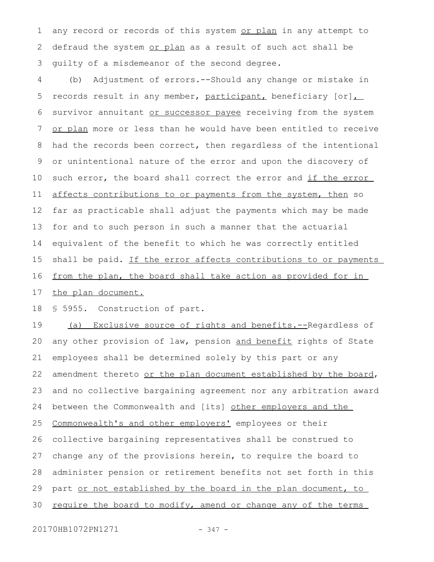any record or records of this system or plan in any attempt to defraud the system or plan as a result of such act shall be guilty of a misdemeanor of the second degree. 1 2 3

(b) Adjustment of errors.--Should any change or mistake in records result in any member, participant, beneficiary  $[or]$ , survivor annuitant or successor payee receiving from the system or plan more or less than he would have been entitled to receive had the records been correct, then regardless of the intentional or unintentional nature of the error and upon the discovery of such error, the board shall correct the error and if the error affects contributions to or payments from the system, then so far as practicable shall adjust the payments which may be made for and to such person in such a manner that the actuarial equivalent of the benefit to which he was correctly entitled shall be paid. If the error affects contributions to or payments from the plan, the board shall take action as provided for in 4 5 6 7 8 9 10 11 12 13 14 15 16

the plan document. 17

§ 5955. Construction of part. 18

(a) Exclusive source of rights and benefits.--Regardless of any other provision of law, pension and benefit rights of State employees shall be determined solely by this part or any amendment thereto or the plan document established by the board, and no collective bargaining agreement nor any arbitration award between the Commonwealth and [its] other employers and the Commonwealth's and other employers' employees or their collective bargaining representatives shall be construed to change any of the provisions herein, to require the board to administer pension or retirement benefits not set forth in this part or not established by the board in the plan document, to require the board to modify, amend or change any of the terms 19 20 21 22 23 24 25 26 27 28 29 30

20170HB1072PN1271 - 347 -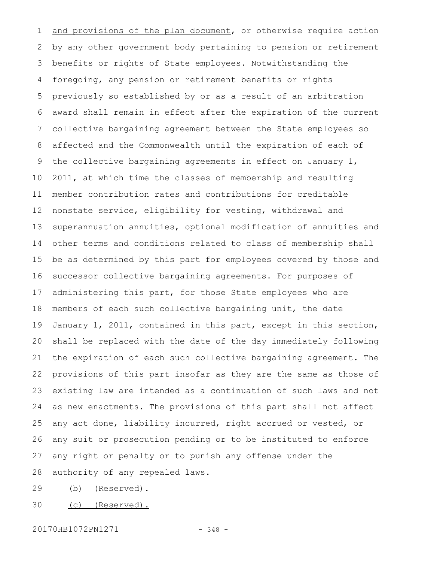and provisions of the plan document, or otherwise require action by any other government body pertaining to pension or retirement benefits or rights of State employees. Notwithstanding the foregoing, any pension or retirement benefits or rights previously so established by or as a result of an arbitration award shall remain in effect after the expiration of the current collective bargaining agreement between the State employees so affected and the Commonwealth until the expiration of each of the collective bargaining agreements in effect on January 1, 2011, at which time the classes of membership and resulting member contribution rates and contributions for creditable nonstate service, eligibility for vesting, withdrawal and superannuation annuities, optional modification of annuities and other terms and conditions related to class of membership shall be as determined by this part for employees covered by those and successor collective bargaining agreements. For purposes of administering this part, for those State employees who are members of each such collective bargaining unit, the date January 1, 2011, contained in this part, except in this section, shall be replaced with the date of the day immediately following the expiration of each such collective bargaining agreement. The provisions of this part insofar as they are the same as those of existing law are intended as a continuation of such laws and not as new enactments. The provisions of this part shall not affect any act done, liability incurred, right accrued or vested, or any suit or prosecution pending or to be instituted to enforce any right or penalty or to punish any offense under the authority of any repealed laws. 1 2 3 4 5 6 7 8 9 10 11 12 13 14 15 16 17 18 19 20 21 22 23 24 25 26 27 28

(b) (Reserved). 29

(c) (Reserved). 30

20170HB1072PN1271 - 348 -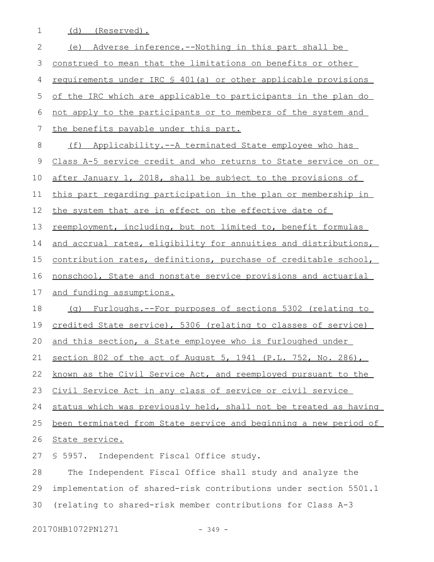1 (d) (Reserved).

| $\mathbf{2}$ | (e) Adverse inference.--Nothing in this part shall be            |
|--------------|------------------------------------------------------------------|
| 3            | construed to mean that the limitations on benefits or other      |
| 4            | requirements under IRC § 401(a) or other applicable provisions   |
| 5            | of the IRC which are applicable to participants in the plan do   |
| 6            | not apply to the participants or to members of the system and    |
| 7            | the benefits payable under this part.                            |
| 8            | (f) Applicability.--A terminated State employee who has          |
| $\mathsf 9$  | Class A-5 service credit and who returns to State service on or  |
| 10           | after January 1, 2018, shall be subject to the provisions of     |
| 11           | this part regarding participation in the plan or membership in   |
| 12           | the system that are in effect on the effective date of           |
| 13           | reemployment, including, but not limited to, benefit formulas    |
| 14           | and accrual rates, eligibility for annuities and distributions,  |
| 15           | contribution rates, definitions, purchase of creditable school,  |
| 16           | nonschool, State and nonstate service provisions and actuarial   |
| 17           | and funding assumptions.                                         |
| 18           | (g) Furloughs.--For purposes of sections 5302 (relating to       |
| 19           | credited State service), 5306 (relating to classes of service)   |
| 20           | and this section, a State employee who is furloughed under       |
|              | 21 section 802 of the act of August 5, 1941 (P.L. 752, No. 286), |
| 22           | known as the Civil Service Act, and reemployed pursuant to the   |
| 23           | Civil Service Act in any class of service or civil service       |
| 24           | status which was previously held, shall not be treated as having |
| 25           | been terminated from State service and beginning a new period of |
| 26           | State service.                                                   |
| 27           | § 5957. Independent Fiscal Office study.                         |
| 28           | The Independent Fiscal Office shall study and analyze the        |
| 29           | implementation of shared-risk contributions under section 5501.1 |
| 30           | (relating to shared-risk member contributions for Class A-3      |
|              |                                                                  |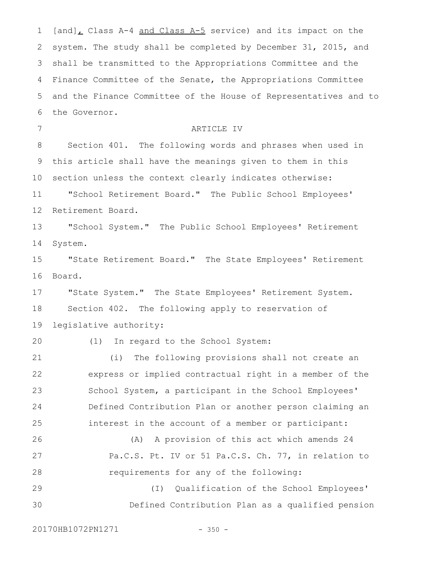$[and]_L$  Class A-4 and Class A-5 service) and its impact on the system. The study shall be completed by December 31, 2015, and shall be transmitted to the Appropriations Committee and the Finance Committee of the Senate, the Appropriations Committee and the Finance Committee of the House of Representatives and to the Governor. ARTICLE IV Section 401. The following words and phrases when used in this article shall have the meanings given to them in this section unless the context clearly indicates otherwise: "School Retirement Board." The Public School Employees' Retirement Board. "School System." The Public School Employees' Retirement System. "State Retirement Board." The State Employees' Retirement Board. "State System." The State Employees' Retirement System. Section 402. The following apply to reservation of legislative authority: (1) In regard to the School System: (i) The following provisions shall not create an express or implied contractual right in a member of the School System, a participant in the School Employees' Defined Contribution Plan or another person claiming an interest in the account of a member or participant: (A) A provision of this act which amends 24 Pa.C.S. Pt. IV or 51 Pa.C.S. Ch. 77, in relation to requirements for any of the following: (I) Qualification of the School Employees' Defined Contribution Plan as a qualified pension 1 2 3 4 5 6 7 8 9 10 11 12 13 14 15 16 17 18 19 20 21 22 23 24 25 26 27 28 29 30

20170HB1072PN1271 - 350 -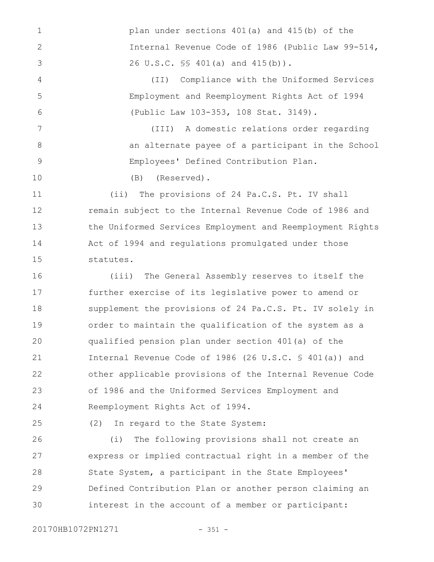plan under sections 401(a) and 415(b) of the Internal Revenue Code of 1986 (Public Law 99-514, 26 U.S.C. §§ 401(a) and 415(b)).

> (II) Compliance with the Uniformed Services Employment and Reemployment Rights Act of 1994 (Public Law 103-353, 108 Stat. 3149).

(III) A domestic relations order regarding an alternate payee of a participant in the School Employees' Defined Contribution Plan.

(B) (Reserved).

(ii) The provisions of 24 Pa.C.S. Pt. IV shall remain subject to the Internal Revenue Code of 1986 and the Uniformed Services Employment and Reemployment Rights Act of 1994 and regulations promulgated under those statutes. 11 12 13 14 15

(iii) The General Assembly reserves to itself the further exercise of its legislative power to amend or supplement the provisions of 24 Pa.C.S. Pt. IV solely in order to maintain the qualification of the system as a qualified pension plan under section 401(a) of the Internal Revenue Code of 1986 (26 U.S.C. § 401(a)) and other applicable provisions of the Internal Revenue Code of 1986 and the Uniformed Services Employment and Reemployment Rights Act of 1994. 16 17 18 19  $20$ 21 22 23 24

25

1

2

3

4

5

6

7

8

9

10

(2) In regard to the State System:

(i) The following provisions shall not create an express or implied contractual right in a member of the State System, a participant in the State Employees' Defined Contribution Plan or another person claiming an interest in the account of a member or participant: 26 27 28 29 30

20170HB1072PN1271 - 351 -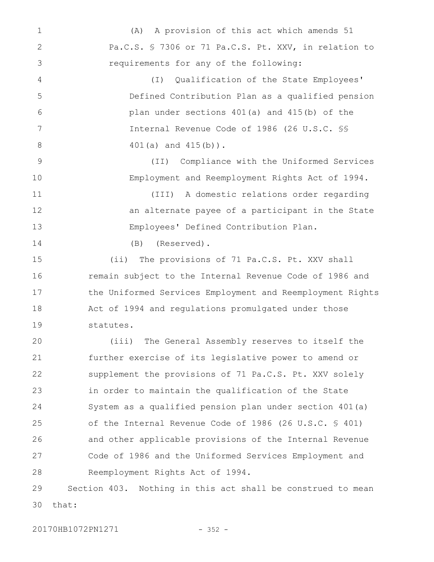(A) A provision of this act which amends 51 Pa.C.S. § 7306 or 71 Pa.C.S. Pt. XXV, in relation to requirements for any of the following: (I) Qualification of the State Employees' Defined Contribution Plan as a qualified pension plan under sections 401(a) and 415(b) of the Internal Revenue Code of 1986 (26 U.S.C. §§ 401(a) and 415(b)). (II) Compliance with the Uniformed Services Employment and Reemployment Rights Act of 1994. (III) A domestic relations order regarding an alternate payee of a participant in the State Employees' Defined Contribution Plan. (B) (Reserved). (ii) The provisions of 71 Pa.C.S. Pt. XXV shall remain subject to the Internal Revenue Code of 1986 and the Uniformed Services Employment and Reemployment Rights Act of 1994 and regulations promulgated under those statutes. (iii) The General Assembly reserves to itself the further exercise of its legislative power to amend or supplement the provisions of 71 Pa.C.S. Pt. XXV solely in order to maintain the qualification of the State System as a qualified pension plan under section 401(a) of the Internal Revenue Code of 1986 (26 U.S.C. § 401) and other applicable provisions of the Internal Revenue 1 2 3 4 5 6 7 8 9 10 11 12 13 14 15 16 17 18 19  $20$ 21 22 23 24 25 26

Code of 1986 and the Uniformed Services Employment and Reemployment Rights Act of 1994. 27 28

Section 403. Nothing in this act shall be construed to mean that: 29 30

20170HB1072PN1271 - 352 -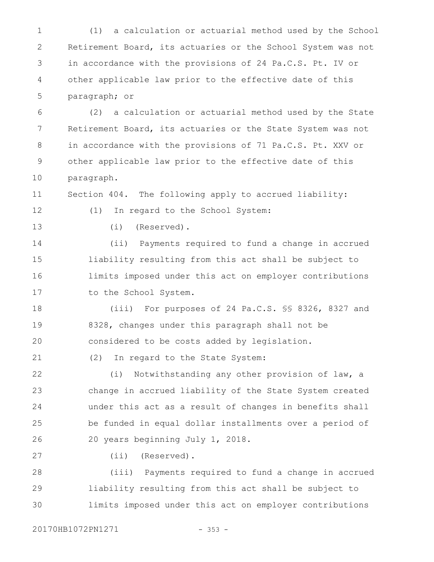(1) a calculation or actuarial method used by the School Retirement Board, its actuaries or the School System was not in accordance with the provisions of 24 Pa.C.S. Pt. IV or other applicable law prior to the effective date of this paragraph; or 1 2 3 4 5

(2) a calculation or actuarial method used by the State Retirement Board, its actuaries or the State System was not in accordance with the provisions of 71 Pa.C.S. Pt. XXV or other applicable law prior to the effective date of this paragraph. 6 7 8 9 10

Section 404. The following apply to accrued liability: 11

(1) In regard to the School System:

12 13

(i) (Reserved).

(ii) Payments required to fund a change in accrued liability resulting from this act shall be subject to limits imposed under this act on employer contributions to the School System. 14 15 16 17

(iii) For purposes of 24 Pa.C.S. §§ 8326, 8327 and 8328, changes under this paragraph shall not be considered to be costs added by legislation. 18 19 20

(2) In regard to the State System: 21

(i) Notwithstanding any other provision of law, a change in accrued liability of the State System created under this act as a result of changes in benefits shall be funded in equal dollar installments over a period of 20 years beginning July 1, 2018. 22 23 24 25 26

27

(ii) (Reserved).

(iii) Payments required to fund a change in accrued liability resulting from this act shall be subject to limits imposed under this act on employer contributions 28 29 30

20170HB1072PN1271 - 353 -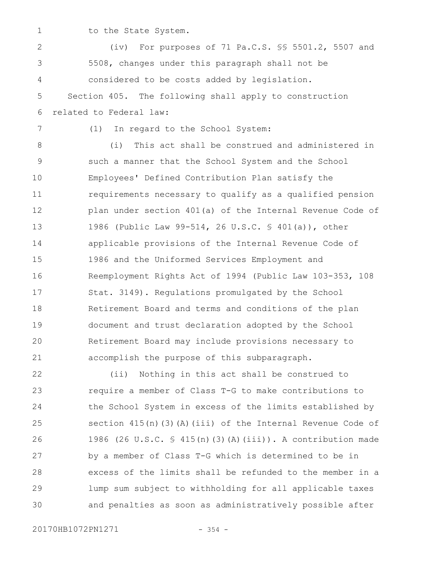1

to the State System.

(iv) For purposes of 71 Pa.C.S. §§ 5501.2, 5507 and 5508, changes under this paragraph shall not be considered to be costs added by legislation. Section 405. The following shall apply to construction related to Federal law: (1) In regard to the School System: (i) This act shall be construed and administered in such a manner that the School System and the School Employees' Defined Contribution Plan satisfy the requirements necessary to qualify as a qualified pension plan under section 401(a) of the Internal Revenue Code of 1986 (Public Law 99-514, 26 U.S.C. § 401(a)), other applicable provisions of the Internal Revenue Code of 1986 and the Uniformed Services Employment and Reemployment Rights Act of 1994 (Public Law 103-353, 108 Stat. 3149). Regulations promulgated by the School Retirement Board and terms and conditions of the plan document and trust declaration adopted by the School Retirement Board may include provisions necessary to accomplish the purpose of this subparagraph. (ii) Nothing in this act shall be construed to require a member of Class T-G to make contributions to the School System in excess of the limits established by section  $415(n)(3)(A)(iii)$  of the Internal Revenue Code of 1986 (26 U.S.C. § 415(n)(3)(A)(iii)). A contribution made by a member of Class T-G which is determined to be in excess of the limits shall be refunded to the member in a 2 3 4 5 6 7 8 9 10 11 12 13 14 15 16 17 18 19 20 21 22 23 24 25 26 27 28

and penalties as soon as administratively possible after 30

20170HB1072PN1271 - 354 -

29

lump sum subject to withholding for all applicable taxes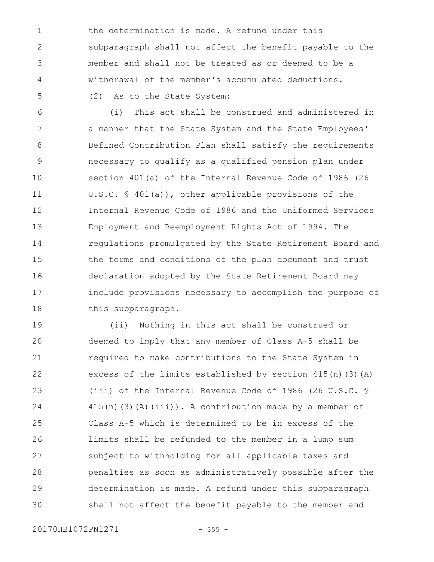the determination is made. A refund under this subparagraph shall not affect the benefit payable to the member and shall not be treated as or deemed to be a withdrawal of the member's accumulated deductions. (2) As to the State System: 1 2 3 4 5

(i) This act shall be construed and administered in a manner that the State System and the State Employees' Defined Contribution Plan shall satisfy the requirements necessary to qualify as a qualified pension plan under section 401(a) of the Internal Revenue Code of 1986 (26 U.S.C. § 401(a)), other applicable provisions of the Internal Revenue Code of 1986 and the Uniformed Services Employment and Reemployment Rights Act of 1994. The regulations promulgated by the State Retirement Board and the terms and conditions of the plan document and trust declaration adopted by the State Retirement Board may include provisions necessary to accomplish the purpose of this subparagraph. 6 7 8 9 10 11 12 13 14 15 16 17 18

(ii) Nothing in this act shall be construed or deemed to imply that any member of Class A-5 shall be required to make contributions to the State System in excess of the limits established by section 415(n)(3)(A) (iii) of the Internal Revenue Code of 1986 (26 U.S.C. §  $415(n)$  (3)(A)(iii)). A contribution made by a member of Class A-5 which is determined to be in excess of the limits shall be refunded to the member in a lump sum subject to withholding for all applicable taxes and penalties as soon as administratively possible after the determination is made. A refund under this subparagraph shall not affect the benefit payable to the member and 19 20 21 22 23 24 25 26 27 28 29 30

20170HB1072PN1271 - 355 -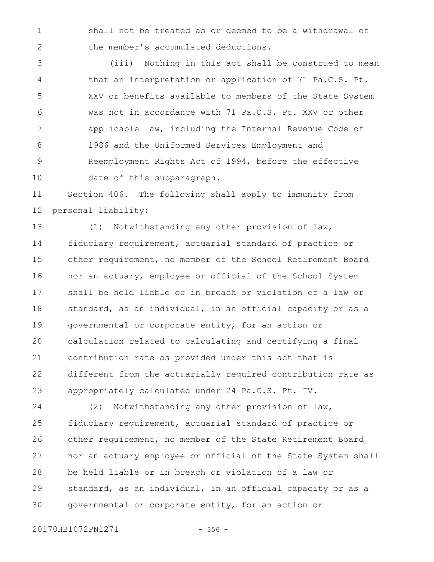shall not be treated as or deemed to be a withdrawal of the member's accumulated deductions. 1 2

(iii) Nothing in this act shall be construed to mean that an interpretation or application of 71 Pa.C.S. Pt. XXV or benefits available to members of the State System was not in accordance with 71 Pa.C.S. Pt. XXV or other applicable law, including the Internal Revenue Code of 1986 and the Uniformed Services Employment and Reemployment Rights Act of 1994, before the effective date of this subparagraph. 3 4 5 6 7 8 9 10

Section 406. The following shall apply to immunity from personal liability: 11 12

(1) Notwithstanding any other provision of law, fiduciary requirement, actuarial standard of practice or other requirement, no member of the School Retirement Board nor an actuary, employee or official of the School System shall be held liable or in breach or violation of a law or standard, as an individual, in an official capacity or as a governmental or corporate entity, for an action or calculation related to calculating and certifying a final contribution rate as provided under this act that is different from the actuarially required contribution rate as appropriately calculated under 24 Pa.C.S. Pt. IV. 13 14 15 16 17 18 19  $20$ 21 22 23

(2) Notwithstanding any other provision of law, fiduciary requirement, actuarial standard of practice or other requirement, no member of the State Retirement Board nor an actuary employee or official of the State System shall be held liable or in breach or violation of a law or standard, as an individual, in an official capacity or as a governmental or corporate entity, for an action or 24 25 26 27 28 29 30

20170HB1072PN1271 - 356 -